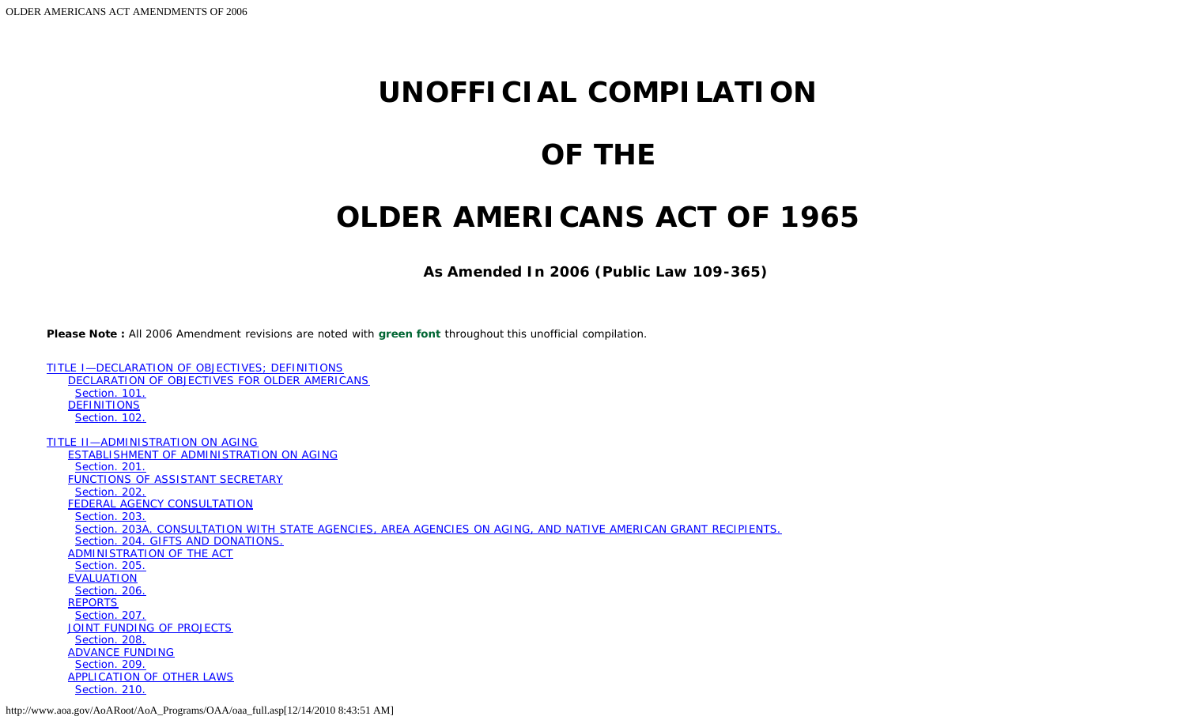# **UNOFFICIAL COMPILATION**

# **OF THE**

# **OLDER AMERICANS ACT OF 1965**

**As Amended In 2006 (Public Law 109-365)** 

**Please Note :** All 2006 Amendment revisions are noted with **green font** throughout this unofficial compilation.

[TITLE I—DECLARATION OF OBJECTIVES; DEFINITIONS](#page-4-0) [DECLARATION OF OBJECTIVES FOR OLDER AMERICANS](#page-4-1) [Section. 101.](#page-4-2) **[DEFINITIONS](#page-4-3)** [Section. 102.](#page-4-4) [TITLE II—ADMINISTRATION ON AGING](#page-9-0) [ESTABLISHMENT OF ADMINISTRATION ON AGING](#page-9-1) [Section. 201.](#page-10-0) [FUNCTIONS OF ASSISTANT SECRETARY](#page-12-0) [Section. 202.](#page-12-1) [FEDERAL AGENCY CONSULTATION](#page-16-0) [Section. 203.](#page-16-1) [Section. 203A. CONSULTATION WITH STATE AGENCIES, AREA AGENCIES ON AGING, AND NATIVE AMERICAN GRANT RECIPIENTS.](#page-18-0) [Section. 204. GIFTS AND DONATIONS.](#page-19-0) [ADMINISTRATION OF THE ACT](#page-19-1) [Section. 205.](#page-19-2) **[EVALUATION](#page-20-0)** [Section. 206.](#page-20-1) **[REPORTS](#page-20-2)** [Section. 207.](#page-20-3) [JOINT FUNDING OF PROJECTS](#page-21-0) [Section. 208.](#page-21-1) [ADVANCE FUNDING](#page-21-2) [Section. 209.](#page-21-3) [APPLICATION OF OTHER LAWS](#page-22-0) [Section. 210.](#page-22-1)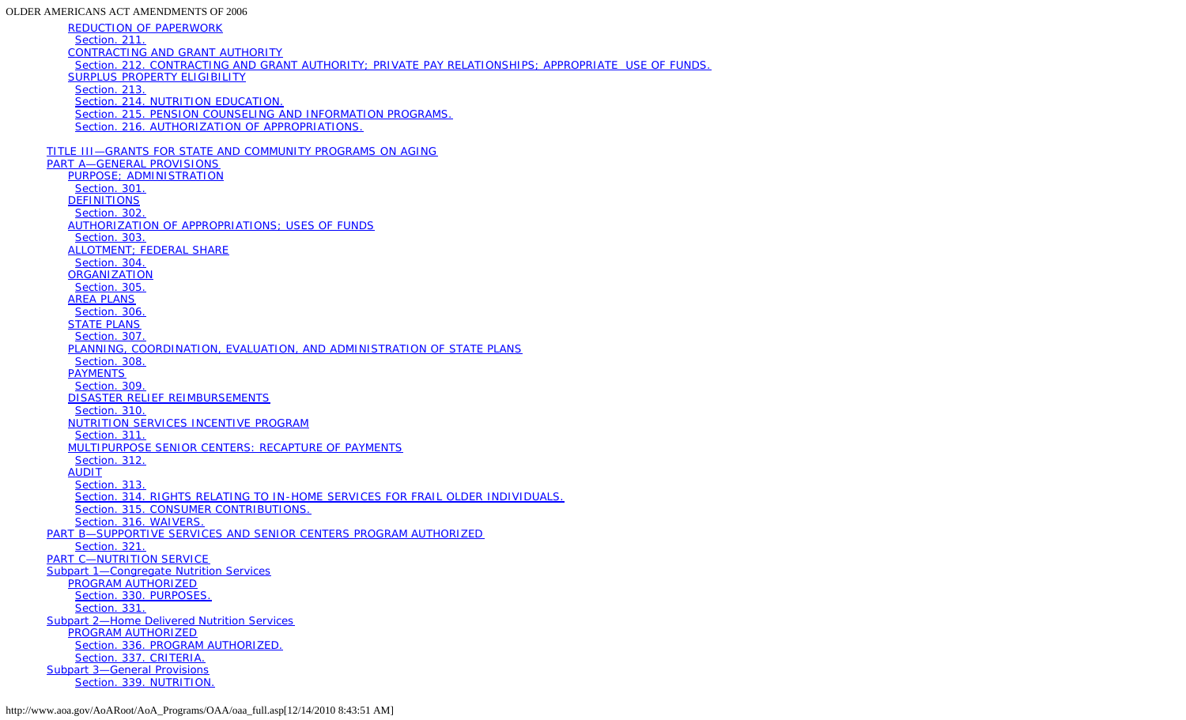[REDUCTION OF PAPERWORK](#page-22-2) [Section. 211.](#page-22-3) [CONTRACTING AND GRANT AUTHORITY](#page-22-4) [Section. 212. CONTRACTING AND GRANT AUTHORITY; PRIVATE PAY RELATIONSHIPS; APPROPRIATE USE OF FUNDS.](#page-22-5) [SURPLUS PROPERTY ELIGIBILITY](#page-23-0) [Section. 213.](#page-23-1) [Section. 214. NUTRITION EDUCATION.](#page-23-2) [Section. 215. PENSION COUNSELING AND INFORMATION PROGRAMS.](#page-23-3) [Section. 216. AUTHORIZATION OF APPROPRIATIONS.](#page-25-0) [TITLE III—GRANTS FOR STATE AND COMMUNITY PROGRAMS ON AGING](#page-25-1) [PART A—GENERAL PROVISIONS](#page-25-2) [PURPOSE; ADMINISTRATION](#page-25-3) [Section. 301.](#page-25-4) **[DEFINITIONS](#page-26-0)** [Section. 302.](#page-26-1) [AUTHORIZATION OF APPROPRIATIONS; USES OF FUNDS](#page-26-2) [Section. 303.](#page-26-3) [ALLOTMENT; FEDERAL SHARE](#page-27-0) [Section. 304.](#page-27-1) **[ORGANIZATION](#page-28-0)** [Section. 305.](#page-28-1) [AREA PLANS](#page-30-0) [Section. 306.](#page-30-1) **[STATE PLANS](#page-34-0)** [Section. 307.](#page-34-1) [PLANNING, COORDINATION, EVALUATION, AND ADMINISTRATION OF STATE PLANS](#page-38-0) [Section. 308.](#page-39-0) **[PAYMENTS](#page-40-0)** [Section. 309.](#page-40-1) [DISASTER RELIEF REIMBURSEMENTS](#page-40-2) [Section. 310.](#page-40-3) [NUTRITION SERVICES INCENTIVE PROGRAM](#page-41-0) [Section. 311.](#page-41-1) [MULTIPURPOSE SENIOR CENTERS: RECAPTURE OF PAYMENTS](#page-42-0) [Section. 312.](#page-42-1) [AUDIT](#page-42-2) [Section. 313.](#page-42-3) [Section. 314. RIGHTS RELATING TO IN-HOME SERVICES FOR FRAIL OLDER INDIVIDUALS.](#page-42-4) [Section. 315. CONSUMER CONTRIBUTIONS.](#page-42-5) [Section. 316. WAIVERS.](#page-44-0) [PART B—SUPPORTIVE SERVICES AND SENIOR CENTERS PROGRAM AUTHORIZED](#page-44-1) [Section. 321.](#page-44-2) [PART C—NUTRITION SERVICE](#page-46-0) [Subpart 1—Congregate Nutrition Services](#page-46-1) [PROGRAM AUTHORIZED](#page-46-2) [Section. 330. PURPOSES.](#page-46-3) [Section. 331.](#page-46-4) [Subpart 2—Home Delivered Nutrition Services](#page-46-5) [PROGRAM AUTHORIZED](#page-46-6) [Section. 336. PROGRAM AUTHORIZED.](#page-46-7) [Section. 337. CRITERIA.](#page-47-0) [Subpart 3—General Provisions](#page-47-1) [Section. 339. NUTRITION.](#page-47-2)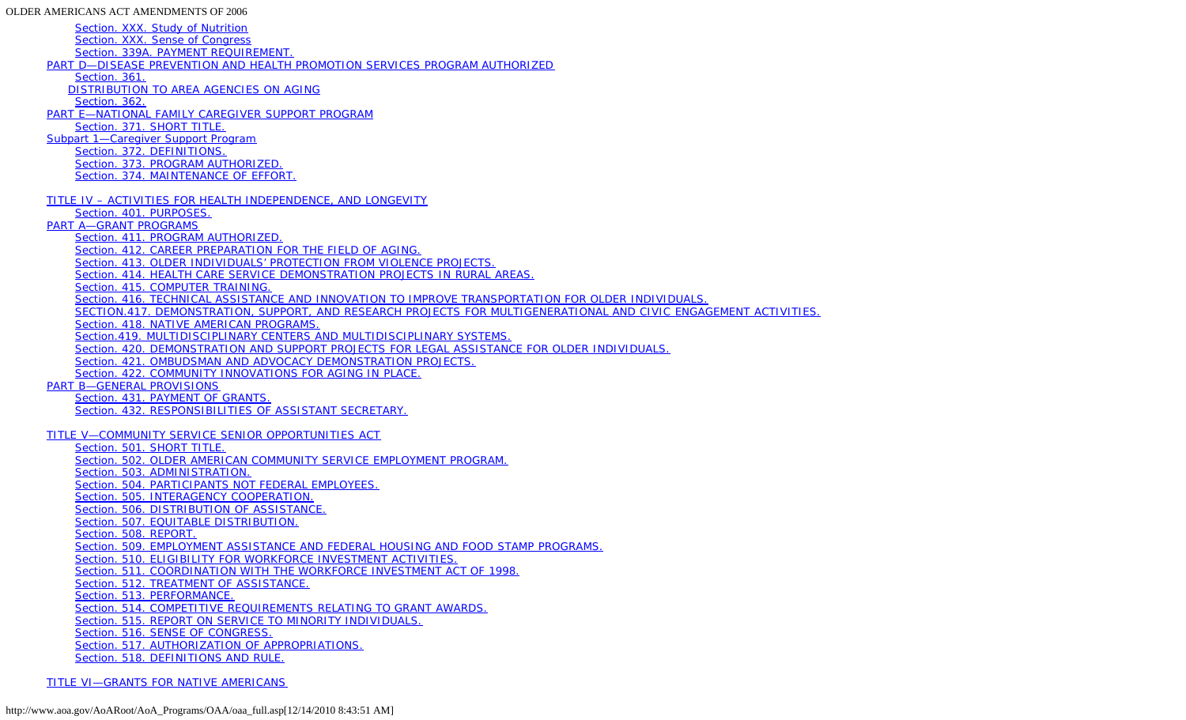[Section. XXX. Study of Nutrition](#page-49-0) [Section. XXX. Sense of Congress](#page-49-1) [Section. 339A. PAYMENT REQUIREMENT.](#page-49-2) [PART D—DISEASE PREVENTION AND HEALTH PROMOTION SERVICES PROGRAM AUTHORIZED](#page-49-3) [Section. 361.](#page-49-4) [DISTRIBUTION TO AREA AGENCIES ON AGING](#page-49-5) Section. 362 [PART E—NATIONAL FAMILY CAREGIVER SUPPORT PROGRAM](#page-50-0) [Section. 371. SHORT TITLE.](#page-50-1) [Subpart 1—Caregiver Support Program](#page-50-2) [Section. 372. DEFINITIONS.](#page-50-3) [Section. 373. PROGRAM AUTHORIZED.](#page-50-4) [Section. 374. MAINTENANCE OF EFFORT.](#page-51-0) [TITLE IV – ACTIVITIES FOR HEALTH INDEPENDENCE, AND LONGEVITY](#page-52-0) [Section. 401. PURPOSES.](#page-52-1) [PART A—GRANT PROGRAMS](#page-52-2) [Section. 411. PROGRAM AUTHORIZED.](#page-52-3) [Section. 412. CAREER PREPARATION FOR THE FIELD OF AGING.](#page-53-0) [Section. 413. OLDER INDIVIDUALS' PROTECTION FROM VIOLENCE PROJECTS.](#page-53-1) [Section. 414. HEALTH CARE SERVICE DEMONSTRATION PROJECTS IN RURAL AREAS.](#page-53-2) [Section. 415. COMPUTER TRAINING.](#page-54-0) [Section. 416. TECHNICAL ASSISTANCE AND INNOVATION TO IMPROVE TRANSPORTATION FOR OLDER INDIVIDUALS.](#page-54-1) [SECTION.417. DEMONSTRATION, SUPPORT, AND RESEARCH PROJECTS FOR MULTIGENERATIONAL AND CIVIC ENGAGEMENT ACTIVITIES.](#page-55-0) [Section. 418. NATIVE AMERICAN PROGRAMS.](#page-56-0) [Section.419. MULTIDISCIPLINARY CENTERS AND MULTIDISCIPLINARY SYSTEMS.](#page-57-0) [Section. 420. DEMONSTRATION AND SUPPORT PROJECTS FOR LEGAL ASSISTANCE FOR OLDER INDIVIDUALS.](#page-58-0) [Section. 421. OMBUDSMAN AND ADVOCACY DEMONSTRATION PROJECTS.](#page-58-1) [Section. 422. COMMUNITY INNOVATIONS FOR AGING IN PLACE.](#page-59-0) [PART B—GENERAL PROVISIONS](#page-60-0) [Section. 431. PAYMENT OF GRANTS.](#page-60-1) [Section. 432. RESPONSIBILITIES OF ASSISTANT SECRETARY.](#page-61-0) [TITLE V—COMMUNITY SERVICE SENIOR OPPORTUNITIES ACT](#page-61-1) [Section. 501. SHORT TITLE.](#page-61-2) [Section. 502. OLDER AMERICAN COMMUNITY SERVICE EMPLOYMENT PROGRAM.](#page-61-3) [Section. 503. ADMINISTRATION.](#page-66-0) [Section. 504. PARTICIPANTS NOT FEDERAL EMPLOYEES.](#page-67-0) [Section. 505. INTERAGENCY COOPERATION.](#page-68-0) [Section. 506. DISTRIBUTION OF ASSISTANCE.](#page-68-1) [Section. 507. EQUITABLE DISTRIBUTION.](#page-70-0) [Section. 508. REPORT.](#page-70-1) [Section. 509. EMPLOYMENT ASSISTANCE AND FEDERAL HOUSING AND FOOD STAMP PROGRAMS.](#page-70-2) [Section. 510. ELIGIBILITY FOR WORKFORCE INVESTMENT ACTIVITIES.](#page-70-3) [Section. 511. COORDINATION WITH THE WORKFORCE INVESTMENT ACT OF 1998.](#page-70-4) [Section. 512. TREATMENT OF ASSISTANCE.](#page-70-5) [Section. 513. PERFORMANCE.](#page-70-6) [Section. 514. COMPETITIVE REQUIREMENTS RELATING TO GRANT AWARDS.](#page-72-0) [Section. 515. REPORT ON SERVICE TO MINORITY INDIVIDUALS.](#page-74-0) [Section. 516. SENSE OF CONGRESS.](#page-74-1) [Section. 517. AUTHORIZATION OF APPROPRIATIONS.](#page-74-2) [Section. 518. DEFINITIONS AND RULE.](#page-75-0) [TITLE VI—GRANTS FOR NATIVE AMERICANS](#page-76-0)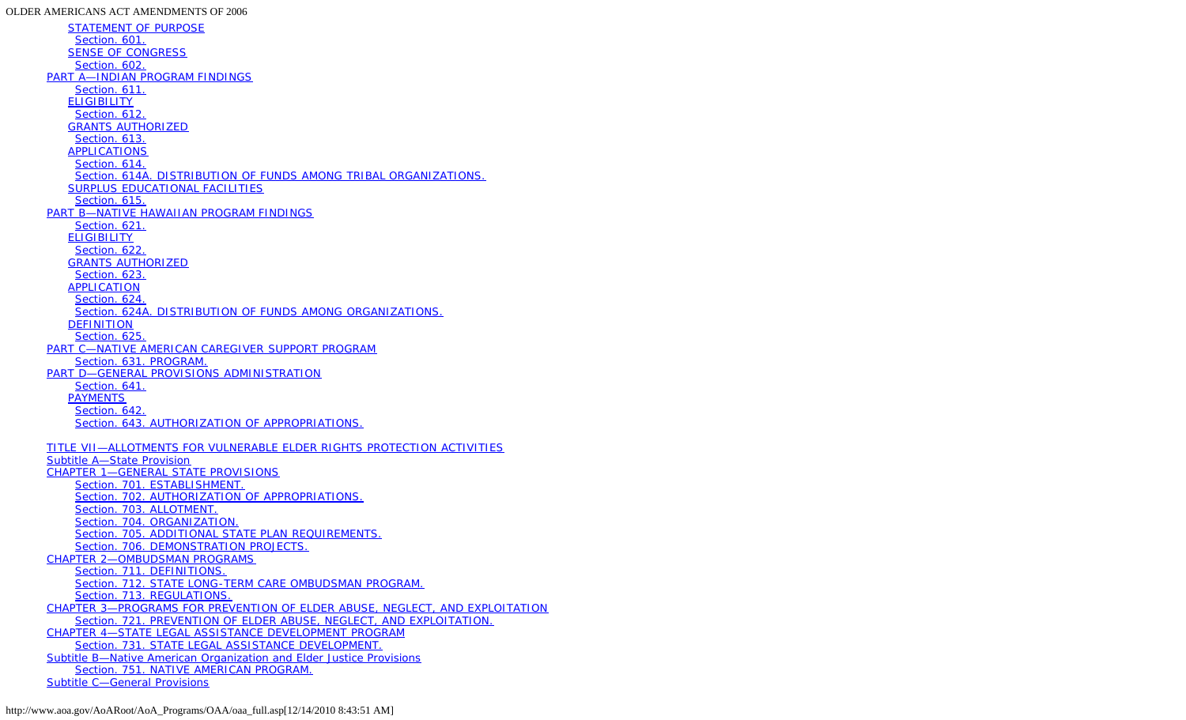[STATEMENT OF PURPOSE](#page-76-1) [Section. 601.](#page-76-2) [SENSE OF CONGRESS](#page-76-3) [Section. 602.](#page-76-4) [PART A—INDIAN PROGRAM FINDINGS](#page-76-5) [Section. 611.](#page-76-6) **[ELIGIBILITY](#page-77-0)** [Section. 612.](#page-77-1) [GRANTS AUTHORIZED](#page-77-2) [Section. 613.](#page-77-3) [APPLICATIONS](#page-77-4) [Section. 614.](#page-77-5) [Section. 614A. DISTRIBUTION OF FUNDS AMONG TRIBAL ORGANIZATIONS.](#page-78-0) [SURPLUS EDUCATIONAL FACILITIES](#page-78-1) [Section. 615.](#page-78-2) [PART B—NATIVE HAWAIIAN PROGRAM FINDINGS](#page-79-0) [Section. 621.](#page-79-1) **[ELIGIBILITY](#page-79-2)** [Section. 622.](#page-79-3) [GRANTS AUTHORIZED](#page-79-4) [Section. 623.](#page-79-5) **[APPLICATION](#page-79-6)** Section. 624 [Section. 624A. DISTRIBUTION OF FUNDS AMONG ORGANIZATIONS.](#page-80-0) **[DEFINITION](#page-80-1)** [Section. 625.](#page-80-2) [PART C—NATIVE AMERICAN CAREGIVER SUPPORT PROGRAM](#page-80-3) [Section. 631. PROGRAM.](#page-80-4) [PART D—GENERAL PROVISIONS ADMINISTRATION](#page-80-5) [Section. 641.](#page-80-6) **[PAYMENTS](#page-80-7)** [Section. 642.](#page-80-8) [Section. 643. AUTHORIZATION OF APPROPRIATIONS.](#page-81-0) [TITLE VII—ALLOTMENTS FOR VULNERABLE ELDER RIGHTS PROTECTION ACTIVITIES](#page-81-1) [Subtitle A—State Provision](#page-81-2) [CHAPTER 1—GENERAL STATE PROVISIONS](#page-81-3) [Section. 701. ESTABLISHMENT.](#page-81-4) [Section. 702. AUTHORIZATION OF APPROPRIATIONS.](#page-81-5) [Section. 703. ALLOTMENT.](#page-81-6) [Section. 704. ORGANIZATION.](#page-82-0) [Section. 705. ADDITIONAL STATE PLAN REQUIREMENTS.](#page-82-1) [Section. 706. DEMONSTRATION PROJECTS.](#page-83-0) [CHAPTER 2—OMBUDSMAN PROGRAMS](#page-83-1) [Section. 711. DEFINITIONS.](#page-83-2) [Section. 712. STATE LONG-TERM CARE OMBUDSMAN PROGRAM.](#page-83-3) [Section. 713. REGULATIONS.](#page-87-0) [CHAPTER 3—PROGRAMS FOR PREVENTION OF ELDER ABUSE, NEGLECT, AND EXPLOITATION](#page-88-0) [Section. 721. PREVENTION OF ELDER ABUSE, NEGLECT, AND EXPLOITATION.](#page-88-1) [CHAPTER 4—STATE LEGAL ASSISTANCE DEVELOPMENT PROGRAM](#page-90-0) [Section. 731. STATE LEGAL ASSISTANCE DEVELOPMENT.](#page-90-1) [Subtitle B—Native American Organization and Elder Justice Provisions](#page-90-2) [Section. 751. NATIVE AMERICAN PROGRAM.](#page-90-3) [Subtitle C—General Provisions](#page-91-0)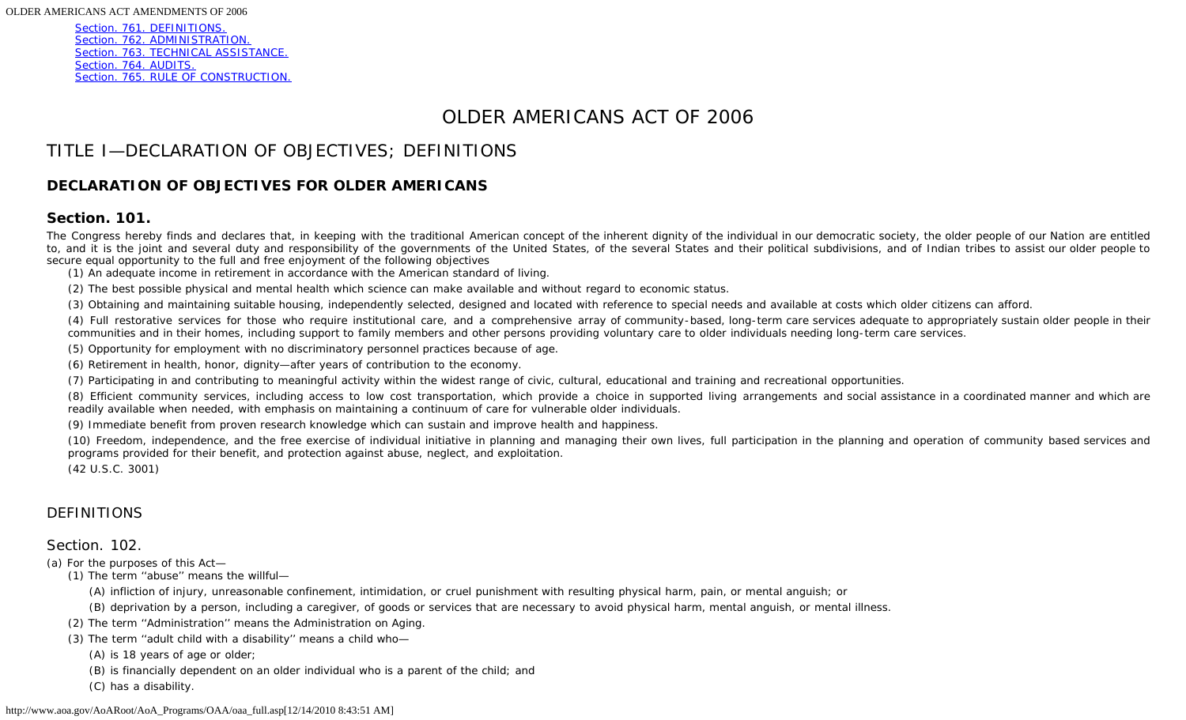[Section. 761. DEFINITIONS.](#page-91-1) [Section. 762. ADMINISTRATION.](#page-91-2) [Section. 763. TECHNICAL ASSISTANCE.](#page-92-0) [Section. 764. AUDITS.](#page-92-1) [Section. 765. RULE OF CONSTRUCTION.](#page-92-2)

# OLDER AMERICANS ACT OF 2006

# <span id="page-4-0"></span>TITLE I—DECLARATION OF OBJECTIVES; DEFINITIONS

# <span id="page-4-1"></span>*DECLARATION OF OBJECTIVES FOR OLDER AMERICANS*

## <span id="page-4-2"></span>**Section. 101.**

The Congress hereby finds and declares that, in keeping with the traditional American concept of the inherent dignity of the individual in our democratic society, the older people of our Nation are entitled to, and it is the joint and several duty and responsibility of the governments of the United States, of the several States and their political subdivisions, and of Indian tribes to assist our older people to secure equal opportunity to the full and free enjoyment of the following objectives

(1) An adequate income in retirement in accordance with the American standard of living.

(2) The best possible physical and mental health which science can make available and without regard to economic status.

(3) Obtaining and maintaining suitable housing, independently selected, designed and located with reference to special needs and available at costs which older citizens can afford.

(4) Full restorative services for those who require institutional care, and a comprehensive array of community-based, long-term care services adequate to appropriately sustain older people in their communities and in their homes, including support to family members and other persons providing voluntary care to older individuals needing long-term care services.

(5) Opportunity for employment with no discriminatory personnel practices because of age.

(6) Retirement in health, honor, dignity—after years of contribution to the economy.

(7) Participating in and contributing to meaningful activity within the widest range of civic, cultural, educational and training and recreational opportunities.

(8) Efficient community services, including access to low cost transportation, which provide a choice in supported living arrangements and social assistance in a coordinated manner and which are readily available when needed, with emphasis on maintaining a continuum of care for vulnerable older individuals.

(9) Immediate benefit from proven research knowledge which can sustain and improve health and happiness.

(10) Freedom, independence, and the free exercise of individual initiative in planning and managing their own lives, full participation in the planning and operation of community based services and programs provided for their benefit, and protection against abuse, neglect, and exploitation.

(42 U.S.C. 3001)

# <span id="page-4-3"></span>*DEFINITIONS*

### <span id="page-4-4"></span>Section. 102.

(a) For the purposes of this Act—

(1) The term ''abuse'' means the willful—

(A) infliction of injury, unreasonable confinement, intimidation, or cruel punishment with resulting physical harm, pain, or mental anguish; or

(B) deprivation by a person, including a caregiver, of goods or services that are necessary to avoid physical harm, mental anguish, or mental illness.

(2) The term ''Administration'' means the Administration on Aging.

(3) The term ''adult child with a disability'' means a child who—

(A) is 18 years of age or older;

(B) is financially dependent on an older individual who is a parent of the child; and

(C) has a disability.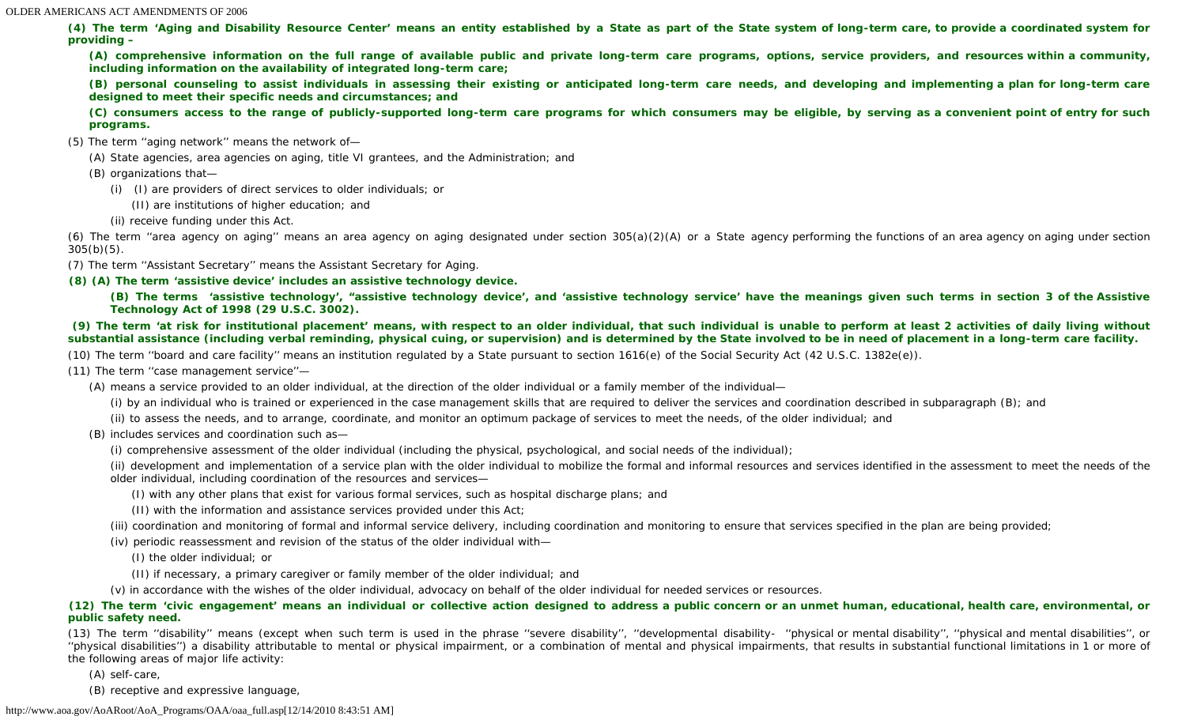**(4) The term 'Aging and Disability Resource Center' means an entity established by a State as part of the State system of long-term care, to provide a coordinated system for providing –**

**(A) comprehensive information on the full range of available public and private long-term care programs, options, service providers, and resources within a community, including information on the availability of integrated long-term care;**

**(B) personal counseling to assist individuals in assessing their existing or anticipated long-term care needs, and developing and implementing a plan for long-term care designed to meet their specific needs and circumstances; and**

**(C) consumers access to the range of publicly-supported long-term care programs for which consumers may be eligible, by serving as a convenient point of entry for such programs.**

(5) The term ''aging network'' means the network of—

- (A) State agencies, area agencies on aging, title VI grantees, and the Administration; and
- (B) organizations that—
	- (i) (I) are providers of direct services to older individuals; or
		- (II) are institutions of higher education; and
	- (ii) receive funding under this Act.

(6) The term ''area agency on aging'' means an area agency on aging designated under section 305(a)(2)(A) or a State agency performing the functions of an area agency on aging under section  $305(b)(5)$ .

(7) The term ''Assistant Secretary'' means the Assistant Secretary for Aging.

**(8) (A) The term 'assistive device' includes an assistive technology device.**

**(B) The terms 'assistive technology', "assistive technology device', and 'assistive technology service' have the meanings given such terms in section 3 of the Assistive Technology Act of 1998 (29 U.S.C. 3002).**

**(9) The term 'at risk for institutional placement' means, with respect to an older individual, that such individual is unable to perform at least 2 activities of daily living without substantial assistance (including verbal reminding, physical cuing, or supervision) and is determined by the State involved to be in need of placement in a long-term care facility.**

(10) The term ''board and care facility'' means an institution regulated by a State pursuant to section 1616(e) of the Social Security Act (42 U.S.C. 1382e(e)).

- (11) The term ''case management service''—
	- (A) means a service provided to an older individual, at the direction of the older individual or a family member of the individual—

(i) by an individual who is trained or experienced in the case management skills that are required to deliver the services and coordination described in subparagraph (B); and

(ii) to assess the needs, and to arrange, coordinate, and monitor an optimum package of services to meet the needs, of the older individual; and

(B) includes services and coordination such as—

(i) comprehensive assessment of the older individual (including the physical, psychological, and social needs of the individual);

(ii) development and implementation of a service plan with the older individual to mobilize the formal and informal resources and services identified in the assessment to meet the needs of the older individual, including coordination of the resources and services—

- (I) with any other plans that exist for various formal services, such as hospital discharge plans; and
- (II) with the information and assistance services provided under this Act;
- (iii) coordination and monitoring of formal and informal service delivery, including coordination and monitoring to ensure that services specified in the plan are being provided;
- (iv) periodic reassessment and revision of the status of the older individual with—
	- (I) the older individual; or
	- (II) if necessary, a primary caregiver or family member of the older individual; and
- (v) in accordance with the wishes of the older individual, advocacy on behalf of the older individual for needed services or resources.

#### **(12) The term 'civic engagement' means an individual or collective action designed to address a public concern or an unmet human, educational, health care, environmental, or public safety need.**

(13) The term ''disability'' means (except when such term is used in the phrase ''severe disability'', ''developmental disability- ''physical or mental disability'', ''physical and mental disabilities'', or ''physical disabilities'') a disability attributable to mental or physical impairment, or a combination of mental and physical impairments, that results in substantial functional limitations in 1 or more of the following areas of major life activity:

(A) self-care,

(B) receptive and expressive language,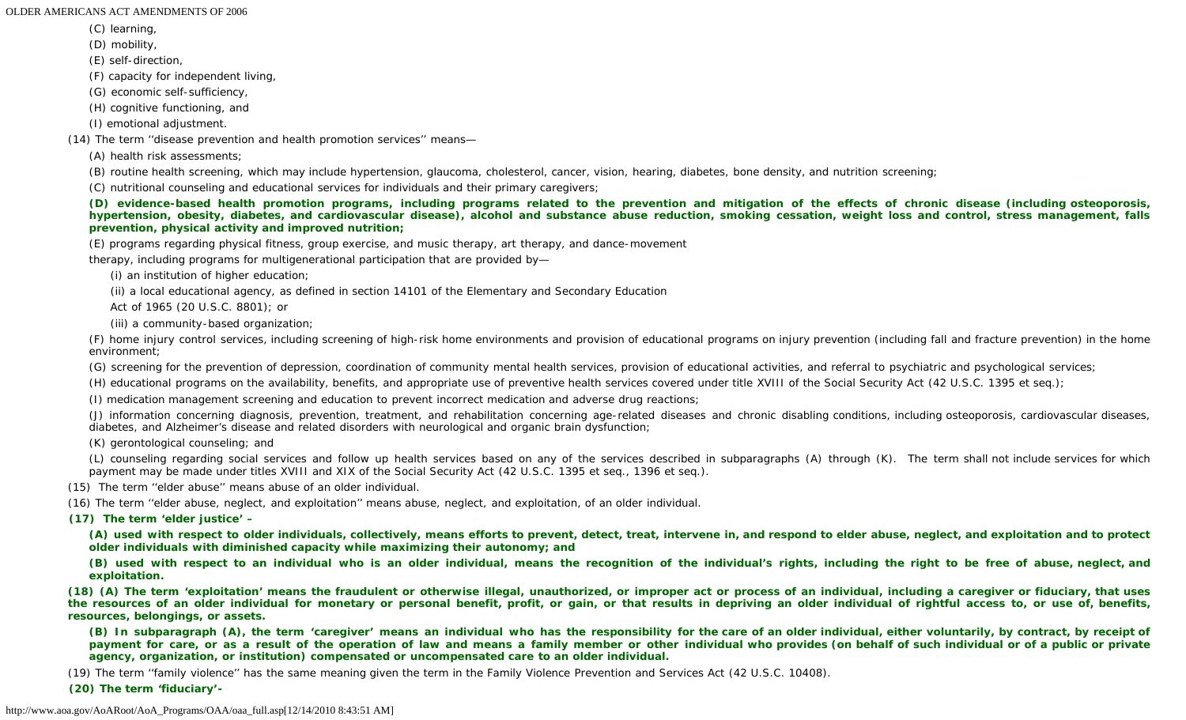(C) learning,

(D) mobility,

(E) self-direction,

(F) capacity for independent living,

(G) economic self-sufficiency,

(H) cognitive functioning, and

(I) emotional adjustment.

(14) The term ''disease prevention and health promotion services'' means—

(A) health risk assessments;

(B) routine health screening, which may include hypertension, glaucoma, cholesterol, cancer, vision, hearing, diabetes, bone density, and nutrition screening;

(C) nutritional counseling and educational services for individuals and their primary caregivers;

**(D) evidence-based health promotion programs, including programs related to the prevention and mitigation of the effects of chronic disease (including osteoporosis, hypertension, obesity, diabetes, and cardiovascular disease), alcohol and substance abuse reduction, smoking cessation, weight loss and control, stress management, falls prevention, physical activity and improved nutrition;**

(E) programs regarding physical fitness, group exercise, and music therapy, art therapy, and dance-movement

therapy, including programs for multigenerational participation that are provided by—

(i) an institution of higher education;

(ii) a local educational agency, as defined in section 14101 of the Elementary and Secondary Education

Act of 1965 (20 U.S.C. 8801); or

(iii) a community-based organization;

(F) home injury control services, including screening of high-risk home environments and provision of educational programs on injury prevention (including fall and fracture prevention) in the home environment;

(G) screening for the prevention of depression, coordination of community mental health services, provision of educational activities, and referral to psychiatric and psychological services;

(H) educational programs on the availability, benefits, and appropriate use of preventive health services covered under title XVIII of the Social Security Act (42 U.S.C. 1395 et seq.);

(I) medication management screening and education to prevent incorrect medication and adverse drug reactions;

(J) information concerning diagnosis, prevention, treatment, and rehabilitation concerning age-related diseases and chronic disabling conditions, including osteoporosis, cardiovascular diseases, diabetes, and Alzheimer's disease and related disorders with neurological and organic brain dysfunction;

(K) gerontological counseling; and

(L) counseling regarding social services and follow up health services based on any of the services described in subparagraphs (A) through (K). The term shall not include services for which payment may be made under titles XVIII and XIX of the Social Security Act (42 U.S.C. 1395 et seq., 1396 et seq.).

(15) The term ''elder abuse'' means abuse of an older individual.

(16) The term ''elder abuse, neglect, and exploitation'' means abuse, neglect, and exploitation, of an older individual.

**(17) The term 'elder justice' –**

**(A) used with respect to older individuals, collectively, means efforts to prevent, detect, treat, intervene in, and respond to elder abuse, neglect, and exploitation and to protect older individuals with diminished capacity while maximizing their autonomy; and**

**(B) used with respect to an individual who is an older individual, means the recognition of the individual's rights, including the right to be free of abuse, neglect, and exploitation.**

**(18) (A) The term 'exploitation' means the fraudulent or otherwise illegal, unauthorized, or improper act or process of an individual, including a caregiver or fiduciary, that uses the resources of an older individual for monetary or personal benefit, profit, or gain, or that results in depriving an older individual of rightful access to, or use of, benefits, resources, belongings, or assets.**

**(B) In subparagraph (A), the term 'caregiver' means an individual who has the responsibility for the care of an older individual, either voluntarily, by contract, by receipt of payment for care, or as a result of the operation of law and means a family member or other individual who provides (on behalf of such individual or of a public or private agency, organization, or institution) compensated or uncompensated care to an older individual.**

(19) The term ''family violence'' has the same meaning given the term in the Family Violence Prevention and Services Act (42 U.S.C. 10408).

**(20) The term 'fiduciary'-**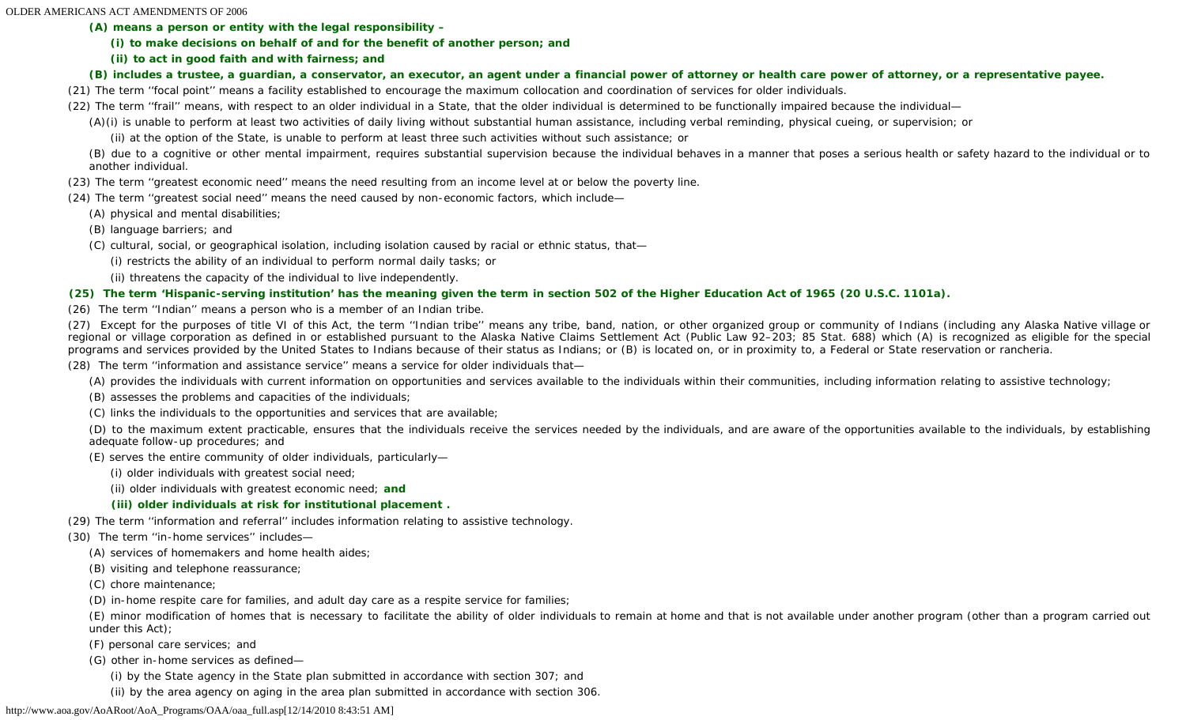**(A) means a person or entity with the legal responsibility –**

**(i) to make decisions on behalf of and for the benefit of another person; and**

**(ii) to act in good faith and with fairness; and**

#### **(B) includes a trustee, a guardian, a conservator, an executor, an agent under a financial power of attorney or health care power of attorney, or a representative payee.**

(21) The term ''focal point'' means a facility established to encourage the maximum collocation and coordination of services for older individuals.

(22) The term "frail" means, with respect to an older individual in a State, that the older individual is determined to be functionally impaired because the individual—

(A)(i) is unable to perform at least two activities of daily living without substantial human assistance, including verbal reminding, physical cueing, or supervision; or

(ii) at the option of the State, is unable to perform at least three such activities without such assistance; or

(B) due to a cognitive or other mental impairment, requires substantial supervision because the individual behaves in a manner that poses a serious health or safety hazard to the individual or to another individual.

(23) The term ''greatest economic need'' means the need resulting from an income level at or below the poverty line.

(24) The term ''greatest social need'' means the need caused by non-economic factors, which include—

(A) physical and mental disabilities;

(B) language barriers; and

(C) cultural, social, or geographical isolation, including isolation caused by racial or ethnic status, that—

(i) restricts the ability of an individual to perform normal daily tasks; or

(ii) threatens the capacity of the individual to live independently.

## **(25) The term 'Hispanic-serving institution' has the meaning given the term in section 502 of the Higher Education Act of 1965 (20 U.S.C. 1101a).**

(26) The term ''Indian'' means a person who is a member of an Indian tribe.

(27) Except for the purposes of title VI of this Act, the term "Indian tribe" means any tribe, band, nation, or other organized group or community of Indians (including any Alaska Native village or regional or village corporation as defined in or established pursuant to the Alaska Native Claims Settlement Act (Public Law 92-203; 85 Stat. 688) which (A) is recognized as eligible for the special programs and services provided by the United States to Indians because of their status as Indians; or (B) is located on, or in proximity to, a Federal or State reservation or rancheria.

(28) The term ''information and assistance service'' means a service for older individuals that—

(A) provides the individuals with current information on opportunities and services available to the individuals within their communities, including information relating to assistive technology;

(B) assesses the problems and capacities of the individuals;

(C) links the individuals to the opportunities and services that are available;

(D) to the maximum extent practicable, ensures that the individuals receive the services needed by the individuals, and are aware of the opportunities available to the individuals, by establishing adequate follow-up procedures; and

(E) serves the entire community of older individuals, particularly—

(i) older individuals with greatest social need;

(ii) older individuals with greatest economic need; **and**

## **(iii) older individuals at risk for institutional placement .**

- (29) The term ''information and referral'' includes information relating to assistive technology.
- (30) The term ''in-home services'' includes—

(A) services of homemakers and home health aides;

(B) visiting and telephone reassurance;

(C) chore maintenance;

(D) in-home respite care for families, and adult day care as a respite service for families;

(E) minor modification of homes that is necessary to facilitate the ability of older individuals to remain at home and that is not available under another program (other than a program carried out under this Act);

(F) personal care services; and

(G) other in-home services as defined—

(i) by the State agency in the State plan submitted in accordance with section 307; and

(ii) by the area agency on aging in the area plan submitted in accordance with section 306.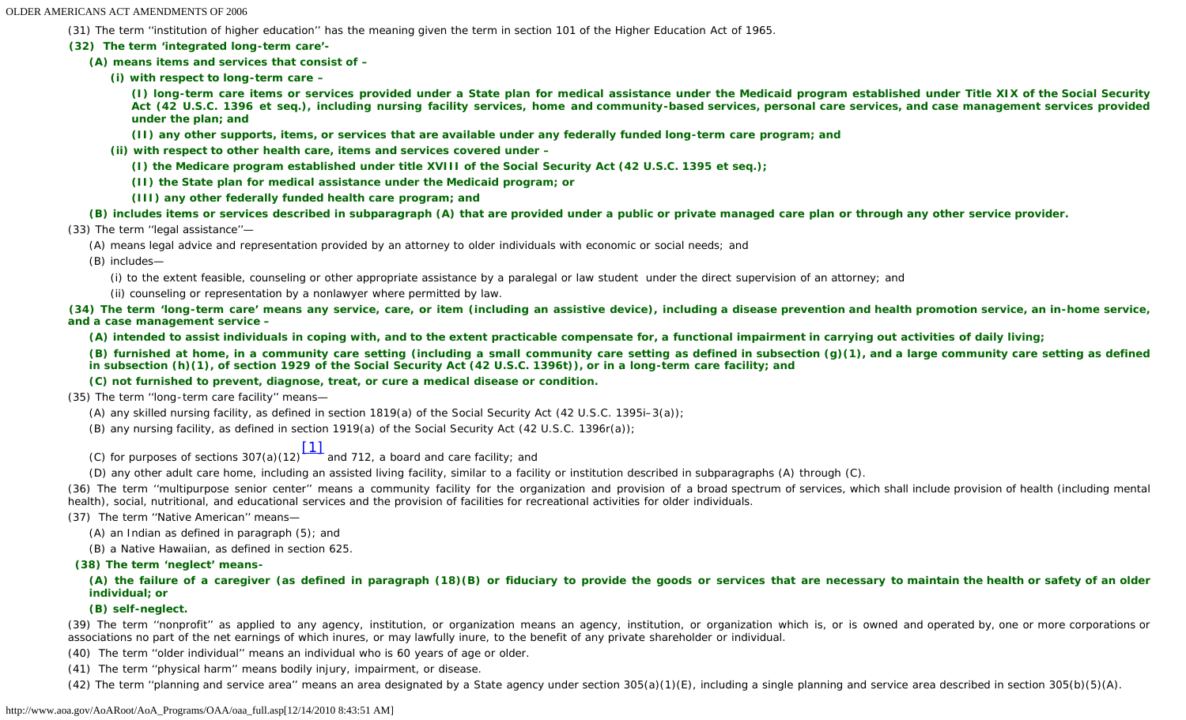- (31) The term ''institution of higher education'' has the meaning given the term in section 101 of the Higher Education Act of 1965.
- **(32) The term 'integrated long-term care'-**
	- **(A) means items and services that consist of –**
		- **(i) with respect to long-term care –**

**(I) long-term care items or services provided under a State plan for medical assistance under the Medicaid program established under Title XIX of the Social Security Act (42 U.S.C. 1396 et seq.), including nursing facility services, home and community-based services, personal care services, and case management services provided under the plan; and**

- **(II) any other supports, items, or services that are available under any federally funded long-term care program; and**
- **(ii) with respect to other health care, items and services covered under –**
	- **(I) the Medicare program established under title XVIII of the Social Security Act (42 U.S.C. 1395 et seq.);**
	- **(II) the State plan for medical assistance under the Medicaid program; or**
	- **(III) any other federally funded health care program; and**

**(B) includes items or services described in subparagraph (A) that are provided under a public or private managed care plan or through any other service provider.**

(33) The term ''legal assistance''—

(A) means legal advice and representation provided by an attorney to older individuals with economic or social needs; and

(B) includes—

(i) to the extent feasible, counseling or other appropriate assistance by a paralegal or law student under the direct supervision of an attorney; and

(ii) counseling or representation by a nonlawyer where permitted by law.

**(34) The term 'long-term care' means any service, care, or item (including an assistive device), including a disease prevention and health promotion service, an in-home service, and a case management service –**

**(A) intended to assist individuals in coping with, and to the extent practicable compensate for, a functional impairment in carrying out activities of daily living;**

**(B) furnished at home, in a community care setting (including a small community care setting as defined in subsection (g)(1), and a large community care setting as defined in subsection (h)(1), of section 1929 of the Social Security Act (42 U.S.C. 1396t)), or in a long-term care facility; and**

### **(C) not furnished to prevent, diagnose, treat, or cure a medical disease or condition.**

(35) The term ''long-term care facility'' means—

(A) any skilled nursing facility, as defined in section 1819(a) of the Social Security Act (42 U.S.C. 1395i–3(a));

(B) any nursing facility, as defined in section 1919(a) of the Social Security Act (42 U.S.C. 1396r(a));

(C) for purposes of sections 307(a)(12)  $\frac{[1]}{[1]}$  and 712, a board and care facility; and

(D) any other adult care home, including an assisted living facility, similar to a facility or institution described in subparagraphs (A) through (C).

(36) The term ''multipurpose senior center'' means a community facility for the organization and provision of a broad spectrum of services, which shall include provision of health (including mental health), social, nutritional, and educational services and the provision of facilities for recreational activities for older individuals.

(37) The term ''Native American'' means—

(A) an Indian as defined in paragraph (5); and

(B) a Native Hawaiian, as defined in section 625.

#### **(38) The term 'neglect' means-**

**(A) the failure of a caregiver (as defined in paragraph (18)(B) or fiduciary to provide the goods or services that are necessary to maintain the health or safety of an older individual; or**

#### **(B) self-neglect.**

(39) The term "nonprofit" as applied to any agency, institution, or organization means an agency, institution, or organization which is, or is owned and operated by, one or more corporations or associations no part of the net earnings of which inures, or may lawfully inure, to the benefit of any private shareholder or individual.

(40) The term ''older individual'' means an individual who is 60 years of age or older.

(41) The term ''physical harm'' means bodily injury, impairment, or disease.

(42) The term ''planning and service area'' means an area designated by a State agency under section 305(a)(1)(E), including a single planning and service area described in section 305(b)(5)(A).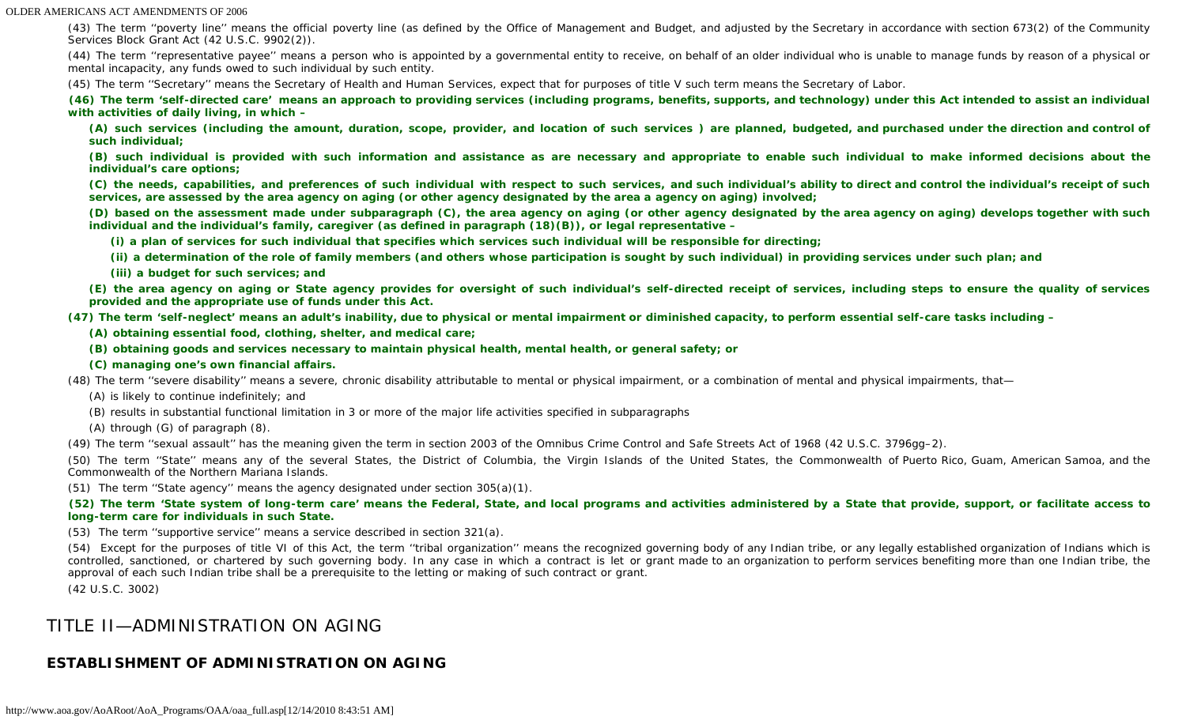(43) The term ''poverty line'' means the official poverty line (as defined by the Office of Management and Budget, and adjusted by the Secretary in accordance with section 673(2) of the Community Services Block Grant Act (42 U.S.C. 9902(2)).

(44) The term ''representative payee'' means a person who is appointed by a governmental entity to receive, on behalf of an older individual who is unable to manage funds by reason of a physical or mental incapacity, any funds owed to such individual by such entity.

(45) The term ''Secretary'' means the Secretary of Health and Human Services, expect that for purposes of title V such term means the Secretary of Labor.

**(46) The term 'self-directed care' means an approach to providing services (including programs, benefits, supports, and technology) under this Act intended to assist an individual with activities of daily living, in which –**

**(A) such services (including the amount, duration, scope, provider, and location of such services ) are planned, budgeted, and purchased under the direction and control of such individual;**

**(B) such individual is provided with such information and assistance as are necessary and appropriate to enable such individual to make informed decisions about the individual's care options;**

**(C) the needs, capabilities, and preferences of such individual with respect to such services, and such individual's ability to direct and control the individual's receipt of such services, are assessed by the area agency on aging (or other agency designated by the area a agency on aging) involved;**

**(D) based on the assessment made under subparagraph (C), the area agency on aging (or other agency designated by the area agency on aging) develops together with such individual and the individual's family, caregiver (as defined in paragraph (18)(B)), or legal representative –**

**(i) a plan of services for such individual that specifies which services such individual will be responsible for directing;**

**(ii) a determination of the role of family members (and others whose participation is sought by such individual) in providing services under such plan; and**

**(iii) a budget for such services; and**

**(E) the area agency on aging or State agency provides for oversight of such individual's self-directed receipt of services, including steps to ensure the quality of services provided and the appropriate use of funds under this Act.**

**(47) The term 'self-neglect' means an adult's inability, due to physical or mental impairment or diminished capacity, to perform essential self-care tasks including –**

**(A) obtaining essential food, clothing, shelter, and medical care;**

- **(B) obtaining goods and services necessary to maintain physical health, mental health, or general safety; or**
- **(C) managing one's own financial affairs.**

(48) The term ''severe disability'' means a severe, chronic disability attributable to mental or physical impairment, or a combination of mental and physical impairments, that—

- (A) is likely to continue indefinitely; and
- (B) results in substantial functional limitation in 3 or more of the major life activities specified in subparagraphs
- (A) through (G) of paragraph (8).

(49) The term ''sexual assault'' has the meaning given the term in section 2003 of the Omnibus Crime Control and Safe Streets Act of 1968 (42 U.S.C. 3796gg–2).

(50) The term ''State'' means any of the several States, the District of Columbia, the Virgin Islands of the United States, the Commonwealth of Puerto Rico, Guam, American Samoa, and the Commonwealth of the Northern Mariana Islands.

(51) The term ''State agency'' means the agency designated under section 305(a)(1).

**(52) The term 'State system of long-term care' means the Federal, State, and local programs and activities administered by a State that provide, support, or facilitate access to long-term care for individuals in such State.**

(53) The term ''supportive service'' means a service described in section 321(a).

(54) Except for the purposes of title VI of this Act, the term ''tribal organization'' means the recognized governing body of any Indian tribe, or any legally established organization of Indians which is controlled, sanctioned, or chartered by such governing body. In any case in which a contract is let or grant made to an organization to perform services benefiting more than one Indian tribe, the approval of each such Indian tribe shall be a prerequisite to the letting or making of such contract or grant.

(42 U.S.C. 3002)

# <span id="page-9-0"></span>TITLE II—ADMINISTRATION ON AGING

### <span id="page-9-1"></span>*ESTABLISHMENT OF ADMINISTRATION ON AGING*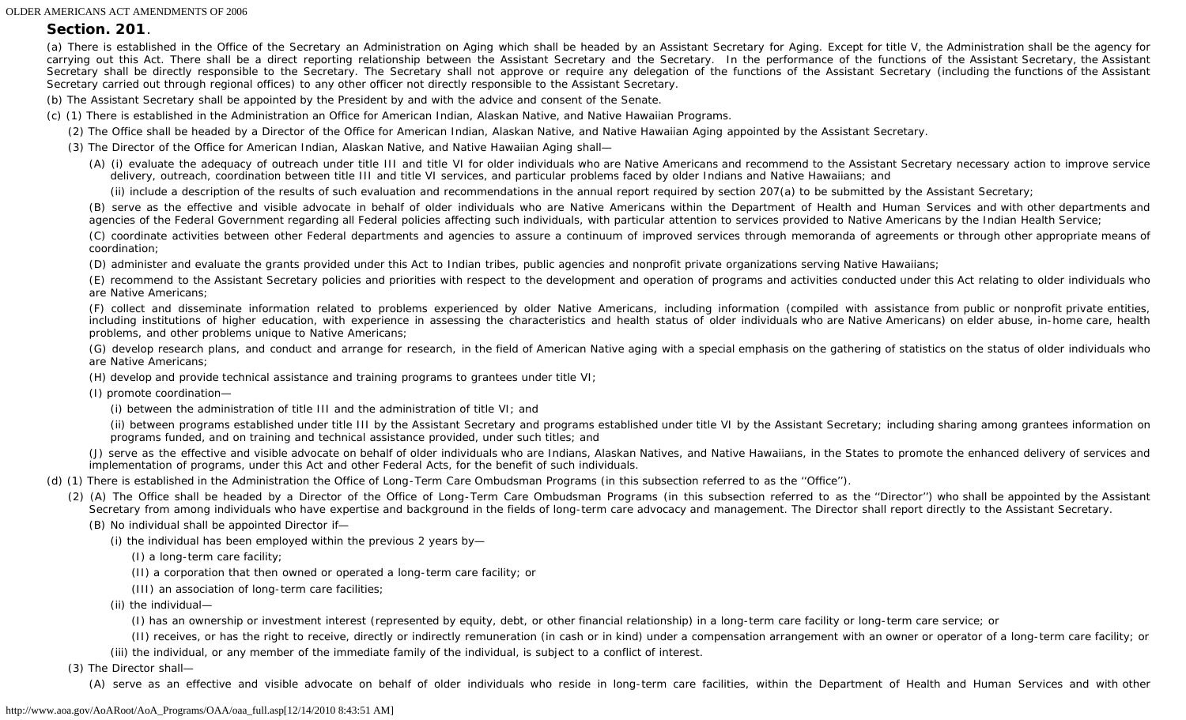# <span id="page-10-0"></span>**Section. 201**.

(a) There is established in the Office of the Secretary an Administration on Aging which shall be headed by an Assistant Secretary for Aging. Except for title V, the Administration shall be the agency for carrying out this Act. There shall be a direct reporting relationship between the Assistant Secretary and the Secretary. In the performance of the functions of the Assistant Secretary, the Assistant Secretary shall be directly responsible to the Secretary. The Secretary shall not approve or require any delegation of the functions of the Assistant Secretary (including the functions of the Assistant Secretary carried out through regional offices) to any other officer not directly responsible to the Assistant Secretary.

(b) The Assistant Secretary shall be appointed by the President by and with the advice and consent of the Senate.

- (c) (1) There is established in the Administration an Office for American Indian, Alaskan Native, and Native Hawaiian Programs.
	- (2) The Office shall be headed by a Director of the Office for American Indian, Alaskan Native, and Native Hawaiian Aging appointed by the Assistant Secretary.
	- (3) The Director of the Office for American Indian, Alaskan Native, and Native Hawaiian Aging shall—
		- (A) (i) evaluate the adequacy of outreach under title III and title VI for older individuals who are Native Americans and recommend to the Assistant Secretary necessary action to improve service delivery, outreach, coordination between title III and title VI services, and particular problems faced by older Indians and Native Hawaiians; and

(ii) include a description of the results of such evaluation and recommendations in the annual report required by section 207(a) to be submitted by the Assistant Secretary;

(B) serve as the effective and visible advocate in behalf of older individuals who are Native Americans within the Department of Health and Human Services and with other departments and agencies of the Federal Government regarding all Federal policies affecting such individuals, with particular attention to services provided to Native Americans by the Indian Health Service;

(C) coordinate activities between other Federal departments and agencies to assure a continuum of improved services through memoranda of agreements or through other appropriate means of coordination;

(D) administer and evaluate the grants provided under this Act to Indian tribes, public agencies and nonprofit private organizations serving Native Hawaiians;

(E) recommend to the Assistant Secretary policies and priorities with respect to the development and operation of programs and activities conducted under this Act relating to older individuals who are Native Americans;

(F) collect and disseminate information related to problems experienced by older Native Americans, including information (compiled with assistance from public or nonprofit private entities, including institutions of higher education, with experience in assessing the characteristics and health status of older individuals who are Native Americans) on elder abuse, in-home care, health problems, and other problems unique to Native Americans;

(G) develop research plans, and conduct and arrange for research, in the field of American Native aging with a special emphasis on the gathering of statistics on the status of older individuals who are Native Americans;

(H) develop and provide technical assistance and training programs to grantees under title VI;

(I) promote coordination—

(i) between the administration of title III and the administration of title VI; and

(ii) between programs established under title III by the Assistant Secretary and programs established under title VI by the Assistant Secretary; including sharing among grantees information on programs funded, and on training and technical assistance provided, under such titles; and

(J) serve as the effective and visible advocate on behalf of older individuals who are Indians, Alaskan Natives, and Native Hawaiians, in the States to promote the enhanced delivery of services and implementation of programs, under this Act and other Federal Acts, for the benefit of such individuals.

(d) (1) There is established in the Administration the Office of Long-Term Care Ombudsman Programs (in this subsection referred to as the ''Office'').

(2) (A) The Office shall be headed by a Director of the Office of Long-Term Care Ombudsman Programs (in this subsection referred to as the ''Director'') who shall be appointed by the Assistant Secretary from among individuals who have expertise and background in the fields of long-term care advocacy and management. The Director shall report directly to the Assistant Secretary.

- (B) No individual shall be appointed Director if—
	- (i) the individual has been employed within the previous 2 years by—
		- (I) a long-term care facility;
		- (II) a corporation that then owned or operated a long-term care facility; or
		- (III) an association of long-term care facilities;

(ii) the individual—

(I) has an ownership or investment interest (represented by equity, debt, or other financial relationship) in a long-term care facility or long-term care service; or

(II) receives, or has the right to receive, directly or indirectly remuneration (in cash or in kind) under a compensation arrangement with an owner or operator of a long-term care facility; or

(iii) the individual, or any member of the immediate family of the individual, is subject to a conflict of interest.

(3) The Director shall—

(A) serve as an effective and visible advocate on behalf of older individuals who reside in long-term care facilities, within the Department of Health and Human Services and with other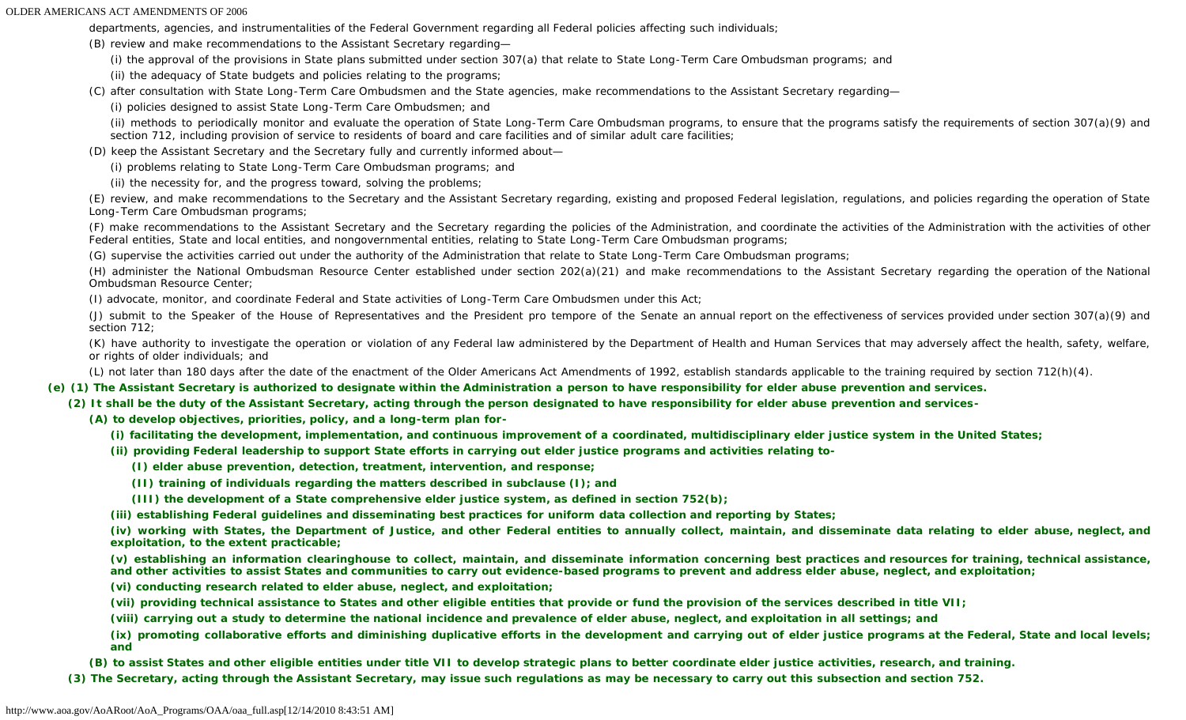departments, agencies, and instrumentalities of the Federal Government regarding all Federal policies affecting such individuals;

(B) review and make recommendations to the Assistant Secretary regarding—

(i) the approval of the provisions in State plans submitted under section 307(a) that relate to State Long-Term Care Ombudsman programs; and

(ii) the adequacy of State budgets and policies relating to the programs;

(C) after consultation with State Long-Term Care Ombudsmen and the State agencies, make recommendations to the Assistant Secretary regarding—

(i) policies designed to assist State Long-Term Care Ombudsmen; and

(ii) methods to periodically monitor and evaluate the operation of State Long-Term Care Ombudsman programs, to ensure that the programs satisfy the requirements of section 307(a)(9) and section 712, including provision of service to residents of board and care facilities and of similar adult care facilities;

(D) keep the Assistant Secretary and the Secretary fully and currently informed about—

(i) problems relating to State Long-Term Care Ombudsman programs; and

(ii) the necessity for, and the progress toward, solving the problems;

(E) review, and make recommendations to the Secretary and the Assistant Secretary regarding, existing and proposed Federal legislation, regulations, and policies regarding the operation of State Long-Term Care Ombudsman programs;

(F) make recommendations to the Assistant Secretary and the Secretary regarding the policies of the Administration, and coordinate the activities of the Administration with the activities of other Federal entities, State and local entities, and nongovernmental entities, relating to State Long-Term Care Ombudsman programs;

(G) supervise the activities carried out under the authority of the Administration that relate to State Long-Term Care Ombudsman programs;

(H) administer the National Ombudsman Resource Center established under section 202(a)(21) and make recommendations to the Assistant Secretary regarding the operation of the National Ombudsman Resource Center;

(I) advocate, monitor, and coordinate Federal and State activities of Long-Term Care Ombudsmen under this Act;

(J) submit to the Speaker of the House of Representatives and the President pro tempore of the Senate an annual report on the effectiveness of services provided under section 307(a)(9) and section 712;

(K) have authority to investigate the operation or violation of any Federal law administered by the Department of Health and Human Services that may adversely affect the health, safety, welfare, or rights of older individuals; and

(L) not later than 180 days after the date of the enactment of the Older Americans Act Amendments of 1992, establish standards applicable to the training required by section 712(h)(4).

**(e) (1) The Assistant Secretary is authorized to designate within the Administration a person to have responsibility for elder abuse prevention and services.**

**(2) It shall be the duty of the Assistant Secretary, acting through the person designated to have responsibility for elder abuse prevention and services-**

**(A) to develop objectives, priorities, policy, and a long-term plan for-**

**(i) facilitating the development, implementation, and continuous improvement of a coordinated, multidisciplinary elder justice system in the United States;**

**(ii) providing Federal leadership to support State efforts in carrying out elder justice programs and activities relating to-**

- **(I) elder abuse prevention, detection, treatment, intervention, and response;**
- **(II) training of individuals regarding the matters described in subclause (I); and**
- **(III) the development of a State comprehensive elder justice system, as defined in section 752(b);**

**(iii) establishing Federal guidelines and disseminating best practices for uniform data collection and reporting by States;**

**(iv) working with States, the Department of Justice, and other Federal entities to annually collect, maintain, and disseminate data relating to elder abuse, neglect, and exploitation, to the extent practicable;**

**(v) establishing an information clearinghouse to collect, maintain, and disseminate information concerning best practices and resources for training, technical assistance, and other activities to assist States and communities to carry out evidence-based programs to prevent and address elder abuse, neglect, and exploitation;**

**(vi) conducting research related to elder abuse, neglect, and exploitation;**

**(vii) providing technical assistance to States and other eligible entities that provide or fund the provision of the services described in title VII;**

**(viii) carrying out a study to determine the national incidence and prevalence of elder abuse, neglect, and exploitation in all settings; and**

**(ix) promoting collaborative efforts and diminishing duplicative efforts in the development and carrying out of elder justice programs at the Federal, State and local levels; and**

**(B) to assist States and other eligible entities under title VII to develop strategic plans to better coordinate elder justice activities, research, and training.**

**(3) The Secretary, acting through the Assistant Secretary, may issue such regulations as may be necessary to carry out this subsection and section 752.**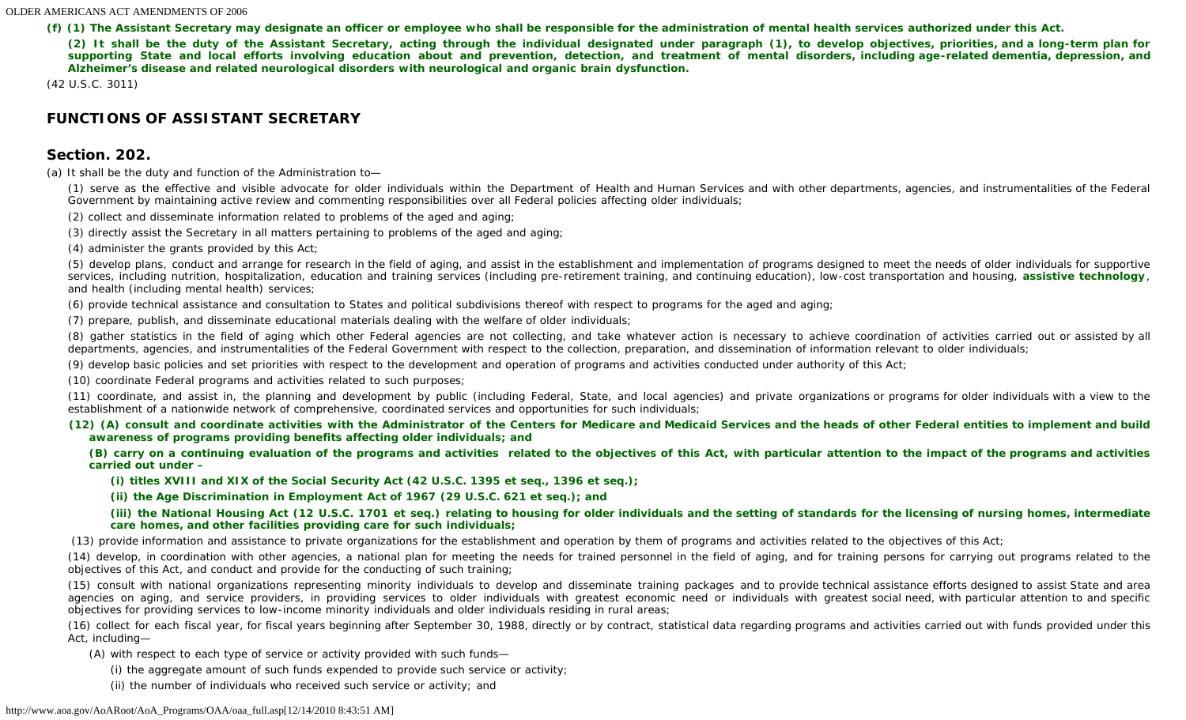**(f) (1) The Assistant Secretary may designate an officer or employee who shall be responsible for the administration of mental health services authorized under this Act.**

**(2) It shall be the duty of the Assistant Secretary, acting through the individual designated under paragraph (1), to develop objectives, priorities, and a long-term plan for supporting State and local efforts involving education about and prevention, detection, and treatment of mental disorders, including age-related dementia, depression, and Alzheimer's disease and related neurological disorders with neurological and organic brain dysfunction.**

(42 U.S.C. 3011)

## <span id="page-12-0"></span>*FUNCTIONS OF ASSISTANT SECRETARY*

### <span id="page-12-1"></span>**Section. 202.**

(a) It shall be the duty and function of the Administration to—

(1) serve as the effective and visible advocate for older individuals within the Department of Health and Human Services and with other departments, agencies, and instrumentalities of the Federal Government by maintaining active review and commenting responsibilities over all Federal policies affecting older individuals;

(2) collect and disseminate information related to problems of the aged and aging;

(3) directly assist the Secretary in all matters pertaining to problems of the aged and aging;

(4) administer the grants provided by this Act;

(5) develop plans, conduct and arrange for research in the field of aging, and assist in the establishment and implementation of programs designed to meet the needs of older individuals for supportive services, including nutrition, hospitalization, education and training services (including pre-retirement training, and continuing education), low-cost transportation and housing, **assistive technology**, and health (including mental health) services;

(6) provide technical assistance and consultation to States and political subdivisions thereof with respect to programs for the aged and aging;

(7) prepare, publish, and disseminate educational materials dealing with the welfare of older individuals;

(8) gather statistics in the field of aging which other Federal agencies are not collecting, and take whatever action is necessary to achieve coordination of activities carried out or assisted by all departments, agencies, and instrumentalities of the Federal Government with respect to the collection, preparation, and dissemination of information relevant to older individuals;

(9) develop basic policies and set priorities with respect to the development and operation of programs and activities conducted under authority of this Act;

(10) coordinate Federal programs and activities related to such purposes;

(11) coordinate, and assist in, the planning and development by public (including Federal, State, and local agencies) and private organizations or programs for older individuals with a view to the establishment of a nationwide network of comprehensive, coordinated services and opportunities for such individuals;

#### **(12) (A) consult and coordinate activities with the Administrator of the Centers for Medicare and Medicaid Services and the heads of other Federal entities to implement and build awareness of programs providing benefits affecting older individuals; and**

**(B) carry on a continuing evaluation of the programs and activities related to the objectives of this Act, with particular attention to the impact of the programs and activities carried out under –**

**(i) titles XVIII and XIX of the Social Security Act (42 U.S.C. 1395 et seq., 1396 et seq.);**

**(ii) the Age Discrimination in Employment Act of 1967 (29 U.S.C. 621 et seq.); and**

**(iii) the National Housing Act (12 U.S.C. 1701 et seq.) relating to housing for older individuals and the setting of standards for the licensing of nursing homes, intermediate care homes, and other facilities providing care for such individuals;**

(13) provide information and assistance to private organizations for the establishment and operation by them of programs and activities related to the objectives of this Act;

(14) develop, in coordination with other agencies, a national plan for meeting the needs for trained personnel in the field of aging, and for training persons for carrying out programs related to the objectives of this Act, and conduct and provide for the conducting of such training;

(15) consult with national organizations representing minority individuals to develop and disseminate training packages and to provide technical assistance efforts designed to assist State and area agencies on aging, and service providers, in providing services to older individuals with greatest economic need or individuals with greatest social need, with particular attention to and specific objectives for providing services to low-income minority individuals and older individuals residing in rural areas;

(16) collect for each fiscal year, for fiscal years beginning after September 30, 1988, directly or by contract, statistical data regarding programs and activities carried out with funds provided under this Act, including—

(A) with respect to each type of service or activity provided with such funds—

(i) the aggregate amount of such funds expended to provide such service or activity;

(ii) the number of individuals who received such service or activity; and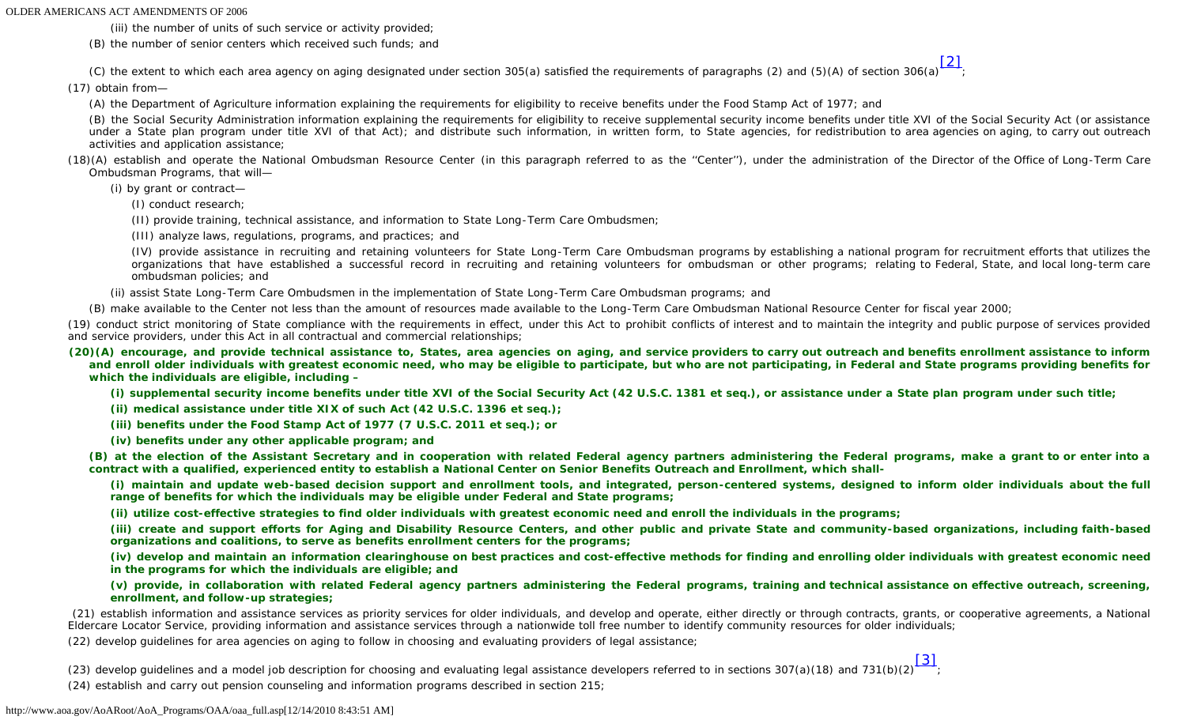(iii) the number of units of such service or activity provided;

(B) the number of senior centers which received such funds; and

(C) the extent to which each area agency on aging designated under section 305(a) satisfied the requirements of paragraphs (2) and (5)(A) of section 306(a) $\frac{[2]}{[2]}$  $\frac{[2]}{[2]}$  $\frac{[2]}{[2]}$ 

(17) obtain from—

(A) the Department of Agriculture information explaining the requirements for eligibility to receive benefits under the Food Stamp Act of 1977; and

(B) the Social Security Administration information explaining the requirements for eligibility to receive supplemental security income benefits under title XVI of the Social Security Act (or assistance under a State plan program under title XVI of that Act); and distribute such information, in written form, to State agencies, for redistribution to area agencies on aging, to carry out outreach activities and application assistance;

(18)(A) establish and operate the National Ombudsman Resource Center (in this paragraph referred to as the ''Center''), under the administration of the Director of the Office of Long-Term Care Ombudsman Programs, that will—

(i) by grant or contract—

(I) conduct research;

(II) provide training, technical assistance, and information to State Long-Term Care Ombudsmen;

(III) analyze laws, regulations, programs, and practices; and

(IV) provide assistance in recruiting and retaining volunteers for State Long-Term Care Ombudsman programs by establishing a national program for recruitment efforts that utilizes the organizations that have established a successful record in recruiting and retaining volunteers for ombudsman or other programs; relating to Federal, State, and local long-term care ombudsman policies; and

(ii) assist State Long-Term Care Ombudsmen in the implementation of State Long-Term Care Ombudsman programs; and

(B) make available to the Center not less than the amount of resources made available to the Long-Term Care Ombudsman National Resource Center for fiscal year 2000;

(19) conduct strict monitoring of State compliance with the requirements in effect, under this Act to prohibit conflicts of interest and to maintain the integrity and public purpose of services provided and service providers, under this Act in all contractual and commercial relationships;

#### **(20)(A) encourage, and provide technical assistance to, States, area agencies on aging, and service providers to carry out outreach and benefits enrollment assistance to inform and enroll older individuals with greatest economic need, who may be eligible to participate, but who are not participating, in Federal and State programs providing benefits for which the individuals are eligible, including –**

**(i) supplemental security income benefits under title XVI of the Social Security Act (42 U.S.C. 1381 et seq.), or assistance under a State plan program under such title;**

**(ii) medical assistance under title XIX of such Act (42 U.S.C. 1396 et seq.);**

**(iii) benefits under the Food Stamp Act of 1977 (7 U.S.C. 2011 et seq.); or**

**(iv) benefits under any other applicable program; and**

**(B) at the election of the Assistant Secretary and in cooperation with related Federal agency partners administering the Federal programs, make a grant to or enter into a contract with a qualified, experienced entity to establish a National Center on Senior Benefits Outreach and Enrollment, which shall-**

**(i) maintain and update web-based decision support and enrollment tools, and integrated, person-centered systems, designed to inform older individuals about the full range of benefits for which the individuals may be eligible under Federal and State programs;**

**(ii) utilize cost-effective strategies to find older individuals with greatest economic need and enroll the individuals in the programs;**

**(iii) create and support efforts for Aging and Disability Resource Centers, and other public and private State and community-based organizations, including faith-based organizations and coalitions, to serve as benefits enrollment centers for the programs;**

**(iv) develop and maintain an information clearinghouse on best practices and cost-effective methods for finding and enrolling older individuals with greatest economic need in the programs for which the individuals are eligible; and**

**(v) provide, in collaboration with related Federal agency partners administering the Federal programs, training and technical assistance on effective outreach, screening, enrollment, and follow-up strategies;**

(21) establish information and assistance services as priority services for older individuals, and develop and operate, either directly or through contracts, grants, or cooperative agreements, a National Eldercare Locator Service, providing information and assistance services through a nationwide toll free number to identify community resources for older individuals;

(22) develop guidelines for area agencies on aging to follow in choosing and evaluating providers of legal assistance;

(23) develop guidelines and a model job description for choosing and evaluating legal assistance developers referred to in sections 307(a)(18) and 731(b)(2) $\frac{\left[3\right]}{3}$ ;

(24) establish and carry out pension counseling and information programs described in section 215;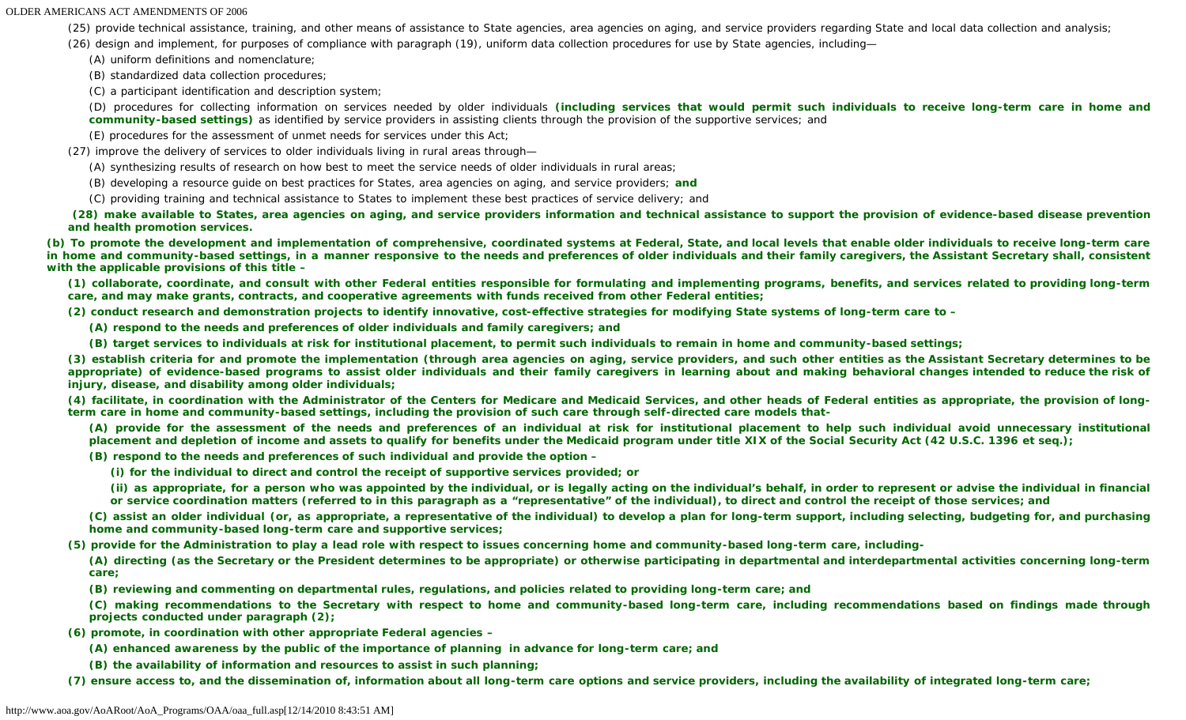(25) provide technical assistance, training, and other means of assistance to State agencies, area agencies on aging, and service providers regarding State and local data collection and analysis;

(26) design and implement, for purposes of compliance with paragraph (19), uniform data collection procedures for use by State agencies, including—

(A) uniform definitions and nomenclature;

(B) standardized data collection procedures;

(C) a participant identification and description system;

(D) procedures for collecting information on services needed by older individuals **(including services that would permit such individuals to receive long-term care in home and community-based settings)** as identified by service providers in assisting clients through the provision of the supportive services; and

(E) procedures for the assessment of unmet needs for services under this Act;

(27) improve the delivery of services to older individuals living in rural areas through—

(A) synthesizing results of research on how best to meet the service needs of older individuals in rural areas;

(B) developing a resource guide on best practices for States, area agencies on aging, and service providers; **and**

(C) providing training and technical assistance to States to implement these best practices of service delivery; and

**(28) make available to States, area agencies on aging, and service providers information and technical assistance to support the provision of evidence-based disease prevention and health promotion services.**

**(b) To promote the development and implementation of comprehensive, coordinated systems at Federal, State, and local levels that enable older individuals to receive long-term care in home and community-based settings, in a manner responsive to the needs and preferences of older individuals and their family caregivers, the Assistant Secretary shall, consistent with the applicable provisions of this title –**

**(1) collaborate, coordinate, and consult with other Federal entities responsible for formulating and implementing programs, benefits, and services related to providing long-term care, and may make grants, contracts, and cooperative agreements with funds received from other Federal entities;**

**(2) conduct research and demonstration projects to identify innovative, cost-effective strategies for modifying State systems of long-term care to –**

**(A) respond to the needs and preferences of older individuals and family caregivers; and**

**(B) target services to individuals at risk for institutional placement, to permit such individuals to remain in home and community-based settings;**

**(3) establish criteria for and promote the implementation (through area agencies on aging, service providers, and such other entities as the Assistant Secretary determines to be appropriate) of evidence-based programs to assist older individuals and their family caregivers in learning about and making behavioral changes intended to reduce the risk of injury, disease, and disability among older individuals;**

**(4) facilitate, in coordination with the Administrator of the Centers for Medicare and Medicaid Services, and other heads of Federal entities as appropriate, the provision of longterm care in home and community-based settings, including the provision of such care through self-directed care models that-**

**(A) provide for the assessment of the needs and preferences of an individual at risk for institutional placement to help such individual avoid unnecessary institutional placement and depletion of income and assets to qualify for benefits under the Medicaid program under title XIX of the Social Security Act (42 U.S.C. 1396 et seq.);**

**(B) respond to the needs and preferences of such individual and provide the option –**

**(i) for the individual to direct and control the receipt of supportive services provided; or**

**(ii) as appropriate, for a person who was appointed by the individual, or is legally acting on the individual's behalf, in order to represent or advise the individual in financial or service coordination matters (referred to in this paragraph as a "representative" of the individual), to direct and control the receipt of those services; and**

**(C) assist an older individual (or, as appropriate, a representative of the individual) to develop a plan for long-term support, including selecting, budgeting for, and purchasing home and community-based long-term care and supportive services;**

**(5) provide for the Administration to play a lead role with respect to issues concerning home and community-based long-term care, including-**

**(A) directing (as the Secretary or the President determines to be appropriate) or otherwise participating in departmental and interdepartmental activities concerning long-term care;**

**(B) reviewing and commenting on departmental rules, regulations, and policies related to providing long-term care; and**

**(C) making recommendations to the Secretary with respect to home and community-based long-term care, including recommendations based on findings made through projects conducted under paragraph (2);**

**(6) promote, in coordination with other appropriate Federal agencies –**

**(A) enhanced awareness by the public of the importance of planning in advance for long-term care; and**

**(B) the availability of information and resources to assist in such planning;**

**(7) ensure access to, and the dissemination of, information about all long-term care options and service providers, including the availability of integrated long-term care;**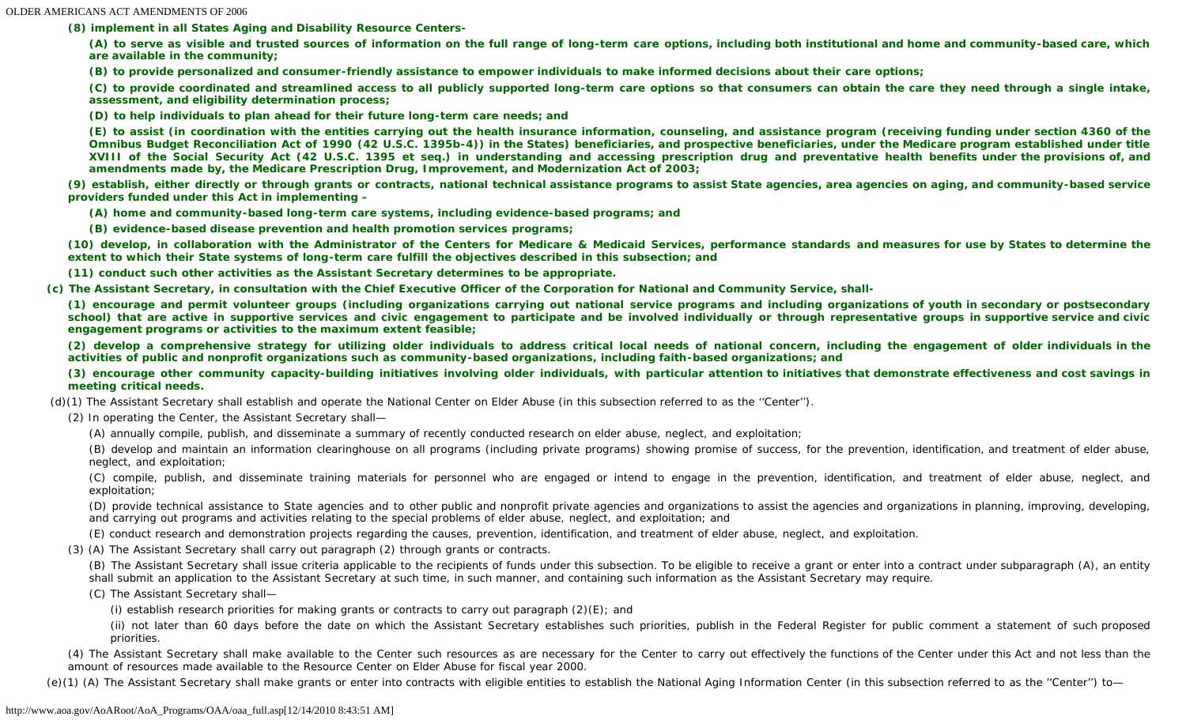**(8) implement in all States Aging and Disability Resource Centers-**

**(A) to serve as visible and trusted sources of information on the full range of long-term care options, including both institutional and home and community-based care, which are available in the community;**

**(B) to provide personalized and consumer-friendly assistance to empower individuals to make informed decisions about their care options;**

**(C) to provide coordinated and streamlined access to all publicly supported long-term care options so that consumers can obtain the care they need through a single intake, assessment, and eligibility determination process;**

**(D) to help individuals to plan ahead for their future long-term care needs; and**

**(E) to assist (in coordination with the entities carrying out the health insurance information, counseling, and assistance program (receiving funding under section 4360 of the Omnibus Budget Reconciliation Act of 1990 (42 U.S.C. 1395b-4)) in the States) beneficiaries, and prospective beneficiaries, under the Medicare program established under title XVIII of the Social Security Act (42 U.S.C. 1395 et seq.) in understanding and accessing prescription drug and preventative health benefits under the provisions of, and amendments made by, the Medicare Prescription Drug, Improvement, and Modernization Act of 2003;**

**(9) establish, either directly or through grants or contracts, national technical assistance programs to assist State agencies, area agencies on aging, and community-based service providers funded under this Act in implementing –**

**(A) home and community-based long-term care systems, including evidence-based programs; and**

**(B) evidence-based disease prevention and health promotion services programs;**

**(10) develop, in collaboration with the Administrator of the Centers for Medicare & Medicaid Services, performance standards and measures for use by States to determine the extent to which their State systems of long-term care fulfill the objectives described in this subsection; and**

**(11) conduct such other activities as the Assistant Secretary determines to be appropriate.**

**(c) The Assistant Secretary, in consultation with the Chief Executive Officer of the Corporation for National and Community Service, shall-**

**(1) encourage and permit volunteer groups (including organizations carrying out national service programs and including organizations of youth in secondary or postsecondary school) that are active in supportive services and civic engagement to participate and be involved individually or through representative groups in supportive service and civic engagement programs or activities to the maximum extent feasible;**

**(2) develop a comprehensive strategy for utilizing older individuals to address critical local needs of national concern, including the engagement of older individuals in the activities of public and nonprofit organizations such as community-based organizations, including faith-based organizations; and**

**(3) encourage other community capacity-building initiatives involving older individuals, with particular attention to initiatives that demonstrate effectiveness and cost savings in meeting critical needs.**

(d)(1) The Assistant Secretary shall establish and operate the National Center on Elder Abuse (in this subsection referred to as the ''Center'').

(2) In operating the Center, the Assistant Secretary shall—

(A) annually compile, publish, and disseminate a summary of recently conducted research on elder abuse, neglect, and exploitation;

(B) develop and maintain an information clearinghouse on all programs (including private programs) showing promise of success, for the prevention, identification, and treatment of elder abuse, neglect, and exploitation;

(C) compile, publish, and disseminate training materials for personnel who are engaged or intend to engage in the prevention, identification, and treatment of elder abuse, neglect, and exploitation;

(D) provide technical assistance to State agencies and to other public and nonprofit private agencies and organizations to assist the agencies and organizations in planning, improving, developing, and carrying out programs and activities relating to the special problems of elder abuse, neglect, and exploitation; and

(E) conduct research and demonstration projects regarding the causes, prevention, identification, and treatment of elder abuse, neglect, and exploitation.

(3) (A) The Assistant Secretary shall carry out paragraph (2) through grants or contracts.

(B) The Assistant Secretary shall issue criteria applicable to the recipients of funds under this subsection. To be eligible to receive a grant or enter into a contract under subparagraph (A), an entity shall submit an application to the Assistant Secretary at such time, in such manner, and containing such information as the Assistant Secretary may require.

(C) The Assistant Secretary shall—

(i) establish research priorities for making grants or contracts to carry out paragraph  $(2)(E)$ ; and

(ii) not later than 60 days before the date on which the Assistant Secretary establishes such priorities, publish in the Federal Register for public comment a statement of such proposed priorities.

(4) The Assistant Secretary shall make available to the Center such resources as are necessary for the Center to carry out effectively the functions of the Center under this Act and not less than the amount of resources made available to the Resource Center on Elder Abuse for fiscal year 2000.

(e)(1) (A) The Assistant Secretary shall make grants or enter into contracts with eligible entities to establish the National Aging Information Center (in this subsection referred to as the ''Center'') to—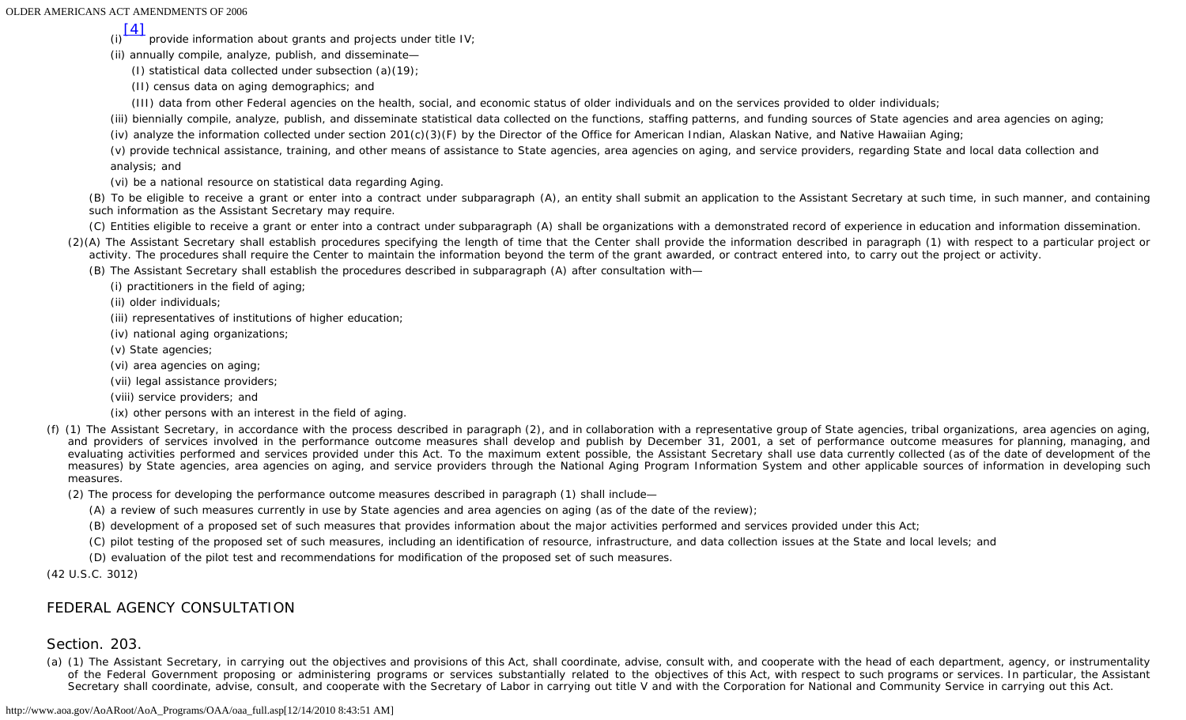provide information about grants and projects under title IV;

(ii) annually compile, analyze, publish, and disseminate—

(I) statistical data collected under subsection  $(a)(19)$ ;

(II) census data on aging demographics; and

(III) data from other Federal agencies on the health, social, and economic status of older individuals and on the services provided to older individuals;

(iii) biennially compile, analyze, publish, and disseminate statistical data collected on the functions, staffing patterns, and funding sources of State agencies and area agencies on aging;

(iv) analyze the information collected under section 201(c)(3)(F) by the Director of the Office for American Indian, Alaskan Native, and Native Hawaiian Aging;

(v) provide technical assistance, training, and other means of assistance to State agencies, area agencies on aging, and service providers, regarding State and local data collection and analysis; and

(vi) be a national resource on statistical data regarding Aging.

(B) To be eligible to receive a grant or enter into a contract under subparagraph (A), an entity shall submit an application to the Assistant Secretary at such time, in such manner, and containing such information as the Assistant Secretary may require.

(C) Entities eligible to receive a grant or enter into a contract under subparagraph (A) shall be organizations with a demonstrated record of experience in education and information dissemination.

(2)(A) The Assistant Secretary shall establish procedures specifying the length of time that the Center shall provide the information described in paragraph (1) with respect to a particular project or activity. The procedures shall require the Center to maintain the information beyond the term of the grant awarded, or contract entered into, to carry out the project or activity.

(B) The Assistant Secretary shall establish the procedures described in subparagraph (A) after consultation with—

(i) practitioners in the field of aging;

(ii) older individuals;

(iii) representatives of institutions of higher education;

(iv) national aging organizations;

(v) State agencies;

(vi) area agencies on aging;

(vii) legal assistance providers;

(viii) service providers; and

(ix) other persons with an interest in the field of aging.

(f) (1) The Assistant Secretary, in accordance with the process described in paragraph (2), and in collaboration with a representative group of State agencies, tribal organizations, area agencies on aging, and providers of services involved in the performance outcome measures shall develop and publish by December 31, 2001, a set of performance outcome measures for planning, managing, and evaluating activities performed and services provided under this Act. To the maximum extent possible, the Assistant Secretary shall use data currently collected (as of the date of development of the measures) by State agencies, area agencies on aging, and service providers through the National Aging Program Information System and other applicable sources of information in developing such measures.

(2) The process for developing the performance outcome measures described in paragraph (1) shall include—

(A) a review of such measures currently in use by State agencies and area agencies on aging (as of the date of the review);

(B) development of a proposed set of such measures that provides information about the major activities performed and services provided under this Act;

(C) pilot testing of the proposed set of such measures, including an identification of resource, infrastructure, and data collection issues at the State and local levels; and

(D) evaluation of the pilot test and recommendations for modification of the proposed set of such measures.

(42 U.S.C. 3012)

# <span id="page-16-0"></span>*FEDERAL AGENCY CONSULTATION*

# <span id="page-16-1"></span>Section. 203.

(a) (1) The Assistant Secretary, in carrying out the objectives and provisions of this Act, shall coordinate, advise, consult with, and cooperate with the head of each department, agency, or instrumentality of the Federal Government proposing or administering programs or services substantially related to the objectives of this Act, with respect to such programs or services. In particular, the Assistant Secretary shall coordinate, advise, consult, and cooperate with the Secretary of Labor in carrying out title V and with the Corporation for National and Community Service in carrying out this Act.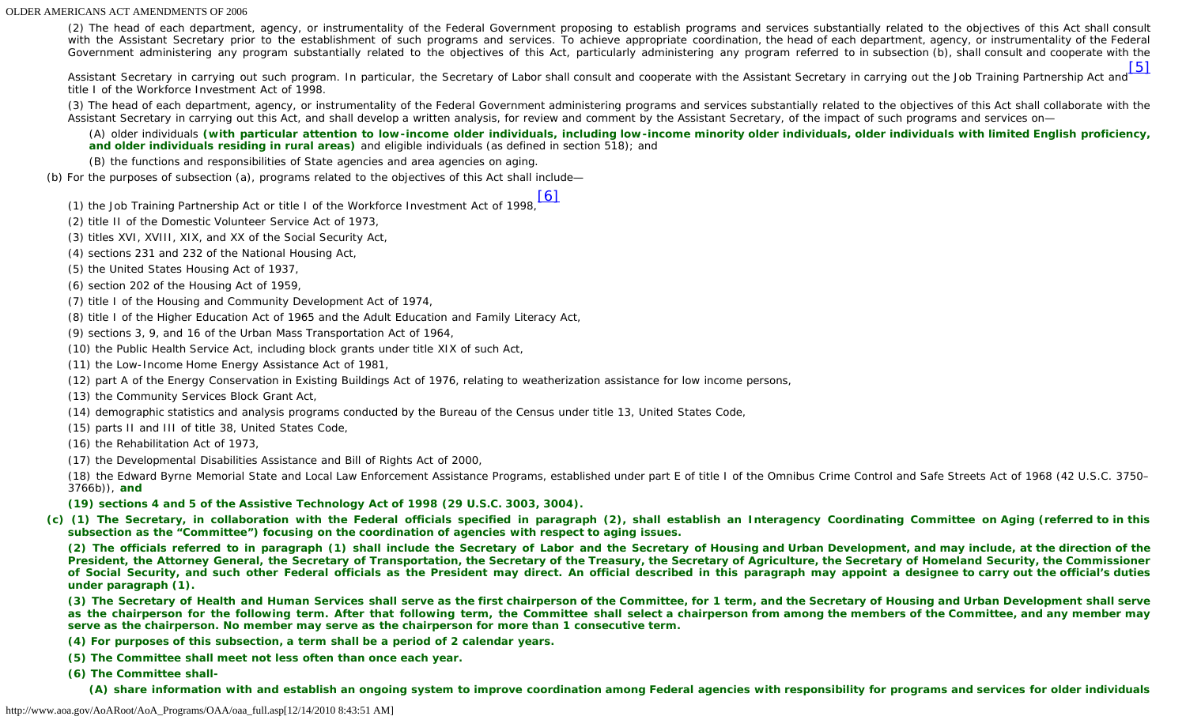(2) The head of each department, agency, or instrumentality of the Federal Government proposing to establish programs and services substantially related to the objectives of this Act shall consult with the Assistant Secretary prior to the establishment of such programs and services. To achieve appropriate coordination, the head of each department, agency, or instrumentality of the Federal Government administering any program substantially related to the objectives of this Act, particularly administering any program referred to in subsection (b), shall consult and cooperate with the

Assistant Secretary in carrying out such program. In particular, the Secretary of Labor shall consult and cooperate with the Assistant Secretary in carrying out the Job Training Partnership Act and<br>title Lof the Workforce title I of the Workforce Investment Act of 1998.

(3) The head of each department, agency, or instrumentality of the Federal Government administering programs and services substantially related to the objectives of this Act shall collaborate with the Assistant Secretary in carrying out this Act, and shall develop a written analysis, for review and comment by the Assistant Secretary, of the impact of such programs and services on-

#### (A) older individuals **(with particular attention to low-income older individuals, including low-income minority older individuals, older individuals with limited English proficiency, and older individuals residing in rural areas)** and eligible individuals (as defined in section 518); and

(B) the functions and responsibilities of State agencies and area agencies on aging.

(b) For the purposes of subsection (a), programs related to the objectives of this Act shall include—

(1) the Job Training Partnership Act or title I of the Workforce Investment Act of 1998,  $\boxed{6}$ 

(2) title II of the Domestic Volunteer Service Act of 1973,

(3) titles XVI, XVIII, XIX, and XX of the Social Security Act,

(4) sections 231 and 232 of the National Housing Act,

(5) the United States Housing Act of 1937,

(6) section 202 of the Housing Act of 1959,

(7) title I of the Housing and Community Development Act of 1974,

(8) title I of the Higher Education Act of 1965 and the Adult Education and Family Literacy Act,

(9) sections 3, 9, and 16 of the Urban Mass Transportation Act of 1964,

(10) the Public Health Service Act, including block grants under title XIX of such Act,

(11) the Low-Income Home Energy Assistance Act of 1981,

(12) part A of the Energy Conservation in Existing Buildings Act of 1976, relating to weatherization assistance for low income persons,

(13) the Community Services Block Grant Act,

(14) demographic statistics and analysis programs conducted by the Bureau of the Census under title 13, United States Code,

(15) parts II and III of title 38, United States Code,

(16) the Rehabilitation Act of 1973,

(17) the Developmental Disabilities Assistance and Bill of Rights Act of 2000,

(18) the Edward Byrne Memorial State and Local Law Enforcement Assistance Programs, established under part E of title I of the Omnibus Crime Control and Safe Streets Act of 1968 (42 U.S.C. 3750– 3766b)), **and**

**(19) sections 4 and 5 of the Assistive Technology Act of 1998 (29 U.S.C. 3003, 3004).**

**(c) (1) The Secretary, in collaboration with the Federal officials specified in paragraph (2), shall establish an Interagency Coordinating Committee on Aging (referred to in this subsection as the "Committee") focusing on the coordination of agencies with respect to aging issues.**

**(2) The officials referred to in paragraph (1) shall include the Secretary of Labor and the Secretary of Housing and Urban Development, and may include, at the direction of the President, the Attorney General, the Secretary of Transportation, the Secretary of the Treasury, the Secretary of Agriculture, the Secretary of Homeland Security, the Commissioner of Social Security, and such other Federal officials as the President may direct. An official described in this paragraph may appoint a designee to carry out the official's duties under paragraph (1).**

**(3) The Secretary of Health and Human Services shall serve as the first chairperson of the Committee, for 1 term, and the Secretary of Housing and Urban Development shall serve as the chairperson for the following term. After that following term, the Committee shall select a chairperson from among the members of the Committee, and any member may serve as the chairperson. No member may serve as the chairperson for more than 1 consecutive term.**

**(4) For purposes of this subsection, a term shall be a period of 2 calendar years.**

**(5) The Committee shall meet not less often than once each year.**

**(6) The Committee shall-**

**(A) share information with and establish an ongoing system to improve coordination among Federal agencies with responsibility for programs and services for older individuals**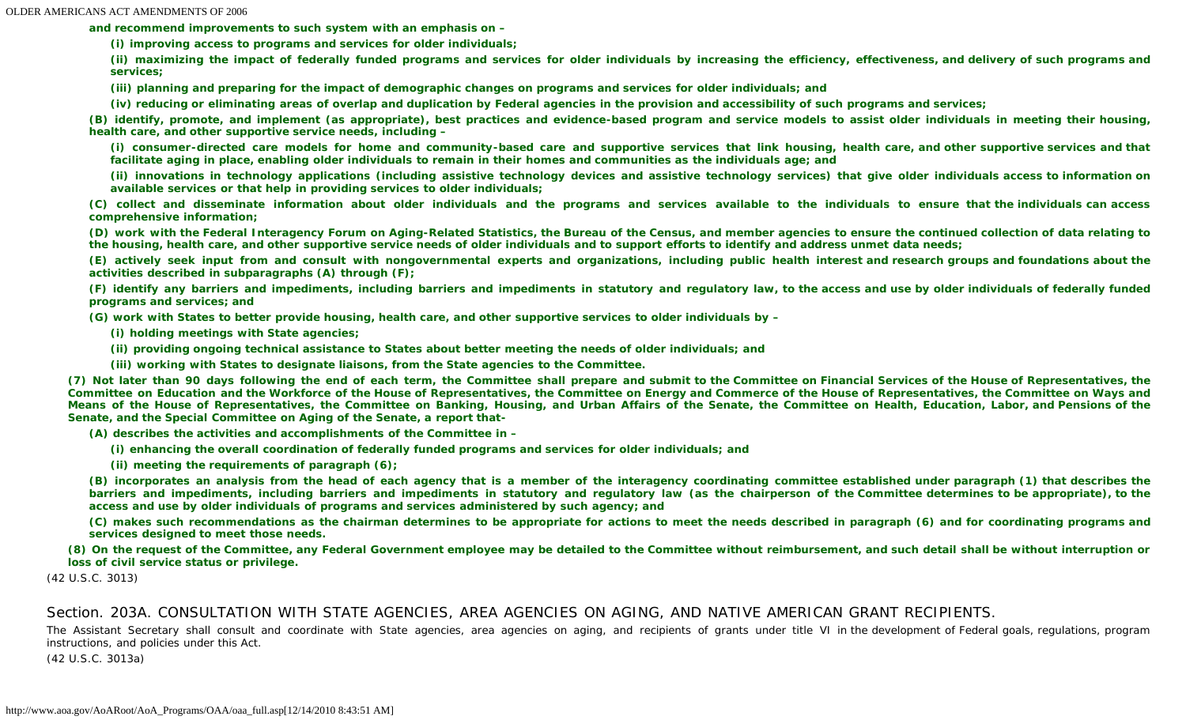**and recommend improvements to such system with an emphasis on –**

**(i) improving access to programs and services for older individuals;**

**(ii) maximizing the impact of federally funded programs and services for older individuals by increasing the efficiency, effectiveness, and delivery of such programs and services;**

**(iii) planning and preparing for the impact of demographic changes on programs and services for older individuals; and**

**(iv) reducing or eliminating areas of overlap and duplication by Federal agencies in the provision and accessibility of such programs and services;**

**(B) identify, promote, and implement (as appropriate), best practices and evidence-based program and service models to assist older individuals in meeting their housing, health care, and other supportive service needs, including –**

**(i) consumer-directed care models for home and community-based care and supportive services that link housing, health care, and other supportive services and that facilitate aging in place, enabling older individuals to remain in their homes and communities as the individuals age; and**

**(ii) innovations in technology applications (including assistive technology devices and assistive technology services) that give older individuals access to information on available services or that help in providing services to older individuals;**

**(C) collect and disseminate information about older individuals and the programs and services available to the individuals to ensure that the individuals can access comprehensive information;**

**(D) work with the Federal Interagency Forum on Aging-Related Statistics, the Bureau of the Census, and member agencies to ensure the continued collection of data relating to the housing, health care, and other supportive service needs of older individuals and to support efforts to identify and address unmet data needs;**

**(E) actively seek input from and consult with nongovernmental experts and organizations, including public health interest and research groups and foundations about the activities described in subparagraphs (A) through (F);**

**(F) identify any barriers and impediments, including barriers and impediments in statutory and regulatory law, to the access and use by older individuals of federally funded programs and services; and**

**(G) work with States to better provide housing, health care, and other supportive services to older individuals by –**

**(i) holding meetings with State agencies;**

**(ii) providing ongoing technical assistance to States about better meeting the needs of older individuals; and**

**(iii) working with States to designate liaisons, from the State agencies to the Committee.**

**(7) Not later than 90 days following the end of each term, the Committee shall prepare and submit to the Committee on Financial Services of the House of Representatives, the Committee on Education and the Workforce of the House of Representatives, the Committee on Energy and Commerce of the House of Representatives, the Committee on Ways and Means of the House of Representatives, the Committee on Banking, Housing, and Urban Affairs of the Senate, the Committee on Health, Education, Labor, and Pensions of the Senate, and the Special Committee on Aging of the Senate, a report that-**

**(A) describes the activities and accomplishments of the Committee in –**

**(i) enhancing the overall coordination of federally funded programs and services for older individuals; and**

**(ii) meeting the requirements of paragraph (6);**

**(B) incorporates an analysis from the head of each agency that is a member of the interagency coordinating committee established under paragraph (1) that describes the barriers and impediments, including barriers and impediments in statutory and regulatory law (as the chairperson of the Committee determines to be appropriate), to the access and use by older individuals of programs and services administered by such agency; and**

**(C) makes such recommendations as the chairman determines to be appropriate for actions to meet the needs described in paragraph (6) and for coordinating programs and services designed to meet those needs.**

**(8) On the request of the Committee, any Federal Government employee may be detailed to the Committee without reimbursement, and such detail shall be without interruption or loss of civil service status or privilege.**

(42 U.S.C. 3013)

### <span id="page-18-0"></span>Section. 203A. CONSULTATION WITH STATE AGENCIES, AREA AGENCIES ON AGING, AND NATIVE AMERICAN GRANT RECIPIENTS.

The Assistant Secretary shall consult and coordinate with State agencies, area agencies on aging, and recipients of grants under title VI in the development of Federal goals, regulations, program instructions, and policies under this Act.

(42 U.S.C. 3013a)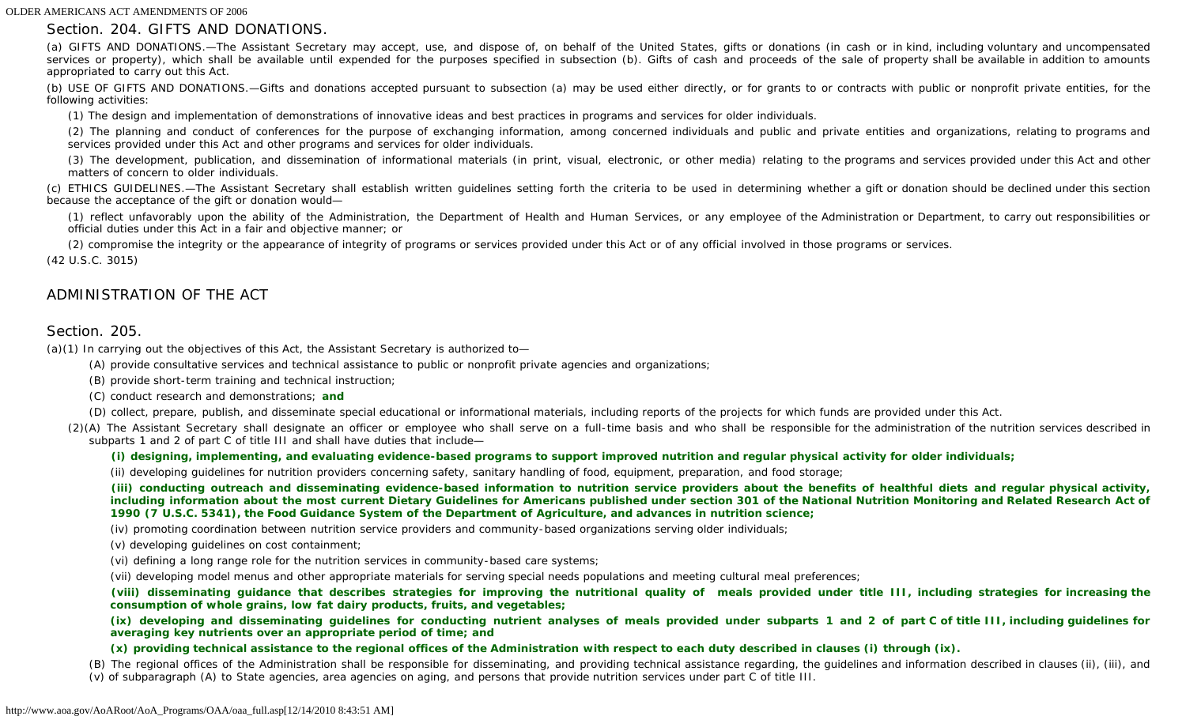<span id="page-19-0"></span>Section. 204. GIFTS AND DONATIONS.

(a) GIFTS AND DONATIONS.—The Assistant Secretary may accept, use, and dispose of, on behalf of the United States, gifts or donations (in cash or in kind, including voluntary and uncompensated services or property), which shall be available until expended for the purposes specified in subsection (b). Gifts of cash and proceeds of the sale of property shall be available in addition to amounts appropriated to carry out this Act.

(b) USE OF GIFTS AND DONATIONS.—Gifts and donations accepted pursuant to subsection (a) may be used either directly, or for grants to or contracts with public or nonprofit private entities, for the following activities:

(1) The design and implementation of demonstrations of innovative ideas and best practices in programs and services for older individuals.

(2) The planning and conduct of conferences for the purpose of exchanging information, among concerned individuals and public and private entities and organizations, relating to programs and services provided under this Act and other programs and services for older individuals.

(3) The development, publication, and dissemination of informational materials (in print, visual, electronic, or other media) relating to the programs and services provided under this Act and other matters of concern to older individuals.

(c) ETHICS GUIDELINES.—The Assistant Secretary shall establish written guidelines setting forth the criteria to be used in determining whether a gift or donation should be declined under this section because the acceptance of the gift or donation would—

(1) reflect unfavorably upon the ability of the Administration, the Department of Health and Human Services, or any employee of the Administration or Department, to carry out responsibilities or official duties under this Act in a fair and objective manner; or

(2) compromise the integrity or the appearance of integrity of programs or services provided under this Act or of any official involved in those programs or services.

(42 U.S.C. 3015)

## <span id="page-19-1"></span>*ADMINISTRATION OF THE ACT*

## <span id="page-19-2"></span>Section. 205.

(a)(1) In carrying out the objectives of this Act, the Assistant Secretary is authorized to—

- (A) provide consultative services and technical assistance to public or nonprofit private agencies and organizations;
- (B) provide short-term training and technical instruction;
- (C) conduct research and demonstrations; **and**
- (D) collect, prepare, publish, and disseminate special educational or informational materials, including reports of the projects for which funds are provided under this Act.
- (2)(A) The Assistant Secretary shall designate an officer or employee who shall serve on a full-time basis and who shall be responsible for the administration of the nutrition services described in subparts 1 and 2 of part C of title III and shall have duties that include—

#### **(i) designing, implementing, and evaluating evidence-based programs to support improved nutrition and regular physical activity for older individuals;**

(ii) developing guidelines for nutrition providers concerning safety, sanitary handling of food, equipment, preparation, and food storage;

**(iii) conducting outreach and disseminating evidence-based information to nutrition service providers about the benefits of healthful diets and regular physical activity, including information about the most current Dietary Guidelines for Americans published under section 301 of the National Nutrition Monitoring and Related Research Act of 1990 (7 U.S.C. 5341), the Food Guidance System of the Department of Agriculture, and advances in nutrition science;**

(iv) promoting coordination between nutrition service providers and community-based organizations serving older individuals;

(v) developing guidelines on cost containment;

(vi) defining a long range role for the nutrition services in community-based care systems;

(vii) developing model menus and other appropriate materials for serving special needs populations and meeting cultural meal preferences;

**(viii) disseminating guidance that describes strategies for improving the nutritional quality of meals provided under title III, including strategies for increasing the consumption of whole grains, low fat dairy products, fruits, and vegetables;**

**(ix) developing and disseminating guidelines for conducting nutrient analyses of meals provided under subparts 1 and 2 of part C of title III, including guidelines for averaging key nutrients over an appropriate period of time; and**

**(x) providing technical assistance to the regional offices of the Administration with respect to each duty described in clauses (i) through (ix).**

(B) The regional offices of the Administration shall be responsible for disseminating, and providing technical assistance regarding, the guidelines and information described in clauses (ii), (iii), and (v) of subparagraph (A) to State agencies, area agencies on aging, and persons that provide nutrition services under part C of title III.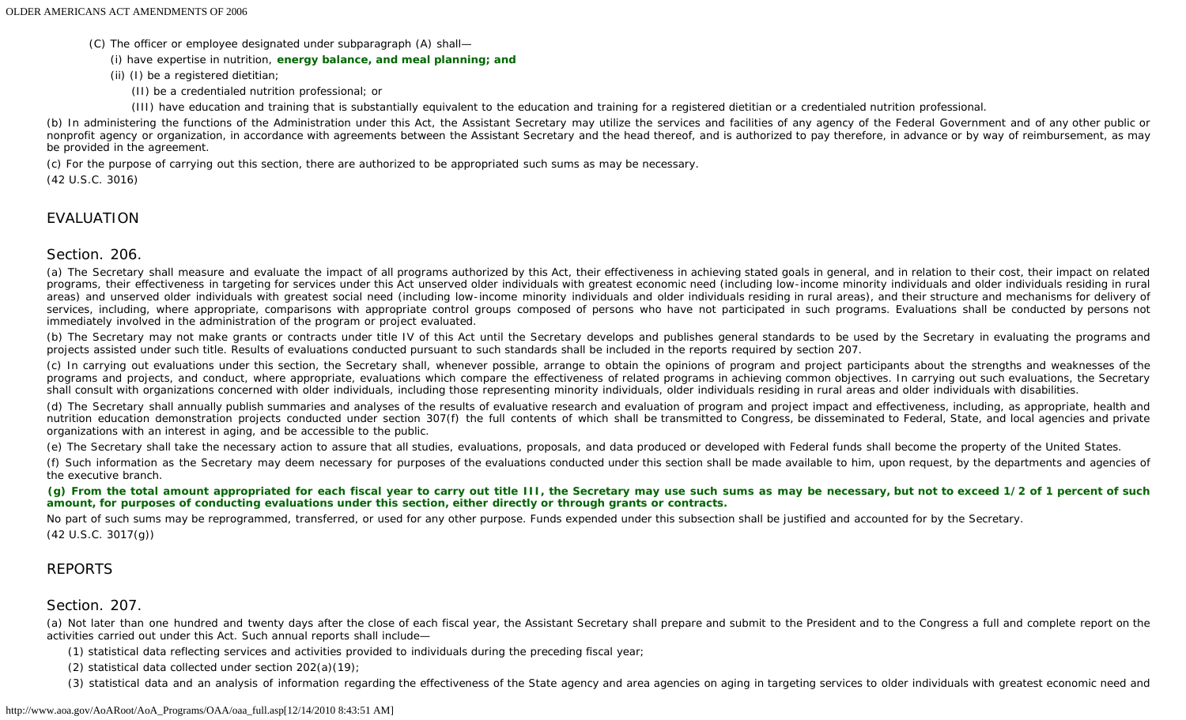(C) The officer or employee designated under subparagraph (A) shall—

(i) have expertise in nutrition, **energy balance, and meal planning; and**

(ii) (I) be a registered dietitian;

(II) be a credentialed nutrition professional; or

(III) have education and training that is substantially equivalent to the education and training for a registered dietitian or a credentialed nutrition professional.

(b) In administering the functions of the Administration under this Act, the Assistant Secretary may utilize the services and facilities of any agency of the Federal Government and of any other public or nonprofit agency or organization, in accordance with agreements between the Assistant Secretary and the head thereof, and is authorized to pay therefore, in advance or by way of reimbursement, as may be provided in the agreement.

(c) For the purpose of carrying out this section, there are authorized to be appropriated such sums as may be necessary. (42 U.S.C. 3016)

## <span id="page-20-0"></span>*EVALUATION*

## <span id="page-20-1"></span>Section. 206.

(a) The Secretary shall measure and evaluate the impact of all programs authorized by this Act, their effectiveness in achieving stated goals in general, and in relation to their cost, their impact on related programs, their effectiveness in targeting for services under this Act unserved older individuals with greatest economic need (including low-income minority individuals and older individuals residing in rural areas) and unserved older individuals with greatest social need (including low-income minority individuals and older individuals residing in rural areas), and their structure and mechanisms for delivery of services, including, where appropriate, comparisons with appropriate control groups composed of persons who have not participated in such programs. Evaluations shall be conducted by persons not immediately involved in the administration of the program or project evaluated.

(b) The Secretary may not make grants or contracts under title IV of this Act until the Secretary develops and publishes general standards to be used by the Secretary in evaluating the programs and projects assisted under such title. Results of evaluations conducted pursuant to such standards shall be included in the reports required by section 207.

(c) In carrying out evaluations under this section, the Secretary shall, whenever possible, arrange to obtain the opinions of program and project participants about the strengths and weaknesses of the programs and projects, and conduct, where appropriate, evaluations which compare the effectiveness of related programs in achieving common objectives. In carrying out such evaluations, the Secretary shall consult with organizations concerned with older individuals, including those representing minority individuals, older individuals residing in rural areas and older individuals with disabilities.

(d) The Secretary shall annually publish summaries and analyses of the results of evaluative research and evaluation of program and project impact and effectiveness, including, as appropriate, health and nutrition education demonstration projects conducted under section 307(f) the full contents of which shall be transmitted to Congress, be disseminated to Federal, State, and local agencies and private organizations with an interest in aging, and be accessible to the public.

(e) The Secretary shall take the necessary action to assure that all studies, evaluations, proposals, and data produced or developed with Federal funds shall become the property of the United States.

(f) Such information as the Secretary may deem necessary for purposes of the evaluations conducted under this section shall be made available to him, upon request, by the departments and agencies of the executive branch.

**(g) From the total amount appropriated for each fiscal year to carry out title III, the Secretary may use such sums as may be necessary, but not to exceed 1/2 of 1 percent of such amount, for purposes of conducting evaluations under this section, either directly or through grants or contracts.**

No part of such sums may be reprogrammed, transferred, or used for any other purpose. Funds expended under this subsection shall be justified and accounted for by the Secretary.

(42 U.S.C. 3017(g))

### <span id="page-20-2"></span>*REPORTS*

### <span id="page-20-3"></span>Section. 207.

(a) Not later than one hundred and twenty days after the close of each fiscal year, the Assistant Secretary shall prepare and submit to the President and to the Congress a full and complete report on the activities carried out under this Act. Such annual reports shall include—

(1) statistical data reflecting services and activities provided to individuals during the preceding fiscal year;

(2) statistical data collected under section  $202(a)(19)$ ;

(3) statistical data and an analysis of information regarding the effectiveness of the State agency and area agencies on aging in targeting services to older individuals with greatest economic need and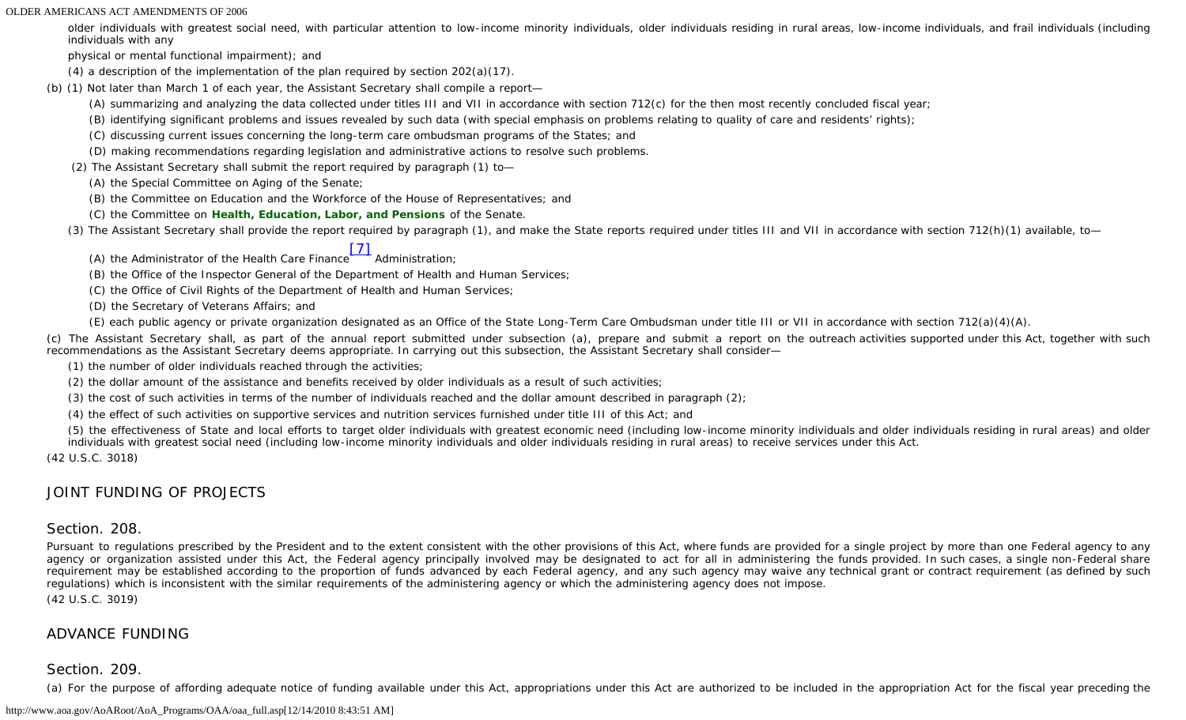older individuals with greatest social need, with particular attention to low-income minority individuals, older individuals residing in rural areas, low-income individuals, and frail individuals (including individuals with any

physical or mental functional impairment); and

(4) a description of the implementation of the plan required by section  $202(a)(17)$ .

- (b) (1) Not later than March 1 of each year, the Assistant Secretary shall compile a report—
	- (A) summarizing and analyzing the data collected under titles III and VII in accordance with section 712(c) for the then most recently concluded fiscal year;
	- (B) identifying significant problems and issues revealed by such data (with special emphasis on problems relating to quality of care and residents' rights);
	- (C) discussing current issues concerning the long-term care ombudsman programs of the States; and
	- (D) making recommendations regarding legislation and administrative actions to resolve such problems.
	- (2) The Assistant Secretary shall submit the report required by paragraph (1) to—
		- (A) the Special Committee on Aging of the Senate;
		- (B) the Committee on Education and the Workforce of the House of Representatives; and
		- (C) the Committee on **Health, Education, Labor, and Pensions** of the Senate.

(3) The Assistant Secretary shall provide the report required by paragraph (1), and make the State reports required under titles III and VII in accordance with section 712(h)(1) available, to—

(A) the Administrator of the Health Care Finance  $\boxed{7}$  Administration;

(B) the Office of the Inspector General of the Department of Health and Human Services;

(C) the Office of Civil Rights of the Department of Health and Human Services;

(D) the Secretary of Veterans Affairs; and

(E) each public agency or private organization designated as an Office of the State Long-Term Care Ombudsman under title III or VII in accordance with section 712(a)(4)(A).

(c) The Assistant Secretary shall, as part of the annual report submitted under subsection (a), prepare and submit a report on the outreach activities supported under this Act, together with such recommendations as the Assistant Secretary deems appropriate. In carrying out this subsection, the Assistant Secretary shall consider—

(1) the number of older individuals reached through the activities;

(2) the dollar amount of the assistance and benefits received by older individuals as a result of such activities;

(3) the cost of such activities in terms of the number of individuals reached and the dollar amount described in paragraph (2);

(4) the effect of such activities on supportive services and nutrition services furnished under title III of this Act; and

(5) the effectiveness of State and local efforts to target older individuals with greatest economic need (including low-income minority individuals and older individuals residing in rural areas) and older individuals with greatest social need (including low-income minority individuals and older individuals residing in rural areas) to receive services under this Act.

(42 U.S.C. 3018)

# <span id="page-21-0"></span>*JOINT FUNDING OF PROJECTS*

## <span id="page-21-1"></span>Section. 208.

Pursuant to regulations prescribed by the President and to the extent consistent with the other provisions of this Act, where funds are provided for a single project by more than one Federal agency to any agency or organization assisted under this Act, the Federal agency principally involved may be designated to act for all in administering the funds provided. In such cases, a single non-Federal share requirement may be established according to the proportion of funds advanced by each Federal agency, and any such agency may waive any technical grant or contract requirement (as defined by such regulations) which is inconsistent with the similar requirements of the administering agency or which the administering agency does not impose.

(42 U.S.C. 3019)

# <span id="page-21-2"></span>*ADVANCE FUNDING*

# <span id="page-21-3"></span>Section. 209.

(a) For the purpose of affording adequate notice of funding available under this Act, appropriations under this Act are authorized to be included in the appropriation Act for the fiscal year preceding the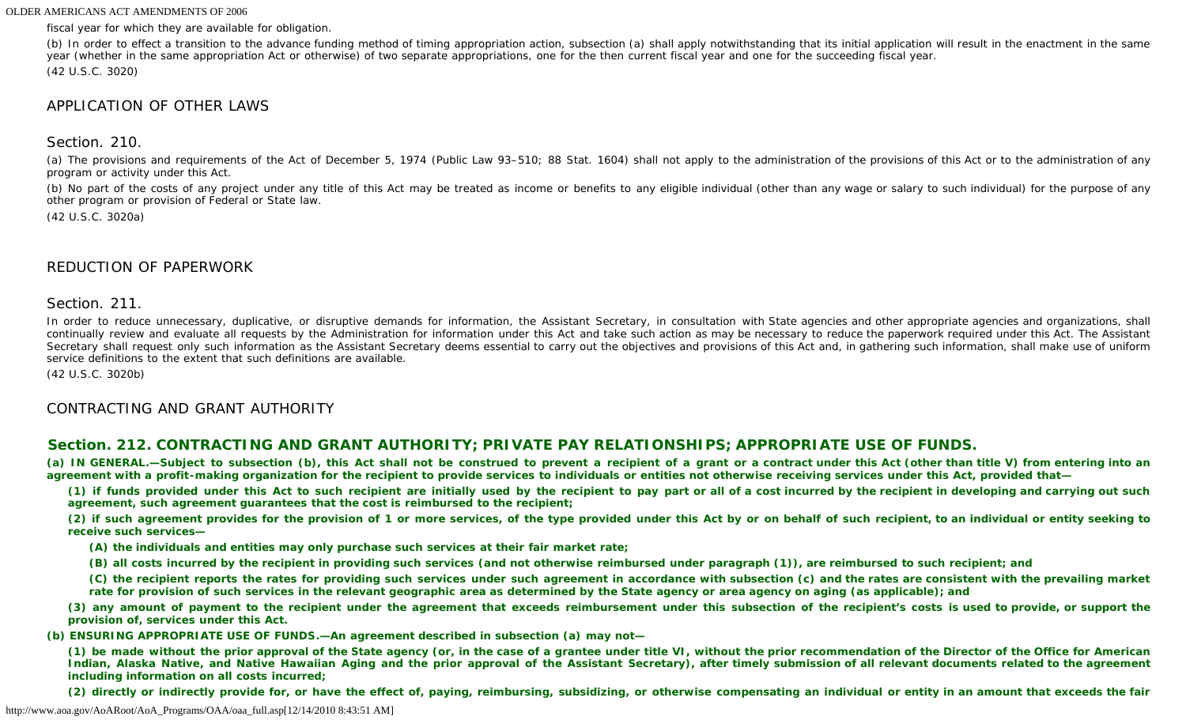fiscal year for which they are available for obligation.

(b) In order to effect a transition to the advance funding method of timing appropriation action, subsection (a) shall apply notwithstanding that its initial application will result in the enactment in the same year (whether in the same appropriation Act or otherwise) of two separate appropriations, one for the then current fiscal year and one for the succeeding fiscal year. (42 U.S.C. 3020)

## <span id="page-22-0"></span>*APPLICATION OF OTHER LAWS*

## <span id="page-22-1"></span>Section. 210.

(a) The provisions and requirements of the Act of December 5, 1974 (Public Law 93-510; 88 Stat. 1604) shall not apply to the administration of the provisions of this Act or to the administration of any program or activity under this Act.

(b) No part of the costs of any project under any title of this Act may be treated as income or benefits to any eligible individual (other than any wage or salary to such individual) for the purpose of any other program or provision of Federal or State law.

(42 U.S.C. 3020a)

### <span id="page-22-2"></span>*REDUCTION OF PAPERWORK*

<span id="page-22-3"></span>Section. 211.

In order to reduce unnecessary, duplicative, or disruptive demands for information, the Assistant Secretary, in consultation with State agencies and other appropriate agencies and organizations, shall continually review and evaluate all requests by the Administration for information under this Act and take such action as may be necessary to reduce the paperwork required under this Act. The Assistant Secretary shall request only such information as the Assistant Secretary deems essential to carry out the objectives and provisions of this Act and, in gathering such information, shall make use of uniform service definitions to the extent that such definitions are available.

(42 U.S.C. 3020b)

### <span id="page-22-4"></span>*CONTRACTING AND GRANT AUTHORITY*

# <span id="page-22-5"></span>**Section. 212. CONTRACTING AND GRANT AUTHORITY; PRIVATE PAY RELATIONSHIPS; APPROPRIATE USE OF FUNDS.**

**(a) IN GENERAL.—Subject to subsection (b), this Act shall not be construed to prevent a recipient of a grant or a contract under this Act (other than title V) from entering into an agreement with a profit-making organization for the recipient to provide services to individuals or entities not otherwise receiving services under this Act, provided that—**

**(1) if funds provided under this Act to such recipient are initially used by the recipient to pay part or all of a cost incurred by the recipient in developing and carrying out such agreement, such agreement guarantees that the cost is reimbursed to the recipient;**

**(2) if such agreement provides for the provision of 1 or more services, of the type provided under this Act by or on behalf of such recipient, to an individual or entity seeking to receive such services—**

**(A) the individuals and entities may only purchase such services at their fair market rate;**

**(B) all costs incurred by the recipient in providing such services (and not otherwise reimbursed under paragraph (1)), are reimbursed to such recipient; and**

**(C) the recipient reports the rates for providing such services under such agreement in accordance with subsection (c) and the rates are consistent with the prevailing market rate for provision of such services in the relevant geographic area as determined by the State agency or area agency on aging (as applicable); and**

**(3) any amount of payment to the recipient under the agreement that exceeds reimbursement under this subsection of the recipient's costs is used to provide, or support the provision of, services under this Act.**

#### **(b) ENSURING APPROPRIATE USE OF FUNDS.—An agreement described in subsection (a) may not—**

**(1) be made without the prior approval of the State agency (or, in the case of a grantee under title VI, without the prior recommendation of the Director of the Office for American Indian, Alaska Native, and Native Hawaiian Aging and the prior approval of the Assistant Secretary), after timely submission of all relevant documents related to the agreement including information on all costs incurred;**

**(2) directly or indirectly provide for, or have the effect of, paying, reimbursing, subsidizing, or otherwise compensating an individual or entity in an amount that exceeds the fair**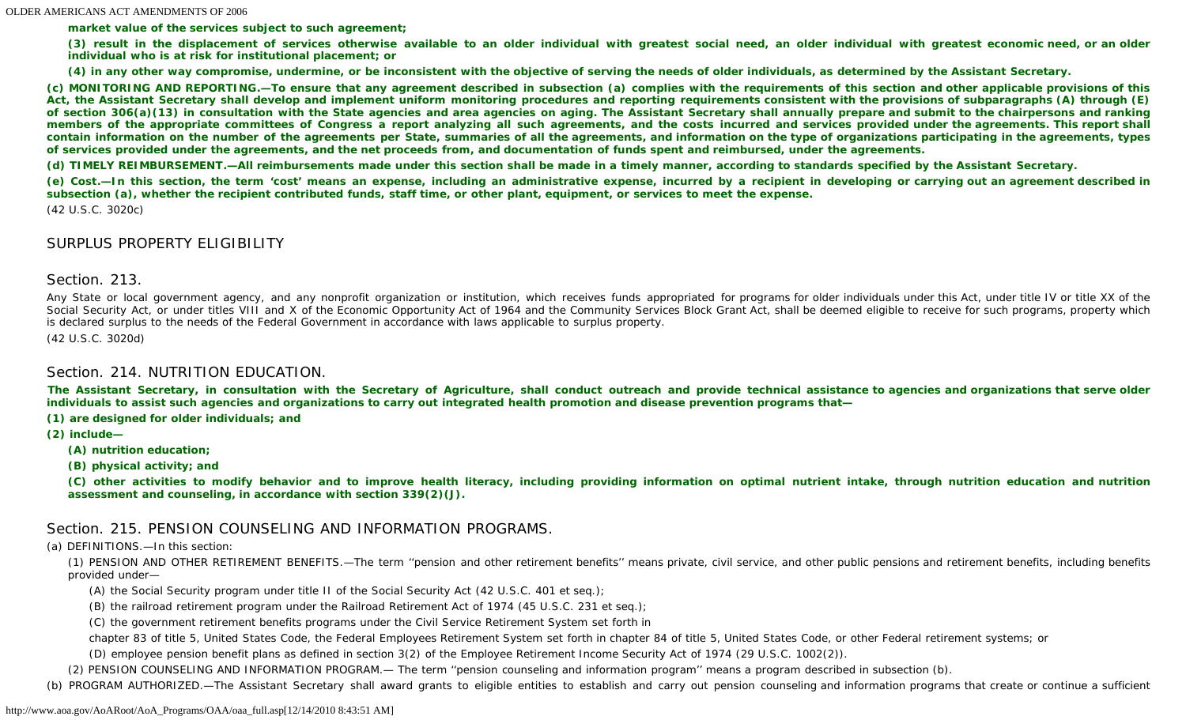**market value of the services subject to such agreement;**

**(3) result in the displacement of services otherwise available to an older individual with greatest social need, an older individual with greatest economic need, or an older individual who is at risk for institutional placement; or**

**(4) in any other way compromise, undermine, or be inconsistent with the objective of serving the needs of older individuals, as determined by the Assistant Secretary.**

**(c) MONITORING AND REPORTING.—To ensure that any agreement described in subsection (a) complies with the requirements of this section and other applicable provisions of this Act, the Assistant Secretary shall develop and implement uniform monitoring procedures and reporting requirements consistent with the provisions of subparagraphs (A) through (E) of section 306(a)(13) in consultation with the State agencies and area agencies on aging. The Assistant Secretary shall annually prepare and submit to the chairpersons and ranking members of the appropriate committees of Congress a report analyzing all such agreements, and the costs incurred and services provided under the agreements. This report shall contain information on the number of the agreements per State, summaries of all the agreements, and information on the type of organizations participating in the agreements, types of services provided under the agreements, and the net proceeds from, and documentation of funds spent and reimbursed, under the agreements.**

**(d) TIMELY REIMBURSEMENT.—All reimbursements made under this section shall be made in a timely manner, according to standards specified by the Assistant Secretary.**

**(e) Cost.—In this section, the term 'cost' means an expense, including an administrative expense, incurred by a recipient in developing or carrying out an agreement described in subsection (a), whether the recipient contributed funds, staff time, or other plant, equipment, or services to meet the expense.** (42 U.S.C. 3020c)

<span id="page-23-0"></span>*SURPLUS PROPERTY ELIGIBILITY*

<span id="page-23-1"></span>Section. 213.

Any State or local government agency, and any nonprofit organization or institution, which receives funds appropriated for programs for older individuals under this Act, under title IV or title XX of the Social Security Act, or under titles VIII and X of the Economic Opportunity Act of 1964 and the Community Services Block Grant Act, shall be deemed eligible to receive for such programs, property which is declared surplus to the needs of the Federal Government in accordance with laws applicable to surplus property.

(42 U.S.C. 3020d)

### <span id="page-23-2"></span>Section. 214. NUTRITION EDUCATION.

**The Assistant Secretary, in consultation with the Secretary of Agriculture, shall conduct outreach and provide technical assistance to agencies and organizations that serve older individuals to assist such agencies and organizations to carry out integrated health promotion and disease prevention programs that—**

**(1) are designed for older individuals; and**

**(2) include—**

**(A) nutrition education;**

**(B) physical activity; and**

**(C) other activities to modify behavior and to improve health literacy, including providing information on optimal nutrient intake, through nutrition education and nutrition assessment and counseling, in accordance with section 339(2)(J).**

#### <span id="page-23-3"></span>Section. 215. PENSION COUNSELING AND INFORMATION PROGRAMS.

(a) DEFINITIONS.—In this section:

(1) PENSION AND OTHER RETIREMENT BENEFITS.—The term ''pension and other retirement benefits'' means private, civil service, and other public pensions and retirement benefits, including benefits provided under—

(A) the Social Security program under title II of the Social Security Act (42 U.S.C. 401 et seq.);

(B) the railroad retirement program under the Railroad Retirement Act of 1974 (45 U.S.C. 231 et seq.);

(C) the government retirement benefits programs under the Civil Service Retirement System set forth in

chapter 83 of title 5, United States Code, the Federal Employees Retirement System set forth in chapter 84 of title 5, United States Code, or other Federal retirement systems; or

(D) employee pension benefit plans as defined in section 3(2) of the Employee Retirement Income Security Act of 1974 (29 U.S.C. 1002(2)).

(2) PENSION COUNSELING AND INFORMATION PROGRAM.— The term ''pension counseling and information program'' means a program described in subsection (b).

(b) PROGRAM AUTHORIZED.—The Assistant Secretary shall award grants to eligible entities to establish and carry out pension counseling and information programs that create or continue a sufficient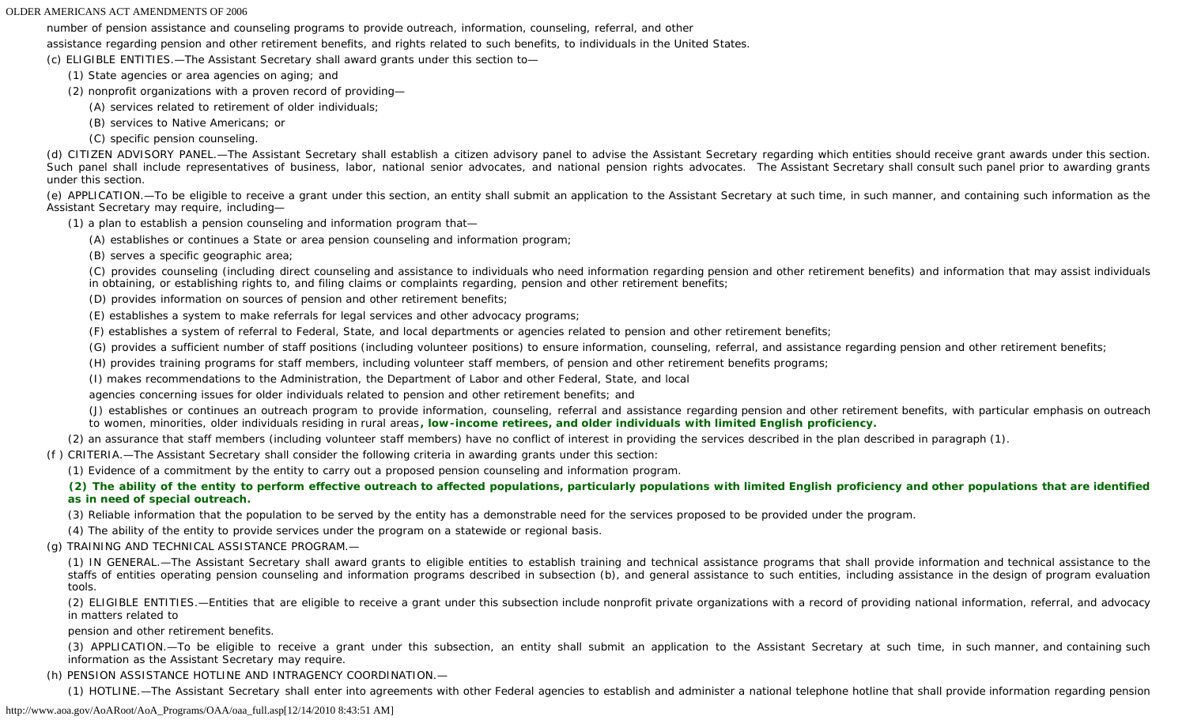number of pension assistance and counseling programs to provide outreach, information, counseling, referral, and other

assistance regarding pension and other retirement benefits, and rights related to such benefits, to individuals in the United States.

(c) ELIGIBLE ENTITIES.—The Assistant Secretary shall award grants under this section to—

- (1) State agencies or area agencies on aging; and
- (2) nonprofit organizations with a proven record of providing—
	- (A) services related to retirement of older individuals;
	- (B) services to Native Americans; or
	- (C) specific pension counseling.

(d) CITIZEN ADVISORY PANEL.—The Assistant Secretary shall establish a citizen advisory panel to advise the Assistant Secretary regarding which entities should receive grant awards under this section. Such panel shall include representatives of business, labor, national senior advocates, and national pension rights advocates. The Assistant Secretary shall consult such panel prior to awarding grants under this section.

(e) APPLICATION.—To be eligible to receive a grant under this section, an entity shall submit an application to the Assistant Secretary at such time, in such manner, and containing such information as the Assistant Secretary may require, including—

- (1) a plan to establish a pension counseling and information program that—
	- (A) establishes or continues a State or area pension counseling and information program;
	- (B) serves a specific geographic area;

(C) provides counseling (including direct counseling and assistance to individuals who need information regarding pension and other retirement benefits) and information that may assist individuals in obtaining, or establishing rights to, and filing claims or complaints regarding, pension and other retirement benefits;

- (D) provides information on sources of pension and other retirement benefits;
- (E) establishes a system to make referrals for legal services and other advocacy programs;
- (F) establishes a system of referral to Federal, State, and local departments or agencies related to pension and other retirement benefits;
- (G) provides a sufficient number of staff positions (including volunteer positions) to ensure information, counseling, referral, and assistance regarding pension and other retirement benefits;
- (H) provides training programs for staff members, including volunteer staff members, of pension and other retirement benefits programs;
- (I) makes recommendations to the Administration, the Department of Labor and other Federal, State, and local
- agencies concerning issues for older individuals related to pension and other retirement benefits; and
- (J) establishes or continues an outreach program to provide information, counseling, referral and assistance regarding pension and other retirement benefits, with particular emphasis on outreach to women, minorities, older individuals residing in rural areas**, low-income retirees, and older individuals with limited English proficiency.**

(2) an assurance that staff members (including volunteer staff members) have no conflict of interest in providing the services described in the plan described in paragraph (1).

- (f ) CRITERIA.—The Assistant Secretary shall consider the following criteria in awarding grants under this section:
	- (1) Evidence of a commitment by the entity to carry out a proposed pension counseling and information program.

**(2) The ability of the entity to perform effective outreach to affected populations, particularly populations with limited English proficiency and other populations that are identified as in need of special outreach.**

(3) Reliable information that the population to be served by the entity has a demonstrable need for the services proposed to be provided under the program.

- (4) The ability of the entity to provide services under the program on a statewide or regional basis.
- (g) TRAINING AND TECHNICAL ASSISTANCE PROGRAM.—

(1) IN GENERAL.—The Assistant Secretary shall award grants to eligible entities to establish training and technical assistance programs that shall provide information and technical assistance to the staffs of entities operating pension counseling and information programs described in subsection (b), and general assistance to such entities, including assistance in the design of program evaluation tools.

(2) ELIGIBLE ENTITIES.—Entities that are eligible to receive a grant under this subsection include nonprofit private organizations with a record of providing national information, referral, and advocacy in matters related to

pension and other retirement benefits.

(3) APPLICATION.—To be eligible to receive a grant under this subsection, an entity shall submit an application to the Assistant Secretary at such time, in such manner, and containing such information as the Assistant Secretary may require.

(h) PENSION ASSISTANCE HOTLINE AND INTRAGENCY COORDINATION.—

(1) HOTLINE.—The Assistant Secretary shall enter into agreements with other Federal agencies to establish and administer a national telephone hotline that shall provide information regarding pension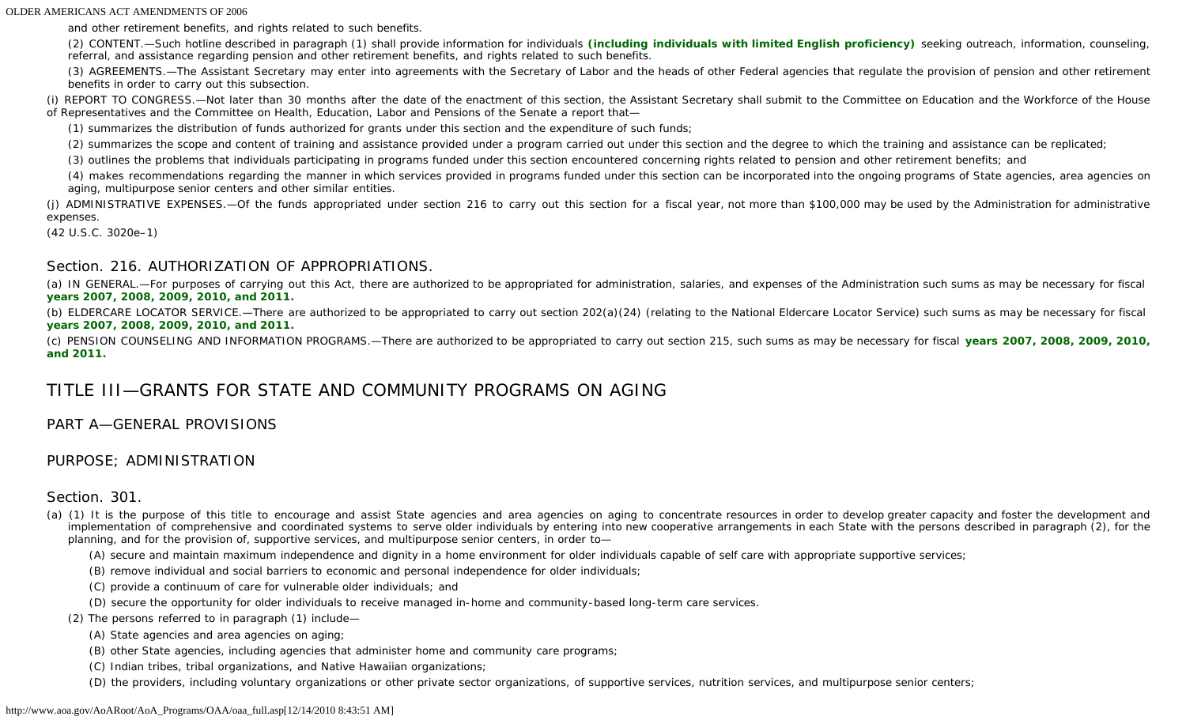and other retirement benefits, and rights related to such benefits.

(2) CONTENT.—Such hotline described in paragraph (1) shall provide information for individuals **(including individuals with limited English proficiency)** seeking outreach, information, counseling, referral, and assistance regarding pension and other retirement benefits, and rights related to such benefits.

(3) AGREEMENTS.—The Assistant Secretary may enter into agreements with the Secretary of Labor and the heads of other Federal agencies that regulate the provision of pension and other retirement benefits in order to carry out this subsection.

(i) REPORT TO CONGRESS.—Not later than 30 months after the date of the enactment of this section, the Assistant Secretary shall submit to the Committee on Education and the Workforce of the House of Representatives and the Committee on Health, Education, Labor and Pensions of the Senate a report that—

(1) summarizes the distribution of funds authorized for grants under this section and the expenditure of such funds;

(2) summarizes the scope and content of training and assistance provided under a program carried out under this section and the degree to which the training and assistance can be replicated;

(3) outlines the problems that individuals participating in programs funded under this section encountered concerning rights related to pension and other retirement benefits; and

(4) makes recommendations regarding the manner in which services provided in programs funded under this section can be incorporated into the ongoing programs of State agencies, area agencies on aging, multipurpose senior centers and other similar entities.

(j) ADMINISTRATIVE EXPENSES.—Of the funds appropriated under section 216 to carry out this section for a fiscal year, not more than \$100,000 may be used by the Administration for administrative expenses.

(42 U.S.C. 3020e–1)

## <span id="page-25-0"></span>Section. 216. AUTHORIZATION OF APPROPRIATIONS.

(a) IN GENERAL.—For purposes of carrying out this Act, there are authorized to be appropriated for administration, salaries, and expenses of the Administration such sums as may be necessary for fiscal **years 2007, 2008, 2009, 2010, and 2011.**

(b) ELDERCARE LOCATOR SERVICE.—There are authorized to be appropriated to carry out section 202(a)(24) (relating to the National Eldercare Locator Service) such sums as may be necessary for fiscal **years 2007, 2008, 2009, 2010, and 2011.**

(c) PENSION COUNSELING AND INFORMATION PROGRAMS.—There are authorized to be appropriated to carry out section 215, such sums as may be necessary for fiscal **years 2007, 2008, 2009, 2010, and 2011.**

# <span id="page-25-1"></span>TITLE III—GRANTS FOR STATE AND COMMUNITY PROGRAMS ON AGING

# <span id="page-25-2"></span>PART A—GENERAL PROVISIONS

# <span id="page-25-3"></span>*PURPOSE; ADMINISTRATION*

# <span id="page-25-4"></span>Section. 301.

- (a) (1) It is the purpose of this title to encourage and assist State agencies and area agencies on aging to concentrate resources in order to develop greater capacity and foster the development and implementation of comprehensive and coordinated systems to serve older individuals by entering into new cooperative arrangements in each State with the persons described in paragraph (2), for the planning, and for the provision of, supportive services, and multipurpose senior centers, in order to—
	- (A) secure and maintain maximum independence and dignity in a home environment for older individuals capable of self care with appropriate supportive services;
	- (B) remove individual and social barriers to economic and personal independence for older individuals;
	- (C) provide a continuum of care for vulnerable older individuals; and
	- (D) secure the opportunity for older individuals to receive managed in-home and community-based long-term care services.
	- (2) The persons referred to in paragraph (1) include—
		- (A) State agencies and area agencies on aging;
		- (B) other State agencies, including agencies that administer home and community care programs;
		- (C) Indian tribes, tribal organizations, and Native Hawaiian organizations;
		- (D) the providers, including voluntary organizations or other private sector organizations, of supportive services, nutrition services, and multipurpose senior centers;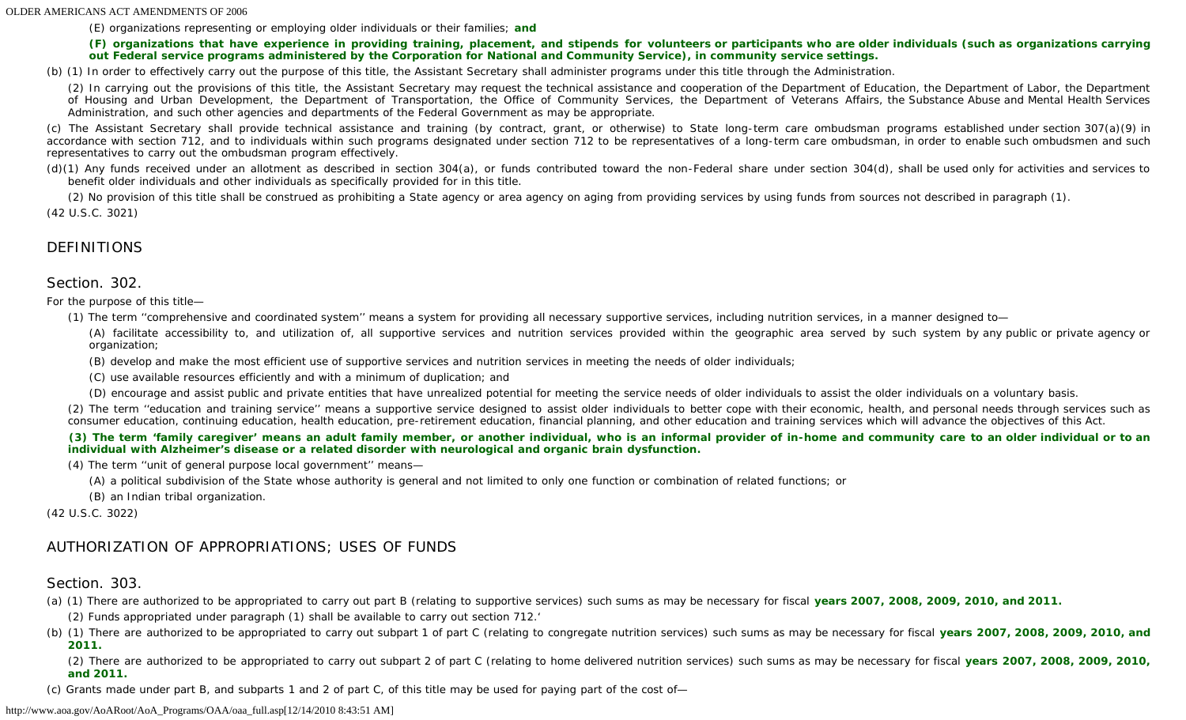(E) organizations representing or employing older individuals or their families; **and**

#### **(F) organizations that have experience in providing training, placement, and stipends for volunteers or participants who are older individuals (such as organizations carrying out Federal service programs administered by the Corporation for National and Community Service), in community service settings.**

(b) (1) In order to effectively carry out the purpose of this title, the Assistant Secretary shall administer programs under this title through the Administration.

(2) In carrying out the provisions of this title, the Assistant Secretary may request the technical assistance and cooperation of the Department of Education, the Department of Labor, the Department of Housing and Urban Development, the Department of Transportation, the Office of Community Services, the Department of Veterans Affairs, the Substance Abuse and Mental Health Services Administration, and such other agencies and departments of the Federal Government as may be appropriate.

(c) The Assistant Secretary shall provide technical assistance and training (by contract, grant, or otherwise) to State long-term care ombudsman programs established under section 307(a)(9) in accordance with section 712, and to individuals within such programs designated under section 712 to be representatives of a long-term care ombudsman, in order to enable such ombudsmen and such representatives to carry out the ombudsman program effectively.

(d)(1) Any funds received under an allotment as described in section 304(a), or funds contributed toward the non-Federal share under section 304(d), shall be used only for activities and services to benefit older individuals and other individuals as specifically provided for in this title.

(2) No provision of this title shall be construed as prohibiting a State agency or area agency on aging from providing services by using funds from sources not described in paragraph (1).

(42 U.S.C. 3021)

## <span id="page-26-0"></span>*DEFINITIONS*

<span id="page-26-1"></span>Section. 302.

For the purpose of this title—

(1) The term ''comprehensive and coordinated system'' means a system for providing all necessary supportive services, including nutrition services, in a manner designed to—

(A) facilitate accessibility to, and utilization of, all supportive services and nutrition services provided within the geographic area served by such system by any public or private agency or organization;

(B) develop and make the most efficient use of supportive services and nutrition services in meeting the needs of older individuals;

(C) use available resources efficiently and with a minimum of duplication; and

(D) encourage and assist public and private entities that have unrealized potential for meeting the service needs of older individuals to assist the older individuals on a voluntary basis.

(2) The term "education and training service" means a supportive service designed to assist older individuals to better cope with their economic, health, and personal needs through services such as consumer education, continuing education, health education, pre-retirement education, financial planning, and other education and training services which will advance the objectives of this Act.

#### **(3) The term 'family caregiver' means an adult family member, or another individual, who is an informal provider of in-home and community care to an older individual or to an individual with Alzheimer's disease or a related disorder with neurological and organic brain dysfunction.**

(4) The term ''unit of general purpose local government'' means—

(A) a political subdivision of the State whose authority is general and not limited to only one function or combination of related functions; or

(B) an Indian tribal organization.

(42 U.S.C. 3022)

# <span id="page-26-2"></span>*AUTHORIZATION OF APPROPRIATIONS; USES OF FUNDS*

<span id="page-26-3"></span>Section. 303.

(a) (1) There are authorized to be appropriated to carry out part B (relating to supportive services) such sums as may be necessary for fiscal **years 2007, 2008, 2009, 2010, and 2011.**

(2) Funds appropriated under paragraph (1) shall be available to carry out section 712.'

(b) (1) There are authorized to be appropriated to carry out subpart 1 of part C (relating to congregate nutrition services) such sums as may be necessary for fiscal **years 2007, 2008, 2009, 2010, and 2011.** 

(2) There are authorized to be appropriated to carry out subpart 2 of part C (relating to home delivered nutrition services) such sums as may be necessary for fiscal **years 2007, 2008, 2009, 2010, and 2011.**

(c) Grants made under part B, and subparts 1 and 2 of part C, of this title may be used for paying part of the cost of—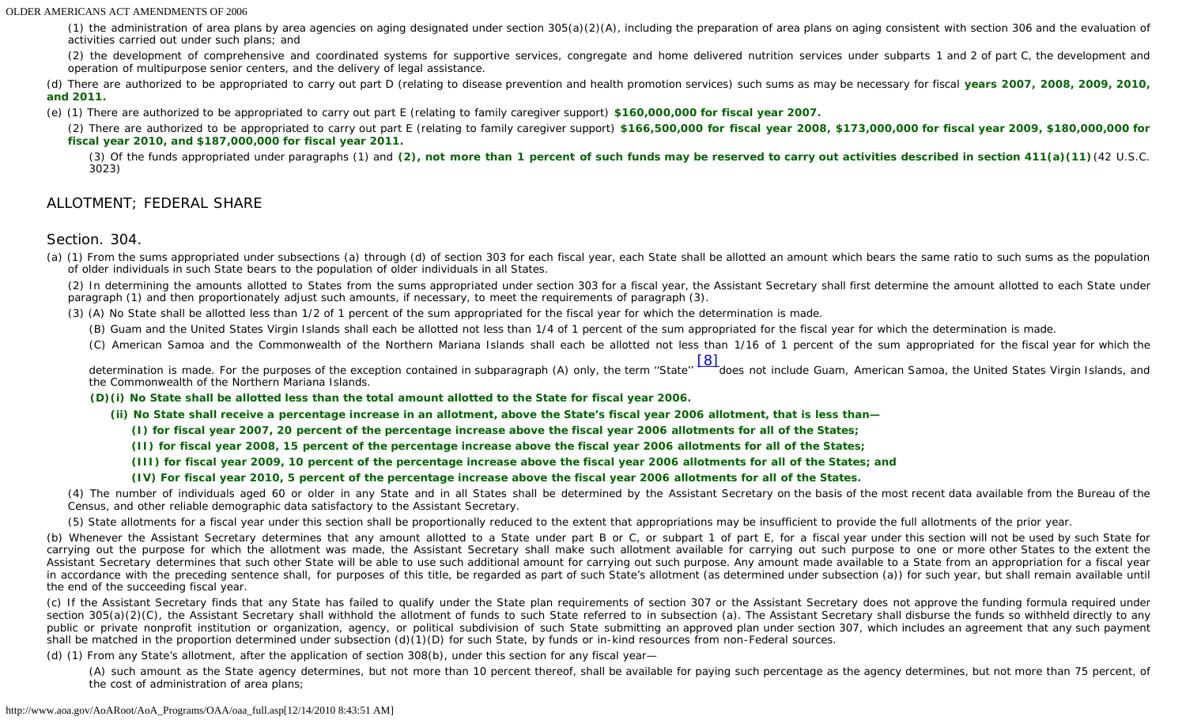(1) the administration of area plans by area agencies on aging designated under section 305(a)(2)(A), including the preparation of area plans on aging consistent with section 306 and the evaluation of activities carried out under such plans; and

(2) the development of comprehensive and coordinated systems for supportive services, congregate and home delivered nutrition services under subparts 1 and 2 of part C, the development and operation of multipurpose senior centers, and the delivery of legal assistance.

(d) There are authorized to be appropriated to carry out part D (relating to disease prevention and health promotion services) such sums as may be necessary for fiscal **years 2007, 2008, 2009, 2010, and 2011.** 

(e) (1) There are authorized to be appropriated to carry out part E (relating to family caregiver support) **\$160,000,000 for fiscal year 2007.**

(2) There are authorized to be appropriated to carry out part E (relating to family caregiver support) **\$166,500,000 for fiscal year 2008, \$173,000,000 for fiscal year 2009, \$180,000,000 for fiscal year 2010, and \$187,000,000 for fiscal year 2011.**

(3) Of the funds appropriated under paragraphs (1) and **(2), not more than 1 percent of such funds may be reserved to carry out activities described in section 411(a)(11)**(42 U.S.C. 3023)

# <span id="page-27-0"></span>*ALLOTMENT; FEDERAL SHARE*

<span id="page-27-1"></span>Section. 304.

(a) (1) From the sums appropriated under subsections (a) through (d) of section 303 for each fiscal year, each State shall be allotted an amount which bears the same ratio to such sums as the population of older individuals in such State bears to the population of older individuals in all States.

(2) In determining the amounts allotted to States from the sums appropriated under section 303 for a fiscal year, the Assistant Secretary shall first determine the amount allotted to each State under paragraph (1) and then proportionately adjust such amounts, if necessary, to meet the requirements of paragraph (3).

(3) (A) No State shall be allotted less than 1/2 of 1 percent of the sum appropriated for the fiscal year for which the determination is made.

- (B) Guam and the United States Virgin Islands shall each be allotted not less than 1/4 of 1 percent of the sum appropriated for the fiscal year for which the determination is made.
- (C) American Samoa and the Commonwealth of the Northern Mariana Islands shall each be allotted not less than 1/16 of 1 percent of the sum appropriated for the fiscal year for which the

determination is made. For the purposes of the exception contained in subparagraph (A) only, the term "State" does not include Guam, American Samoa, the United States Virgin Islands, and the Commonwealth of the Northern Mariana Islands.

**(D)(i) No State shall be allotted less than the total amount allotted to the State for fiscal year 2006.**

**(ii) No State shall receive a percentage increase in an allotment, above the State's fiscal year 2006 allotment, that is less than—**

**(I) for fiscal year 2007, 20 percent of the percentage increase above the fiscal year 2006 allotments for all of the States;**

- **(II) for fiscal year 2008, 15 percent of the percentage increase above the fiscal year 2006 allotments for all of the States;**
- **(III) for fiscal year 2009, 10 percent of the percentage increase above the fiscal year 2006 allotments for all of the States; and**

#### **(IV) For fiscal year 2010, 5 percent of the percentage increase above the fiscal year 2006 allotments for all of the States.**

(4) The number of individuals aged 60 or older in any State and in all States shall be determined by the Assistant Secretary on the basis of the most recent data available from the Bureau of the Census, and other reliable demographic data satisfactory to the Assistant Secretary.

(5) State allotments for a fiscal year under this section shall be proportionally reduced to the extent that appropriations may be insufficient to provide the full allotments of the prior year.

(b) Whenever the Assistant Secretary determines that any amount allotted to a State under part B or C, or subpart 1 of part E, for a fiscal year under this section will not be used by such State for carrying out the purpose for which the allotment was made, the Assistant Secretary shall make such allotment available for carrying out such purpose to one or more other States to the extent the Assistant Secretary determines that such other State will be able to use such additional amount for carrying out such purpose. Any amount made available to a State from an appropriation for a fiscal year in accordance with the preceding sentence shall, for purposes of this title, be regarded as part of such State's allotment (as determined under subsection (a)) for such year, but shall remain available until the end of the succeeding fiscal year.

(c) If the Assistant Secretary finds that any State has failed to qualify under the State plan requirements of section 307 or the Assistant Secretary does not approve the funding formula required under section 305(a)(2)(C), the Assistant Secretary shall withhold the allotment of funds to such State referred to in subsection (a). The Assistant Secretary shall disburse the funds so withheld directly to any public or private nonprofit institution or organization, agency, or political subdivision of such State submitting an approved plan under section 307, which includes an agreement that any such payment shall be matched in the proportion determined under subsection (d)(1)(D) for such State, by funds or in-kind resources from non-Federal sources.

(d) (1) From any State's allotment, after the application of section 308(b), under this section for any fiscal year—

(A) such amount as the State agency determines, but not more than 10 percent thereof, shall be available for paying such percentage as the agency determines, but not more than 75 percent, of the cost of administration of area plans;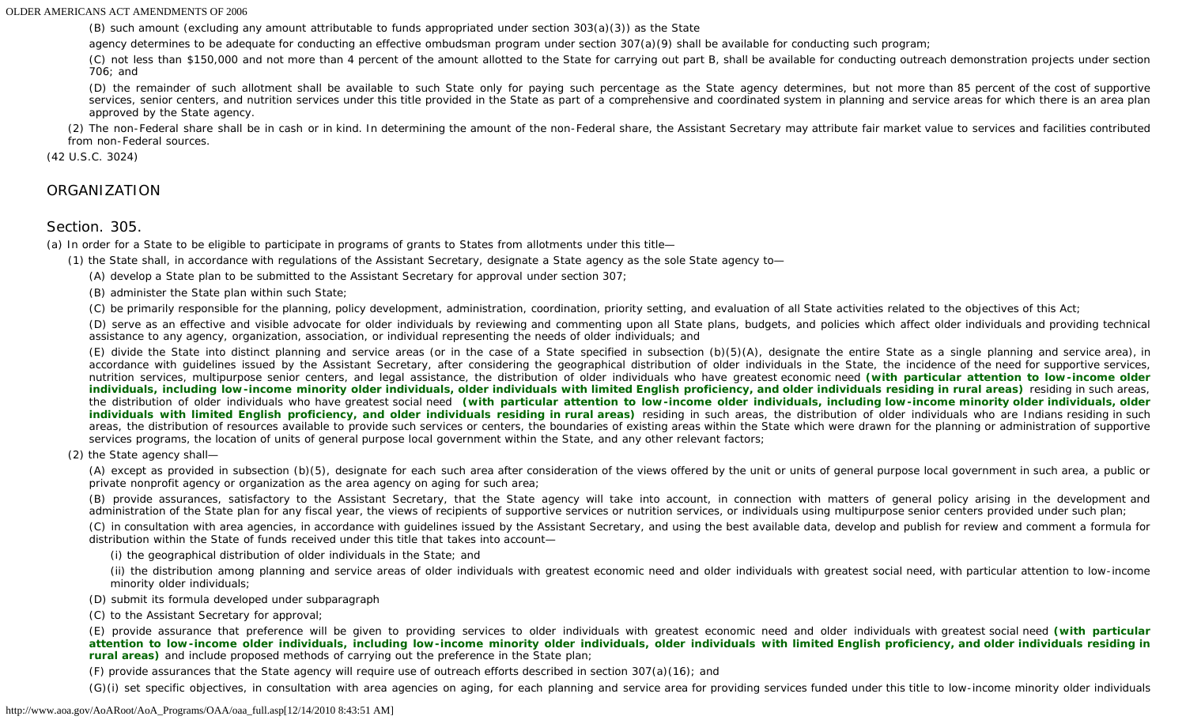(B) such amount (excluding any amount attributable to funds appropriated under section 303(a)(3)) as the State

agency determines to be adequate for conducting an effective ombudsman program under section 307(a)(9) shall be available for conducting such program;

(C) not less than \$150,000 and not more than 4 percent of the amount allotted to the State for carrying out part B, shall be available for conducting outreach demonstration projects under section 706; and

(D) the remainder of such allotment shall be available to such State only for paying such percentage as the State agency determines, but not more than 85 percent of the cost of supportive services, senior centers, and nutrition services under this title provided in the State as part of a comprehensive and coordinated system in planning and service areas for which there is an area plan approved by the State agency.

(2) The non-Federal share shall be in cash or in kind. In determining the amount of the non-Federal share, the Assistant Secretary may attribute fair market value to services and facilities contributed from non-Federal sources.

(42 U.S.C. 3024)

## <span id="page-28-0"></span>*ORGANIZATION*

## <span id="page-28-1"></span>Section. 305.

(a) In order for a State to be eligible to participate in programs of grants to States from allotments under this title—

(1) the State shall, in accordance with regulations of the Assistant Secretary, designate a State agency as the sole State agency to—

(A) develop a State plan to be submitted to the Assistant Secretary for approval under section 307;

(B) administer the State plan within such State;

(C) be primarily responsible for the planning, policy development, administration, coordination, priority setting, and evaluation of all State activities related to the objectives of this Act;

(D) serve as an effective and visible advocate for older individuals by reviewing and commenting upon all State plans, budgets, and policies which affect older individuals and providing technical assistance to any agency, organization, association, or individual representing the needs of older individuals; and

(E) divide the State into distinct planning and service areas (or in the case of a State specified in subsection (b)(5)(A), designate the entire State as a single planning and service area), in accordance with guidelines issued by the Assistant Secretary, after considering the geographical distribution of older individuals in the State, the incidence of the need for supportive services, nutrition services, multipurpose senior centers, and legal assistance, the distribution of older individuals who have greatest economic need **(with particular attention to low-income older individuals, including low-income minority older individuals, older individuals with limited English proficiency, and older individuals residing in rural areas)** residing in such areas, the distribution of older individuals who have greatest social need (with particular attention to low-income older individuals, including low-income minority older individuals, older individuals with limited English proficiency, and older individuals residing in rural areas) residing in such areas, the distribution of older individuals who are Indians residing in such areas, the distribution of resources available to provide such services or centers, the boundaries of existing areas within the State which were drawn for the planning or administration of supportive services programs, the location of units of general purpose local government within the State, and any other relevant factors;

(2) the State agency shall—

(A) except as provided in subsection (b)(5), designate for each such area after consideration of the views offered by the unit or units of general purpose local government in such area, a public or private nonprofit agency or organization as the area agency on aging for such area;

(B) provide assurances, satisfactory to the Assistant Secretary, that the State agency will take into account, in connection with matters of general policy arising in the development and administration of the State plan for any fiscal year, the views of recipients of supportive services or nutrition services, or individuals using multipurpose senior centers provided under such plan;

(C) in consultation with area agencies, in accordance with guidelines issued by the Assistant Secretary, and using the best available data, develop and publish for review and comment a formula for distribution within the State of funds received under this title that takes into account—

(i) the geographical distribution of older individuals in the State; and

(ii) the distribution among planning and service areas of older individuals with greatest economic need and older individuals with greatest social need, with particular attention to low-income minority older individuals;

(D) submit its formula developed under subparagraph

(C) to the Assistant Secretary for approval;

(E) provide assurance that preference will be given to providing services to older individuals with greatest economic need and older individuals with greatest social need **(with particular attention to low-income older individuals, including low-income minority older individuals, older individuals with limited English proficiency, and older individuals residing in rural areas)** and include proposed methods of carrying out the preference in the State plan;

(F) provide assurances that the State agency will require use of outreach efforts described in section  $307(a)(16)$ ; and

(G)(i) set specific objectives, in consultation with area agencies on aging, for each planning and service area for providing services funded under this title to low-income minority older individuals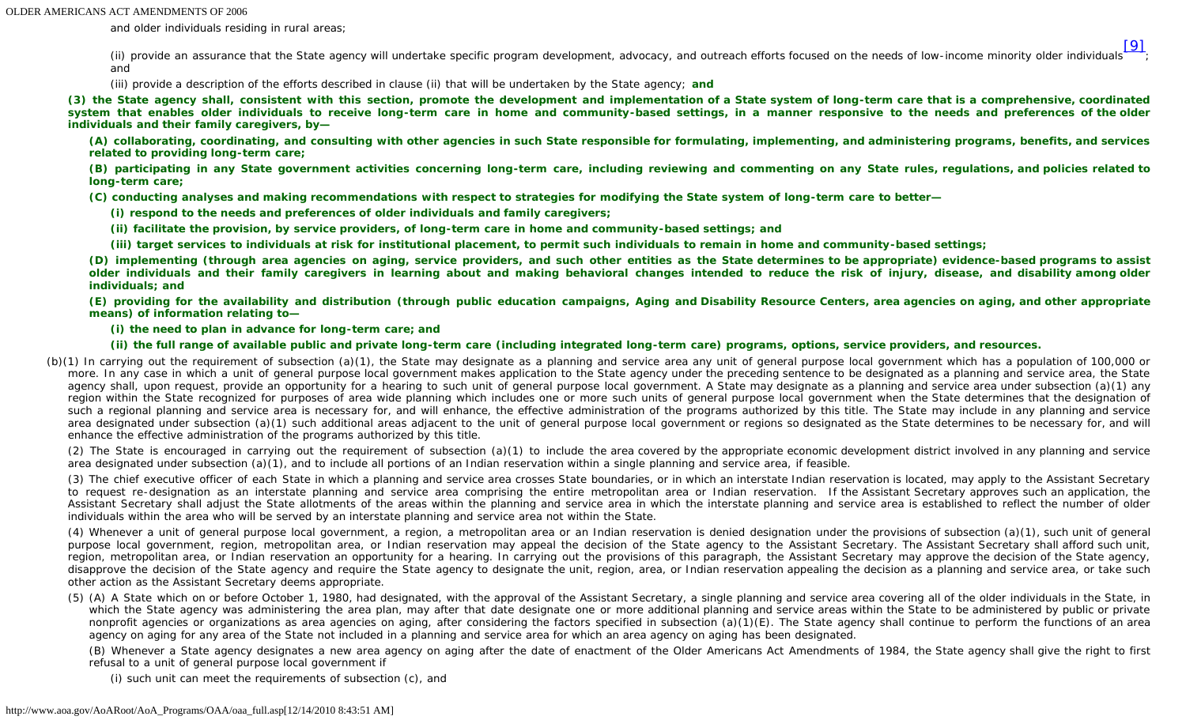and older individuals residing in rural areas;

(ii) provide an assurance that the State agency will undertake specific program development, advocacy, and outreach efforts focused on the needs of low-income minority older individuals<br>(ii) provide an assurance that the S ; and

(iii) provide a description of the efforts described in clause (ii) that will be undertaken by the State agency; **and**

**(3) the State agency shall, consistent with this section, promote the development and implementation of a State system of long-term care that is a comprehensive, coordinated** system that enables older individuals to receive long-term care in home and community-based settings, in a manner responsive to the needs and preferences of the older **individuals and their family caregivers, by—**

**(A) collaborating, coordinating, and consulting with other agencies in such State responsible for formulating, implementing, and administering programs, benefits, and services related to providing long-term care;**

**(B) participating in any State government activities concerning long-term care, including reviewing and commenting on any State rules, regulations, and policies related to long-term care;**

**(C) conducting analyses and making recommendations with respect to strategies for modifying the State system of long-term care to better—**

**(i) respond to the needs and preferences of older individuals and family caregivers;**

**(ii) facilitate the provision, by service providers, of long-term care in home and community-based settings; and**

**(iii) target services to individuals at risk for institutional placement, to permit such individuals to remain in home and community-based settings;**

**(D) implementing (through area agencies on aging, service providers, and such other entities as the State determines to be appropriate) evidence-based programs to assist older individuals and their family caregivers in learning about and making behavioral changes intended to reduce the risk of injury, disease, and disability among older individuals; and**

**(E) providing for the availability and distribution (through public education campaigns, Aging and Disability Resource Centers, area agencies on aging, and other appropriate means) of information relating to—**

**(i) the need to plan in advance for long-term care; and**

**(ii) the full range of available public and private long-term care (including integrated long-term care) programs, options, service providers, and resources.**

(b)(1) In carrying out the requirement of subsection (a)(1), the State may designate as a planning and service area any unit of general purpose local government which has a population of 100,000 or more. In any case in which a unit of general purpose local government makes application to the State agency under the preceding sentence to be designated as a planning and service area, the State agency shall, upon request, provide an opportunity for a hearing to such unit of general purpose local government. A State may designate as a planning and service area under subsection (a)(1) any region within the State recognized for purposes of area wide planning which includes one or more such units of general purpose local government when the State determines that the designation of such a regional planning and service area is necessary for, and will enhance, the effective administration of the programs authorized by this title. The State may include in any planning and service area designated under subsection (a)(1) such additional areas adjacent to the unit of general purpose local government or regions so designated as the State determines to be necessary for, and will enhance the effective administration of the programs authorized by this title.

(2) The State is encouraged in carrying out the requirement of subsection (a)(1) to include the area covered by the appropriate economic development district involved in any planning and service area designated under subsection (a)(1), and to include all portions of an Indian reservation within a single planning and service area, if feasible.

(3) The chief executive officer of each State in which a planning and service area crosses State boundaries, or in which an interstate Indian reservation is located, may apply to the Assistant Secretary to request re-designation as an interstate planning and service area comprising the entire metropolitan area or Indian reservation. If the Assistant Secretary approves such an application, the Assistant Secretary shall adjust the State allotments of the areas within the planning and service area in which the interstate planning and service area is established to reflect the number of older individuals within the area who will be served by an interstate planning and service area not within the State.

(4) Whenever a unit of general purpose local government, a region, a metropolitan area or an Indian reservation is denied designation under the provisions of subsection (a)(1), such unit of general purpose local government, region, metropolitan area, or Indian reservation may appeal the decision of the State agency to the Assistant Secretary. The Assistant Secretary shall afford such unit, region, metropolitan area, or Indian reservation an opportunity for a hearing. In carrying out the provisions of this paragraph, the Assistant Secretary may approve the decision of the State agency, disapprove the decision of the State agency and require the State agency to designate the unit, region, area, or Indian reservation appealing the decision as a planning and service area, or take such other action as the Assistant Secretary deems appropriate.

(5) (A) A State which on or before October 1, 1980, had designated, with the approval of the Assistant Secretary, a single planning and service area covering all of the older individuals in the State, in which the State agency was administering the area plan, may after that date designate one or more additional planning and service areas within the State to be administered by public or private nonprofit agencies or organizations as area agencies on aging, after considering the factors specified in subsection (a)(1)(E). The State agency shall continue to perform the functions of an area agency on aging for any area of the State not included in a planning and service area for which an area agency on aging has been designated.

(B) Whenever a State agency designates a new area agency on aging after the date of enactment of the Older Americans Act Amendments of 1984, the State agency shall give the right to first refusal to a unit of general purpose local government if

(i) such unit can meet the requirements of subsection (c), and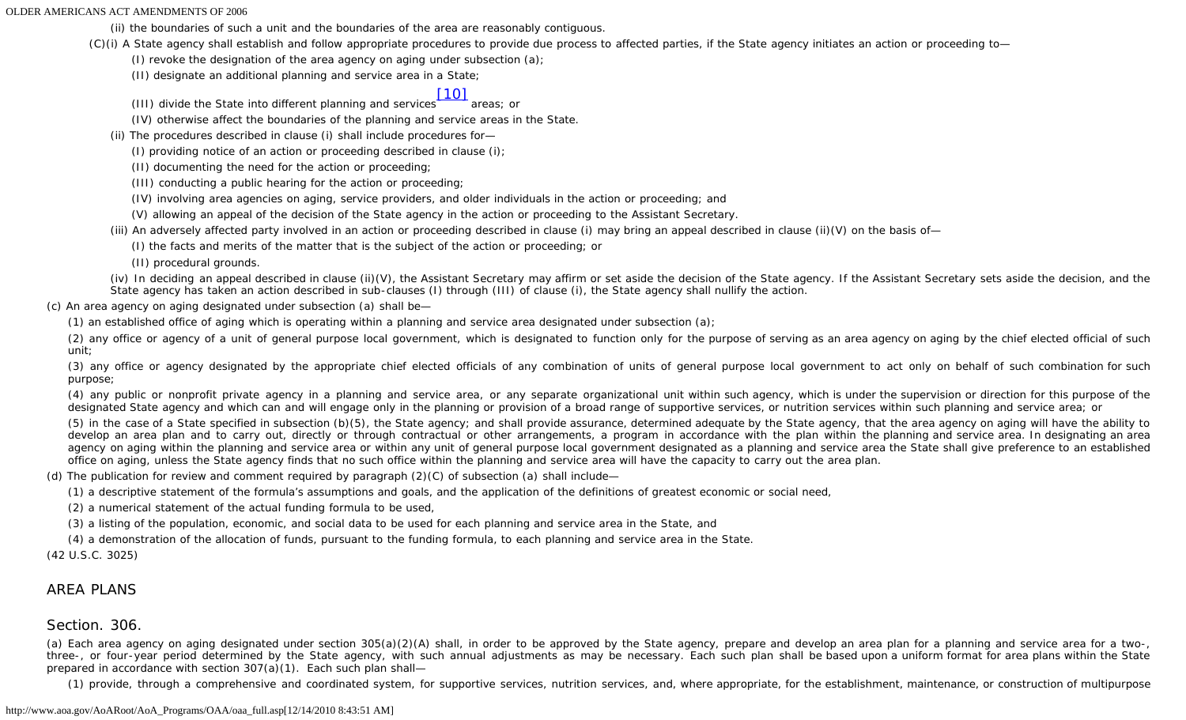(ii) the boundaries of such a unit and the boundaries of the area are reasonably contiguous.

- (C)(i) A State agency shall establish and follow appropriate procedures to provide due process to affected parties, if the State agency initiates an action or proceeding to—
	- (I) revoke the designation of the area agency on aging under subsection (a);
	- (II) designate an additional planning and service area in a State;

(III) divide the State into different planning and services<sup>[\[10\]](#page-93-3)</sup> areas; or

(IV) otherwise affect the boundaries of the planning and service areas in the State.

(ii) The procedures described in clause (i) shall include procedures for—

(I) providing notice of an action or proceeding described in clause  $(i)$ ;

(II) documenting the need for the action or proceeding;

(III) conducting a public hearing for the action or proceeding;

(IV) involving area agencies on aging, service providers, and older individuals in the action or proceeding; and

(V) allowing an appeal of the decision of the State agency in the action or proceeding to the Assistant Secretary.

(iii) An adversely affected party involved in an action or proceeding described in clause (i) may bring an appeal described in clause (ii)(V) on the basis of—

(I) the facts and merits of the matter that is the subject of the action or proceeding; or

(II) procedural grounds.

(iv) In deciding an appeal described in clause (ii)(V), the Assistant Secretary may affirm or set aside the decision of the State agency. If the Assistant Secretary sets aside the decision, and the State agency has taken an action described in sub-clauses (I) through (III) of clause (i), the State agency shall nullify the action.

(c) An area agency on aging designated under subsection (a) shall be—

(1) an established office of aging which is operating within a planning and service area designated under subsection (a);

(2) any office or agency of a unit of general purpose local government, which is designated to function only for the purpose of serving as an area agency on aging by the chief elected official of such unit;

(3) any office or agency designated by the appropriate chief elected officials of any combination of units of general purpose local government to act only on behalf of such combination for such purpose;

(4) any public or nonprofit private agency in a planning and service area, or any separate organizational unit within such agency, which is under the supervision or direction for this purpose of the designated State agency and which can and will engage only in the planning or provision of a broad range of supportive services, or nutrition services within such planning and service area; or

(5) in the case of a State specified in subsection (b)(5), the State agency; and shall provide assurance, determined adequate by the State agency, that the area agency on aging will have the ability to develop an area plan and to carry out, directly or through contractual or other arrangements, a program in accordance with the plan within the planning and service area. In designating an area agency on aging within the planning and service area or within any unit of general purpose local government designated as a planning and service area the State shall give preference to an established office on aging, unless the State agency finds that no such office within the planning and service area will have the capacity to carry out the area plan.

(d) The publication for review and comment required by paragraph (2)(C) of subsection (a) shall include—

(1) a descriptive statement of the formula's assumptions and goals, and the application of the definitions of greatest economic or social need,

(2) a numerical statement of the actual funding formula to be used,

(3) a listing of the population, economic, and social data to be used for each planning and service area in the State, and

(4) a demonstration of the allocation of funds, pursuant to the funding formula, to each planning and service area in the State.

(42 U.S.C. 3025)

# <span id="page-30-0"></span>*AREA PLANS*

# <span id="page-30-1"></span>Section. 306.

(a) Each area agency on aging designated under section 305(a)(2)(A) shall, in order to be approved by the State agency, prepare and develop an area plan for a planning and service area for a two-, three-, or four-year period determined by the State agency, with such annual adjustments as may be necessary. Each such plan shall be based upon a uniform format for area plans within the State prepared in accordance with section  $307(a)(1)$ . Each such plan shall—

(1) provide, through a comprehensive and coordinated system, for supportive services, nutrition services, and, where appropriate, for the establishment, maintenance, or construction of multipurpose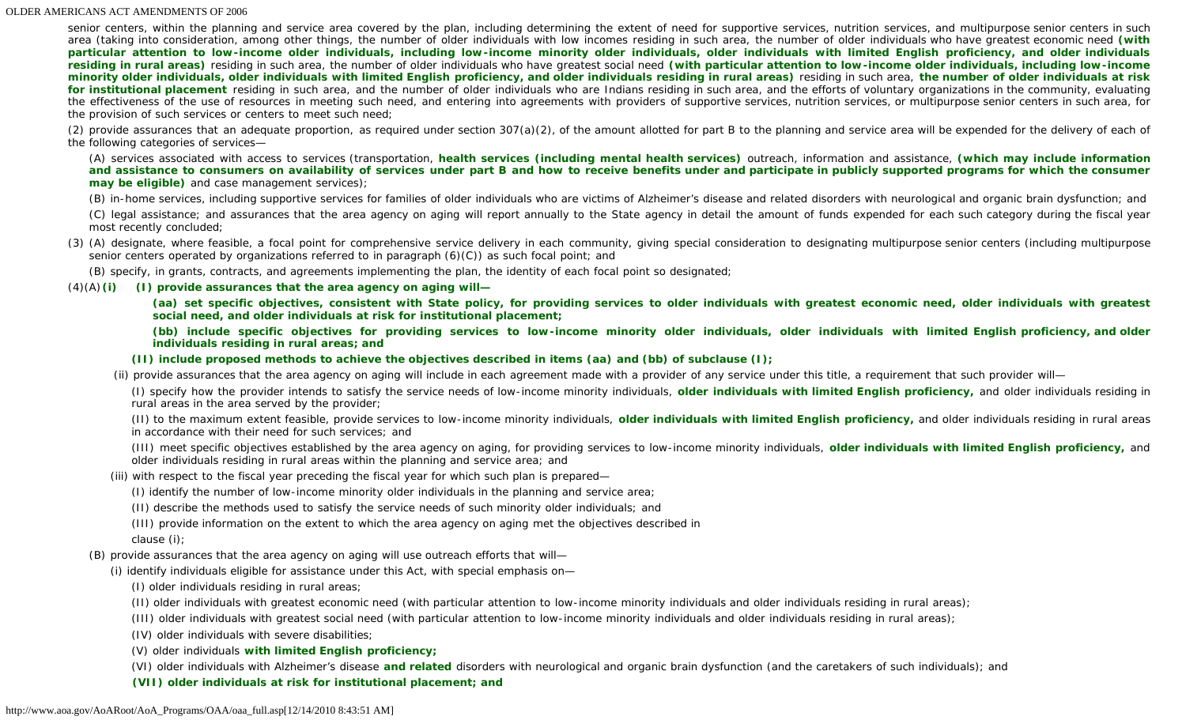senior centers, within the planning and service area covered by the plan, including determining the extent of need for supportive services, nutrition services, and multipurpose senior centers in such area (taking into consideration, among other things, the number of older individuals with low incomes residing in such area, the number of older individuals who have greatest economic need **(with particular attention to low-income older individuals, including low-income minority older individuals, older individuals with limited English proficiency, and older individuals** residing in rural areas) residing in such area, the number of older individuals who have greatest social need (with particular attention to low-income older individuals, including low-income **minority older individuals, older individuals with limited English proficiency, and older individuals residing in rural areas)** residing in such area, **the number of older individuals at risk** for institutional placement residing in such area, and the number of older individuals who are Indians residing in such area, and the efforts of voluntary organizations in the community, evaluating the effectiveness of the use of resources in meeting such need, and entering into agreements with providers of supportive services, nutrition services, or multipurpose senior centers in such area, for the provision of such services or centers to meet such need;

(2) provide assurances that an adequate proportion, as required under section 307(a)(2), of the amount allotted for part B to the planning and service area will be expended for the delivery of each of the following categories of services—

(A) services associated with access to services (transportation, **health services (including mental health services)** outreach, information and assistance, **(which may include information and assistance to consumers on availability of services under part B and how to receive benefits under and participate in publicly supported programs for which the consumer may be eligible)** and case management services);

(B) in-home services, including supportive services for families of older individuals who are victims of Alzheimer's disease and related disorders with neurological and organic brain dysfunction; and

(C) legal assistance; and assurances that the area agency on aging will report annually to the State agency in detail the amount of funds expended for each such category during the fiscal year most recently concluded;

(3) (A) designate, where feasible, a focal point for comprehensive service delivery in each community, giving special consideration to designating multipurpose senior centers (including multipurpose senior centers operated by organizations referred to in paragraph (6)(C)) as such focal point; and

(B) specify, in grants, contracts, and agreements implementing the plan, the identity of each focal point so designated;

#### (4)(A)**(i) (I) provide assurances that the area agency on aging will—**

**(aa) set specific objectives, consistent with State policy, for providing services to older individuals with greatest economic need, older individuals with greatest social need, and older individuals at risk for institutional placement;**

**(bb) include specific objectives for providing services to low-income minority older individuals, older individuals with limited English proficiency, and older individuals residing in rural areas; and**

#### **(II) include proposed methods to achieve the objectives described in items (aa) and (bb) of subclause (I);**

(ii) provide assurances that the area agency on aging will include in each agreement made with a provider of any service under this title, a requirement that such provider will—

(I) specify how the provider intends to satisfy the service needs of low-income minority individuals, **older individuals with limited English proficiency,** and older individuals residing in rural areas in the area served by the provider;

(II) to the maximum extent feasible, provide services to low-income minority individuals, **older individuals with limited English proficiency,** and older individuals residing in rural areas in accordance with their need for such services; and

(III) meet specific objectives established by the area agency on aging, for providing services to low-income minority individuals, **older individuals with limited English proficiency,** and older individuals residing in rural areas within the planning and service area; and

#### (iii) with respect to the fiscal year preceding the fiscal year for which such plan is prepared—

(I) identify the number of low-income minority older individuals in the planning and service area;

(II) describe the methods used to satisfy the service needs of such minority older individuals; and

(III) provide information on the extent to which the area agency on aging met the objectives described in

clause (i);

- (B) provide assurances that the area agency on aging will use outreach efforts that will—
	- (i) identify individuals eligible for assistance under this Act, with special emphasis on—

(I) older individuals residing in rural areas;

(II) older individuals with greatest economic need (with particular attention to low-income minority individuals and older individuals residing in rural areas);

(III) older individuals with greatest social need (with particular attention to low-income minority individuals and older individuals residing in rural areas);

(IV) older individuals with severe disabilities;

(V) older individuals **with limited English proficiency;**

(VI) older individuals with Alzheimer's disease **and related** disorders with neurological and organic brain dysfunction (and the caretakers of such individuals); and

**(VII) older individuals at risk for institutional placement; and**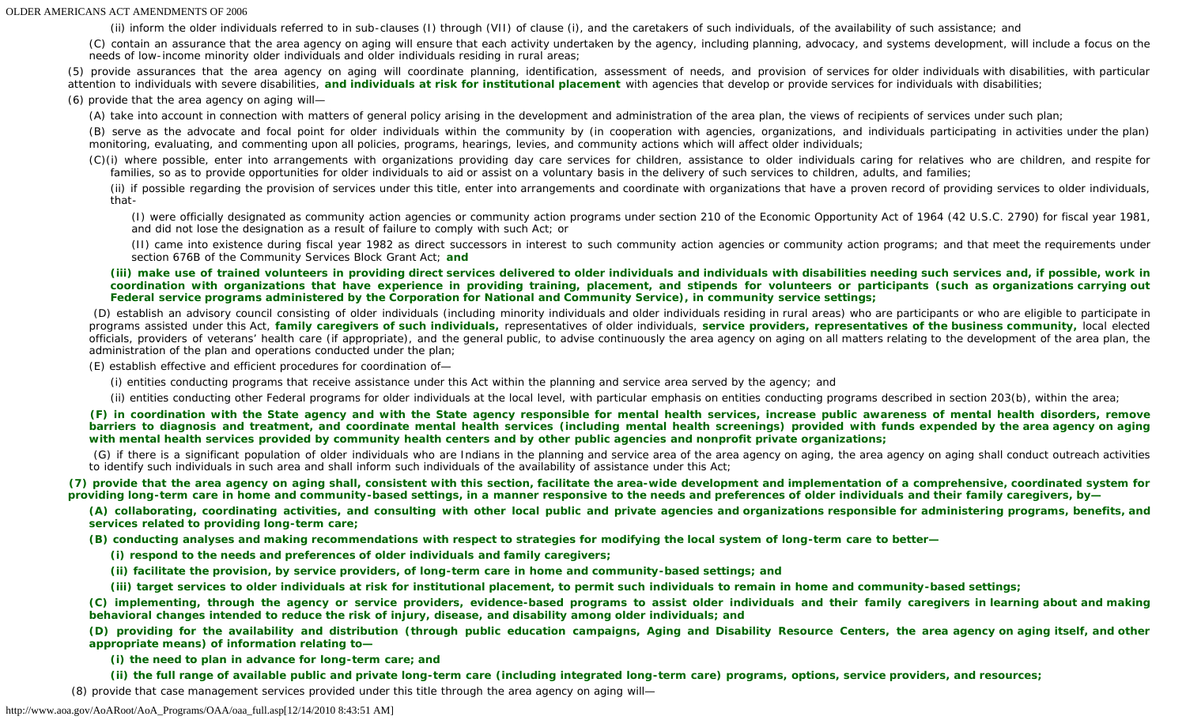(ii) inform the older individuals referred to in sub-clauses (I) through (VII) of clause (i), and the caretakers of such individuals, of the availability of such assistance; and

(C) contain an assurance that the area agency on aging will ensure that each activity undertaken by the agency, including planning, advocacy, and systems development, will include a focus on the needs of low-income minority older individuals and older individuals residing in rural areas;

(5) provide assurances that the area agency on aging will coordinate planning, identification, assessment of needs, and provision of services for older individuals with disabilities, with particular attention to individuals with severe disabilities, **and individuals at risk for institutional placement** with agencies that develop or provide services for individuals with disabilities;

#### (6) provide that the area agency on aging will—

(A) take into account in connection with matters of general policy arising in the development and administration of the area plan, the views of recipients of services under such plan;

(B) serve as the advocate and focal point for older individuals within the community by (in cooperation with agencies, organizations, and individuals participating in activities under the plan) monitoring, evaluating, and commenting upon all policies, programs, hearings, levies, and community actions which will affect older individuals;

(C)(i) where possible, enter into arrangements with organizations providing day care services for children, assistance to older individuals caring for relatives who are children, and respite for families, so as to provide opportunities for older individuals to aid or assist on a voluntary basis in the delivery of such services to children, adults, and families;

(ii) if possible regarding the provision of services under this title, enter into arrangements and coordinate with organizations that have a proven record of providing services to older individuals, that-

(I) were officially designated as community action agencies or community action programs under section 210 of the Economic Opportunity Act of 1964 (42 U.S.C. 2790) for fiscal year 1981, and did not lose the designation as a result of failure to comply with such Act; or

(II) came into existence during fiscal year 1982 as direct successors in interest to such community action agencies or community action programs; and that meet the requirements under section 676B of the Community Services Block Grant Act; **and**

**(iii) make use of trained volunteers in providing direct services delivered to older individuals and individuals with disabilities needing such services and, if possible, work in coordination with organizations that have experience in providing training, placement, and stipends for volunteers or participants (such as organizations carrying out Federal service programs administered by the Corporation for National and Community Service), in community service settings;**

(D) establish an advisory council consisting of older individuals (including minority individuals and older individuals residing in rural areas) who are participants or who are eligible to participate in programs assisted under this Act, **family caregivers of such individuals,** representatives of older individuals, **service providers, representatives of the business community,** local elected officials, providers of veterans' health care (if appropriate), and the general public, to advise continuously the area agency on aging on all matters relating to the development of the area plan, the administration of the plan and operations conducted under the plan;

(E) establish effective and efficient procedures for coordination of—

(i) entities conducting programs that receive assistance under this Act within the planning and service area served by the agency; and

(ii) entities conducting other Federal programs for older individuals at the local level, with particular emphasis on entities conducting programs described in section 203(b), within the area;

**(F) in coordination with the State agency and with the State agency responsible for mental health services, increase public awareness of mental health disorders, remove barriers to diagnosis and treatment, and coordinate mental health services (including mental health screenings) provided with funds expended by the area agency on aging with mental health services provided by community health centers and by other public agencies and nonprofit private organizations;**

(G) if there is a significant population of older individuals who are Indians in the planning and service area of the area agency on aging, the area agency on aging shall conduct outreach activities to identify such individuals in such area and shall inform such individuals of the availability of assistance under this Act;

**(7) provide that the area agency on aging shall, consistent with this section, facilitate the area-wide development and implementation of a comprehensive, coordinated system for providing long-term care in home and community-based settings, in a manner responsive to the needs and preferences of older individuals and their family caregivers, by—**

**(A) collaborating, coordinating activities, and consulting with other local public and private agencies and organizations responsible for administering programs, benefits, and services related to providing long-term care;**

**(B) conducting analyses and making recommendations with respect to strategies for modifying the local system of long-term care to better—**

**(i) respond to the needs and preferences of older individuals and family caregivers;**

- **(ii) facilitate the provision, by service providers, of long-term care in home and community-based settings; and**
- **(iii) target services to older individuals at risk for institutional placement, to permit such individuals to remain in home and community-based settings;**

**(C) implementing, through the agency or service providers, evidence-based programs to assist older individuals and their family caregivers in learning about and making behavioral changes intended to reduce the risk of injury, disease, and disability among older individuals; and**

**(D) providing for the availability and distribution (through public education campaigns, Aging and Disability Resource Centers, the area agency on aging itself, and other appropriate means) of information relating to—**

**(i) the need to plan in advance for long-term care; and**

**(ii) the full range of available public and private long-term care (including integrated long-term care) programs, options, service providers, and resources;**

(8) provide that case management services provided under this title through the area agency on aging will—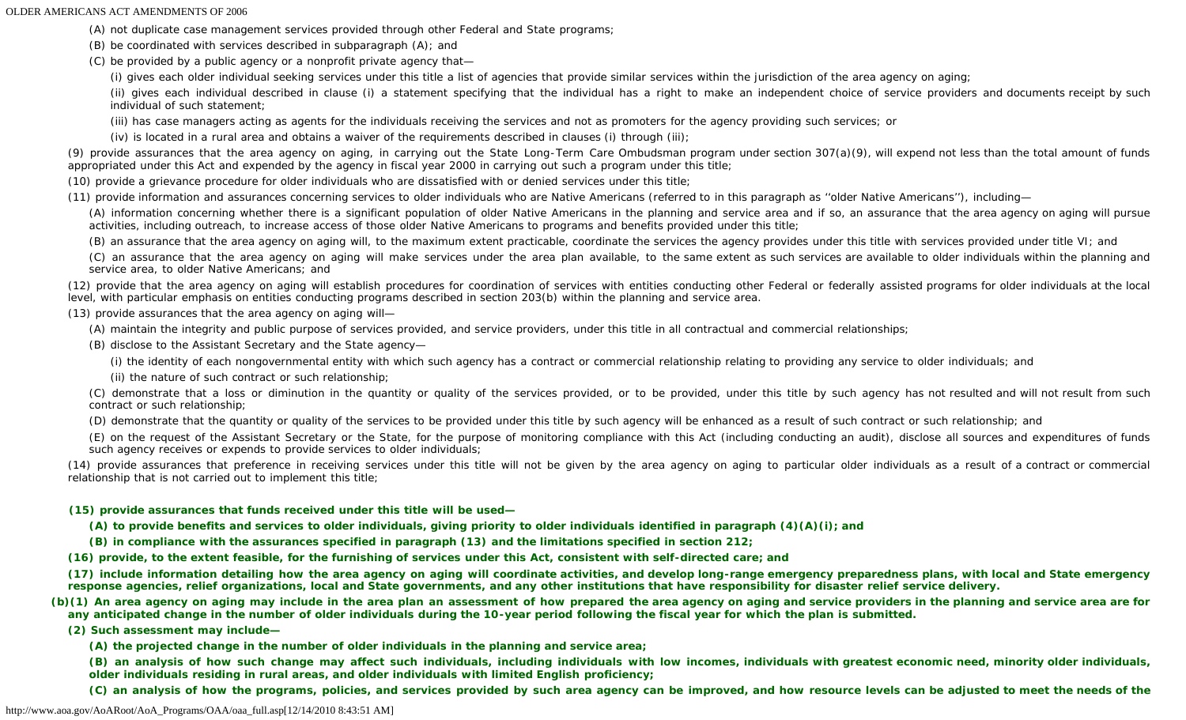- (A) not duplicate case management services provided through other Federal and State programs;
- (B) be coordinated with services described in subparagraph (A); and
- (C) be provided by a public agency or a nonprofit private agency that—
	- (i) gives each older individual seeking services under this title a list of agencies that provide similar services within the jurisdiction of the area agency on aging;

(ii) gives each individual described in clause (i) a statement specifying that the individual has a right to make an independent choice of service providers and documents receipt by such individual of such statement;

(iii) has case managers acting as agents for the individuals receiving the services and not as promoters for the agency providing such services; or

(iv) is located in a rural area and obtains a waiver of the requirements described in clauses (i) through (iii);

(9) provide assurances that the area agency on aging, in carrying out the State Long-Term Care Ombudsman program under section 307(a)(9), will expend not less than the total amount of funds appropriated under this Act and expended by the agency in fiscal year 2000 in carrying out such a program under this title;

(10) provide a grievance procedure for older individuals who are dissatisfied with or denied services under this title;

(11) provide information and assurances concerning services to older individuals who are Native Americans (referred to in this paragraph as ''older Native Americans''), including—

(A) information concerning whether there is a significant population of older Native Americans in the planning and service area and if so, an assurance that the area agency on aging will pursue activities, including outreach, to increase access of those older Native Americans to programs and benefits provided under this title;

(B) an assurance that the area agency on aging will, to the maximum extent practicable, coordinate the services the agency provides under this title with services provided under title VI; and

(C) an assurance that the area agency on aging will make services under the area plan available, to the same extent as such services are available to older individuals within the planning and service area, to older Native Americans; and

(12) provide that the area agency on aging will establish procedures for coordination of services with entities conducting other Federal or federally assisted programs for older individuals at the local level, with particular emphasis on entities conducting programs described in section 203(b) within the planning and service area.

(13) provide assurances that the area agency on aging will—

- (A) maintain the integrity and public purpose of services provided, and service providers, under this title in all contractual and commercial relationships;
- (B) disclose to the Assistant Secretary and the State agency—

(i) the identity of each nongovernmental entity with which such agency has a contract or commercial relationship relating to providing any service to older individuals; and

(ii) the nature of such contract or such relationship;

(C) demonstrate that a loss or diminution in the quantity or quality of the services provided, or to be provided, under this title by such agency has not resulted and will not result from such contract or such relationship;

(D) demonstrate that the quantity or quality of the services to be provided under this title by such agency will be enhanced as a result of such contract or such relationship; and

(E) on the request of the Assistant Secretary or the State, for the purpose of monitoring compliance with this Act (including conducting an audit), disclose all sources and expenditures of funds such agency receives or expends to provide services to older individuals;

(14) provide assurances that preference in receiving services under this title will not be given by the area agency on aging to particular older individuals as a result of a contract or commercial relationship that is not carried out to implement this title;

#### **(15) provide assurances that funds received under this title will be used—**

**(A) to provide benefits and services to older individuals, giving priority to older individuals identified in paragraph (4)(A)(i); and**

**(B) in compliance with the assurances specified in paragraph (13) and the limitations specified in section 212;**

**(16) provide, to the extent feasible, for the furnishing of services under this Act, consistent with self-directed care; and**

**(17) include information detailing how the area agency on aging will coordinate activities, and develop long-range emergency preparedness plans, with local and State emergency response agencies, relief organizations, local and State governments, and any other institutions that have responsibility for disaster relief service delivery.**

**(b)(1) An area agency on aging may include in the area plan an assessment of how prepared the area agency on aging and service providers in the planning and service area are for any anticipated change in the number of older individuals during the 10-year period following the fiscal year for which the plan is submitted.**

**(2) Such assessment may include—**

**(A) the projected change in the number of older individuals in the planning and service area;**

**(B) an analysis of how such change may affect such individuals, including individuals with low incomes, individuals with greatest economic need, minority older individuals, older individuals residing in rural areas, and older individuals with limited English proficiency;**

**(C) an analysis of how the programs, policies, and services provided by such area agency can be improved, and how resource levels can be adjusted to meet the needs of the**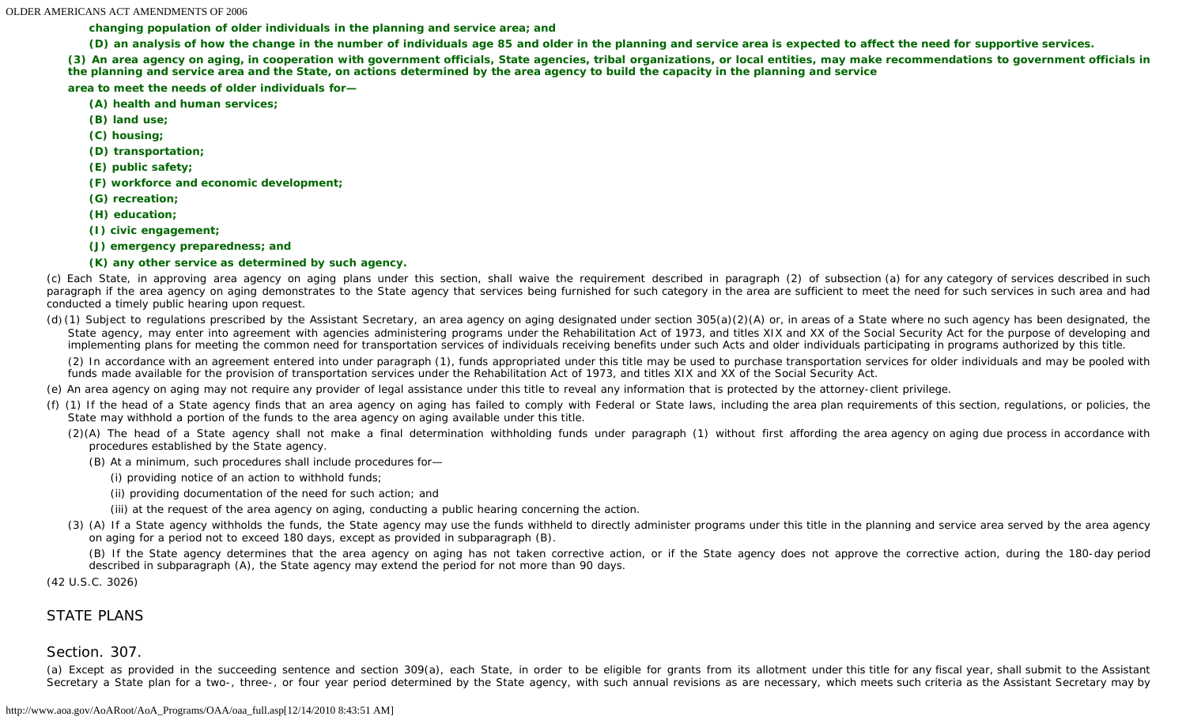**changing population of older individuals in the planning and service area; and**

**(D) an analysis of how the change in the number of individuals age 85 and older in the planning and service area is expected to affect the need for supportive services.**

**(3) An area agency on aging, in cooperation with government officials, State agencies, tribal organizations, or local entities, may make recommendations to government officials in the planning and service area and the State, on actions determined by the area agency to build the capacity in the planning and service**

**area to meet the needs of older individuals for—**

- **(A) health and human services;**
- **(B) land use;**
- **(C) housing;**
- **(D) transportation;**
- **(E) public safety;**
- **(F) workforce and economic development;**
- **(G) recreation;**
- **(H) education;**
- **(I) civic engagement;**
- **(J) emergency preparedness; and**

#### **(K) any other service as determined by such agency.**

(c) Each State, in approving area agency on aging plans under this section, shall waive the requirement described in paragraph (2) of subsection (a) for any category of services described in such paragraph if the area agency on aging demonstrates to the State agency that services being furnished for such category in the area are sufficient to meet the need for such services in such area and had conducted a timely public hearing upon request.

(d) (1) Subject to regulations prescribed by the Assistant Secretary, an area agency on aging designated under section 305(a)(2)(A) or, in areas of a State where no such agency has been designated, the State agency, may enter into agreement with agencies administering programs under the Rehabilitation Act of 1973, and titles XIX and XX of the Social Security Act for the purpose of developing and implementing plans for meeting the common need for transportation services of individuals receiving benefits under such Acts and older individuals participating in programs authorized by this title.

(2) In accordance with an agreement entered into under paragraph (1), funds appropriated under this title may be used to purchase transportation services for older individuals and may be pooled with funds made available for the provision of transportation services under the Rehabilitation Act of 1973, and titles XIX and XX of the Social Security Act.

- (e) An area agency on aging may not require any provider of legal assistance under this title to reveal any information that is protected by the attorney-client privilege.
- (f) (1) If the head of a State agency finds that an area agency on aging has failed to comply with Federal or State laws, including the area plan requirements of this section, regulations, or policies, the State may withhold a portion of the funds to the area agency on aging available under this title.
	- (2)(A) The head of a State agency shall not make a final determination withholding funds under paragraph (1) without first affording the area agency on aging due process in accordance with procedures established by the State agency.
		- (B) At a minimum, such procedures shall include procedures for—
			- (i) providing notice of an action to withhold funds;
			- (ii) providing documentation of the need for such action; and
			- (iii) at the request of the area agency on aging, conducting a public hearing concerning the action.
	- (3) (A) If a State agency withholds the funds, the State agency may use the funds withheld to directly administer programs under this title in the planning and service area served by the area agency on aging for a period not to exceed 180 days, except as provided in subparagraph (B).

(B) If the State agency determines that the area agency on aging has not taken corrective action, or if the State agency does not approve the corrective action, during the 180-day period described in subparagraph (A), the State agency may extend the period for not more than 90 days.

(42 U.S.C. 3026)

# <span id="page-34-0"></span>*STATE PLANS*

### <span id="page-34-1"></span>Section. 307.

(a) Except as provided in the succeeding sentence and section 309(a), each State, in order to be eligible for grants from its allotment under this title for any fiscal year, shall submit to the Assistant Secretary a State plan for a two-, three-, or four year period determined by the State agency, with such annual revisions as are necessary, which meets such criteria as the Assistant Secretary may by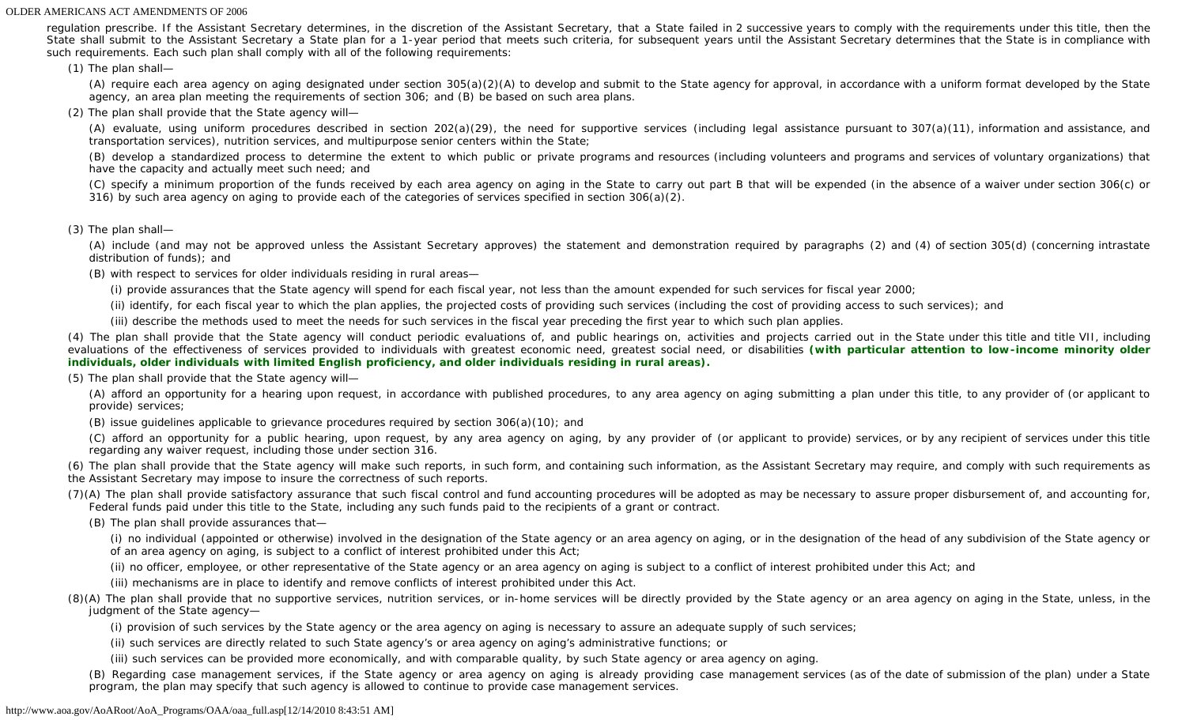regulation prescribe. If the Assistant Secretary determines, in the discretion of the Assistant Secretary, that a State failed in 2 successive years to comply with the requirements under this title, then the State shall submit to the Assistant Secretary a State plan for a 1-year period that meets such criteria, for subsequent years until the Assistant Secretary determines that the State is in compliance with such requirements. Each such plan shall comply with all of the following requirements:

(1) The plan shall—

(A) require each area agency on aging designated under section 305(a)(2)(A) to develop and submit to the State agency for approval, in accordance with a uniform format developed by the State agency, an area plan meeting the requirements of section 306; and (B) be based on such area plans.

(2) The plan shall provide that the State agency will—

(A) evaluate, using uniform procedures described in section 202(a)(29), the need for supportive services (including legal assistance pursuant to 307(a)(11), information and assistance, and transportation services), nutrition services, and multipurpose senior centers within the State;

(B) develop a standardized process to determine the extent to which public or private programs and resources (including volunteers and programs and services of voluntary organizations) that have the capacity and actually meet such need; and

(C) specify a minimum proportion of the funds received by each area agency on aging in the State to carry out part B that will be expended (in the absence of a waiver under section 306(c) or 316) by such area agency on aging to provide each of the categories of services specified in section 306(a)(2).

(3) The plan shall—

(A) include (and may not be approved unless the Assistant Secretary approves) the statement and demonstration required by paragraphs (2) and (4) of section 305(d) (concerning intrastate distribution of funds); and

(B) with respect to services for older individuals residing in rural areas—

(i) provide assurances that the State agency will spend for each fiscal year, not less than the amount expended for such services for fiscal year 2000;

(ii) identify, for each fiscal year to which the plan applies, the projected costs of providing such services (including the cost of providing access to such services); and

(iii) describe the methods used to meet the needs for such services in the fiscal year preceding the first year to which such plan applies.

(4) The plan shall provide that the State agency will conduct periodic evaluations of, and public hearings on, activities and projects carried out in the State under this title and title VII, including evaluations of the effectiveness of services provided to individuals with greatest economic need, greatest social need, or disabilities (with particular attention to low-income minority older **individuals, older individuals with limited English proficiency, and older individuals residing in rural areas).**

(5) The plan shall provide that the State agency will—

(A) afford an opportunity for a hearing upon request, in accordance with published procedures, to any area agency on aging submitting a plan under this title, to any provider of (or applicant to provide) services;

(B) issue quidelines applicable to grievance procedures required by section  $306(a)(10)$ ; and

(C) afford an opportunity for a public hearing, upon request, by any area agency on aging, by any provider of (or applicant to provide) services, or by any recipient of services under this title regarding any waiver request, including those under section 316.

(6) The plan shall provide that the State agency will make such reports, in such form, and containing such information, as the Assistant Secretary may require, and comply with such requirements as the Assistant Secretary may impose to insure the correctness of such reports.

(7)(A) The plan shall provide satisfactory assurance that such fiscal control and fund accounting procedures will be adopted as may be necessary to assure proper disbursement of, and accounting for, Federal funds paid under this title to the State, including any such funds paid to the recipients of a grant or contract.

(B) The plan shall provide assurances that—

(i) no individual (appointed or otherwise) involved in the designation of the State agency or an area agency on aging, or in the designation of the head of any subdivision of the State agency or of an area agency on aging, is subject to a conflict of interest prohibited under this Act;

(ii) no officer, employee, or other representative of the State agency or an area agency on aging is subject to a conflict of interest prohibited under this Act; and

(iii) mechanisms are in place to identify and remove conflicts of interest prohibited under this Act.

(8)(A) The plan shall provide that no supportive services, nutrition services, or in-home services will be directly provided by the State agency or an area agency on aging in the State, unless, in the judgment of the State agency—

(i) provision of such services by the State agency or the area agency on aging is necessary to assure an adequate supply of such services;

(ii) such services are directly related to such State agency's or area agency on aging's administrative functions; or

(iii) such services can be provided more economically, and with comparable quality, by such State agency or area agency on aging.

(B) Regarding case management services, if the State agency or area agency on aging is already providing case management services (as of the date of submission of the plan) under a State program, the plan may specify that such agency is allowed to continue to provide case management services.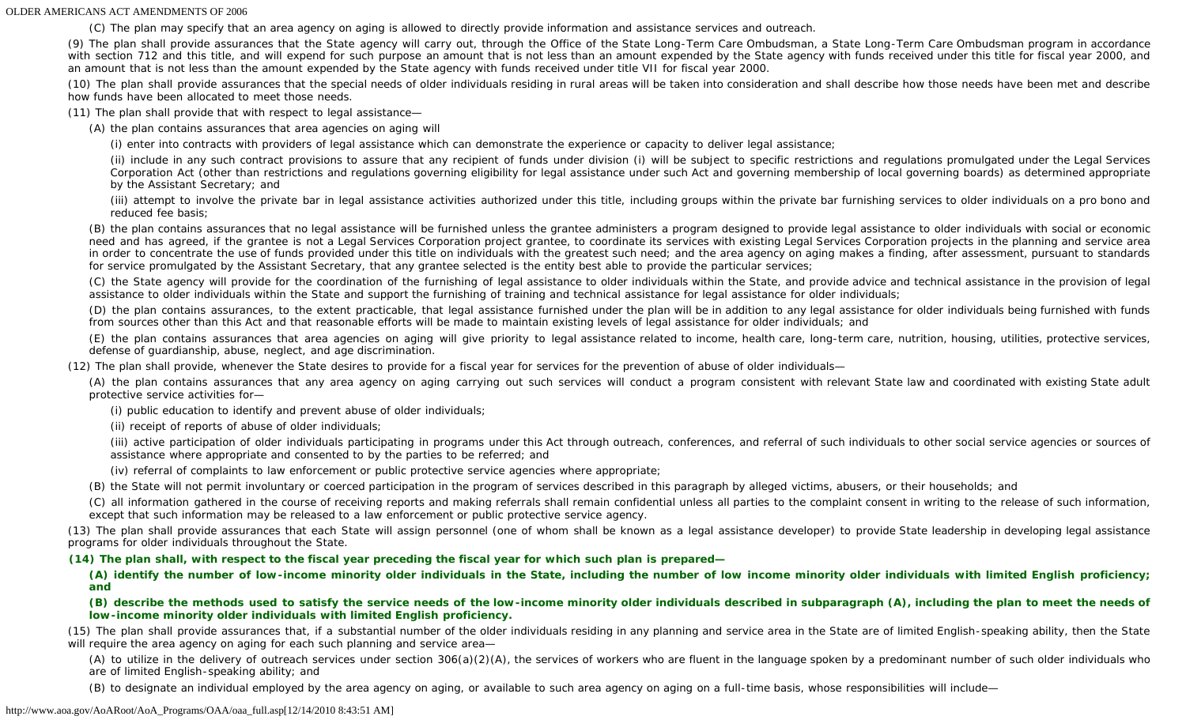(C) The plan may specify that an area agency on aging is allowed to directly provide information and assistance services and outreach.

(9) The plan shall provide assurances that the State agency will carry out, through the Office of the State Long-Term Care Ombudsman, a State Long-Term Care Ombudsman program in accordance with section 712 and this title, and will expend for such purpose an amount that is not less than an amount expended by the State agency with funds received under this title for fiscal year 2000, and an amount that is not less than the amount expended by the State agency with funds received under title VII for fiscal year 2000.

(10) The plan shall provide assurances that the special needs of older individuals residing in rural areas will be taken into consideration and shall describe how those needs have been met and describe how funds have been allocated to meet those needs.

(11) The plan shall provide that with respect to legal assistance—

(A) the plan contains assurances that area agencies on aging will

(i) enter into contracts with providers of legal assistance which can demonstrate the experience or capacity to deliver legal assistance;

(ii) include in any such contract provisions to assure that any recipient of funds under division (i) will be subject to specific restrictions and regulations promulgated under the Legal Services Corporation Act (other than restrictions and regulations governing eligibility for legal assistance under such Act and governing membership of local governing boards) as determined appropriate by the Assistant Secretary; and

(iii) attempt to involve the private bar in legal assistance activities authorized under this title, including groups within the private bar furnishing services to older individuals on a pro bono and reduced fee basis;

(B) the plan contains assurances that no legal assistance will be furnished unless the grantee administers a program designed to provide legal assistance to older individuals with social or economic need and has agreed, if the grantee is not a Legal Services Corporation project grantee, to coordinate its services with existing Legal Services Corporation projects in the planning and service area in order to concentrate the use of funds provided under this title on individuals with the greatest such need; and the area agency on aging makes a finding, after assessment, pursuant to standards for service promulgated by the Assistant Secretary, that any grantee selected is the entity best able to provide the particular services;

(C) the State agency will provide for the coordination of the furnishing of legal assistance to older individuals within the State, and provide advice and technical assistance in the provision of legal assistance to older individuals within the State and support the furnishing of training and technical assistance for legal assistance for older individuals;

(D) the plan contains assurances, to the extent practicable, that legal assistance furnished under the plan will be in addition to any legal assistance for older individuals being furnished with funds from sources other than this Act and that reasonable efforts will be made to maintain existing levels of legal assistance for older individuals; and

(E) the plan contains assurances that area agencies on aging will give priority to legal assistance related to income, health care, long-term care, nutrition, housing, utilities, protective services, defense of guardianship, abuse, neglect, and age discrimination.

(12) The plan shall provide, whenever the State desires to provide for a fiscal year for services for the prevention of abuse of older individuals—

(A) the plan contains assurances that any area agency on aging carrying out such services will conduct a program consistent with relevant State law and coordinated with existing State adult protective service activities for—

(i) public education to identify and prevent abuse of older individuals;

(ii) receipt of reports of abuse of older individuals;

(iii) active participation of older individuals participating in programs under this Act through outreach, conferences, and referral of such individuals to other social service agencies or sources of assistance where appropriate and consented to by the parties to be referred; and

(iv) referral of complaints to law enforcement or public protective service agencies where appropriate;

(B) the State will not permit involuntary or coerced participation in the program of services described in this paragraph by alleged victims, abusers, or their households; and

(C) all information gathered in the course of receiving reports and making referrals shall remain confidential unless all parties to the complaint consent in writing to the release of such information, except that such information may be released to a law enforcement or public protective service agency.

(13) The plan shall provide assurances that each State will assign personnel (one of whom shall be known as a legal assistance developer) to provide State leadership in developing legal assistance programs for older individuals throughout the State.

**(14) The plan shall, with respect to the fiscal year preceding the fiscal year for which such plan is prepared—**

**(A) identify the number of low-income minority older individuals in the State, including the number of low income minority older individuals with limited English proficiency; and**

**(B) describe the methods used to satisfy the service needs of the low-income minority older individuals described in subparagraph (A), including the plan to meet the needs of low-income minority older individuals with limited English proficiency.**

(15) The plan shall provide assurances that, if a substantial number of the older individuals residing in any planning and service area in the State are of limited English-speaking ability, then the State will require the area agency on aging for each such planning and service area-

(A) to utilize in the delivery of outreach services under section 306(a)(2)(A), the services of workers who are fluent in the language spoken by a predominant number of such older individuals who are of limited English-speaking ability; and

(B) to designate an individual employed by the area agency on aging, or available to such area agency on aging on a full-time basis, whose responsibilities will include—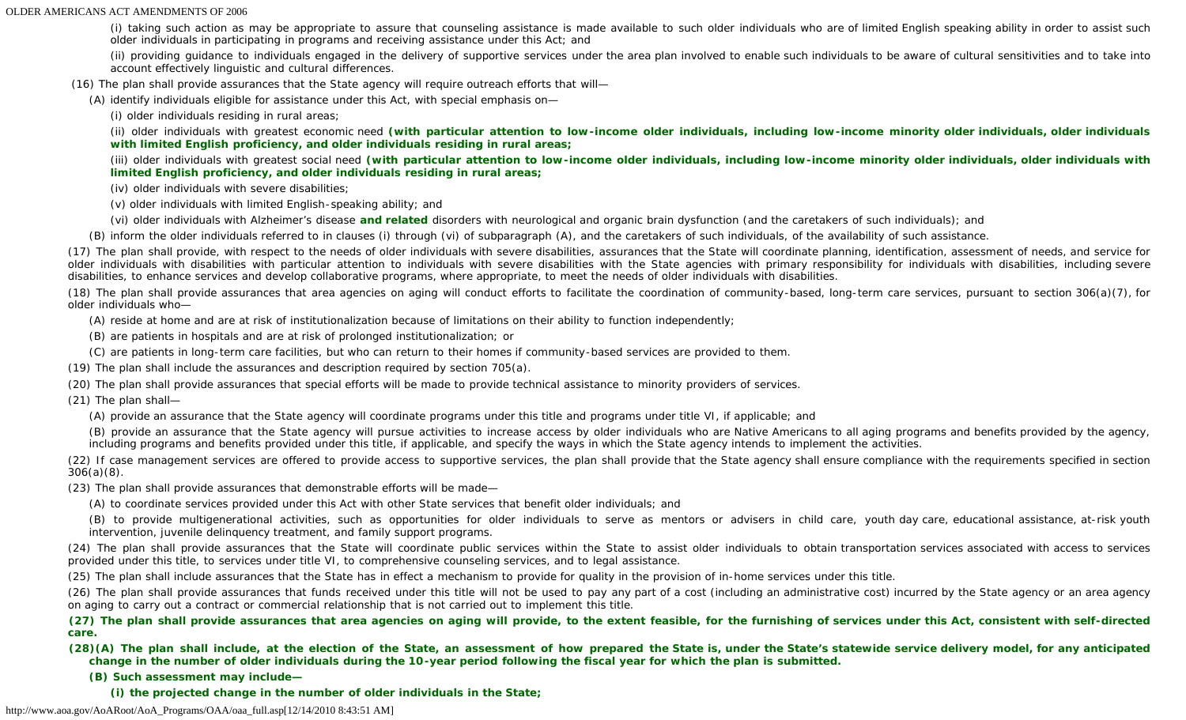(i) taking such action as may be appropriate to assure that counseling assistance is made available to such older individuals who are of limited English speaking ability in order to assist such older individuals in participating in programs and receiving assistance under this Act; and

(ii) providing guidance to individuals engaged in the delivery of supportive services under the area plan involved to enable such individuals to be aware of cultural sensitivities and to take into account effectively linguistic and cultural differences.

(16) The plan shall provide assurances that the State agency will require outreach efforts that will—

(A) identify individuals eligible for assistance under this Act, with special emphasis on—

(i) older individuals residing in rural areas;

(ii) older individuals with greatest economic need **(with particular attention to low-income older individuals, including low-income minority older individuals, older individuals with limited English proficiency, and older individuals residing in rural areas;**

(iii) older individuals with greatest social need **(with particular attention to low-income older individuals, including low-income minority older individuals, older individuals with limited English proficiency, and older individuals residing in rural areas;**

(iv) older individuals with severe disabilities;

(v) older individuals with limited English-speaking ability; and

(vi) older individuals with Alzheimer's disease **and related** disorders with neurological and organic brain dysfunction (and the caretakers of such individuals); and

(B) inform the older individuals referred to in clauses (i) through (vi) of subparagraph (A), and the caretakers of such individuals, of the availability of such assistance.

(17) The plan shall provide, with respect to the needs of older individuals with severe disabilities, assurances that the State will coordinate planning, identification, assessment of needs, and service for older individuals with disabilities with particular attention to individuals with severe disabilities with the State agencies with primary responsibility for individuals with disabilities, including severe disabilities, to enhance services and develop collaborative programs, where appropriate, to meet the needs of older individuals with disabilities.

(18) The plan shall provide assurances that area agencies on aging will conduct efforts to facilitate the coordination of community-based, long-term care services, pursuant to section 306(a)(7), for older individuals who—

(A) reside at home and are at risk of institutionalization because of limitations on their ability to function independently;

(B) are patients in hospitals and are at risk of prolonged institutionalization; or

(C) are patients in long-term care facilities, but who can return to their homes if community-based services are provided to them.

(19) The plan shall include the assurances and description required by section 705(a).

(20) The plan shall provide assurances that special efforts will be made to provide technical assistance to minority providers of services.

(21) The plan shall—

(A) provide an assurance that the State agency will coordinate programs under this title and programs under title VI, if applicable; and

(B) provide an assurance that the State agency will pursue activities to increase access by older individuals who are Native Americans to all aging programs and benefits provided by the agency, including programs and benefits provided under this title, if applicable, and specify the ways in which the State agency intends to implement the activities.

(22) If case management services are offered to provide access to supportive services, the plan shall provide that the State agency shall ensure compliance with the requirements specified in section  $306(a)(8)$ .

(23) The plan shall provide assurances that demonstrable efforts will be made—

(A) to coordinate services provided under this Act with other State services that benefit older individuals; and

(B) to provide multigenerational activities, such as opportunities for older individuals to serve as mentors or advisers in child care, youth day care, educational assistance, at-risk youth intervention, juvenile delinquency treatment, and family support programs.

(24) The plan shall provide assurances that the State will coordinate public services within the State to assist older individuals to obtain transportation services associated with access to services provided under this title, to services under title VI, to comprehensive counseling services, and to legal assistance.

(25) The plan shall include assurances that the State has in effect a mechanism to provide for quality in the provision of in-home services under this title.

(26) The plan shall provide assurances that funds received under this title will not be used to pay any part of a cost (including an administrative cost) incurred by the State agency or an area agency on aging to carry out a contract or commercial relationship that is not carried out to implement this title.

**(27) The plan shall provide assurances that area agencies on aging will provide, to the extent feasible, for the furnishing of services under this Act, consistent with self-directed care.**

**(28)(A) The plan shall include, at the election of the State, an assessment of how prepared the State is, under the State's statewide service delivery model, for any anticipated change in the number of older individuals during the 10-year period following the fiscal year for which the plan is submitted.**

**(B) Such assessment may include—**

**(i) the projected change in the number of older individuals in the State;**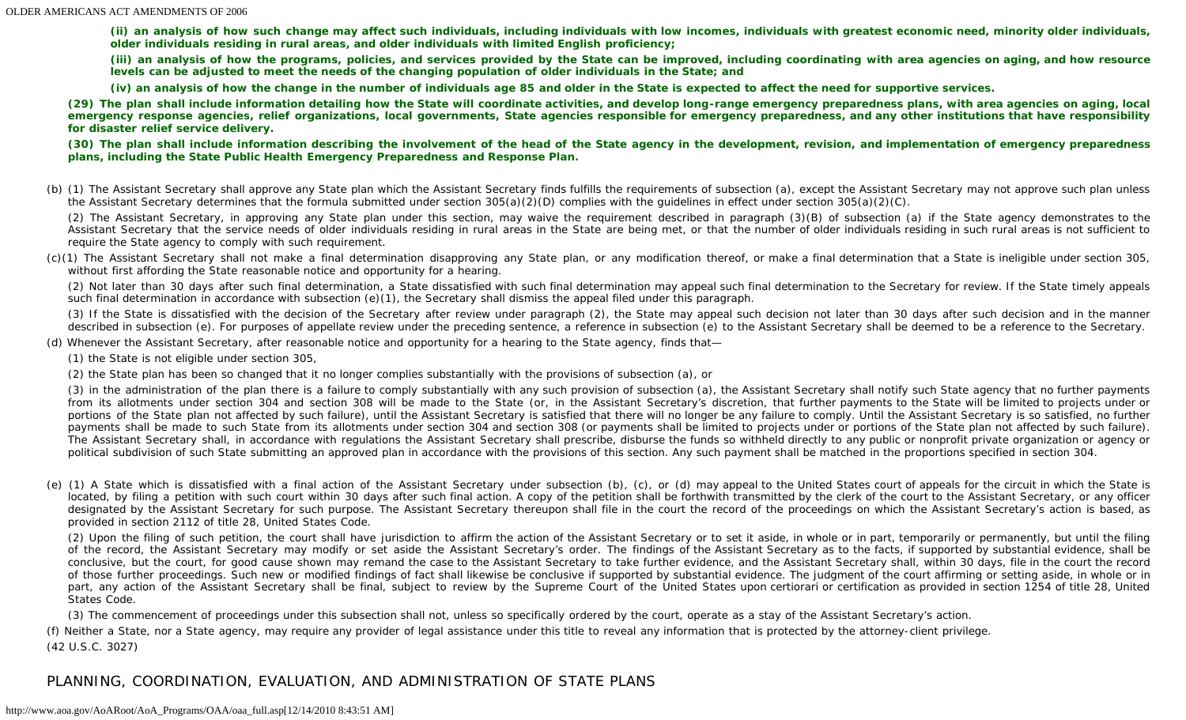**(ii) an analysis of how such change may affect such individuals, including individuals with low incomes, individuals with greatest economic need, minority older individuals, older individuals residing in rural areas, and older individuals with limited English proficiency;**

**(iii) an analysis of how the programs, policies, and services provided by the State can be improved, including coordinating with area agencies on aging, and how resource levels can be adjusted to meet the needs of the changing population of older individuals in the State; and**

**(iv) an analysis of how the change in the number of individuals age 85 and older in the State is expected to affect the need for supportive services.**

**(29) The plan shall include information detailing how the State will coordinate activities, and develop long-range emergency preparedness plans, with area agencies on aging, local emergency response agencies, relief organizations, local governments, State agencies responsible for emergency preparedness, and any other institutions that have responsibility for disaster relief service delivery.**

**(30) The plan shall include information describing the involvement of the head of the State agency in the development, revision, and implementation of emergency preparedness plans, including the State Public Health Emergency Preparedness and Response Plan.**

(b) (1) The Assistant Secretary shall approve any State plan which the Assistant Secretary finds fulfills the requirements of subsection (a), except the Assistant Secretary may not approve such plan unless the Assistant Secretary determines that the formula submitted under section 305(a)(2)(D) complies with the guidelines in effect under section 305(a)(2)(C).

(2) The Assistant Secretary, in approving any State plan under this section, may waive the requirement described in paragraph (3)(B) of subsection (a) if the State agency demonstrates to the Assistant Secretary that the service needs of older individuals residing in rural areas in the State are being met, or that the number of older individuals residing in such rural areas is not sufficient to require the State agency to comply with such requirement.

(c)(1) The Assistant Secretary shall not make a final determination disapproving any State plan, or any modification thereof, or make a final determination that a State is ineligible under section 305, without first affording the State reasonable notice and opportunity for a hearing.

(2) Not later than 30 days after such final determination, a State dissatisfied with such final determination may appeal such final determination to the Secretary for review. If the State timely appeals such final determination in accordance with subsection (e)(1), the Secretary shall dismiss the appeal filed under this paragraph.

(3) If the State is dissatisfied with the decision of the Secretary after review under paragraph (2), the State may appeal such decision not later than 30 days after such decision and in the manner described in subsection (e). For purposes of appellate review under the preceding sentence, a reference in subsection (e) to the Assistant Secretary shall be deemed to be a reference to the Secretary.

- (d) Whenever the Assistant Secretary, after reasonable notice and opportunity for a hearing to the State agency, finds that—
	- (1) the State is not eligible under section 305,

(2) the State plan has been so changed that it no longer complies substantially with the provisions of subsection (a), or

(3) in the administration of the plan there is a failure to comply substantially with any such provision of subsection (a), the Assistant Secretary shall notify such State agency that no further payments from its allotments under section 304 and section 308 will be made to the State (or, in the Assistant Secretary's discretion, that further payments to the State will be limited to projects under or portions of the State plan not affected by such failure), until the Assistant Secretary is satisfied that there will no longer be any failure to comply. Until the Assistant Secretary is so satisfied, no further payments shall be made to such State from its allotments under section 304 and section 308 (or payments shall be limited to projects under or portions of the State plan not affected by such failure). The Assistant Secretary shall, in accordance with regulations the Assistant Secretary shall prescribe, disburse the funds so withheld directly to any public or nonprofit private organization or agency or political subdivision of such State submitting an approved plan in accordance with the provisions of this section. Any such payment shall be matched in the proportions specified in section 304.

(e) (1) A State which is dissatisfied with a final action of the Assistant Secretary under subsection (b), (c), or (d) may appeal to the United States court of appeals for the circuit in which the State is located, by filing a petition with such court within 30 days after such final action. A copy of the petition shall be forthwith transmitted by the clerk of the court to the Assistant Secretary, or any officer designated by the Assistant Secretary for such purpose. The Assistant Secretary thereupon shall file in the court the record of the proceedings on which the Assistant Secretary's action is based, as provided in section 2112 of title 28, United States Code.

(2) Upon the filing of such petition, the court shall have jurisdiction to affirm the action of the Assistant Secretary or to set it aside, in whole or in part, temporarily or permanently, but until the filing of the record, the Assistant Secretary may modify or set aside the Assistant Secretary's order. The findings of the Assistant Secretary as to the facts, if supported by substantial evidence, shall be conclusive, but the court, for good cause shown may remand the case to the Assistant Secretary to take further evidence, and the Assistant Secretary shall, within 30 days, file in the court the record of those further proceedings. Such new or modified findings of fact shall likewise be conclusive if supported by substantial evidence. The judgment of the court affirming or setting aside, in whole or in part, any action of the Assistant Secretary shall be final, subject to review by the Supreme Court of the United States upon certiorari or certification as provided in section 1254 of title 28, United States Code.

(3) The commencement of proceedings under this subsection shall not, unless so specifically ordered by the court, operate as a stay of the Assistant Secretary's action.

(f) Neither a State, nor a State agency, may require any provider of legal assistance under this title to reveal any information that is protected by the attorney-client privilege. (42 U.S.C. 3027)

# *PLANNING, COORDINATION, EVALUATION, AND ADMINISTRATION OF STATE PLANS*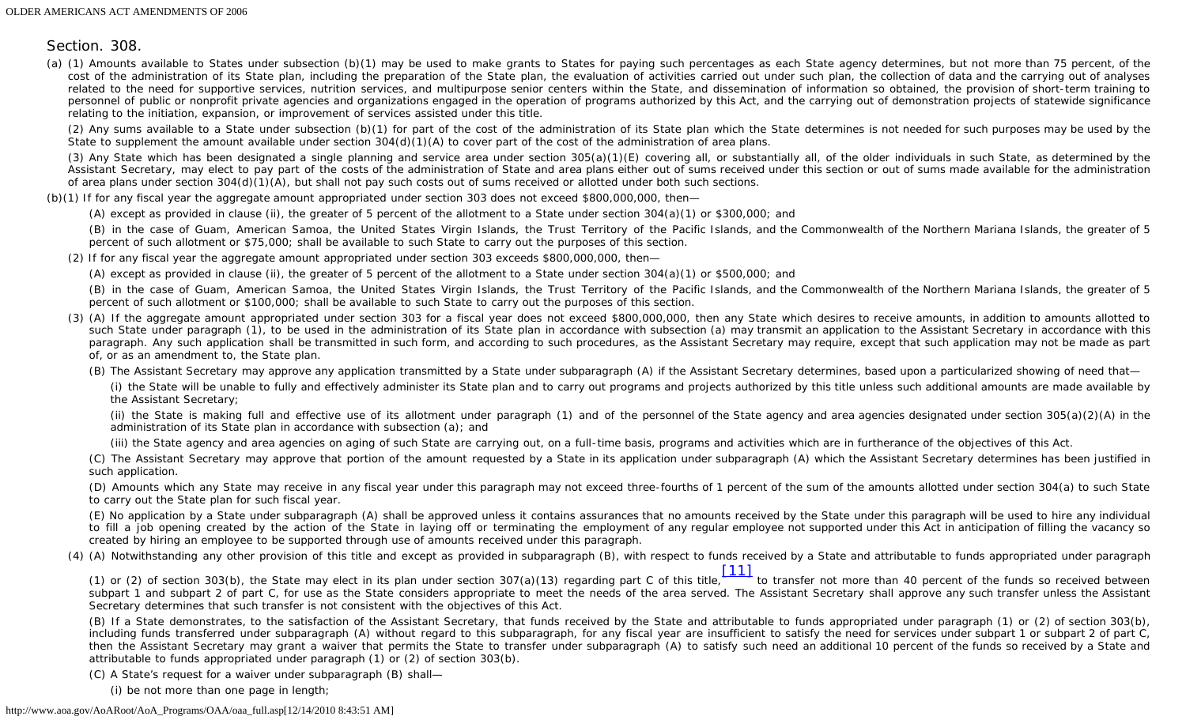## Section. 308.

(a) (1) Amounts available to States under subsection (b)(1) may be used to make grants to States for paying such percentages as each State agency determines, but not more than 75 percent, of the cost of the administration of its State plan, including the preparation of the State plan, the evaluation of activities carried out under such plan, the collection of data and the carrying out of analyses related to the need for supportive services, nutrition services, and multipurpose senior centers within the State, and dissemination of information so obtained, the provision of short-term training to personnel of public or nonprofit private agencies and organizations engaged in the operation of programs authorized by this Act, and the carrying out of demonstration projects of statewide significance relating to the initiation, expansion, or improvement of services assisted under this title.

(2) Any sums available to a State under subsection (b)(1) for part of the cost of the administration of its State plan which the State determines is not needed for such purposes may be used by the State to supplement the amount available under section 304(d)(1)(A) to cover part of the cost of the administration of area plans.

(3) Any State which has been designated a single planning and service area under section 305(a)(1)(E) covering all, or substantially all, of the older individuals in such State, as determined by the Assistant Secretary, may elect to pay part of the costs of the administration of State and area plans either out of sums received under this section or out of sums made available for the administration of area plans under section 304(d)(1)(A), but shall not pay such costs out of sums received or allotted under both such sections.

(b)(1) If for any fiscal year the aggregate amount appropriated under section 303 does not exceed \$800,000,000, then—

(A) except as provided in clause (ii), the greater of 5 percent of the allotment to a State under section 304(a)(1) or \$300,000; and

(B) in the case of Guam, American Samoa, the United States Virgin Islands, the Trust Territory of the Pacific Islands, and the Commonwealth of the Northern Mariana Islands, the greater of 5 percent of such allotment or \$75,000; shall be available to such State to carry out the purposes of this section.

(2) If for any fiscal year the aggregate amount appropriated under section 303 exceeds \$800,000,000, then—

(A) except as provided in clause (ii), the greater of 5 percent of the allotment to a State under section 304(a)(1) or \$500,000; and

(B) in the case of Guam, American Samoa, the United States Virgin Islands, the Trust Territory of the Pacific Islands, and the Commonwealth of the Northern Mariana Islands, the greater of 5 percent of such allotment or \$100,000; shall be available to such State to carry out the purposes of this section.

(3) (A) If the aggregate amount appropriated under section 303 for a fiscal year does not exceed \$800,000,000, then any State which desires to receive amounts, in addition to amounts allotted to such State under paragraph (1), to be used in the administration of its State plan in accordance with subsection (a) may transmit an application to the Assistant Secretary in accordance with this paragraph. Any such application shall be transmitted in such form, and according to such procedures, as the Assistant Secretary may require, except that such application may not be made as part of, or as an amendment to, the State plan.

(B) The Assistant Secretary may approve any application transmitted by a State under subparagraph (A) if the Assistant Secretary determines, based upon a particularized showing of need that—

(i) the State will be unable to fully and effectively administer its State plan and to carry out programs and projects authorized by this title unless such additional amounts are made available by the Assistant Secretary;

(ii) the State is making full and effective use of its allotment under paragraph (1) and of the personnel of the State agency and area agencies designated under section 305(a)(2)(A) in the administration of its State plan in accordance with subsection (a); and

(iii) the State agency and area agencies on aging of such State are carrying out, on a full-time basis, programs and activities which are in furtherance of the objectives of this Act.

(C) The Assistant Secretary may approve that portion of the amount requested by a State in its application under subparagraph (A) which the Assistant Secretary determines has been justified in such application.

(D) Amounts which any State may receive in any fiscal year under this paragraph may not exceed three-fourths of 1 percent of the sum of the amounts allotted under section 304(a) to such State to carry out the State plan for such fiscal year.

(E) No application by a State under subparagraph (A) shall be approved unless it contains assurances that no amounts received by the State under this paragraph will be used to hire any individual to fill a job opening created by the action of the State in laying off or terminating the employment of any regular employee not supported under this Act in anticipation of filling the vacancy so created by hiring an employee to be supported through use of amounts received under this paragraph.

(4) (A) Notwithstanding any other provision of this title and except as provided in subparagraph (B), with respect to funds received by a State and attributable to funds appropriated under paragraph

(1) or (2) of section 303(b), the State may elect in its plan under section 307(a)(13) regarding part C of this title, to transfer not more than 40 percent of the funds so received between (1) or (2) of section 303(b), th subpart 1 and subpart 2 of part C, for use as the State considers appropriate to meet the needs of the area served. The Assistant Secretary shall approve any such transfer unless the Assistant Secretary determines that such transfer is not consistent with the objectives of this Act.

(B) If a State demonstrates, to the satisfaction of the Assistant Secretary, that funds received by the State and attributable to funds appropriated under paragraph (1) or (2) of section 303(b), including funds transferred under subparagraph (A) without regard to this subparagraph, for any fiscal year are insufficient to satisfy the need for services under subpart 1 or subpart 2 of part C, then the Assistant Secretary may grant a waiver that permits the State to transfer under subparagraph (A) to satisfy such need an additional 10 percent of the funds so received by a State and attributable to funds appropriated under paragraph (1) or (2) of section 303(b).

(C) A State's request for a waiver under subparagraph (B) shall—

(i) be not more than one page in length;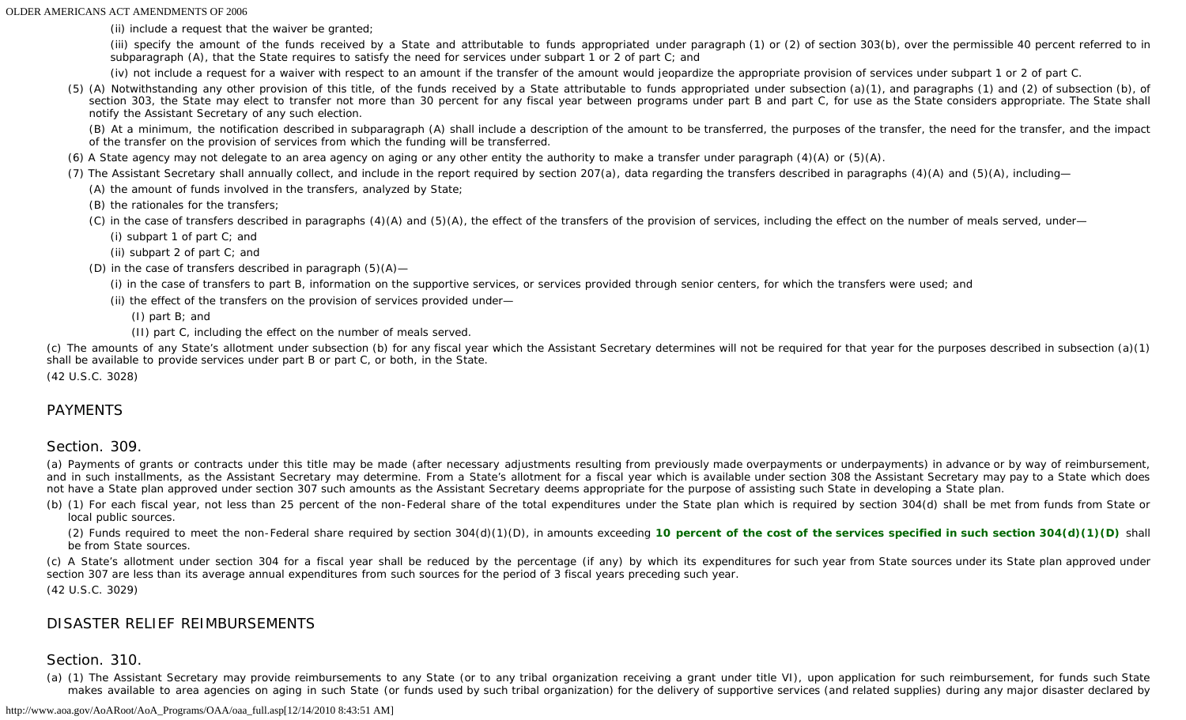(ii) include a request that the waiver be granted;

(iii) specify the amount of the funds received by a State and attributable to funds appropriated under paragraph (1) or (2) of section 303(b), over the permissible 40 percent referred to in subparagraph (A), that the State requires to satisfy the need for services under subpart 1 or 2 of part C; and

(iv) not include a request for a waiver with respect to an amount if the transfer of the amount would jeopardize the appropriate provision of services under subpart 1 or 2 of part C.

(5) (A) Notwithstanding any other provision of this title, of the funds received by a State attributable to funds appropriated under subsection (a)(1), and paragraphs (1) and (2) of subsection (b), of section 303, the State may elect to transfer not more than 30 percent for any fiscal year between programs under part B and part C, for use as the State considers appropriate. The State shall notify the Assistant Secretary of any such election.

(B) At a minimum, the notification described in subparagraph (A) shall include a description of the amount to be transferred, the purposes of the transfer, the need for the transfer, and the impact of the transfer on the provision of services from which the funding will be transferred.

(6) A State agency may not delegate to an area agency on aging or any other entity the authority to make a transfer under paragraph  $(4)(A)$  or  $(5)(A)$ .

(7) The Assistant Secretary shall annually collect, and include in the report required by section 207(a), data regarding the transfers described in paragraphs (4)(A) and (5)(A), including—

(A) the amount of funds involved in the transfers, analyzed by State;

(B) the rationales for the transfers;

(C) in the case of transfers described in paragraphs (4)(A) and (5)(A), the effect of the transfers of the provision of services, including the effect on the number of meals served, under— (i) subpart 1 of part C; and

(ii) subpart 2 of part C; and

(D) in the case of transfers described in paragraph  $(5)(A)$ —

(i) in the case of transfers to part B, information on the supportive services, or services provided through senior centers, for which the transfers were used; and

(ii) the effect of the transfers on the provision of services provided under—

(I) part B; and

(II) part C, including the effect on the number of meals served.

(c) The amounts of any State's allotment under subsection (b) for any fiscal year which the Assistant Secretary determines will not be required for that year for the purposes described in subsection (a)(1) shall be available to provide services under part B or part C, or both, in the State.

(42 U.S.C. 3028)

# *PAYMENTS*

## Section. 309.

(a) Payments of grants or contracts under this title may be made (after necessary adjustments resulting from previously made overpayments or underpayments) in advance or by way of reimbursement, and in such installments, as the Assistant Secretary may determine. From a State's allotment for a fiscal year which is available under section 308 the Assistant Secretary may pay to a State which does not have a State plan approved under section 307 such amounts as the Assistant Secretary deems appropriate for the purpose of assisting such State in developing a State plan.

(b) (1) For each fiscal year, not less than 25 percent of the non-Federal share of the total expenditures under the State plan which is required by section 304(d) shall be met from funds from State or local public sources.

(2) Funds required to meet the non-Federal share required by section 304(d)(1)(D), in amounts exceeding **10 percent of the cost of the services specified in such section 304(d)(1)(D)** shall be from State sources.

(c) A State's allotment under section 304 for a fiscal year shall be reduced by the percentage (if any) by which its expenditures for such year from State sources under its State plan approved under section 307 are less than its average annual expenditures from such sources for the period of 3 fiscal years preceding such year. (42 U.S.C. 3029)

## *DISASTER RELIEF REIMBURSEMENTS*

## Section. 310.

(a) (1) The Assistant Secretary may provide reimbursements to any State (or to any tribal organization receiving a grant under title VI), upon application for such reimbursement, for funds such State makes available to area agencies on aging in such State (or funds used by such tribal organization) for the delivery of supportive services (and related supplies) during any major disaster declared by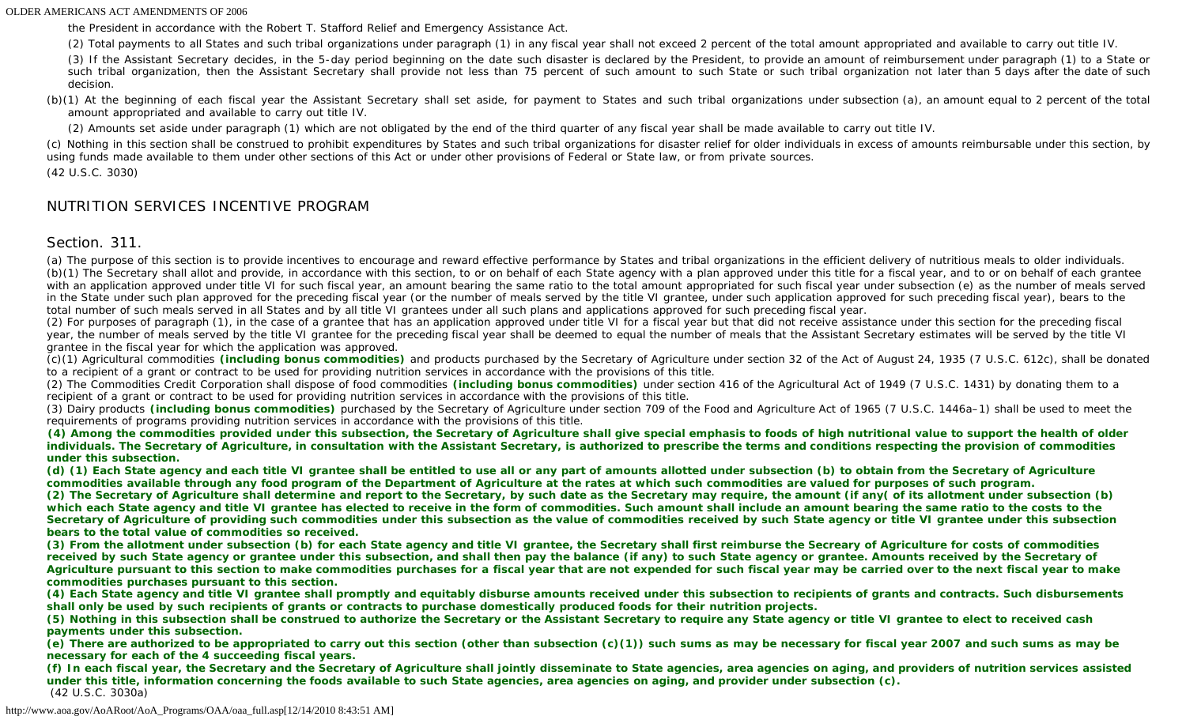the President in accordance with the Robert T. Stafford Relief and Emergency Assistance Act.

(2) Total payments to all States and such tribal organizations under paragraph (1) in any fiscal year shall not exceed 2 percent of the total amount appropriated and available to carry out title IV.

(3) If the Assistant Secretary decides, in the 5-day period beginning on the date such disaster is declared by the President, to provide an amount of reimbursement under paragraph (1) to a State or such tribal organization, then the Assistant Secretary shall provide not less than 75 percent of such amount to such State or such tribal organization not later than 5 days after the date of such decision.

(b)(1) At the beginning of each fiscal year the Assistant Secretary shall set aside, for payment to States and such tribal organizations under subsection (a), an amount equal to 2 percent of the total amount appropriated and available to carry out title IV.

(2) Amounts set aside under paragraph (1) which are not obligated by the end of the third quarter of any fiscal year shall be made available to carry out title IV.

(c) Nothing in this section shall be construed to prohibit expenditures by States and such tribal organizations for disaster relief for older individuals in excess of amounts reimbursable under this section, by using funds made available to them under other sections of this Act or under other provisions of Federal or State law, or from private sources.

(42 U.S.C. 3030)

# *NUTRITION SERVICES INCENTIVE PROGRAM*

Section. 311.

(a) The purpose of this section is to provide incentives to encourage and reward effective performance by States and tribal organizations in the efficient delivery of nutritious meals to older individuals. (b)(1) The Secretary shall allot and provide, in accordance with this section, to or on behalf of each State agency with a plan approved under this title for a fiscal year, and to or on behalf of each grantee with an application approved under title VI for such fiscal year, an amount bearing the same ratio to the total amount appropriated for such fiscal year under subsection (e) as the number of meals served in the State under such plan approved for the preceding fiscal year (or the number of meals served by the title VI grantee, under such application approved for such preceding fiscal year), bears to the total number of such meals served in all States and by all title VI grantees under all such plans and applications approved for such preceding fiscal year.

(2) For purposes of paragraph (1), in the case of a grantee that has an application approved under title VI for a fiscal year but that did not receive assistance under this section for the preceding fiscal year, the number of meals served by the title VI grantee for the preceding fiscal year shall be deemed to equal the number of meals that the Assistant Secretary estimates will be served by the title VI grantee in the fiscal year for which the application was approved.

(c)(1) Agricultural commodities **(including bonus commodities)** and products purchased by the Secretary of Agriculture under section 32 of the Act of August 24, 1935 (7 U.S.C. 612c), shall be donated to a recipient of a grant or contract to be used for providing nutrition services in accordance with the provisions of this title.

(2) The Commodities Credit Corporation shall dispose of food commodities **(including bonus commodities)** under section 416 of the Agricultural Act of 1949 (7 U.S.C. 1431) by donating them to a recipient of a grant or contract to be used for providing nutrition services in accordance with the provisions of this title.

(3) Dairy products **(including bonus commodities)** purchased by the Secretary of Agriculture under section 709 of the Food and Agriculture Act of 1965 (7 U.S.C. 1446a–1) shall be used to meet the requirements of programs providing nutrition services in accordance with the provisions of this title.

**(4) Among the commodities provided under this subsection, the Secretary of Agriculture shall give special emphasis to foods of high nutritional value to support the health of older individuals. The Secretary of Agriculture, in consultation with the Assistant Secretary, is authorized to prescribe the terms and conditions respecting the provision of commodities under this subsection.**

**(d) (1) Each State agency and each title VI grantee shall be entitled to use all or any part of amounts allotted under subsection (b) to obtain from the Secretary of Agriculture commodities available through any food program of the Department of Agriculture at the rates at which such commodities are valued for purposes of such program.**

**(2) The Secretary of Agriculture shall determine and report to the Secretary, by such date as the Secretary may require, the amount (if any( of its allotment under subsection (b)** which each State agency and title VI grantee has elected to receive in the form of commodities. Such amount shall include an amount bearing the same ratio to the costs to the **Secretary of Agriculture of providing such commodities under this subsection as the value of commodities received by such State agency or title VI grantee under this subsection bears to the total value of commodities so received.**

**(3) From the allotment under subsection (b) for each State agency and title VI grantee, the Secretary shall first reimburse the Secreary of Agriculture for costs of commodities received by such State agency or grantee under this subsection, and shall then pay the balance (if any) to such State agency or grantee. Amounts received by the Secretary of Agriculture pursuant to this section to make commodities purchases for a fiscal year that are not expended for such fiscal year may be carried over to the next fiscal year to make commodities purchases pursuant to this section.**

**(4) Each State agency and title VI grantee shall promptly and equitably disburse amounts received under this subsection to recipients of grants and contracts. Such disbursements shall only be used by such recipients of grants or contracts to purchase domestically produced foods for their nutrition projects.**

**(5) Nothing in this subsection shall be construed to authorize the Secretary or the Assistant Secretary to require any State agency or title VI grantee to elect to received cash payments under this subsection.**

(e) There are authorized to be appropriated to carry out this section (other than subsection (c)(1)) such sums as may be necessary for fiscal year 2007 and such sums as may be **necessary for each of the 4 succeeding fiscal years.**

**(f) In each fiscal year, the Secretary and the Secretary of Agriculture shall jointly disseminate to State agencies, area agencies on aging, and providers of nutrition services assisted under this title, information concerning the foods available to such State agencies, area agencies on aging, and provider under subsection (c).** (42 U.S.C. 3030a)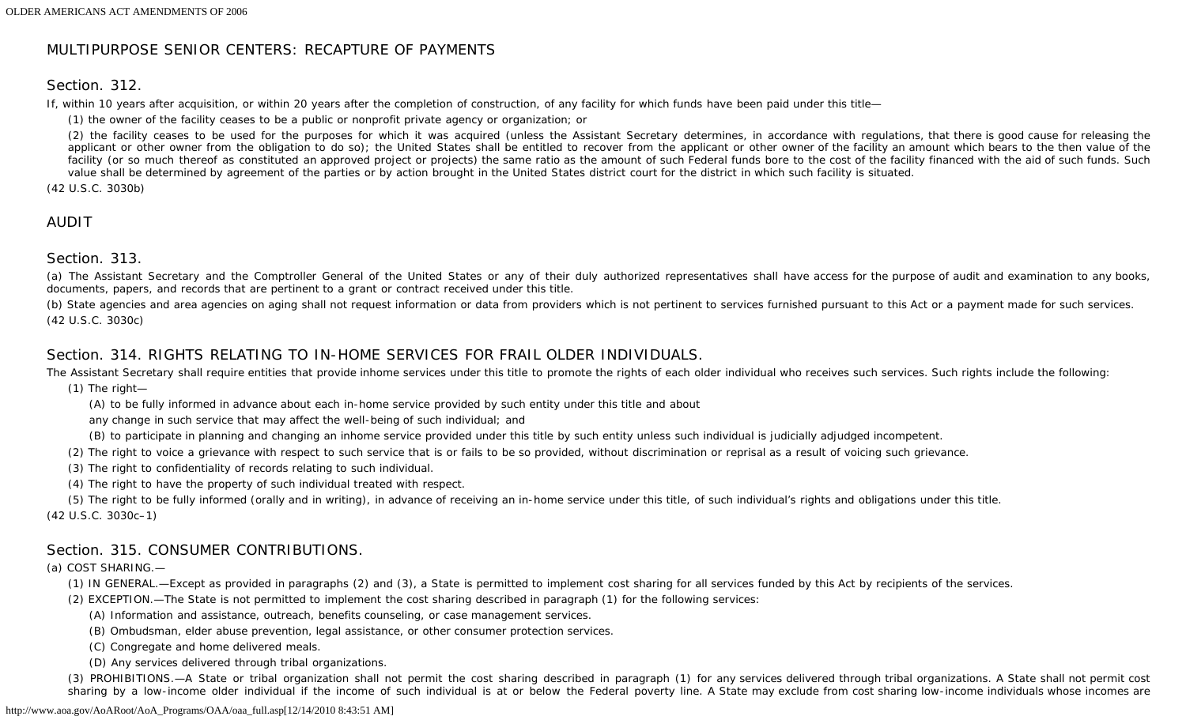# *MULTIPURPOSE SENIOR CENTERS: RECAPTURE OF PAYMENTS*

## Section. 312.

If, within 10 years after acquisition, or within 20 years after the completion of construction, of any facility for which funds have been paid under this title—

(1) the owner of the facility ceases to be a public or nonprofit private agency or organization; or

(2) the facility ceases to be used for the purposes for which it was acquired (unless the Assistant Secretary determines, in accordance with regulations, that there is good cause for releasing the applicant or other owner from the obligation to do so); the United States shall be entitled to recover from the applicant or other owner of the facility an amount which bears to the then value of the facility (or so much thereof as constituted an approved project or projects) the same ratio as the amount of such Federal funds bore to the cost of the facility financed with the aid of such funds. Such value shall be determined by agreement of the parties or by action brought in the United States district court for the district in which such facility is situated.

(42 U.S.C. 3030b)

*AUDIT*

## Section. 313.

(a) The Assistant Secretary and the Comptroller General of the United States or any of their duly authorized representatives shall have access for the purpose of audit and examination to any books, documents, papers, and records that are pertinent to a grant or contract received under this title.

(b) State agencies and area agencies on aging shall not request information or data from providers which is not pertinent to services furnished pursuant to this Act or a payment made for such services. (42 U.S.C. 3030c)

# Section. 314. RIGHTS RELATING TO IN-HOME SERVICES FOR FRAIL OLDER INDIVIDUALS.

The Assistant Secretary shall require entities that provide inhome services under this title to promote the rights of each older individual who receives such services. Such rights include the following:

(1) The right—

(A) to be fully informed in advance about each in-home service provided by such entity under this title and about

any change in such service that may affect the well-being of such individual; and

(B) to participate in planning and changing an inhome service provided under this title by such entity unless such individual is judicially adjudged incompetent.

(2) The right to voice a grievance with respect to such service that is or fails to be so provided, without discrimination or reprisal as a result of voicing such grievance.

(3) The right to confidentiality of records relating to such individual.

(4) The right to have the property of such individual treated with respect.

(5) The right to be fully informed (orally and in writing), in advance of receiving an in-home service under this title, of such individual's rights and obligations under this title. (42 U.S.C. 3030c–1)

# Section. 315. CONSUMER CONTRIBUTIONS.

(a) COST SHARING.—

(1) IN GENERAL.—Except as provided in paragraphs (2) and (3), a State is permitted to implement cost sharing for all services funded by this Act by recipients of the services.

(2) EXCEPTION.—The State is not permitted to implement the cost sharing described in paragraph (1) for the following services:

- (A) Information and assistance, outreach, benefits counseling, or case management services.
- (B) Ombudsman, elder abuse prevention, legal assistance, or other consumer protection services.

(C) Congregate and home delivered meals.

(D) Any services delivered through tribal organizations.

(3) PROHIBITIONS.—A State or tribal organization shall not permit the cost sharing described in paragraph (1) for any services delivered through tribal organizations. A State shall not permit cost sharing by a low-income older individual if the income of such individual is at or below the Federal poverty line. A State may exclude from cost sharing low-income individuals whose incomes are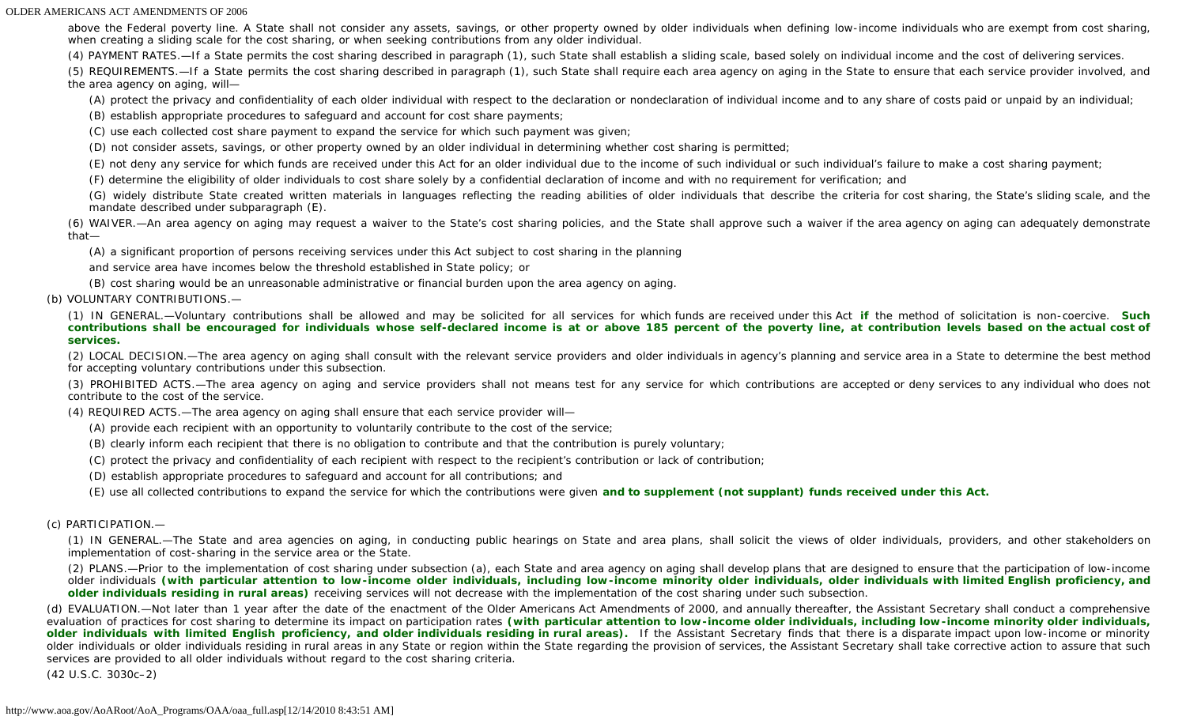above the Federal poverty line. A State shall not consider any assets, savings, or other property owned by older individuals when defining low-income individuals who are exempt from cost sharing, when creating a sliding scale for the cost sharing, or when seeking contributions from any older individual.

(4) PAYMENT RATES.—If a State permits the cost sharing described in paragraph (1), such State shall establish a sliding scale, based solely on individual income and the cost of delivering services.

(5) REQUIREMENTS.—If a State permits the cost sharing described in paragraph (1), such State shall require each area agency on aging in the State to ensure that each service provider involved, and the area agency on aging, will—

(A) protect the privacy and confidentiality of each older individual with respect to the declaration or nondeclaration of individual income and to any share of costs paid or unpaid by an individual; (B) establish appropriate procedures to safeguard and account for cost share payments;

(C) use each collected cost share payment to expand the service for which such payment was given;

(D) not consider assets, savings, or other property owned by an older individual in determining whether cost sharing is permitted;

(E) not deny any service for which funds are received under this Act for an older individual due to the income of such individual or such individual's failure to make a cost sharing payment;

(F) determine the eligibility of older individuals to cost share solely by a confidential declaration of income and with no requirement for verification; and

(G) widely distribute State created written materials in languages reflecting the reading abilities of older individuals that describe the criteria for cost sharing, the State's sliding scale, and the mandate described under subparagraph (E).

(6) WAIVER.—An area agency on aging may request a waiver to the State's cost sharing policies, and the State shall approve such a waiver if the area agency on aging can adequately demonstrate that—

(A) a significant proportion of persons receiving services under this Act subject to cost sharing in the planning

and service area have incomes below the threshold established in State policy; or

(B) cost sharing would be an unreasonable administrative or financial burden upon the area agency on aging.

(b) VOLUNTARY CONTRIBUTIONS.—

(1) IN GENERAL.—Voluntary contributions shall be allowed and may be solicited for all services for which funds are received under this Act **if** the method of solicitation is non-coercive. **Such contributions shall be encouraged for individuals whose self-declared income is at or above 185 percent of the poverty line, at contribution levels based on the actual cost of services.**

(2) LOCAL DECISION.—The area agency on aging shall consult with the relevant service providers and older individuals in agency's planning and service area in a State to determine the best method for accepting voluntary contributions under this subsection.

(3) PROHIBITED ACTS.—The area agency on aging and service providers shall not means test for any service for which contributions are accepted or deny services to any individual who does not contribute to the cost of the service.

(4) REQUIRED ACTS.—The area agency on aging shall ensure that each service provider will—

(A) provide each recipient with an opportunity to voluntarily contribute to the cost of the service;

- (B) clearly inform each recipient that there is no obligation to contribute and that the contribution is purely voluntary;
- (C) protect the privacy and confidentiality of each recipient with respect to the recipient's contribution or lack of contribution;

(D) establish appropriate procedures to safeguard and account for all contributions; and

(E) use all collected contributions to expand the service for which the contributions were given **and to supplement (not supplant) funds received under this Act.**

### (c) PARTICIPATION.—

(1) IN GENERAL.—The State and area agencies on aging, in conducting public hearings on State and area plans, shall solicit the views of older individuals, providers, and other stakeholders on implementation of cost-sharing in the service area or the State.

(2) PLANS.—Prior to the implementation of cost sharing under subsection (a), each State and area agency on aging shall develop plans that are designed to ensure that the participation of low-income older individuals **(with particular attention to low-income older individuals, including low-income minority older individuals, older individuals with limited English proficiency, and older individuals residing in rural areas)** receiving services will not decrease with the implementation of the cost sharing under such subsection.

(d) EVALUATION.—Not later than 1 year after the date of the enactment of the Older Americans Act Amendments of 2000, and annually thereafter, the Assistant Secretary shall conduct a comprehensive evaluation of practices for cost sharing to determine its impact on participation rates (with particular attention to low-income older individuals, including low-income minority older individuals, older individuals with limited English proficiency, and older individuals residing in rural areas). If the Assistant Secretary finds that there is a disparate impact upon low-income or minority older individuals or older individuals residing in rural areas in any State or region within the State regarding the provision of services, the Assistant Secretary shall take corrective action to assure that such services are provided to all older individuals without regard to the cost sharing criteria.

(42 U.S.C. 3030c–2)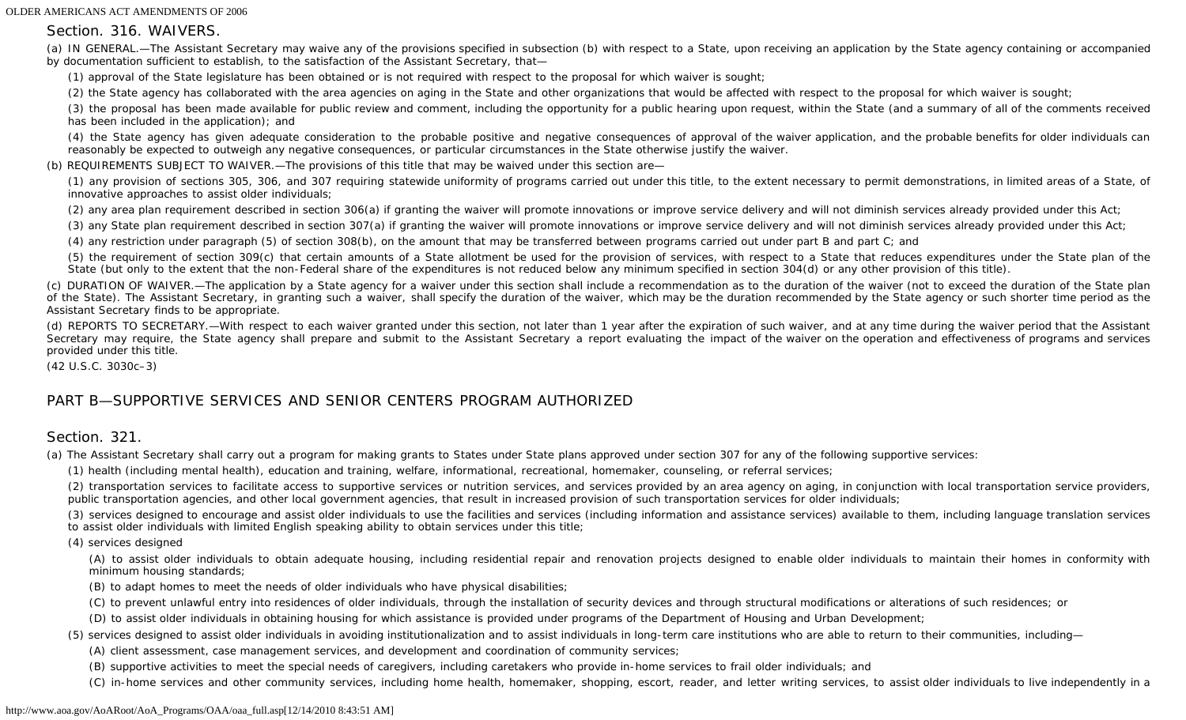# Section. 316. WAIVERS.

(a) IN GENERAL.—The Assistant Secretary may waive any of the provisions specified in subsection (b) with respect to a State, upon receiving an application by the State agency containing or accompanied by documentation sufficient to establish, to the satisfaction of the Assistant Secretary, that—

(1) approval of the State legislature has been obtained or is not required with respect to the proposal for which waiver is sought;

(2) the State agency has collaborated with the area agencies on aging in the State and other organizations that would be affected with respect to the proposal for which waiver is sought;

(3) the proposal has been made available for public review and comment, including the opportunity for a public hearing upon request, within the State (and a summary of all of the comments received has been included in the application); and

(4) the State agency has given adequate consideration to the probable positive and negative consequences of approval of the waiver application, and the probable benefits for older individuals can reasonably be expected to outweigh any negative consequences, or particular circumstances in the State otherwise justify the waiver.

(b) REQUIREMENTS SUBJECT TO WAIVER.—The provisions of this title that may be waived under this section are—

(1) any provision of sections 305, 306, and 307 requiring statewide uniformity of programs carried out under this title, to the extent necessary to permit demonstrations, in limited areas of a State, of innovative approaches to assist older individuals;

(2) any area plan requirement described in section 306(a) if granting the waiver will promote innovations or improve service delivery and will not diminish services already provided under this Act;

(3) any State plan requirement described in section 307(a) if granting the waiver will promote innovations or improve service delivery and will not diminish services already provided under this Act;

(4) any restriction under paragraph (5) of section 308(b), on the amount that may be transferred between programs carried out under part B and part C; and

(5) the requirement of section 309(c) that certain amounts of a State allotment be used for the provision of services, with respect to a State that reduces expenditures under the State plan of the State (but only to the extent that the non-Federal share of the expenditures is not reduced below any minimum specified in section 304(d) or any other provision of this title).

(c) DURATION OF WAIVER.—The application by a State agency for a waiver under this section shall include a recommendation as to the duration of the waiver (not to exceed the duration of the State plan of the State). The Assistant Secretary, in granting such a waiver, shall specify the duration of the waiver, which may be the duration recommended by the State agency or such shorter time period as the Assistant Secretary finds to be appropriate.

(d) REPORTS TO SECRETARY.—With respect to each waiver granted under this section, not later than 1 year after the expiration of such waiver, and at any time during the waiver period that the Assistant Secretary may require, the State agency shall prepare and submit to the Assistant Secretary a report evaluating the impact of the waiver on the operation and effectiveness of programs and services provided under this title.

(42 U.S.C. 3030c–3)

# PART B—SUPPORTIVE SERVICES AND SENIOR CENTERS PROGRAM AUTHORIZED

# Section. 321.

(a) The Assistant Secretary shall carry out a program for making grants to States under State plans approved under section 307 for any of the following supportive services:

(1) health (including mental health), education and training, welfare, informational, recreational, homemaker, counseling, or referral services;

(2) transportation services to facilitate access to supportive services or nutrition services, and services provided by an area agency on aging, in conjunction with local transportation service providers, public transportation agencies, and other local government agencies, that result in increased provision of such transportation services for older individuals;

(3) services designed to encourage and assist older individuals to use the facilities and services (including information and assistance services) available to them, including language translation services to assist older individuals with limited English speaking ability to obtain services under this title;

(4) services designed

(A) to assist older individuals to obtain adequate housing, including residential repair and renovation projects designed to enable older individuals to maintain their homes in conformity with minimum housing standards;

(B) to adapt homes to meet the needs of older individuals who have physical disabilities;

(C) to prevent unlawful entry into residences of older individuals, through the installation of security devices and through structural modifications or alterations of such residences; or

(D) to assist older individuals in obtaining housing for which assistance is provided under programs of the Department of Housing and Urban Development;

(5) services designed to assist older individuals in avoiding institutionalization and to assist individuals in long-term care institutions who are able to return to their communities, including—

(A) client assessment, case management services, and development and coordination of community services;

(B) supportive activities to meet the special needs of caregivers, including caretakers who provide in-home services to frail older individuals; and

(C) in-home services and other community services, including home health, homemaker, shopping, escort, reader, and letter writing services, to assist older individuals to live independently in a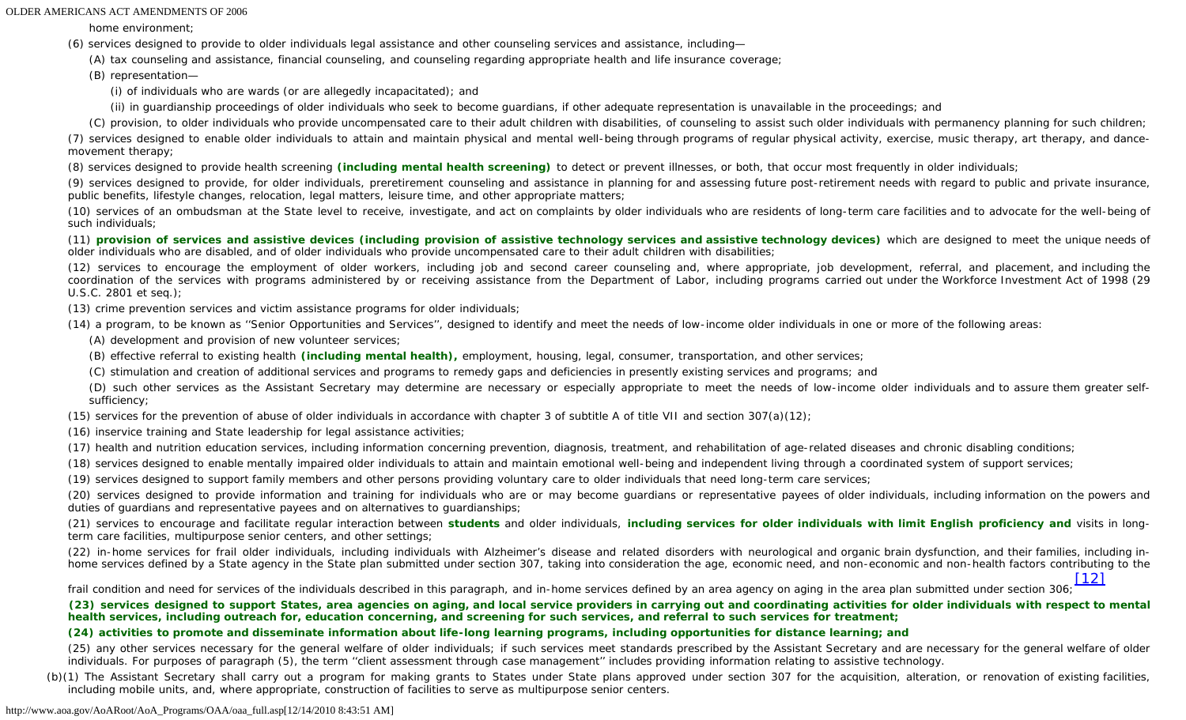home environment;

(6) services designed to provide to older individuals legal assistance and other counseling services and assistance, including—

(A) tax counseling and assistance, financial counseling, and counseling regarding appropriate health and life insurance coverage;

(B) representation—

(i) of individuals who are wards (or are allegedly incapacitated); and

(ii) in guardianship proceedings of older individuals who seek to become guardians, if other adequate representation is unavailable in the proceedings; and

(C) provision, to older individuals who provide uncompensated care to their adult children with disabilities, of counseling to assist such older individuals with permanency planning for such children;

(7) services designed to enable older individuals to attain and maintain physical and mental well-being through programs of regular physical activity, exercise, music therapy, art therapy, and dancemovement therapy;

(8) services designed to provide health screening **(including mental health screening)** to detect or prevent illnesses, or both, that occur most frequently in older individuals;

(9) services designed to provide, for older individuals, preretirement counseling and assistance in planning for and assessing future post-retirement needs with regard to public and private insurance, public benefits, lifestyle changes, relocation, legal matters, leisure time, and other appropriate matters;

(10) services of an ombudsman at the State level to receive, investigate, and act on complaints by older individuals who are residents of long-term care facilities and to advocate for the well-being of such individuals;

(11) provision of services and assistive devices (including provision of assistive technology services and assistive technology devices) which are designed to meet the unique needs of older individuals who are disabled, and of older individuals who provide uncompensated care to their adult children with disabilities;

(12) services to encourage the employment of older workers, including job and second career counseling and, where appropriate, job development, referral, and placement, and including the coordination of the services with programs administered by or receiving assistance from the Department of Labor, including programs carried out under the Workforce Investment Act of 1998 (29 U.S.C. 2801 et seq.);

(13) crime prevention services and victim assistance programs for older individuals;

(14) a program, to be known as ''Senior Opportunities and Services'', designed to identify and meet the needs of low-income older individuals in one or more of the following areas:

(A) development and provision of new volunteer services;

(B) effective referral to existing health **(including mental health),** employment, housing, legal, consumer, transportation, and other services;

(C) stimulation and creation of additional services and programs to remedy gaps and deficiencies in presently existing services and programs; and

(D) such other services as the Assistant Secretary may determine are necessary or especially appropriate to meet the needs of low-income older individuals and to assure them greater selfsufficiency;

(15) services for the prevention of abuse of older individuals in accordance with chapter 3 of subtitle A of title VII and section 307(a)(12);

(16) inservice training and State leadership for legal assistance activities;

(17) health and nutrition education services, including information concerning prevention, diagnosis, treatment, and rehabilitation of age-related diseases and chronic disabling conditions;

(18) services designed to enable mentally impaired older individuals to attain and maintain emotional well-being and independent living through a coordinated system of support services;

(19) services designed to support family members and other persons providing voluntary care to older individuals that need long-term care services;

(20) services designed to provide information and training for individuals who are or may become guardians or representative payees of older individuals, including information on the powers and duties of guardians and representative payees and on alternatives to guardianships;

(21) services to encourage and facilitate regular interaction between **students** and older individuals, **including services for older individuals with limit English proficiency and** visits in longterm care facilities, multipurpose senior centers, and other settings;

(22) in-home services for frail older individuals, including individuals with Alzheimer's disease and related disorders with neurological and organic brain dysfunction, and their families, including inhome services defined by a State agency in the State plan submitted under section 307, taking into consideration the age, economic need, and non-economic and non-health factors contributing to the

frail condition and need for services of the individuals described in this paragraph, and in-home services defined by an area agency on aging in the area plan submitted under section 306;<br>(22) convises designed to the sect

### **(23) services designed to support States, area agencies on aging, and local service providers in carrying out and coordinating activities for older individuals with respect to mental health services, including outreach for, education concerning, and screening for such services, and referral to such services for treatment;**

## **(24) activities to promote and disseminate information about life-long learning programs, including opportunities for distance learning; and**

(25) any other services necessary for the general welfare of older individuals; if such services meet standards prescribed by the Assistant Secretary and are necessary for the general welfare of older individuals. For purposes of paragraph (5), the term "client assessment through case management" includes providing information relating to assistive technology.

(b)(1) The Assistant Secretary shall carry out a program for making grants to States under State plans approved under section 307 for the acquisition, alteration, or renovation of existing facilities, including mobile units, and, where appropriate, construction of facilities to serve as multipurpose senior centers.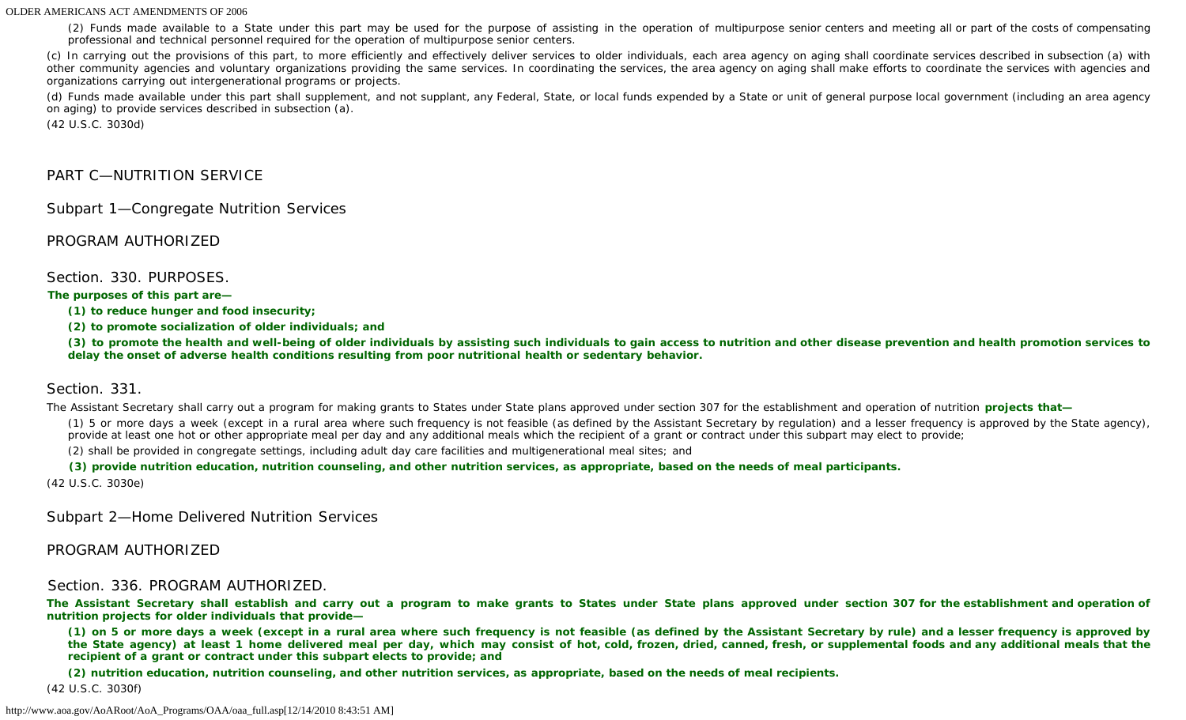(2) Funds made available to a State under this part may be used for the purpose of assisting in the operation of multipurpose senior centers and meeting all or part of the costs of compensating professional and technical personnel required for the operation of multipurpose senior centers.

(c) In carrying out the provisions of this part, to more efficiently and effectively deliver services to older individuals, each area agency on aging shall coordinate services described in subsection (a) with other community agencies and voluntary organizations providing the same services. In coordinating the services, the area agency on aging shall make efforts to coordinate the services with agencies and organizations carrying out intergenerational programs or projects.

(d) Funds made available under this part shall supplement, and not supplant, any Federal, State, or local funds expended by a State or unit of general purpose local government (including an area agency on aging) to provide services described in subsection (a).

(42 U.S.C. 3030d)

# PART C—NUTRITION SERVICE

Subpart 1—Congregate Nutrition Services

*PROGRAM AUTHORIZED*

Section. 330. PURPOSES.

## **The purposes of this part are—**

**(1) to reduce hunger and food insecurity;**

**(2) to promote socialization of older individuals; and**

**(3) to promote the health and well-being of older individuals by assisting such individuals to gain access to nutrition and other disease prevention and health promotion services to delay the onset of adverse health conditions resulting from poor nutritional health or sedentary behavior.**

## Section. 331.

The Assistant Secretary shall carry out a program for making grants to States under State plans approved under section 307 for the establishment and operation of nutrition **projects that—**

(1) 5 or more days a week (except in a rural area where such frequency is not feasible (as defined by the Assistant Secretary by regulation) and a lesser frequency is approved by the State agency), provide at least one hot or other appropriate meal per day and any additional meals which the recipient of a grant or contract under this subpart may elect to provide;

(2) shall be provided in congregate settings, including adult day care facilities and multigenerational meal sites; and

**(3) provide nutrition education, nutrition counseling, and other nutrition services, as appropriate, based on the needs of meal participants.**

(42 U.S.C. 3030e)

Subpart 2—Home Delivered Nutrition Services

## *PROGRAM AUTHORIZED*

## Section. 336. PROGRAM AUTHORIZED.

**The Assistant Secretary shall establish and carry out a program to make grants to States under State plans approved under section 307 for the establishment and operation of nutrition projects for older individuals that provide—**

**(1) on 5 or more days a week (except in a rural area where such frequency is not feasible (as defined by the Assistant Secretary by rule) and a lesser frequency is approved by the State agency) at least 1 home delivered meal per day, which may consist of hot, cold, frozen, dried, canned, fresh, or supplemental foods and any additional meals that the recipient of a grant or contract under this subpart elects to provide; and**

**(2) nutrition education, nutrition counseling, and other nutrition services, as appropriate, based on the needs of meal recipients.**

(42 U.S.C. 3030f)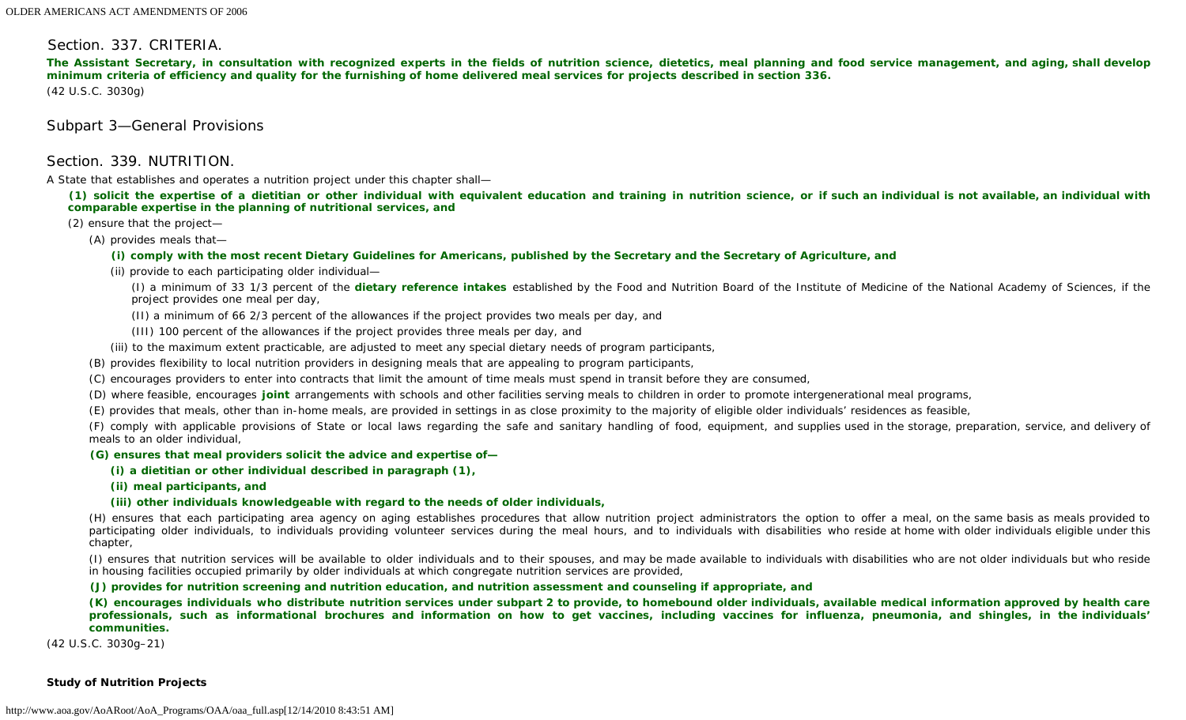# Section. 337. CRITERIA.

**The Assistant Secretary, in consultation with recognized experts in the fields of nutrition science, dietetics, meal planning and food service management, and aging, shall develop minimum criteria of efficiency and quality for the furnishing of home delivered meal services for projects described in section 336.** (42 U.S.C. 3030g)

## Subpart 3—General Provisions

## Section. 339. NUTRITION.

A State that establishes and operates a nutrition project under this chapter shall—

**(1) solicit the expertise of a dietitian or other individual with equivalent education and training in nutrition science, or if such an individual is not available, an individual with comparable expertise in the planning of nutritional services, and**

(2) ensure that the project—

(A) provides meals that—

### **(i) comply with the most recent Dietary Guidelines for Americans, published by the Secretary and the Secretary of Agriculture, and**

(ii) provide to each participating older individual—

(I) a minimum of 33 1/3 percent of the **dietary reference intakes** established by the Food and Nutrition Board of the Institute of Medicine of the National Academy of Sciences, if the project provides one meal per day,

(II) a minimum of 66 2/3 percent of the allowances if the project provides two meals per day, and

(III) 100 percent of the allowances if the project provides three meals per day, and

(iii) to the maximum extent practicable, are adjusted to meet any special dietary needs of program participants,

(B) provides flexibility to local nutrition providers in designing meals that are appealing to program participants,

(C) encourages providers to enter into contracts that limit the amount of time meals must spend in transit before they are consumed,

(D) where feasible, encourages **joint** arrangements with schools and other facilities serving meals to children in order to promote intergenerational meal programs,

(E) provides that meals, other than in-home meals, are provided in settings in as close proximity to the majority of eligible older individuals' residences as feasible,

(F) comply with applicable provisions of State or local laws regarding the safe and sanitary handling of food, equipment, and supplies used in the storage, preparation, service, and delivery of meals to an older individual,

### **(G) ensures that meal providers solicit the advice and expertise of—**

**(i) a dietitian or other individual described in paragraph (1),**

**(ii) meal participants, and**

## **(iii) other individuals knowledgeable with regard to the needs of older individuals,**

(H) ensures that each participating area agency on aging establishes procedures that allow nutrition project administrators the option to offer a meal, on the same basis as meals provided to participating older individuals, to individuals providing volunteer services during the meal hours, and to individuals with disabilities who reside at home with older individuals eligible under this chapter,

(I) ensures that nutrition services will be available to older individuals and to their spouses, and may be made available to individuals with disabilities who are not older individuals but who reside in housing facilities occupied primarily by older individuals at which congregate nutrition services are provided,

**(J) provides for nutrition screening and nutrition education, and nutrition assessment and counseling if appropriate, and**

**(K) encourages individuals who distribute nutrition services under subpart 2 to provide, to homebound older individuals, available medical information approved by health care professionals, such as informational brochures and information on how to get vaccines, including vaccines for influenza, pneumonia, and shingles, in the individuals' communities.**

(42 U.S.C. 3030g–21)

### **Study of Nutrition Projects**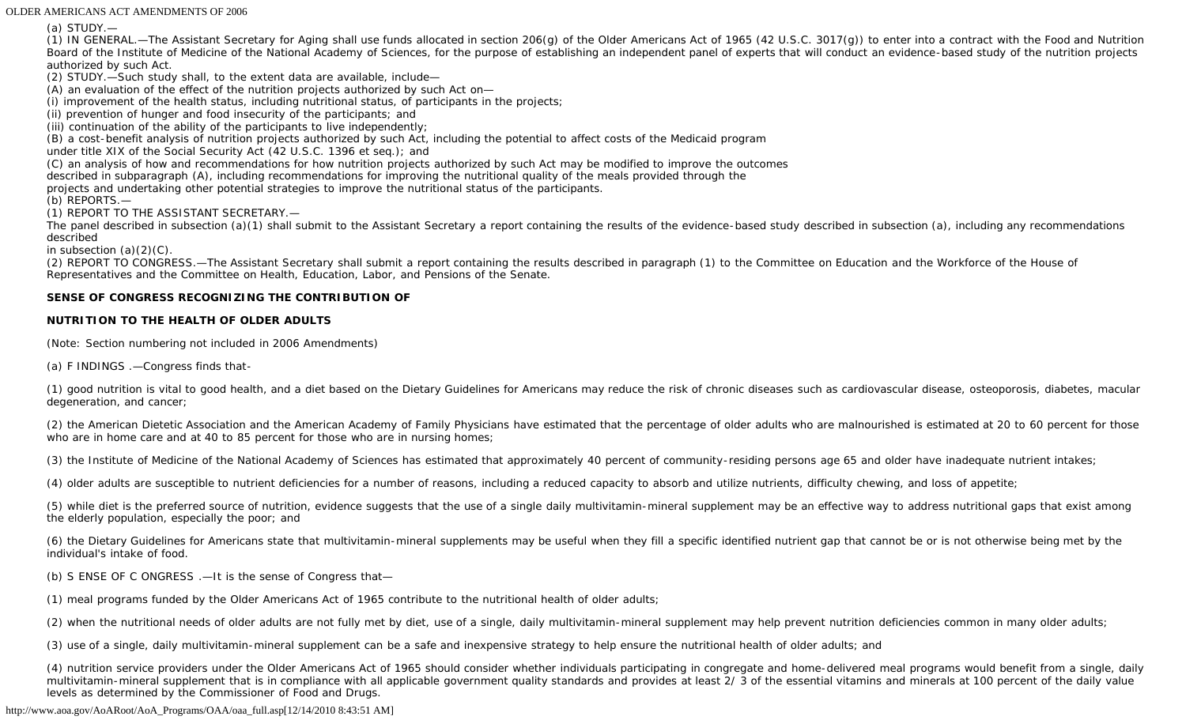(a) STUDY.—

(1) IN GENERAL.—The Assistant Secretary for Aging shall use funds allocated in section 206(g) of the Older Americans Act of 1965 (42 U.S.C. 3017(g)) to enter into a contract with the Food and Nutrition Board of the Institute of Medicine of the National Academy of Sciences, for the purpose of establishing an independent panel of experts that will conduct an evidence-based study of the nutrition projects authorized by such Act.

(2) STUDY.—Such study shall, to the extent data are available, include—

(A) an evaluation of the effect of the nutrition projects authorized by such Act on—

(i) improvement of the health status, including nutritional status, of participants in the projects;

(ii) prevention of hunger and food insecurity of the participants; and

(iii) continuation of the ability of the participants to live independently;

(B) a cost-benefit analysis of nutrition projects authorized by such Act, including the potential to affect costs of the Medicaid program

under title XIX of the Social Security Act (42 U.S.C. 1396 et seq.); and

(C) an analysis of how and recommendations for how nutrition projects authorized by such Act may be modified to improve the outcomes

described in subparagraph (A), including recommendations for improving the nutritional quality of the meals provided through the

projects and undertaking other potential strategies to improve the nutritional status of the participants.

(b) REPORTS.—

(1) REPORT TO THE ASSISTANT SECRETARY.—

The panel described in subsection (a)(1) shall submit to the Assistant Secretary a report containing the results of the evidence-based study described in subsection (a), including any recommendations described

in subsection  $(a)(2)(C)$ .

(2) REPORT TO CONGRESS.—The Assistant Secretary shall submit a report containing the results described in paragraph (1) to the Committee on Education and the Workforce of the House of Representatives and the Committee on Health, Education, Labor, and Pensions of the Senate.

### **SENSE OF CONGRESS RECOGNIZING THE CONTRIBUTION OF**

### **NUTRITION TO THE HEALTH OF OLDER ADULTS**

(Note: Section numbering not included in 2006 Amendments)

(a) F INDINGS .—Congress finds that-

(1) good nutrition is vital to good health, and a diet based on the Dietary Guidelines for Americans may reduce the risk of chronic diseases such as cardiovascular disease, osteoporosis, diabetes, macular degeneration, and cancer;

(2) the American Dietetic Association and the American Academy of Family Physicians have estimated that the percentage of older adults who are malnourished is estimated at 20 to 60 percent for those who are in home care and at 40 to 85 percent for those who are in nursing homes;

(3) the Institute of Medicine of the National Academy of Sciences has estimated that approximately 40 percent of community-residing persons age 65 and older have inadequate nutrient intakes;

(4) older adults are susceptible to nutrient deficiencies for a number of reasons, including a reduced capacity to absorb and utilize nutrients, difficulty chewing, and loss of appetite;

(5) while diet is the preferred source of nutrition, evidence suggests that the use of a single daily multivitamin-mineral supplement may be an effective way to address nutritional gaps that exist among the elderly population, especially the poor; and

(6) the Dietary Guidelines for Americans state that multivitamin-mineral supplements may be useful when they fill a specific identified nutrient gap that cannot be or is not otherwise being met by the individual's intake of food.

(b) S ENSE OF C ONGRESS .—It is the sense of Congress that—

(1) meal programs funded by the Older Americans Act of 1965 contribute to the nutritional health of older adults;

(2) when the nutritional needs of older adults are not fully met by diet, use of a single, daily multivitamin-mineral supplement may help prevent nutrition deficiencies common in many older adults;

(3) use of a single, daily multivitamin-mineral supplement can be a safe and inexpensive strategy to help ensure the nutritional health of older adults; and

(4) nutrition service providers under the Older Americans Act of 1965 should consider whether individuals participating in congregate and home-delivered meal programs would benefit from a single, daily multivitamin-mineral supplement that is in compliance with all applicable government quality standards and provides at least 2/ 3 of the essential vitamins and minerals at 100 percent of the daily value levels as determined by the Commissioner of Food and Drugs.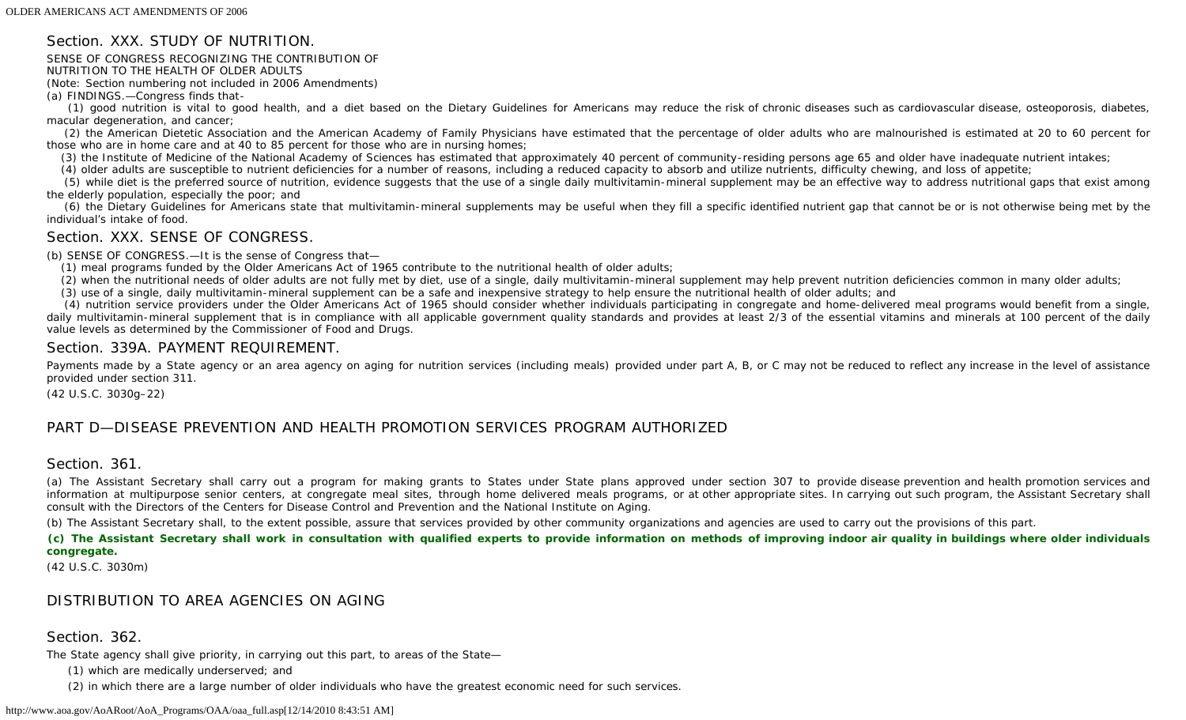# Section. XXX. STUDY OF NUTRITION.

SENSE OF CONGRESS RECOGNIZING THE CONTRIBUTION OF NUTRITION TO THE HEALTH OF OLDER ADULTS (Note: Section numbering not included in 2006 Amendments) (a) FINDINGS.—Congress finds that-

 (1) good nutrition is vital to good health, and a diet based on the Dietary Guidelines for Americans may reduce the risk of chronic diseases such as cardiovascular disease, osteoporosis, diabetes, macular degeneration, and cancer;

 (2) the American Dietetic Association and the American Academy of Family Physicians have estimated that the percentage of older adults who are malnourished is estimated at 20 to 60 percent for those who are in home care and at 40 to 85 percent for those who are in nursing homes;

(3) the Institute of Medicine of the National Academy of Sciences has estimated that approximately 40 percent of community-residing persons age 65 and older have inadequate nutrient intakes;

(4) older adults are susceptible to nutrient deficiencies for a number of reasons, including a reduced capacity to absorb and utilize nutrients, difficulty chewing, and loss of appetite;

 (5) while diet is the preferred source of nutrition, evidence suggests that the use of a single daily multivitamin-mineral supplement may be an effective way to address nutritional gaps that exist among the elderly population, especially the poor; and

 (6) the Dietary Guidelines for Americans state that multivitamin-mineral supplements may be useful when they fill a specific identified nutrient gap that cannot be or is not otherwise being met by the individual's intake of food.

# Section. XXX. SENSE OF CONGRESS.

(b) SENSE OF CONGRESS.—It is the sense of Congress that—

(1) meal programs funded by the Older Americans Act of 1965 contribute to the nutritional health of older adults;

(2) when the nutritional needs of older adults are not fully met by diet, use of a single, daily multivitamin-mineral supplement may help prevent nutrition deficiencies common in many older adults;

(3) use of a single, daily multivitamin-mineral supplement can be a safe and inexpensive strategy to help ensure the nutritional health of older adults; and

 (4) nutrition service providers under the Older Americans Act of 1965 should consider whether individuals participating in congregate and home-delivered meal programs would benefit from a single, daily multivitamin-mineral supplement that is in compliance with all applicable government quality standards and provides at least 2/3 of the essential vitamins and minerals at 100 percent of the daily value levels as determined by the Commissioner of Food and Drugs.

## Section. 339A. PAYMENT REQUIREMENT.

Payments made by a State agency or an area agency on aging for nutrition services (including meals) provided under part A, B, or C may not be reduced to reflect any increase in the level of assistance provided under section 311.

(42 U.S.C. 3030g–22)

# PART D—DISEASE PREVENTION AND HEALTH PROMOTION SERVICES PROGRAM AUTHORIZED

Section. 361.

(a) The Assistant Secretary shall carry out a program for making grants to States under State plans approved under section 307 to provide disease prevention and health promotion services and information at multipurpose senior centers, at congregate meal sites, through home delivered meals programs, or at other appropriate sites. In carrying out such program, the Assistant Secretary shall consult with the Directors of the Centers for Disease Control and Prevention and the National Institute on Aging.

(b) The Assistant Secretary shall, to the extent possible, assure that services provided by other community organizations and agencies are used to carry out the provisions of this part.

### **(c) The Assistant Secretary shall work in consultation with qualified experts to provide information on methods of improving indoor air quality in buildings where older individuals congregate.**

(42 U.S.C. 3030m)

# *DISTRIBUTION TO AREA AGENCIES ON AGING*

Section. 362.

The State agency shall give priority, in carrying out this part, to areas of the State—

(1) which are medically underserved; and

(2) in which there are a large number of older individuals who have the greatest economic need for such services.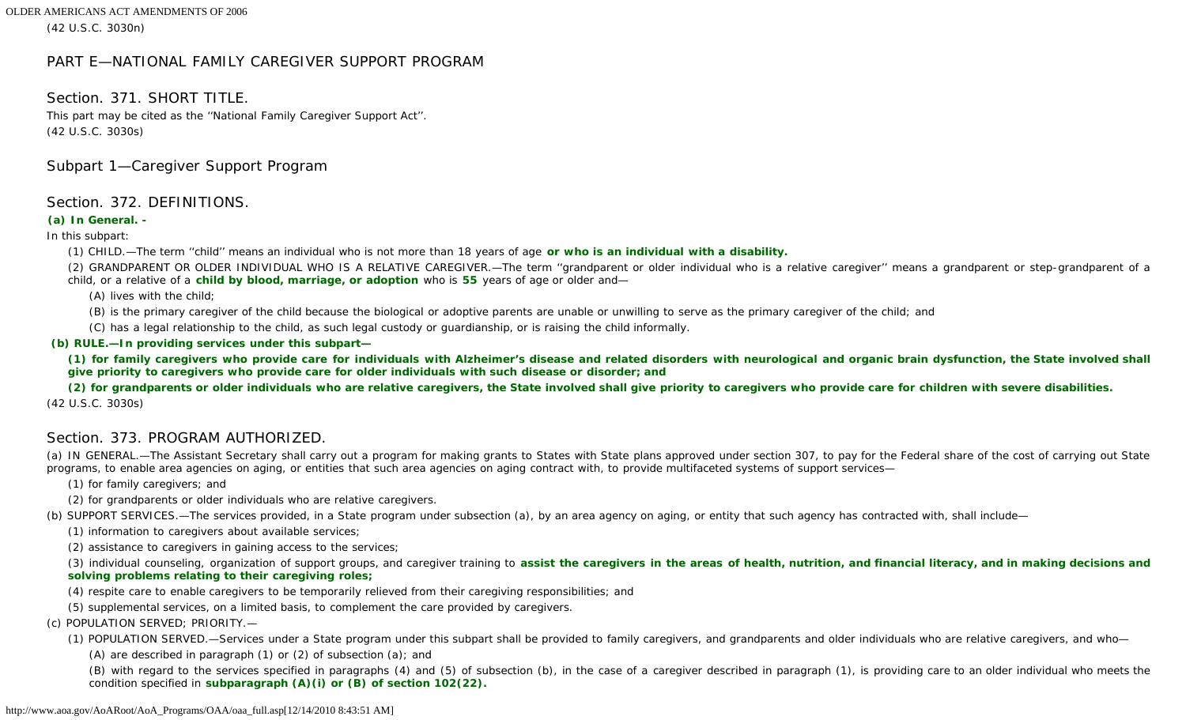(42 U.S.C. 3030n)

# PART E—NATIONAL FAMILY CAREGIVER SUPPORT PROGRAM

Section. 371. SHORT TITLE. This part may be cited as the ''National Family Caregiver Support Act''. (42 U.S.C. 3030s)

Subpart 1—Caregiver Support Program

## Section. 372. DEFINITIONS.

### **(a) In General. -**

In this subpart:

(1) CHILD.—The term ''child'' means an individual who is not more than 18 years of age **or who is an individual with a disability.**

(2) GRANDPARENT OR OLDER INDIVIDUAL WHO IS A RELATIVE CAREGIVER.—The term ''grandparent or older individual who is a relative caregiver'' means a grandparent or step-grandparent of a child, or a relative of a **child by blood, marriage, or adoption** who is **55** years of age or older and—

(A) lives with the child;

(B) is the primary caregiver of the child because the biological or adoptive parents are unable or unwilling to serve as the primary caregiver of the child; and

(C) has a legal relationship to the child, as such legal custody or guardianship, or is raising the child informally.

### **(b) RULE.—In providing services under this subpart—**

**(1) for family caregivers who provide care for individuals with Alzheimer's disease and related disorders with neurological and organic brain dysfunction, the State involved shall give priority to caregivers who provide care for older individuals with such disease or disorder; and**

**(2) for grandparents or older individuals who are relative caregivers, the State involved shall give priority to caregivers who provide care for children with severe disabilities.** (42 U.S.C. 3030s)

## Section. 373. PROGRAM AUTHORIZED.

(a) IN GENERAL.—The Assistant Secretary shall carry out a program for making grants to States with State plans approved under section 307, to pay for the Federal share of the cost of carrying out State programs, to enable area agencies on aging, or entities that such area agencies on aging contract with, to provide multifaceted systems of support services—

(1) for family caregivers; and

(2) for grandparents or older individuals who are relative caregivers.

(b) SUPPORT SERVICES.—The services provided, in a State program under subsection (a), by an area agency on aging, or entity that such agency has contracted with, shall include—

(1) information to caregivers about available services;

(2) assistance to caregivers in gaining access to the services;

(3) individual counseling, organization of support groups, and caregiver training to **assist the caregivers in the areas of health, nutrition, and financial literacy, and in making decisions and solving problems relating to their caregiving roles;**

(4) respite care to enable caregivers to be temporarily relieved from their caregiving responsibilities; and

(5) supplemental services, on a limited basis, to complement the care provided by caregivers.

(c) POPULATION SERVED; PRIORITY.—

(1) POPULATION SERVED.—Services under a State program under this subpart shall be provided to family caregivers, and grandparents and older individuals who are relative caregivers, and who—

(A) are described in paragraph (1) or (2) of subsection (a); and

(B) with regard to the services specified in paragraphs (4) and (5) of subsection (b), in the case of a caregiver described in paragraph (1), is providing care to an older individual who meets the condition specified in **subparagraph (A)(i) or (B) of section 102(22).**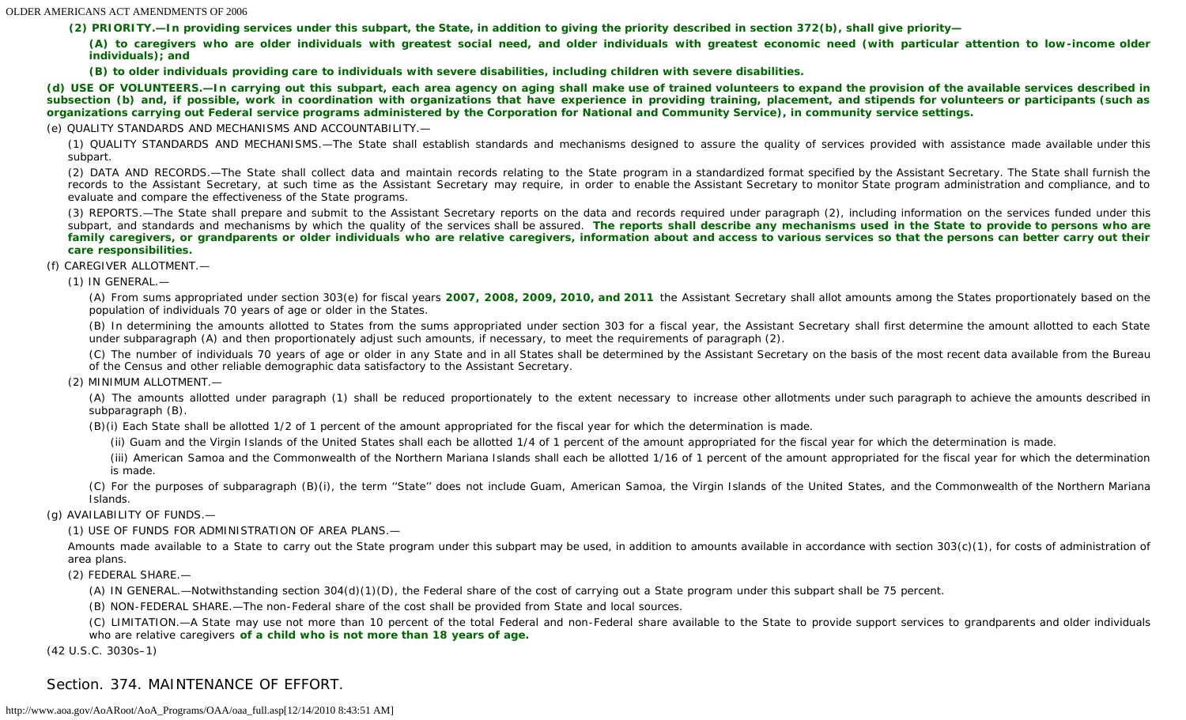**(2) PRIORITY.—In providing services under this subpart, the State, in addition to giving the priority described in section 372(b), shall give priority—**

**(A) to caregivers who are older individuals with greatest social need, and older individuals with greatest economic need (with particular attention to low-income older individuals); and**

**(B) to older individuals providing care to individuals with severe disabilities, including children with severe disabilities.**

**(d) USE OF VOLUNTEERS.—In carrying out this subpart, each area agency on aging shall make use of trained volunteers to expand the provision of the available services described in** subsection (b) and, if possible, work in coordination with organizations that have experience in providing training, placement, and stipends for volunteers or participants (such as **organizations carrying out Federal service programs administered by the Corporation for National and Community Service), in community service settings.**

(e) QUALITY STANDARDS AND MECHANISMS AND ACCOUNTABILITY.—

(1) QUALITY STANDARDS AND MECHANISMS.—The State shall establish standards and mechanisms designed to assure the quality of services provided with assistance made available under this subpart.

(2) DATA AND RECORDS.—The State shall collect data and maintain records relating to the State program in a standardized format specified by the Assistant Secretary. The State shall furnish the records to the Assistant Secretary, at such time as the Assistant Secretary may require, in order to enable the Assistant Secretary to monitor State program administration and compliance, and to evaluate and compare the effectiveness of the State programs.

(3) REPORTS.—The State shall prepare and submit to the Assistant Secretary reports on the data and records required under paragraph (2), including information on the services funded under this subpart, and standards and mechanisms by which the quality of the services shall be assured. The reports shall describe any mechanisms used in the State to provide to persons who are family caregivers, or grandparents or older individuals who are relative caregivers, information about and access to various services so that the persons can better carry out their **care responsibilities.**

(f) CAREGIVER ALLOTMENT.—

(1) IN GENERAL.—

(A) From sums appropriated under section 303(e) for fiscal years **2007, 2008, 2009, 2010, and 2011** the Assistant Secretary shall allot amounts among the States proportionately based on the population of individuals 70 years of age or older in the States.

(B) In determining the amounts allotted to States from the sums appropriated under section 303 for a fiscal year, the Assistant Secretary shall first determine the amount allotted to each State under subparagraph (A) and then proportionately adjust such amounts, if necessary, to meet the requirements of paragraph (2).

(C) The number of individuals 70 years of age or older in any State and in all States shall be determined by the Assistant Secretary on the basis of the most recent data available from the Bureau of the Census and other reliable demographic data satisfactory to the Assistant Secretary.

(2) MINIMUM ALLOTMENT.—

(A) The amounts allotted under paragraph (1) shall be reduced proportionately to the extent necessary to increase other allotments under such paragraph to achieve the amounts described in subparagraph (B).

(B)(i) Each State shall be allotted 1/2 of 1 percent of the amount appropriated for the fiscal year for which the determination is made.

(ii) Guam and the Virgin Islands of the United States shall each be allotted 1/4 of 1 percent of the amount appropriated for the fiscal year for which the determination is made.

(iii) American Samoa and the Commonwealth of the Northern Mariana Islands shall each be allotted 1/16 of 1 percent of the amount appropriated for the fiscal year for which the determination is made.

(C) For the purposes of subparagraph (B)(i), the term ''State'' does not include Guam, American Samoa, the Virgin Islands of the United States, and the Commonwealth of the Northern Mariana Islands.

(g) AVAILABILITY OF FUNDS.—

(1) USE OF FUNDS FOR ADMINISTRATION OF AREA PLANS.—

Amounts made available to a State to carry out the State program under this subpart may be used, in addition to amounts available in accordance with section 303(c)(1), for costs of administration of area plans.

(2) FEDERAL SHARE.—

(A) IN GENERAL.—Notwithstanding section 304(d)(1)(D), the Federal share of the cost of carrying out a State program under this subpart shall be 75 percent.

(B) NON-FEDERAL SHARE.—The non-Federal share of the cost shall be provided from State and local sources.

(C) LIMITATION.—A State may use not more than 10 percent of the total Federal and non-Federal share available to the State to provide support services to grandparents and older individuals who are relative caregivers **of a child who is not more than 18 years of age.**

(42 U.S.C. 3030s–1)

Section. 374. MAINTENANCE OF EFFORT.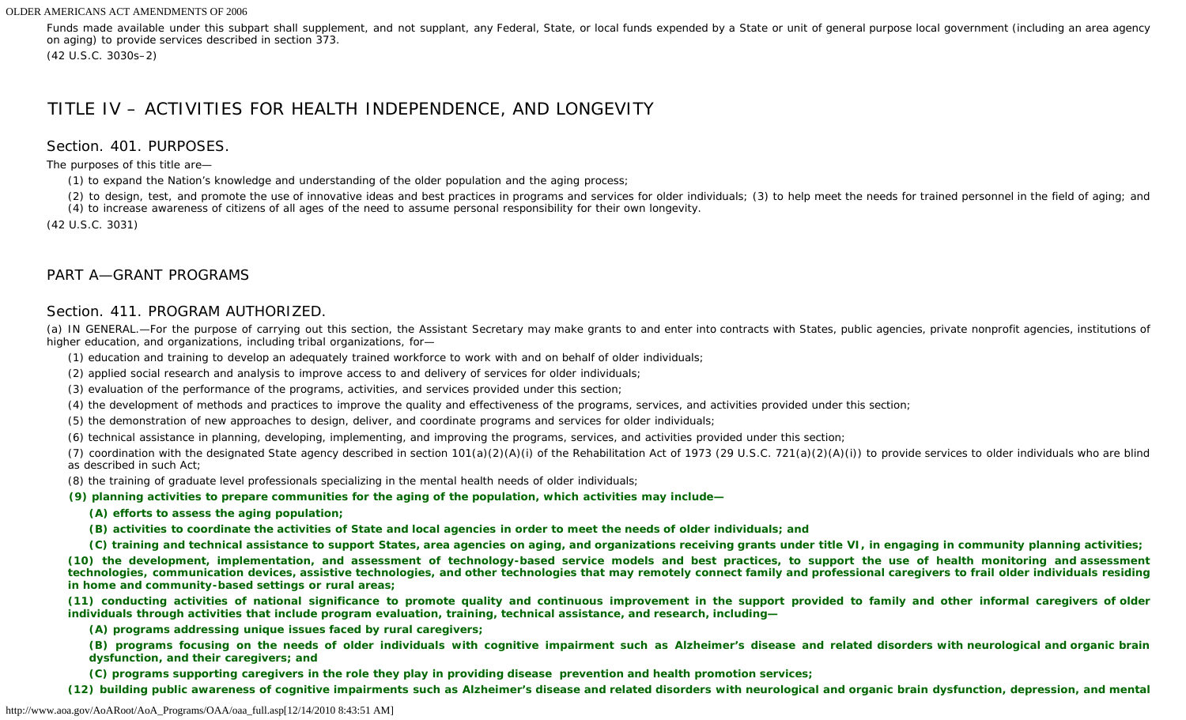Funds made available under this subpart shall supplement, and not supplant, any Federal, State, or local funds expended by a State or unit of general purpose local government (including an area agency on aging) to provide services described in section 373. (42 U.S.C. 3030s–2)

# TITLE IV – ACTIVITIES FOR HEALTH INDEPENDENCE, AND LONGEVITY

# Section. 401. PURPOSES.

### The purposes of this title are—

(1) to expand the Nation's knowledge and understanding of the older population and the aging process;

(2) to design, test, and promote the use of innovative ideas and best practices in programs and services for older individuals; (3) to help meet the needs for trained personnel in the field of aging; and (4) to increase awareness of citizens of all ages of the need to assume personal responsibility for their own longevity.

(42 U.S.C. 3031)

# PART A—GRANT PROGRAMS

## Section. 411. PROGRAM AUTHORIZED.

(a) IN GENERAL.—For the purpose of carrying out this section, the Assistant Secretary may make grants to and enter into contracts with States, public agencies, private nonprofit agencies, institutions of higher education, and organizations, including tribal organizations, for—

- (1) education and training to develop an adequately trained workforce to work with and on behalf of older individuals;
- (2) applied social research and analysis to improve access to and delivery of services for older individuals;
- (3) evaluation of the performance of the programs, activities, and services provided under this section;
- (4) the development of methods and practices to improve the quality and effectiveness of the programs, services, and activities provided under this section;
- (5) the demonstration of new approaches to design, deliver, and coordinate programs and services for older individuals;
- (6) technical assistance in planning, developing, implementing, and improving the programs, services, and activities provided under this section;

(7) coordination with the designated State agency described in section 101(a)(2)(A)(i) of the Rehabilitation Act of 1973 (29 U.S.C. 721(a)(2)(A)(i)) to provide services to older individuals who are blind as described in such Act;

- (8) the training of graduate level professionals specializing in the mental health needs of older individuals;
- **(9) planning activities to prepare communities for the aging of the population, which activities may include—**
	- **(A) efforts to assess the aging population;**
	- **(B) activities to coordinate the activities of State and local agencies in order to meet the needs of older individuals; and**
	- **(C) training and technical assistance to support States, area agencies on aging, and organizations receiving grants under title VI, in engaging in community planning activities;**

**(10) the development, implementation, and assessment of technology-based service models and best practices, to support the use of health monitoring and assessment technologies, communication devices, assistive technologies, and other technologies that may remotely connect family and professional caregivers to frail older individuals residing in home and community-based settings or rural areas;**

**(11) conducting activities of national significance to promote quality and continuous improvement in the support provided to family and other informal caregivers of older individuals through activities that include program evaluation, training, technical assistance, and research, including—**

**(A) programs addressing unique issues faced by rural caregivers;**

**(B) programs focusing on the needs of older individuals with cognitive impairment such as Alzheimer's disease and related disorders with neurological and organic brain dysfunction, and their caregivers; and**

**(C) programs supporting caregivers in the role they play in providing disease prevention and health promotion services;**

**(12) building public awareness of cognitive impairments such as Alzheimer's disease and related disorders with neurological and organic brain dysfunction, depression, and mental**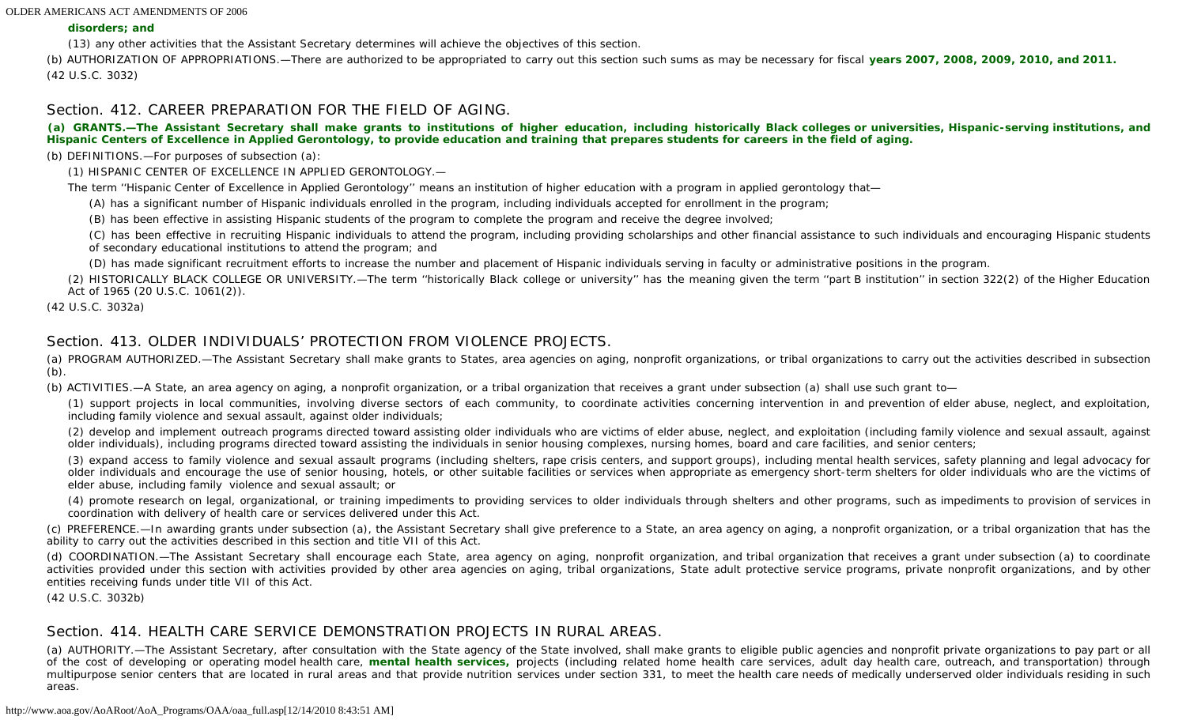### **disorders; and**

(13) any other activities that the Assistant Secretary determines will achieve the objectives of this section.

(b) AUTHORIZATION OF APPROPRIATIONS.—There are authorized to be appropriated to carry out this section such sums as may be necessary for fiscal **years 2007, 2008, 2009, 2010, and 2011.** (42 U.S.C. 3032)

# Section. 412. CAREER PREPARATION FOR THE FIELD OF AGING.

**(a) GRANTS.—The Assistant Secretary shall make grants to institutions of higher education, including historically Black colleges or universities, Hispanic-serving institutions, and Hispanic Centers of Excellence in Applied Gerontology, to provide education and training that prepares students for careers in the field of aging.**

## (b) DEFINITIONS.—For purposes of subsection (a):

(1) HISPANIC CENTER OF EXCELLENCE IN APPLIED GERONTOLOGY.—

The term "Hispanic Center of Excellence in Applied Gerontology" means an institution of higher education with a program in applied gerontology that—

(A) has a significant number of Hispanic individuals enrolled in the program, including individuals accepted for enrollment in the program;

(B) has been effective in assisting Hispanic students of the program to complete the program and receive the degree involved;

(C) has been effective in recruiting Hispanic individuals to attend the program, including providing scholarships and other financial assistance to such individuals and encouraging Hispanic students of secondary educational institutions to attend the program; and

(D) has made significant recruitment efforts to increase the number and placement of Hispanic individuals serving in faculty or administrative positions in the program.

(2) HISTORICALLY BLACK COLLEGE OR UNIVERSITY.—The term ''historically Black college or university'' has the meaning given the term ''part B institution'' in section 322(2) of the Higher Education Act of 1965 (20 U.S.C. 1061(2)).

(42 U.S.C. 3032a)

# Section. 413. OLDER INDIVIDUALS' PROTECTION FROM VIOLENCE PROJECTS.

(a) PROGRAM AUTHORIZED.—The Assistant Secretary shall make grants to States, area agencies on aging, nonprofit organizations, or tribal organizations to carry out the activities described in subsection (b).

(b) ACTIVITIES.—A State, an area agency on aging, a nonprofit organization, or a tribal organization that receives a grant under subsection (a) shall use such grant to—

(1) support projects in local communities, involving diverse sectors of each community, to coordinate activities concerning intervention in and prevention of elder abuse, neglect, and exploitation, including family violence and sexual assault, against older individuals;

(2) develop and implement outreach programs directed toward assisting older individuals who are victims of elder abuse, neglect, and exploitation (including family violence and sexual assault, against older individuals), including programs directed toward assisting the individuals in senior housing complexes, nursing homes, board and care facilities, and senior centers;

(3) expand access to family violence and sexual assault programs (including shelters, rape crisis centers, and support groups), including mental health services, safety planning and legal advocacy for older individuals and encourage the use of senior housing, hotels, or other suitable facilities or services when appropriate as emergency short-term shelters for older individuals who are the victims of elder abuse, including family violence and sexual assault; or

(4) promote research on legal, organizational, or training impediments to providing services to older individuals through shelters and other programs, such as impediments to provision of services in coordination with delivery of health care or services delivered under this Act.

(c) PREFERENCE.—In awarding grants under subsection (a), the Assistant Secretary shall give preference to a State, an area agency on aging, a nonprofit organization, or a tribal organization that has the ability to carry out the activities described in this section and title VII of this Act.

(d) COORDINATION.—The Assistant Secretary shall encourage each State, area agency on aging, nonprofit organization, and tribal organization that receives a grant under subsection (a) to coordinate activities provided under this section with activities provided by other area agencies on aging, tribal organizations, State adult protective service programs, private nonprofit organizations, and by other entities receiving funds under title VII of this Act.

(42 U.S.C. 3032b)

# Section. 414. HEALTH CARE SERVICE DEMONSTRATION PROJECTS IN RURAL AREAS.

(a) AUTHORITY.—The Assistant Secretary, after consultation with the State agency of the State involved, shall make grants to eligible public agencies and nonprofit private organizations to pay part or all of the cost of developing or operating model health care, mental health services, projects (including related home health care services, adult day health care, outreach, and transportation) through multipurpose senior centers that are located in rural areas and that provide nutrition services under section 331, to meet the health care needs of medically underserved older individuals residing in such areas.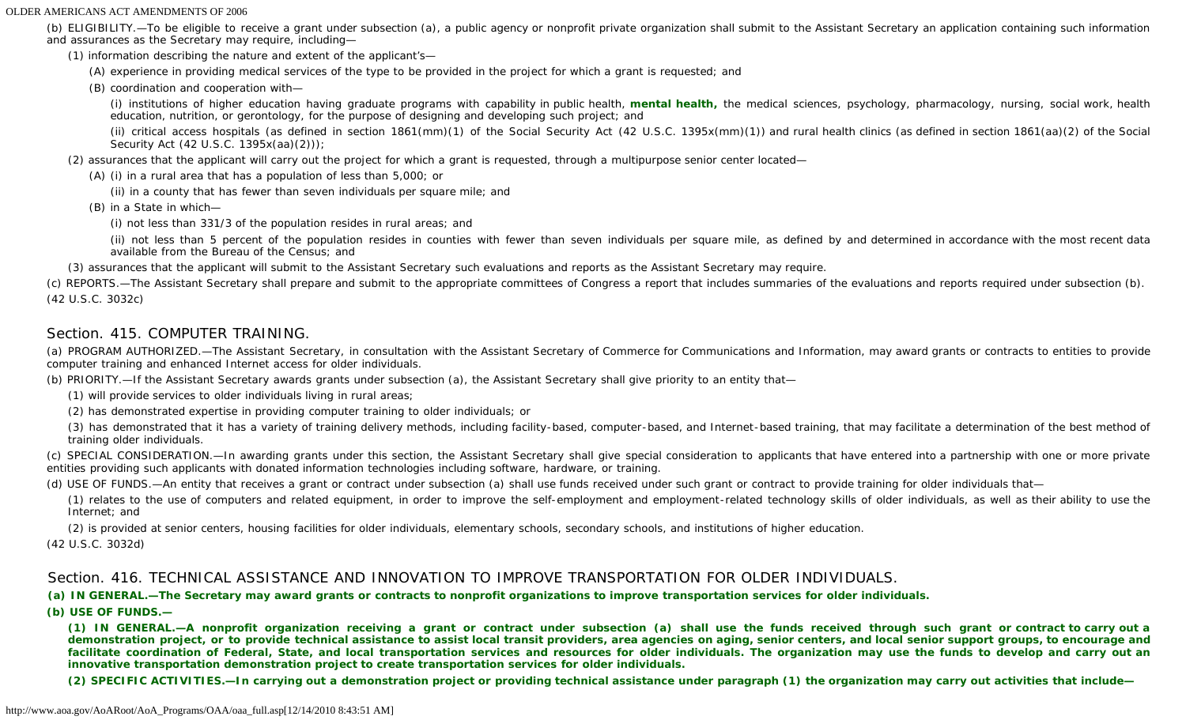(b) ELIGIBILITY.—To be eligible to receive a grant under subsection (a), a public agency or nonprofit private organization shall submit to the Assistant Secretary an application containing such information and assurances as the Secretary may require, including—

(1) information describing the nature and extent of the applicant's—

(A) experience in providing medical services of the type to be provided in the project for which a grant is requested; and

(B) coordination and cooperation with—

(i) institutions of higher education having graduate programs with capability in public health, **mental health,** the medical sciences, psychology, pharmacology, nursing, social work, health education, nutrition, or gerontology, for the purpose of designing and developing such project; and

(ii) critical access hospitals (as defined in section 1861(mm)(1) of the Social Security Act (42 U.S.C. 1395x(mm)(1)) and rural health clinics (as defined in section 1861(aa)(2) of the Social Security Act (42 U.S.C. 1395x(aa)(2)));

(2) assurances that the applicant will carry out the project for which a grant is requested, through a multipurpose senior center located—

(A) (i) in a rural area that has a population of less than 5,000; or

(ii) in a county that has fewer than seven individuals per square mile; and

(B) in a State in which—

(i) not less than 331/3 of the population resides in rural areas; and

(ii) not less than 5 percent of the population resides in counties with fewer than seven individuals per square mile, as defined by and determined in accordance with the most recent data available from the Bureau of the Census; and

(3) assurances that the applicant will submit to the Assistant Secretary such evaluations and reports as the Assistant Secretary may require.

(c) REPORTS.—The Assistant Secretary shall prepare and submit to the appropriate committees of Congress a report that includes summaries of the evaluations and reports required under subsection (b). (42 U.S.C. 3032c)

# Section. 415. COMPUTER TRAINING.

(a) PROGRAM AUTHORIZED.—The Assistant Secretary, in consultation with the Assistant Secretary of Commerce for Communications and Information, may award grants or contracts to entities to provide computer training and enhanced Internet access for older individuals.

(b) PRIORITY.—If the Assistant Secretary awards grants under subsection (a), the Assistant Secretary shall give priority to an entity that—

(1) will provide services to older individuals living in rural areas;

(2) has demonstrated expertise in providing computer training to older individuals; or

(3) has demonstrated that it has a variety of training delivery methods, including facility-based, computer-based, and Internet-based training, that may facilitate a determination of the best method of training older individuals.

(c) SPECIAL CONSIDERATION.—In awarding grants under this section, the Assistant Secretary shall give special consideration to applicants that have entered into a partnership with one or more private entities providing such applicants with donated information technologies including software, hardware, or training.

(d) USE OF FUNDS.—An entity that receives a grant or contract under subsection (a) shall use funds received under such grant or contract to provide training for older individuals that—

(1) relates to the use of computers and related equipment, in order to improve the self-employment and employment-related technology skills of older individuals, as well as their ability to use the Internet; and

(2) is provided at senior centers, housing facilities for older individuals, elementary schools, secondary schools, and institutions of higher education.

(42 U.S.C. 3032d)

Section. 416. TECHNICAL ASSISTANCE AND INNOVATION TO IMPROVE TRANSPORTATION FOR OLDER INDIVIDUALS.

**(a) IN GENERAL.—The Secretary may award grants or contracts to nonprofit organizations to improve transportation services for older individuals.**

**(b) USE OF FUNDS.—**

**(1) IN GENERAL.—A nonprofit organization receiving a grant or contract under subsection (a) shall use the funds received through such grant or contract to carry out a demonstration project, or to provide technical assistance to assist local transit providers, area agencies on aging, senior centers, and local senior support groups, to encourage and** facilitate coordination of Federal, State, and local transportation services and resources for older individuals. The organization may use the funds to develop and carry out an **innovative transportation demonstration project to create transportation services for older individuals.**

**(2) SPECIFIC ACTIVITIES.—In carrying out a demonstration project or providing technical assistance under paragraph (1) the organization may carry out activities that include—**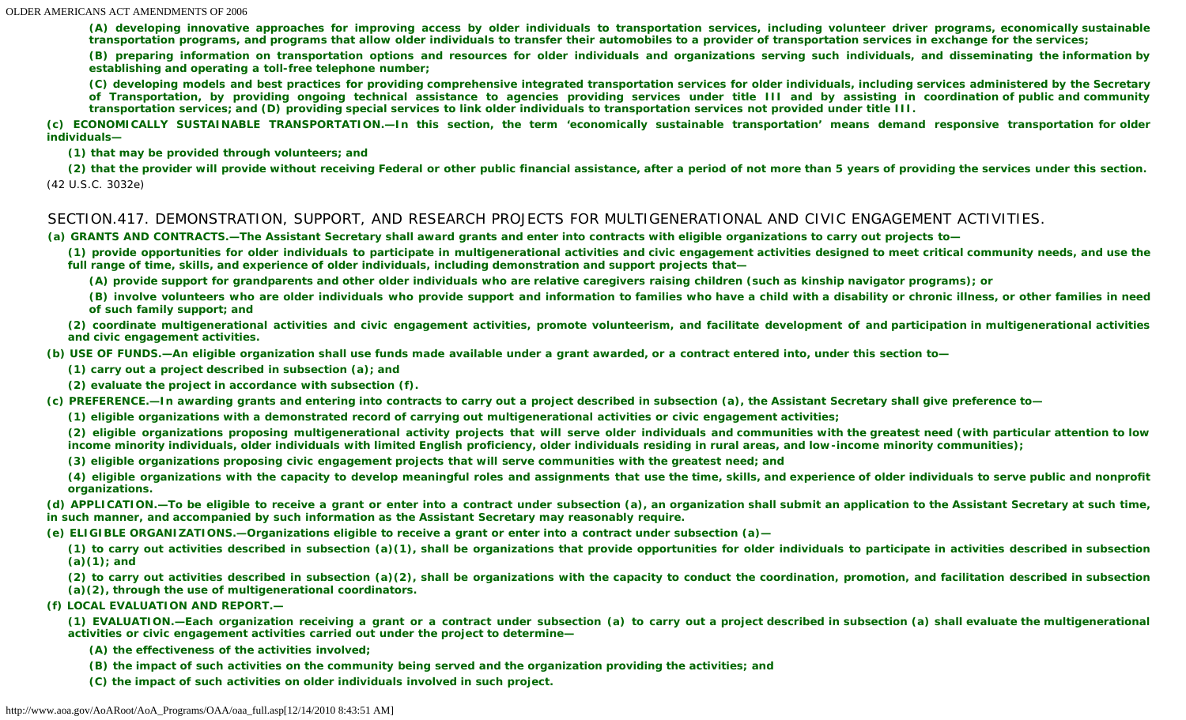**(A) developing innovative approaches for improving access by older individuals to transportation services, including volunteer driver programs, economically sustainable transportation programs, and programs that allow older individuals to transfer their automobiles to a provider of transportation services in exchange for the services;**

**(B) preparing information on transportation options and resources for older individuals and organizations serving such individuals, and disseminating the information by establishing and operating a toll-free telephone number;**

**(C) developing models and best practices for providing comprehensive integrated transportation services for older individuals, including services administered by the Secretary of Transportation, by providing ongoing technical assistance to agencies providing services under title III and by assisting in coordination of public and community transportation services; and (D) providing special services to link older individuals to transportation services not provided under title III.**

**(c) ECONOMICALLY SUSTAINABLE TRANSPORTATION.—In this section, the term 'economically sustainable transportation' means demand responsive transportation for older individuals—**

**(1) that may be provided through volunteers; and**

**(2) that the provider will provide without receiving Federal or other public financial assistance, after a period of not more than 5 years of providing the services under this section.** (42 U.S.C. 3032e)

## SECTION.417. DEMONSTRATION, SUPPORT, AND RESEARCH PROJECTS FOR MULTIGENERATIONAL AND CIVIC ENGAGEMENT ACTIVITIES.

**(a) GRANTS AND CONTRACTS.—The Assistant Secretary shall award grants and enter into contracts with eligible organizations to carry out projects to—**

**(1) provide opportunities for older individuals to participate in multigenerational activities and civic engagement activities designed to meet critical community needs, and use the full range of time, skills, and experience of older individuals, including demonstration and support projects that—**

**(A) provide support for grandparents and other older individuals who are relative caregivers raising children (such as kinship navigator programs); or**

**(B) involve volunteers who are older individuals who provide support and information to families who have a child with a disability or chronic illness, or other families in need of such family support; and**

**(2) coordinate multigenerational activities and civic engagement activities, promote volunteerism, and facilitate development of and participation in multigenerational activities and civic engagement activities.**

**(b) USE OF FUNDS.—An eligible organization shall use funds made available under a grant awarded, or a contract entered into, under this section to—**

**(1) carry out a project described in subsection (a); and**

**(2) evaluate the project in accordance with subsection (f).**

**(c) PREFERENCE.—In awarding grants and entering into contracts to carry out a project described in subsection (a), the Assistant Secretary shall give preference to—**

**(1) eligible organizations with a demonstrated record of carrying out multigenerational activities or civic engagement activities;**

**(2) eligible organizations proposing multigenerational activity projects that will serve older individuals and communities with the greatest need (with particular attention to low income minority individuals, older individuals with limited English proficiency, older individuals residing in rural areas, and low-income minority communities);**

**(3) eligible organizations proposing civic engagement projects that will serve communities with the greatest need; and**

**(4) eligible organizations with the capacity to develop meaningful roles and assignments that use the time, skills, and experience of older individuals to serve public and nonprofit organizations.**

**(d) APPLICATION.—To be eligible to receive a grant or enter into a contract under subsection (a), an organization shall submit an application to the Assistant Secretary at such time, in such manner, and accompanied by such information as the Assistant Secretary may reasonably require.**

**(e) ELIGIBLE ORGANIZATIONS.—Organizations eligible to receive a grant or enter into a contract under subsection (a)—**

**(1) to carry out activities described in subsection (a)(1), shall be organizations that provide opportunities for older individuals to participate in activities described in subsection (a)(1); and**

**(2) to carry out activities described in subsection (a)(2), shall be organizations with the capacity to conduct the coordination, promotion, and facilitation described in subsection (a)(2), through the use of multigenerational coordinators.**

**(f) LOCAL EVALUATION AND REPORT.—**

**(1) EVALUATION.—Each organization receiving a grant or a contract under subsection (a) to carry out a project described in subsection (a) shall evaluate the multigenerational activities or civic engagement activities carried out under the project to determine—**

**(A) the effectiveness of the activities involved;**

**(B) the impact of such activities on the community being served and the organization providing the activities; and**

**(C) the impact of such activities on older individuals involved in such project.**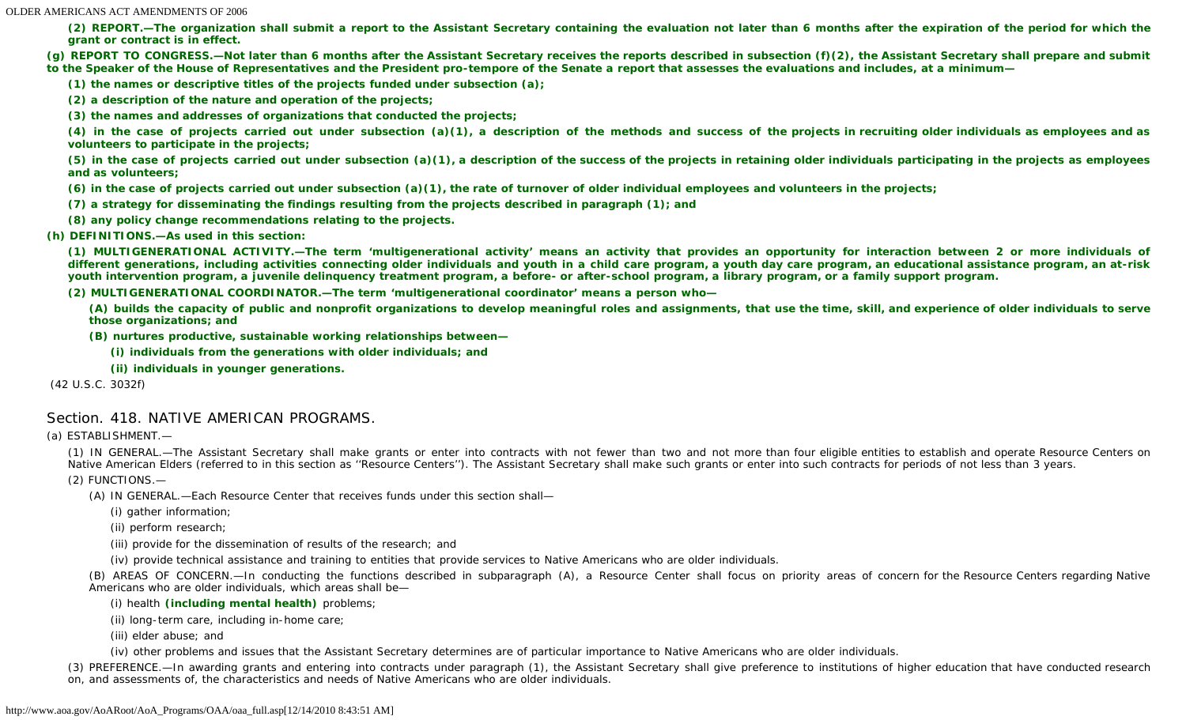**(2) REPORT.—The organization shall submit a report to the Assistant Secretary containing the evaluation not later than 6 months after the expiration of the period for which the grant or contract is in effect.**

**(g) REPORT TO CONGRESS.—Not later than 6 months after the Assistant Secretary receives the reports described in subsection (f)(2), the Assistant Secretary shall prepare and submit to the Speaker of the House of Representatives and the President pro-tempore of the Senate a report that assesses the evaluations and includes, at a minimum—**

**(1) the names or descriptive titles of the projects funded under subsection (a);**

**(2) a description of the nature and operation of the projects;**

**(3) the names and addresses of organizations that conducted the projects;**

**(4) in the case of projects carried out under subsection (a)(1), a description of the methods and success of the projects in recruiting older individuals as employees and as volunteers to participate in the projects;**

**(5) in the case of projects carried out under subsection (a)(1), a description of the success of the projects in retaining older individuals participating in the projects as employees and as volunteers;**

**(6) in the case of projects carried out under subsection (a)(1), the rate of turnover of older individual employees and volunteers in the projects;**

**(7) a strategy for disseminating the findings resulting from the projects described in paragraph (1); and**

**(8) any policy change recommendations relating to the projects.**

#### **(h) DEFINITIONS.—As used in this section:**

**(1) MULTIGENERATIONAL ACTIVITY.—The term 'multigenerational activity' means an activity that provides an opportunity for interaction between 2 or more individuals of different generations, including activities connecting older individuals and youth in a child care program, a youth day care program, an educational assistance program, an at-risk youth intervention program, a juvenile delinquency treatment program, a before- or after-school program, a library program, or a family support program.**

**(2) MULTIGENERATIONAL COORDINATOR.—The term 'multigenerational coordinator' means a person who—**

**(A) builds the capacity of public and nonprofit organizations to develop meaningful roles and assignments, that use the time, skill, and experience of older individuals to serve those organizations; and**

**(B) nurtures productive, sustainable working relationships between—**

**(i) individuals from the generations with older individuals; and**

**(ii) individuals in younger generations.**

(42 U.S.C. 3032f)

### Section. 418. NATIVE AMERICAN PROGRAMS.

(a) ESTABLISHMENT.—

(1) IN GENERAL.—The Assistant Secretary shall make grants or enter into contracts with not fewer than two and not more than four eligible entities to establish and operate Resource Centers on Native American Elders (referred to in this section as "Resource Centers"). The Assistant Secretary shall make such grants or enter into such contracts for periods of not less than 3 years.

(2) FUNCTIONS.—

(A) IN GENERAL.—Each Resource Center that receives funds under this section shall—

(i) gather information;

(ii) perform research;

(iii) provide for the dissemination of results of the research; and

(iv) provide technical assistance and training to entities that provide services to Native Americans who are older individuals.

(B) AREAS OF CONCERN.—In conducting the functions described in subparagraph (A), a Resource Center shall focus on priority areas of concern for the Resource Centers regarding Native Americans who are older individuals, which areas shall be—

(i) health **(including mental health)** problems;

(ii) long-term care, including in-home care;

(iii) elder abuse; and

(iv) other problems and issues that the Assistant Secretary determines are of particular importance to Native Americans who are older individuals.

(3) PREFERENCE.—In awarding grants and entering into contracts under paragraph (1), the Assistant Secretary shall give preference to institutions of higher education that have conducted research on, and assessments of, the characteristics and needs of Native Americans who are older individuals.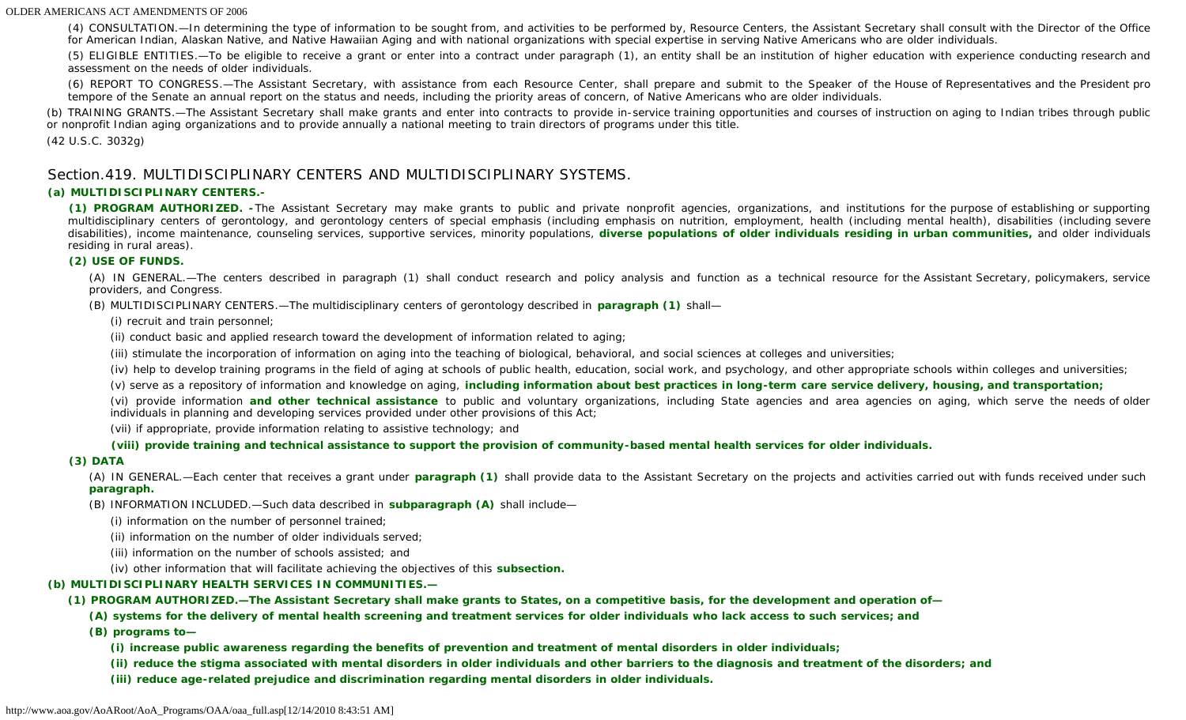(4) CONSULTATION.—In determining the type of information to be sought from, and activities to be performed by, Resource Centers, the Assistant Secretary shall consult with the Director of the Office for American Indian, Alaskan Native, and Native Hawaiian Aging and with national organizations with special expertise in serving Native Americans who are older individuals.

(5) ELIGIBLE ENTITIES.—To be eligible to receive a grant or enter into a contract under paragraph (1), an entity shall be an institution of higher education with experience conducting research and assessment on the needs of older individuals.

(6) REPORT TO CONGRESS.—The Assistant Secretary, with assistance from each Resource Center, shall prepare and submit to the Speaker of the House of Representatives and the President pro tempore of the Senate an annual report on the status and needs, including the priority areas of concern, of Native Americans who are older individuals.

(b) TRAINING GRANTS.—The Assistant Secretary shall make grants and enter into contracts to provide in-service training opportunities and courses of instruction on aging to Indian tribes through public or nonprofit Indian aging organizations and to provide annually a national meeting to train directors of programs under this title.

(42 U.S.C. 3032g)

# Section.419. MULTIDISCIPLINARY CENTERS AND MULTIDISCIPLINARY SYSTEMS.

### **(a) MULTIDISCIPLINARY CENTERS.-**

**(1) PROGRAM AUTHORIZED. -**The Assistant Secretary may make grants to public and private nonprofit agencies, organizations, and institutions for the purpose of establishing or supporting multidisciplinary centers of gerontology, and gerontology centers of special emphasis (including emphasis on nutrition, employment, health (including mental health), disabilities (including severe disabilities), income maintenance, counseling services, supportive services, minority populations, **diverse populations of older individuals residing in urban communities,** and older individuals residing in rural areas).

### **(2) USE OF FUNDS.**

(A) IN GENERAL.—The centers described in paragraph (1) shall conduct research and policy analysis and function as a technical resource for the Assistant Secretary, policymakers, service providers, and Congress.

(B) MULTIDISCIPLINARY CENTERS.—The multidisciplinary centers of gerontology described in **paragraph (1)** shall—

(i) recruit and train personnel;

(ii) conduct basic and applied research toward the development of information related to aging;

(iii) stimulate the incorporation of information on aging into the teaching of biological, behavioral, and social sciences at colleges and universities;

(iv) help to develop training programs in the field of aging at schools of public health, education, social work, and psychology, and other appropriate schools within colleges and universities;

(v) serve as a repository of information and knowledge on aging, **including information about best practices in long-term care service delivery, housing, and transportation;**

(vi) provide information and other technical assistance to public and voluntary organizations, including State agencies and area agencies on aging, which serve the needs of older individuals in planning and developing services provided under other provisions of this Act;

(vii) if appropriate, provide information relating to assistive technology; and

**(viii) provide training and technical assistance to support the provision of community-based mental health services for older individuals.**

## **(3) DATA**

(A) IN GENERAL.—Each center that receives a grant under **paragraph (1)** shall provide data to the Assistant Secretary on the projects and activities carried out with funds received under such **paragraph.**

(B) INFORMATION INCLUDED.—Such data described in **subparagraph (A)** shall include—

(i) information on the number of personnel trained;

(ii) information on the number of older individuals served;

(iii) information on the number of schools assisted; and

(iv) other information that will facilitate achieving the objectives of this **subsection.**

## **(b) MULTIDISCIPLINARY HEALTH SERVICES IN COMMUNITIES.—**

**(1) PROGRAM AUTHORIZED.—The Assistant Secretary shall make grants to States, on a competitive basis, for the development and operation of—**

**(A) systems for the delivery of mental health screening and treatment services for older individuals who lack access to such services; and**

**(B) programs to—**

**(i) increase public awareness regarding the benefits of prevention and treatment of mental disorders in older individuals;**

**(ii) reduce the stigma associated with mental disorders in older individuals and other barriers to the diagnosis and treatment of the disorders; and**

**(iii) reduce age-related prejudice and discrimination regarding mental disorders in older individuals.**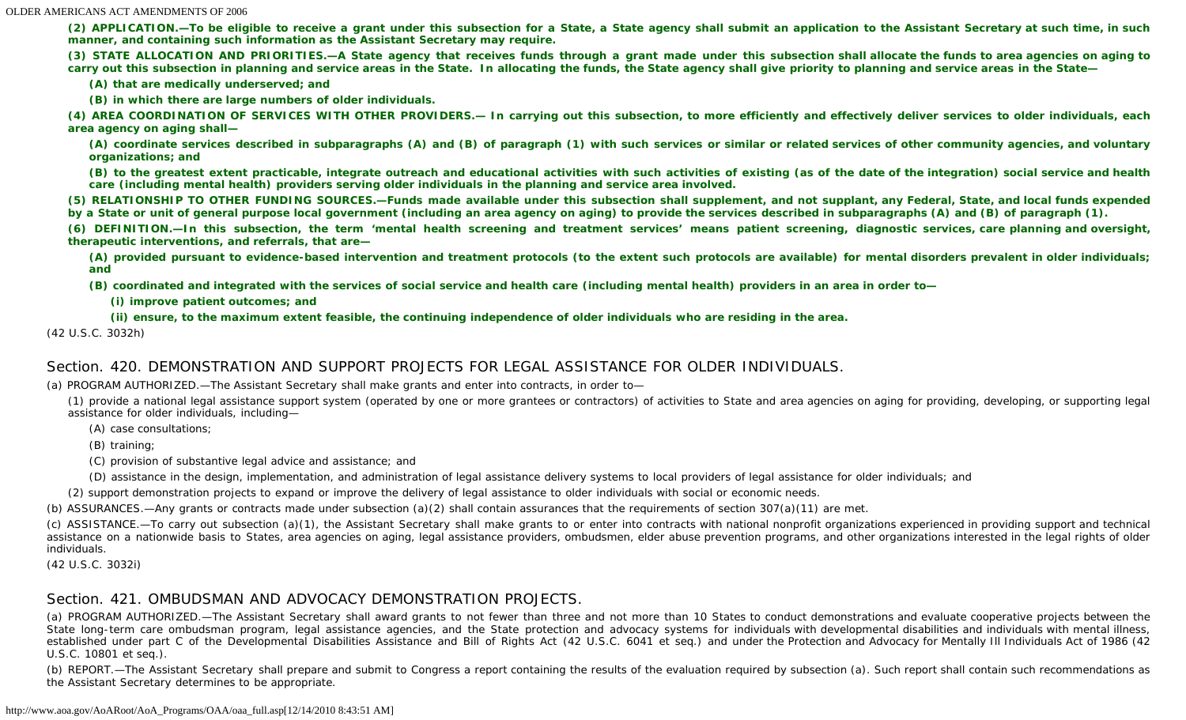**(2) APPLICATION.—To be eligible to receive a grant under this subsection for a State, a State agency shall submit an application to the Assistant Secretary at such time, in such manner, and containing such information as the Assistant Secretary may require.**

**(3) STATE ALLOCATION AND PRIORITIES.—A State agency that receives funds through a grant made under this subsection shall allocate the funds to area agencies on aging to carry out this subsection in planning and service areas in the State. In allocating the funds, the State agency shall give priority to planning and service areas in the State—**

**(A) that are medically underserved; and**

**(B) in which there are large numbers of older individuals.**

**(4) AREA COORDINATION OF SERVICES WITH OTHER PROVIDERS.— In carrying out this subsection, to more efficiently and effectively deliver services to older individuals, each area agency on aging shall—**

**(A) coordinate services described in subparagraphs (A) and (B) of paragraph (1) with such services or similar or related services of other community agencies, and voluntary organizations; and**

**(B) to the greatest extent practicable, integrate outreach and educational activities with such activities of existing (as of the date of the integration) social service and health care (including mental health) providers serving older individuals in the planning and service area involved.**

**(5) RELATIONSHIP TO OTHER FUNDING SOURCES.—Funds made available under this subsection shall supplement, and not supplant, any Federal, State, and local funds expended by a State or unit of general purpose local government (including an area agency on aging) to provide the services described in subparagraphs (A) and (B) of paragraph (1).**

**(6) DEFINITION.—In this subsection, the term 'mental health screening and treatment services' means patient screening, diagnostic services, care planning and oversight, therapeutic interventions, and referrals, that are—**

**(A) provided pursuant to evidence-based intervention and treatment protocols (to the extent such protocols are available) for mental disorders prevalent in older individuals; and**

**(B) coordinated and integrated with the services of social service and health care (including mental health) providers in an area in order to—**

**(i) improve patient outcomes; and**

**(ii) ensure, to the maximum extent feasible, the continuing independence of older individuals who are residing in the area.**

(42 U.S.C. 3032h)

## Section. 420. DEMONSTRATION AND SUPPORT PROJECTS FOR LEGAL ASSISTANCE FOR OLDER INDIVIDUALS.

(a) PROGRAM AUTHORIZED.—The Assistant Secretary shall make grants and enter into contracts, in order to—

(1) provide a national legal assistance support system (operated by one or more grantees or contractors) of activities to State and area agencies on aging for providing, developing, or supporting legal assistance for older individuals, including—

(A) case consultations;

(B) training;

(C) provision of substantive legal advice and assistance; and

(D) assistance in the design, implementation, and administration of legal assistance delivery systems to local providers of legal assistance for older individuals; and

(2) support demonstration projects to expand or improve the delivery of legal assistance to older individuals with social or economic needs.

(b) ASSURANCES.—Any grants or contracts made under subsection (a)(2) shall contain assurances that the requirements of section 307(a)(11) are met.

(c) ASSISTANCE.—To carry out subsection (a)(1), the Assistant Secretary shall make grants to or enter into contracts with national nonprofit organizations experienced in providing support and technical assistance on a nationwide basis to States, area agencies on aging, legal assistance providers, ombudsmen, elder abuse prevention programs, and other organizations interested in the legal rights of older individuals.

(42 U.S.C. 3032i)

## Section. 421. OMBUDSMAN AND ADVOCACY DEMONSTRATION PROJECTS.

(a) PROGRAM AUTHORIZED.—The Assistant Secretary shall award grants to not fewer than three and not more than 10 States to conduct demonstrations and evaluate cooperative projects between the State long-term care ombudsman program, legal assistance agencies, and the State protection and advocacy systems for individuals with developmental disabilities and individuals with mental illness, established under part C of the Developmental Disabilities Assistance and Bill of Rights Act (42 U.S.C. 6041 et seq.) and under the Protection and Advocacy for Mentally Ill Individuals Act of 1986 (42 U.S.C. 10801 et seq.).

(b) REPORT.—The Assistant Secretary shall prepare and submit to Congress a report containing the results of the evaluation required by subsection (a). Such report shall contain such recommendations as the Assistant Secretary determines to be appropriate.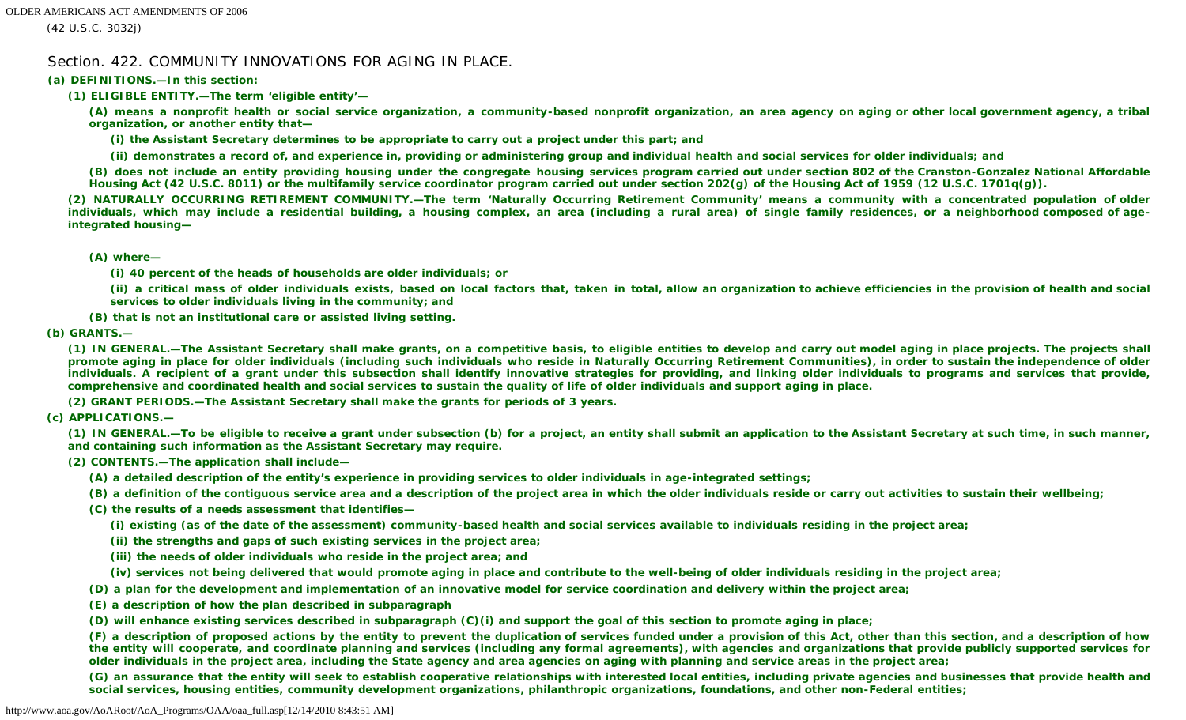(42 U.S.C. 3032j)

# Section. 422. COMMUNITY INNOVATIONS FOR AGING IN PLACE.

**(a) DEFINITIONS.—In this section:**

**(1) ELIGIBLE ENTITY.—The term 'eligible entity'—**

**(A) means a nonprofit health or social service organization, a community-based nonprofit organization, an area agency on aging or other local government agency, a tribal organization, or another entity that—**

**(i) the Assistant Secretary determines to be appropriate to carry out a project under this part; and**

**(ii) demonstrates a record of, and experience in, providing or administering group and individual health and social services for older individuals; and**

**(B) does not include an entity providing housing under the congregate housing services program carried out under section 802 of the Cranston-Gonzalez National Affordable Housing Act (42 U.S.C. 8011) or the multifamily service coordinator program carried out under section 202(g) of the Housing Act of 1959 (12 U.S.C. 1701q(g)).**

**(2) NATURALLY OCCURRING RETIREMENT COMMUNITY.—The term 'Naturally Occurring Retirement Community' means a community with a concentrated population of older individuals, which may include a residential building, a housing complex, an area (including a rural area) of single family residences, or a neighborhood composed of ageintegrated housing—**

**(A) where—**

**(i) 40 percent of the heads of households are older individuals; or**

**(ii) a critical mass of older individuals exists, based on local factors that, taken in total, allow an organization to achieve efficiencies in the provision of health and social services to older individuals living in the community; and**

**(B) that is not an institutional care or assisted living setting.**

**(b) GRANTS.—**

**(1) IN GENERAL.—The Assistant Secretary shall make grants, on a competitive basis, to eligible entities to develop and carry out model aging in place projects. The projects shall promote aging in place for older individuals (including such individuals who reside in Naturally Occurring Retirement Communities), in order to sustain the independence of older individuals. A recipient of a grant under this subsection shall identify innovative strategies for providing, and linking older individuals to programs and services that provide, comprehensive and coordinated health and social services to sustain the quality of life of older individuals and support aging in place.**

**(2) GRANT PERIODS.—The Assistant Secretary shall make the grants for periods of 3 years.**

**(c) APPLICATIONS.—**

**(1) IN GENERAL.—To be eligible to receive a grant under subsection (b) for a project, an entity shall submit an application to the Assistant Secretary at such time, in such manner, and containing such information as the Assistant Secretary may require.**

**(2) CONTENTS.—The application shall include—**

- **(A) a detailed description of the entity's experience in providing services to older individuals in age-integrated settings;**
- **(B) a definition of the contiguous service area and a description of the project area in which the older individuals reside or carry out activities to sustain their wellbeing;**

**(C) the results of a needs assessment that identifies—**

**(i) existing (as of the date of the assessment) community-based health and social services available to individuals residing in the project area;**

**(ii) the strengths and gaps of such existing services in the project area;**

**(iii) the needs of older individuals who reside in the project area; and**

**(iv) services not being delivered that would promote aging in place and contribute to the well-being of older individuals residing in the project area;**

**(D) a plan for the development and implementation of an innovative model for service coordination and delivery within the project area;**

**(E) a description of how the plan described in subparagraph**

**(D) will enhance existing services described in subparagraph (C)(i) and support the goal of this section to promote aging in place;**

**(F) a description of proposed actions by the entity to prevent the duplication of services funded under a provision of this Act, other than this section, and a description of how the entity will cooperate, and coordinate planning and services (including any formal agreements), with agencies and organizations that provide publicly supported services for older individuals in the project area, including the State agency and area agencies on aging with planning and service areas in the project area;**

**(G) an assurance that the entity will seek to establish cooperative relationships with interested local entities, including private agencies and businesses that provide health and social services, housing entities, community development organizations, philanthropic organizations, foundations, and other non-Federal entities;**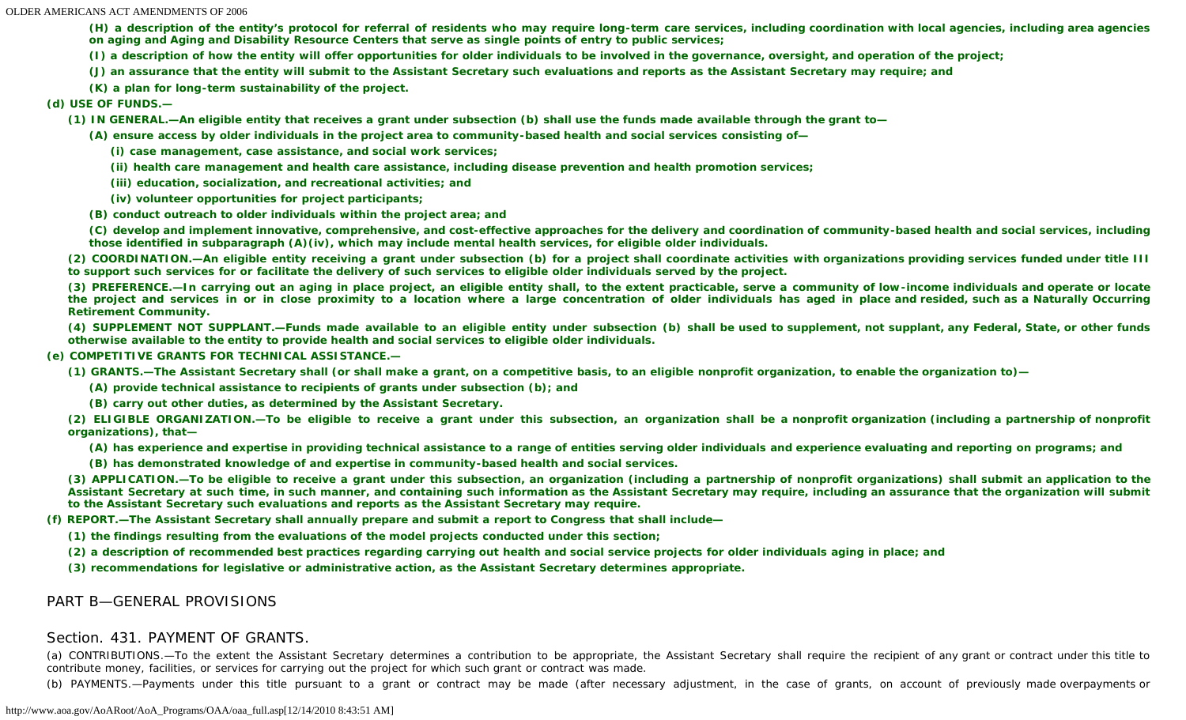**(H) a description of the entity's protocol for referral of residents who may require long-term care services, including coordination with local agencies, including area agencies on aging and Aging and Disability Resource Centers that serve as single points of entry to public services;**

**(I) a description of how the entity will offer opportunities for older individuals to be involved in the governance, oversight, and operation of the project;**

**(J) an assurance that the entity will submit to the Assistant Secretary such evaluations and reports as the Assistant Secretary may require; and**

**(K) a plan for long-term sustainability of the project.**

## **(d) USE OF FUNDS.—**

**(1) IN GENERAL.—An eligible entity that receives a grant under subsection (b) shall use the funds made available through the grant to—**

**(A) ensure access by older individuals in the project area to community-based health and social services consisting of—**

**(i) case management, case assistance, and social work services;**

**(ii) health care management and health care assistance, including disease prevention and health promotion services;**

**(iii) education, socialization, and recreational activities; and**

**(iv) volunteer opportunities for project participants;**

**(B) conduct outreach to older individuals within the project area; and**

**(C) develop and implement innovative, comprehensive, and cost-effective approaches for the delivery and coordination of community-based health and social services, including those identified in subparagraph (A)(iv), which may include mental health services, for eligible older individuals.**

**(2) COORDINATION.—An eligible entity receiving a grant under subsection (b) for a project shall coordinate activities with organizations providing services funded under title III to support such services for or facilitate the delivery of such services to eligible older individuals served by the project.**

**(3) PREFERENCE.—In carrying out an aging in place project, an eligible entity shall, to the extent practicable, serve a community of low-income individuals and operate or locate the project and services in or in close proximity to a location where a large concentration of older individuals has aged in place and resided, such as a Naturally Occurring Retirement Community.**

**(4) SUPPLEMENT NOT SUPPLANT.—Funds made available to an eligible entity under subsection (b) shall be used to supplement, not supplant, any Federal, State, or other funds otherwise available to the entity to provide health and social services to eligible older individuals.**

## **(e) COMPETITIVE GRANTS FOR TECHNICAL ASSISTANCE.—**

**(1) GRANTS.—The Assistant Secretary shall (or shall make a grant, on a competitive basis, to an eligible nonprofit organization, to enable the organization to)—**

**(A) provide technical assistance to recipients of grants under subsection (b); and**

**(B) carry out other duties, as determined by the Assistant Secretary.**

**(2) ELIGIBLE ORGANIZATION.—To be eligible to receive a grant under this subsection, an organization shall be a nonprofit organization (including a partnership of nonprofit organizations), that—**

**(A) has experience and expertise in providing technical assistance to a range of entities serving older individuals and experience evaluating and reporting on programs; and**

**(B) has demonstrated knowledge of and expertise in community-based health and social services.**

**(3) APPLICATION.—To be eligible to receive a grant under this subsection, an organization (including a partnership of nonprofit organizations) shall submit an application to the Assistant Secretary at such time, in such manner, and containing such information as the Assistant Secretary may require, including an assurance that the organization will submit to the Assistant Secretary such evaluations and reports as the Assistant Secretary may require.**

**(f) REPORT.—The Assistant Secretary shall annually prepare and submit a report to Congress that shall include—**

**(1) the findings resulting from the evaluations of the model projects conducted under this section;**

**(2) a description of recommended best practices regarding carrying out health and social service projects for older individuals aging in place; and**

**(3) recommendations for legislative or administrative action, as the Assistant Secretary determines appropriate.**

# PART B—GENERAL PROVISIONS

# Section. 431. PAYMENT OF GRANTS.

(a) CONTRIBUTIONS.—To the extent the Assistant Secretary determines a contribution to be appropriate, the Assistant Secretary shall require the recipient of any grant or contract under this title to contribute money, facilities, or services for carrying out the project for which such grant or contract was made.

(b) PAYMENTS.—Payments under this title pursuant to a grant or contract may be made (after necessary adjustment, in the case of grants, on account of previously made overpayments or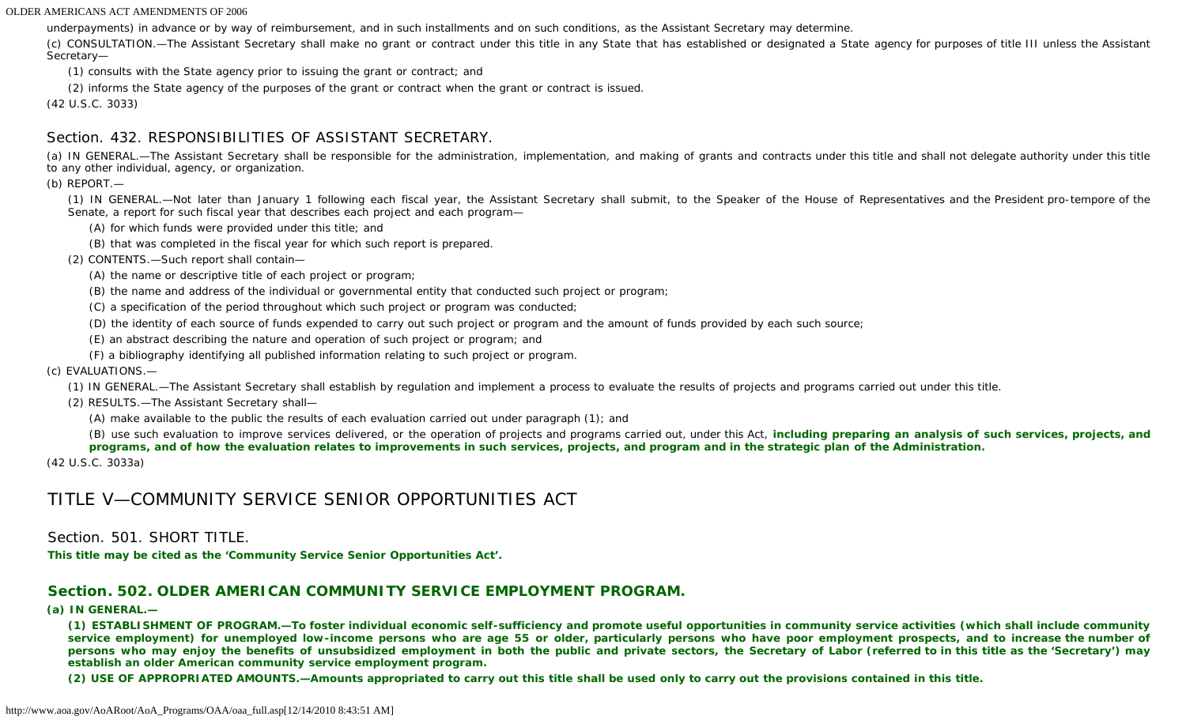underpayments) in advance or by way of reimbursement, and in such installments and on such conditions, as the Assistant Secretary may determine.

(c) CONSULTATION.—The Assistant Secretary shall make no grant or contract under this title in any State that has established or designated a State agency for purposes of title III unless the Assistant Secretary—

(1) consults with the State agency prior to issuing the grant or contract; and

(2) informs the State agency of the purposes of the grant or contract when the grant or contract is issued.

(42 U.S.C. 3033)

# Section. 432. RESPONSIBILITIES OF ASSISTANT SECRETARY.

(a) IN GENERAL.—The Assistant Secretary shall be responsible for the administration, implementation, and making of grants and contracts under this title and shall not delegate authority under this title to any other individual, agency, or organization.

(b) REPORT.—

(1) IN GENERAL.—Not later than January 1 following each fiscal year, the Assistant Secretary shall submit, to the Speaker of the House of Representatives and the President pro-tempore of the Senate, a report for such fiscal year that describes each project and each program—

(A) for which funds were provided under this title; and

(B) that was completed in the fiscal year for which such report is prepared.

(2) CONTENTS.—Such report shall contain—

(A) the name or descriptive title of each project or program;

(B) the name and address of the individual or governmental entity that conducted such project or program;

(C) a specification of the period throughout which such project or program was conducted;

(D) the identity of each source of funds expended to carry out such project or program and the amount of funds provided by each such source;

(E) an abstract describing the nature and operation of such project or program; and

(F) a bibliography identifying all published information relating to such project or program.

## (c) EVALUATIONS.—

(1) IN GENERAL.—The Assistant Secretary shall establish by regulation and implement a process to evaluate the results of projects and programs carried out under this title.

(2) RESULTS.—The Assistant Secretary shall—

(A) make available to the public the results of each evaluation carried out under paragraph (1); and

(B) use such evaluation to improve services delivered, or the operation of projects and programs carried out, under this Act, **including preparing an analysis of such services, projects, and programs, and of how the evaluation relates to improvements in such services, projects, and program and in the strategic plan of the Administration.**

(42 U.S.C. 3033a)

# TITLE V—COMMUNITY SERVICE SENIOR OPPORTUNITIES ACT

Section. 501. SHORT TITLE.

**This title may be cited as the 'Community Service Senior Opportunities Act'.**

# **Section. 502. OLDER AMERICAN COMMUNITY SERVICE EMPLOYMENT PROGRAM.**

**(a) IN GENERAL.—**

**(1) ESTABLISHMENT OF PROGRAM.—To foster individual economic self-sufficiency and promote useful opportunities in community service activities (which shall include community** service employment) for unemployed low-income persons who are age 55 or older, particularly persons who have poor employment prospects, and to increase the number of **persons who may enjoy the benefits of unsubsidized employment in both the public and private sectors, the Secretary of Labor (referred to in this title as the 'Secretary') may establish an older American community service employment program.**

**(2) USE OF APPROPRIATED AMOUNTS.—Amounts appropriated to carry out this title shall be used only to carry out the provisions contained in this title.**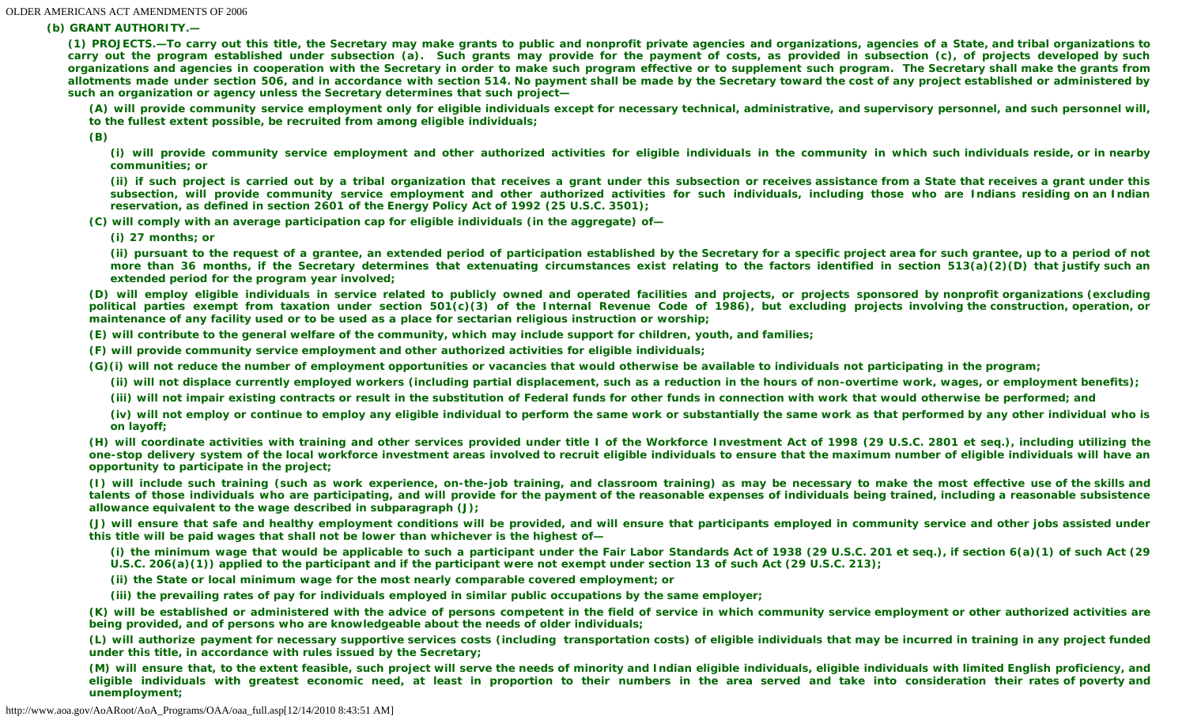#### **(b) GRANT AUTHORITY.—**

**(1) PROJECTS.—To carry out this title, the Secretary may make grants to public and nonprofit private agencies and organizations, agencies of a State, and tribal organizations to carry out the program established under subsection (a). Such grants may provide for the payment of costs, as provided in subsection (c), of projects developed by such organizations and agencies in cooperation with the Secretary in order to make such program effective or to supplement such program. The Secretary shall make the grants from allotments made under section 506, and in accordance with section 514. No payment shall be made by the Secretary toward the cost of any project established or administered by such an organization or agency unless the Secretary determines that such project—**

**(A) will provide community service employment only for eligible individuals except for necessary technical, administrative, and supervisory personnel, and such personnel will, to the fullest extent possible, be recruited from among eligible individuals;**

**(B)**

**(i) will provide community service employment and other authorized activities for eligible individuals in the community in which such individuals reside, or in nearby communities; or**

**(ii) if such project is carried out by a tribal organization that receives a grant under this subsection or receives assistance from a State that receives a grant under this subsection, will provide community service employment and other authorized activities for such individuals, including those who are Indians residing on an Indian reservation, as defined in section 2601 of the Energy Policy Act of 1992 (25 U.S.C. 3501);**

**(C) will comply with an average participation cap for eligible individuals (in the aggregate) of—**

**(i) 27 months; or**

**(ii) pursuant to the request of a grantee, an extended period of participation established by the Secretary for a specific project area for such grantee, up to a period of not more than 36 months, if the Secretary determines that extenuating circumstances exist relating to the factors identified in section 513(a)(2)(D) that justify such an extended period for the program year involved;**

**(D) will employ eligible individuals in service related to publicly owned and operated facilities and projects, or projects sponsored by nonprofit organizations (excluding political parties exempt from taxation under section 501(c)(3) of the Internal Revenue Code of 1986), but excluding projects involving the construction, operation, or maintenance of any facility used or to be used as a place for sectarian religious instruction or worship;**

**(E) will contribute to the general welfare of the community, which may include support for children, youth, and families;**

**(F) will provide community service employment and other authorized activities for eligible individuals;**

**(G)(i) will not reduce the number of employment opportunities or vacancies that would otherwise be available to individuals not participating in the program;**

**(ii) will not displace currently employed workers (including partial displacement, such as a reduction in the hours of non-overtime work, wages, or employment benefits);**

**(iii) will not impair existing contracts or result in the substitution of Federal funds for other funds in connection with work that would otherwise be performed; and**

(iv) will not employ or continue to employ any eligible individual to perform the same work or substantially the same work as that performed by any other individual who is **on layoff;**

**(H) will coordinate activities with training and other services provided under title I of the Workforce Investment Act of 1998 (29 U.S.C. 2801 et seq.), including utilizing the one-stop delivery system of the local workforce investment areas involved to recruit eligible individuals to ensure that the maximum number of eligible individuals will have an opportunity to participate in the project;**

**(I) will include such training (such as work experience, on-the-job training, and classroom training) as may be necessary to make the most effective use of the skills and talents of those individuals who are participating, and will provide for the payment of the reasonable expenses of individuals being trained, including a reasonable subsistence allowance equivalent to the wage described in subparagraph (J);**

**(J) will ensure that safe and healthy employment conditions will be provided, and will ensure that participants employed in community service and other jobs assisted under this title will be paid wages that shall not be lower than whichever is the highest of—**

**(i) the minimum wage that would be applicable to such a participant under the Fair Labor Standards Act of 1938 (29 U.S.C. 201 et seq.), if section 6(a)(1) of such Act (29 U.S.C. 206(a)(1)) applied to the participant and if the participant were not exempt under section 13 of such Act (29 U.S.C. 213);**

**(ii) the State or local minimum wage for the most nearly comparable covered employment; or**

**(iii) the prevailing rates of pay for individuals employed in similar public occupations by the same employer;**

**(K) will be established or administered with the advice of persons competent in the field of service in which community service employment or other authorized activities are being provided, and of persons who are knowledgeable about the needs of older individuals;**

**(L) will authorize payment for necessary supportive services costs (including transportation costs) of eligible individuals that may be incurred in training in any project funded under this title, in accordance with rules issued by the Secretary;**

**(M) will ensure that, to the extent feasible, such project will serve the needs of minority and Indian eligible individuals, eligible individuals with limited English proficiency, and eligible individuals with greatest economic need, at least in proportion to their numbers in the area served and take into consideration their rates of poverty and unemployment;**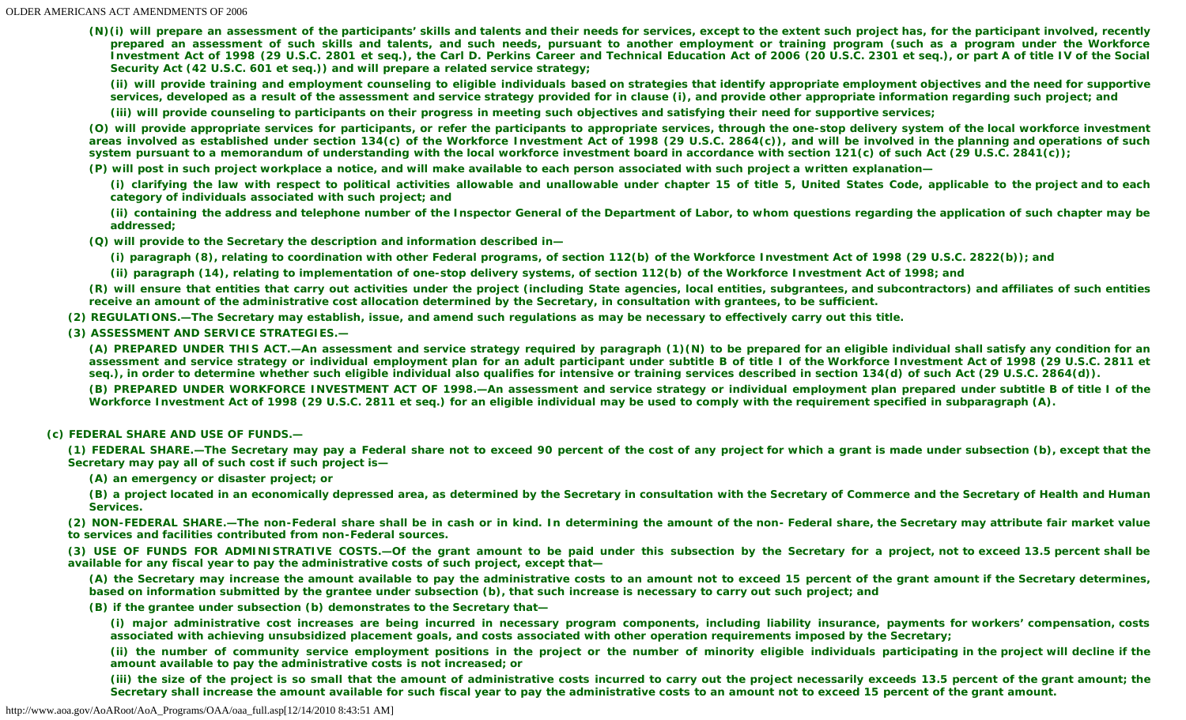**(N)(i) will prepare an assessment of the participants' skills and talents and their needs for services, except to the extent such project has, for the participant involved, recently prepared an assessment of such skills and talents, and such needs, pursuant to another employment or training program (such as a program under the Workforce Investment Act of 1998 (29 U.S.C. 2801 et seq.), the Carl D. Perkins Career and Technical Education Act of 2006 (20 U.S.C. 2301 et seq.), or part A of title IV of the Social Security Act (42 U.S.C. 601 et seq.)) and will prepare a related service strategy;**

**(ii) will provide training and employment counseling to eligible individuals based on strategies that identify appropriate employment objectives and the need for supportive services, developed as a result of the assessment and service strategy provided for in clause (i), and provide other appropriate information regarding such project; and**

**(iii) will provide counseling to participants on their progress in meeting such objectives and satisfying their need for supportive services;**

**(O) will provide appropriate services for participants, or refer the participants to appropriate services, through the one-stop delivery system of the local workforce investment areas involved as established under section 134(c) of the Workforce Investment Act of 1998 (29 U.S.C. 2864(c)), and will be involved in the planning and operations of such system pursuant to a memorandum of understanding with the local workforce investment board in accordance with section 121(c) of such Act (29 U.S.C. 2841(c));**

**(P) will post in such project workplace a notice, and will make available to each person associated with such project a written explanation—**

**(i) clarifying the law with respect to political activities allowable and unallowable under chapter 15 of title 5, United States Code, applicable to the project and to each category of individuals associated with such project; and**

**(ii) containing the address and telephone number of the Inspector General of the Department of Labor, to whom questions regarding the application of such chapter may be addressed;**

**(Q) will provide to the Secretary the description and information described in—**

**(i) paragraph (8), relating to coordination with other Federal programs, of section 112(b) of the Workforce Investment Act of 1998 (29 U.S.C. 2822(b)); and**

**(ii) paragraph (14), relating to implementation of one-stop delivery systems, of section 112(b) of the Workforce Investment Act of 1998; and**

**(R) will ensure that entities that carry out activities under the project (including State agencies, local entities, subgrantees, and subcontractors) and affiliates of such entities receive an amount of the administrative cost allocation determined by the Secretary, in consultation with grantees, to be sufficient.**

**(2) REGULATIONS.—The Secretary may establish, issue, and amend such regulations as may be necessary to effectively carry out this title.**

#### **(3) ASSESSMENT AND SERVICE STRATEGIES.—**

**(A) PREPARED UNDER THIS ACT.—An assessment and service strategy required by paragraph (1)(N) to be prepared for an eligible individual shall satisfy any condition for an assessment and service strategy or individual employment plan for an adult participant under subtitle B of title I of the Workforce Investment Act of 1998 (29 U.S.C. 2811 et seq.), in order to determine whether such eligible individual also qualifies for intensive or training services described in section 134(d) of such Act (29 U.S.C. 2864(d)).**

**(B) PREPARED UNDER WORKFORCE INVESTMENT ACT OF 1998.—An assessment and service strategy or individual employment plan prepared under subtitle B of title I of the Workforce Investment Act of 1998 (29 U.S.C. 2811 et seq.) for an eligible individual may be used to comply with the requirement specified in subparagraph (A).**

#### **(c) FEDERAL SHARE AND USE OF FUNDS.—**

**(1) FEDERAL SHARE.—The Secretary may pay a Federal share not to exceed 90 percent of the cost of any project for which a grant is made under subsection (b), except that the Secretary may pay all of such cost if such project is—**

**(A) an emergency or disaster project; or**

**(B) a project located in an economically depressed area, as determined by the Secretary in consultation with the Secretary of Commerce and the Secretary of Health and Human Services.**

**(2) NON-FEDERAL SHARE.—The non-Federal share shall be in cash or in kind. In determining the amount of the non- Federal share, the Secretary may attribute fair market value to services and facilities contributed from non-Federal sources.**

**(3) USE OF FUNDS FOR ADMINISTRATIVE COSTS.—Of the grant amount to be paid under this subsection by the Secretary for a project, not to exceed 13.5 percent shall be available for any fiscal year to pay the administrative costs of such project, except that—**

**(A) the Secretary may increase the amount available to pay the administrative costs to an amount not to exceed 15 percent of the grant amount if the Secretary determines, based on information submitted by the grantee under subsection (b), that such increase is necessary to carry out such project; and**

**(B) if the grantee under subsection (b) demonstrates to the Secretary that—**

**(i) major administrative cost increases are being incurred in necessary program components, including liability insurance, payments for workers' compensation, costs associated with achieving unsubsidized placement goals, and costs associated with other operation requirements imposed by the Secretary;**

**(ii) the number of community service employment positions in the project or the number of minority eligible individuals participating in the project will decline if the amount available to pay the administrative costs is not increased; or**

**(iii) the size of the project is so small that the amount of administrative costs incurred to carry out the project necessarily exceeds 13.5 percent of the grant amount; the Secretary shall increase the amount available for such fiscal year to pay the administrative costs to an amount not to exceed 15 percent of the grant amount.**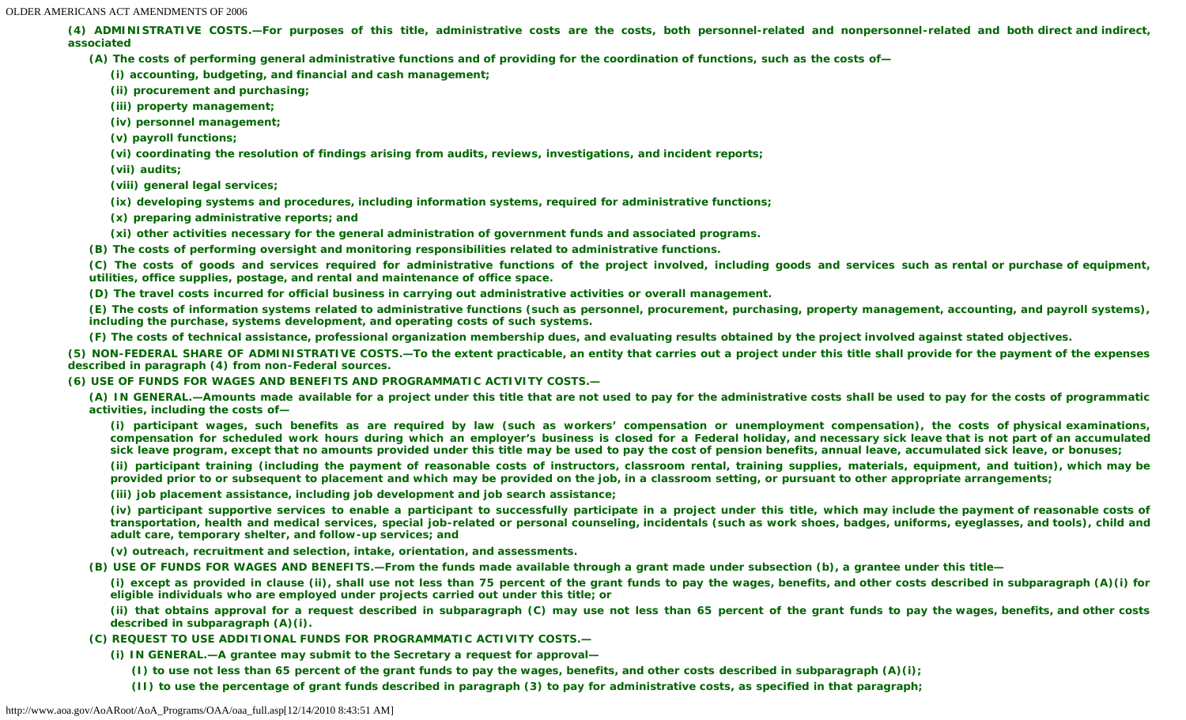**(4) ADMINISTRATIVE COSTS.—For purposes of this title, administrative costs are the costs, both personnel-related and nonpersonnel-related and both direct and indirect, associated**

**(A) The costs of performing general administrative functions and of providing for the coordination of functions, such as the costs of—**

**(i) accounting, budgeting, and financial and cash management;**

**(ii) procurement and purchasing;**

**(iii) property management;**

**(iv) personnel management;**

**(v) payroll functions;**

**(vi) coordinating the resolution of findings arising from audits, reviews, investigations, and incident reports;**

**(vii) audits;**

**(viii) general legal services;**

**(ix) developing systems and procedures, including information systems, required for administrative functions;**

**(x) preparing administrative reports; and**

**(xi) other activities necessary for the general administration of government funds and associated programs.**

**(B) The costs of performing oversight and monitoring responsibilities related to administrative functions.**

**(C) The costs of goods and services required for administrative functions of the project involved, including goods and services such as rental or purchase of equipment, utilities, office supplies, postage, and rental and maintenance of office space.**

**(D) The travel costs incurred for official business in carrying out administrative activities or overall management.**

**(E) The costs of information systems related to administrative functions (such as personnel, procurement, purchasing, property management, accounting, and payroll systems), including the purchase, systems development, and operating costs of such systems.**

**(F) The costs of technical assistance, professional organization membership dues, and evaluating results obtained by the project involved against stated objectives.**

**(5) NON-FEDERAL SHARE OF ADMINISTRATIVE COSTS.—To the extent practicable, an entity that carries out a project under this title shall provide for the payment of the expenses described in paragraph (4) from non-Federal sources.**

**(6) USE OF FUNDS FOR WAGES AND BENEFITS AND PROGRAMMATIC ACTIVITY COSTS.—**

**(A) IN GENERAL.—Amounts made available for a project under this title that are not used to pay for the administrative costs shall be used to pay for the costs of programmatic activities, including the costs of—**

**(i) participant wages, such benefits as are required by law (such as workers' compensation or unemployment compensation), the costs of physical examinations, compensation for scheduled work hours during which an employer's business is closed for a Federal holiday, and necessary sick leave that is not part of an accumulated sick leave program, except that no amounts provided under this title may be used to pay the cost of pension benefits, annual leave, accumulated sick leave, or bonuses;**

**(ii) participant training (including the payment of reasonable costs of instructors, classroom rental, training supplies, materials, equipment, and tuition), which may be provided prior to or subsequent to placement and which may be provided on the job, in a classroom setting, or pursuant to other appropriate arrangements;**

**(iii) job placement assistance, including job development and job search assistance;**

**(iv) participant supportive services to enable a participant to successfully participate in a project under this title, which may include the payment of reasonable costs of transportation, health and medical services, special job-related or personal counseling, incidentals (such as work shoes, badges, uniforms, eyeglasses, and tools), child and adult care, temporary shelter, and follow-up services; and**

**(v) outreach, recruitment and selection, intake, orientation, and assessments.**

**(B) USE OF FUNDS FOR WAGES AND BENEFITS.—From the funds made available through a grant made under subsection (b), a grantee under this title—**

**(i) except as provided in clause (ii), shall use not less than 75 percent of the grant funds to pay the wages, benefits, and other costs described in subparagraph (A)(i) for eligible individuals who are employed under projects carried out under this title; or**

**(ii) that obtains approval for a request described in subparagraph (C) may use not less than 65 percent of the grant funds to pay the wages, benefits, and other costs described in subparagraph (A)(i).**

**(C) REQUEST TO USE ADDITIONAL FUNDS FOR PROGRAMMATIC ACTIVITY COSTS.—**

**(i) IN GENERAL.—A grantee may submit to the Secretary a request for approval—**

**(I) to use not less than 65 percent of the grant funds to pay the wages, benefits, and other costs described in subparagraph (A)(i);**

**(II) to use the percentage of grant funds described in paragraph (3) to pay for administrative costs, as specified in that paragraph;**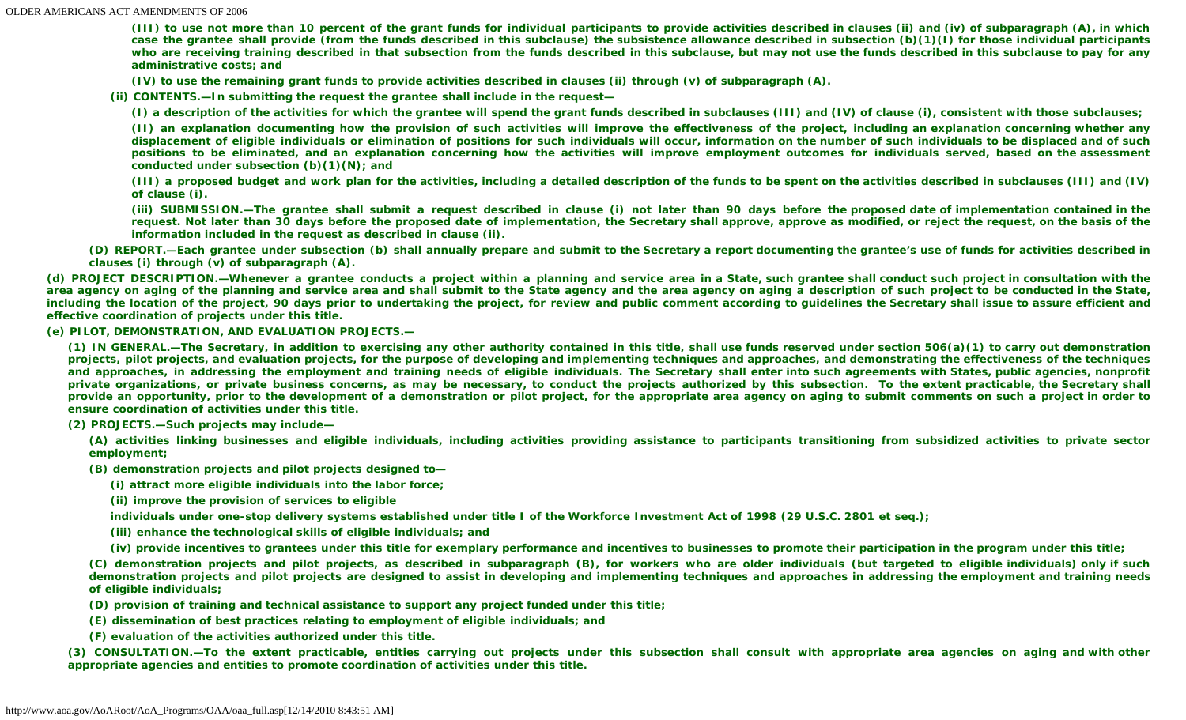**(III) to use not more than 10 percent of the grant funds for individual participants to provide activities described in clauses (ii) and (iv) of subparagraph (A), in which case the grantee shall provide (from the funds described in this subclause) the subsistence allowance described in subsection (b)(1)(I) for those individual participants who are receiving training described in that subsection from the funds described in this subclause, but may not use the funds described in this subclause to pay for any administrative costs; and**

**(IV) to use the remaining grant funds to provide activities described in clauses (ii) through (v) of subparagraph (A).**

**(ii) CONTENTS.—In submitting the request the grantee shall include in the request—**

**(I) a description of the activities for which the grantee will spend the grant funds described in subclauses (III) and (IV) of clause (i), consistent with those subclauses;**

**(II) an explanation documenting how the provision of such activities will improve the effectiveness of the project, including an explanation concerning whether any displacement of eligible individuals or elimination of positions for such individuals will occur, information on the number of such individuals to be displaced and of such positions to be eliminated, and an explanation concerning how the activities will improve employment outcomes for individuals served, based on the assessment conducted under subsection (b)(1)(N); and**

**(III) a proposed budget and work plan for the activities, including a detailed description of the funds to be spent on the activities described in subclauses (III) and (IV) of clause (i).**

**(iii) SUBMISSION.—The grantee shall submit a request described in clause (i) not later than 90 days before the proposed date of implementation contained in the request. Not later than 30 days before the proposed date of implementation, the Secretary shall approve, approve as modified, or reject the request, on the basis of the information included in the request as described in clause (ii).**

**(D) REPORT.—Each grantee under subsection (b) shall annually prepare and submit to the Secretary a report documenting the grantee's use of funds for activities described in clauses (i) through (v) of subparagraph (A).**

**(d) PROJECT DESCRIPTION.—Whenever a grantee conducts a project within a planning and service area in a State, such grantee shall conduct such project in consultation with the area agency on aging of the planning and service area and shall submit to the State agency and the area agency on aging a description of such project to be conducted in the State, including the location of the project, 90 days prior to undertaking the project, for review and public comment according to guidelines the Secretary shall issue to assure efficient and effective coordination of projects under this title.**

#### **(e) PILOT, DEMONSTRATION, AND EVALUATION PROJECTS.—**

**(1) IN GENERAL.—The Secretary, in addition to exercising any other authority contained in this title, shall use funds reserved under section 506(a)(1) to carry out demonstration projects, pilot projects, and evaluation projects, for the purpose of developing and implementing techniques and approaches, and demonstrating the effectiveness of the techniques and approaches, in addressing the employment and training needs of eligible individuals. The Secretary shall enter into such agreements with States, public agencies, nonprofit private organizations, or private business concerns, as may be necessary, to conduct the projects authorized by this subsection. To the extent practicable, the Secretary shall provide an opportunity, prior to the development of a demonstration or pilot project, for the appropriate area agency on aging to submit comments on such a project in order to ensure coordination of activities under this title.**

**(2) PROJECTS.—Such projects may include—**

**(A) activities linking businesses and eligible individuals, including activities providing assistance to participants transitioning from subsidized activities to private sector employment;**

**(B) demonstration projects and pilot projects designed to—**

**(i) attract more eligible individuals into the labor force;**

**(ii) improve the provision of services to eligible**

**individuals under one-stop delivery systems established under title I of the Workforce Investment Act of 1998 (29 U.S.C. 2801 et seq.);**

**(iii) enhance the technological skills of eligible individuals; and**

**(iv) provide incentives to grantees under this title for exemplary performance and incentives to businesses to promote their participation in the program under this title;**

**(C) demonstration projects and pilot projects, as described in subparagraph (B), for workers who are older individuals (but targeted to eligible individuals) only if such demonstration projects and pilot projects are designed to assist in developing and implementing techniques and approaches in addressing the employment and training needs of eligible individuals;**

**(D) provision of training and technical assistance to support any project funded under this title;**

**(E) dissemination of best practices relating to employment of eligible individuals; and**

**(F) evaluation of the activities authorized under this title.**

**(3) CONSULTATION.—To the extent practicable, entities carrying out projects under this subsection shall consult with appropriate area agencies on aging and with other appropriate agencies and entities to promote coordination of activities under this title.**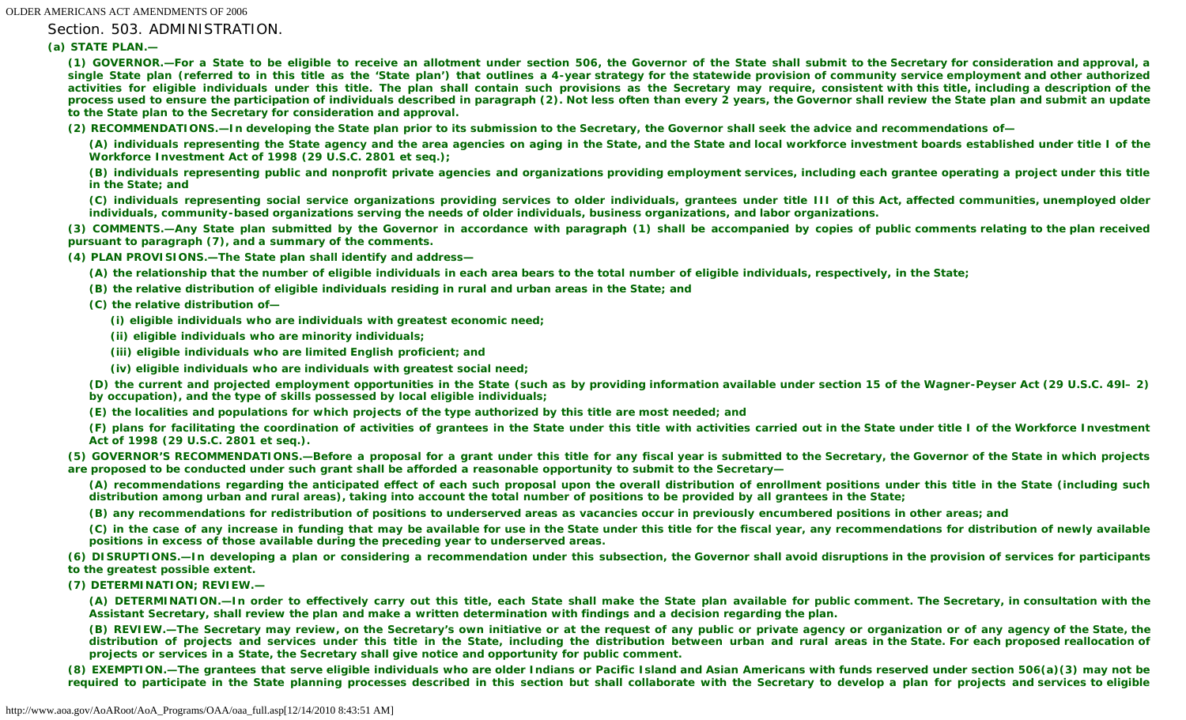Section. 503. ADMINISTRATION.

**(a) STATE PLAN.—**

**(1) GOVERNOR.—For a State to be eligible to receive an allotment under section 506, the Governor of the State shall submit to the Secretary for consideration and approval, a single State plan (referred to in this title as the 'State plan') that outlines a 4-year strategy for the statewide provision of community service employment and other authorized activities for eligible individuals under this title. The plan shall contain such provisions as the Secretary may require, consistent with this title, including a description of the process used to ensure the participation of individuals described in paragraph (2). Not less often than every 2 years, the Governor shall review the State plan and submit an update to the State plan to the Secretary for consideration and approval.**

**(2) RECOMMENDATIONS.—In developing the State plan prior to its submission to the Secretary, the Governor shall seek the advice and recommendations of—**

**(A) individuals representing the State agency and the area agencies on aging in the State, and the State and local workforce investment boards established under title I of the Workforce Investment Act of 1998 (29 U.S.C. 2801 et seq.);**

**(B) individuals representing public and nonprofit private agencies and organizations providing employment services, including each grantee operating a project under this title in the State; and**

**(C) individuals representing social service organizations providing services to older individuals, grantees under title III of this Act, affected communities, unemployed older individuals, community-based organizations serving the needs of older individuals, business organizations, and labor organizations.**

**(3) COMMENTS.—Any State plan submitted by the Governor in accordance with paragraph (1) shall be accompanied by copies of public comments relating to the plan received pursuant to paragraph (7), and a summary of the comments.**

**(4) PLAN PROVISIONS.—The State plan shall identify and address—**

**(A) the relationship that the number of eligible individuals in each area bears to the total number of eligible individuals, respectively, in the State;**

- **(B) the relative distribution of eligible individuals residing in rural and urban areas in the State; and**
- **(C) the relative distribution of—**
	- **(i) eligible individuals who are individuals with greatest economic need;**
	- **(ii) eligible individuals who are minority individuals;**
	- **(iii) eligible individuals who are limited English proficient; and**
	- **(iv) eligible individuals who are individuals with greatest social need;**

**(D) the current and projected employment opportunities in the State (such as by providing information available under section 15 of the Wagner-Peyser Act (29 U.S.C. 49l– 2) by occupation), and the type of skills possessed by local eligible individuals;**

**(E) the localities and populations for which projects of the type authorized by this title are most needed; and**

**(F) plans for facilitating the coordination of activities of grantees in the State under this title with activities carried out in the State under title I of the Workforce Investment Act of 1998 (29 U.S.C. 2801 et seq.).**

**(5) GOVERNOR'S RECOMMENDATIONS.—Before a proposal for a grant under this title for any fiscal year is submitted to the Secretary, the Governor of the State in which projects are proposed to be conducted under such grant shall be afforded a reasonable opportunity to submit to the Secretary—**

**(A) recommendations regarding the anticipated effect of each such proposal upon the overall distribution of enrollment positions under this title in the State (including such distribution among urban and rural areas), taking into account the total number of positions to be provided by all grantees in the State;**

**(B) any recommendations for redistribution of positions to underserved areas as vacancies occur in previously encumbered positions in other areas; and**

**(C) in the case of any increase in funding that may be available for use in the State under this title for the fiscal year, any recommendations for distribution of newly available positions in excess of those available during the preceding year to underserved areas.**

**(6) DISRUPTIONS.—In developing a plan or considering a recommendation under this subsection, the Governor shall avoid disruptions in the provision of services for participants to the greatest possible extent.**

### **(7) DETERMINATION; REVIEW.—**

**(A) DETERMINATION.—In order to effectively carry out this title, each State shall make the State plan available for public comment. The Secretary, in consultation with the Assistant Secretary, shall review the plan and make a written determination with findings and a decision regarding the plan.**

**(B) REVIEW.—The Secretary may review, on the Secretary's own initiative or at the request of any public or private agency or organization or of any agency of the State, the distribution of projects and services under this title in the State, including the distribution between urban and rural areas in the State. For each proposed reallocation of projects or services in a State, the Secretary shall give notice and opportunity for public comment.**

**(8) EXEMPTION.—The grantees that serve eligible individuals who are older Indians or Pacific Island and Asian Americans with funds reserved under section 506(a)(3) may not be required to participate in the State planning processes described in this section but shall collaborate with the Secretary to develop a plan for projects and services to eligible**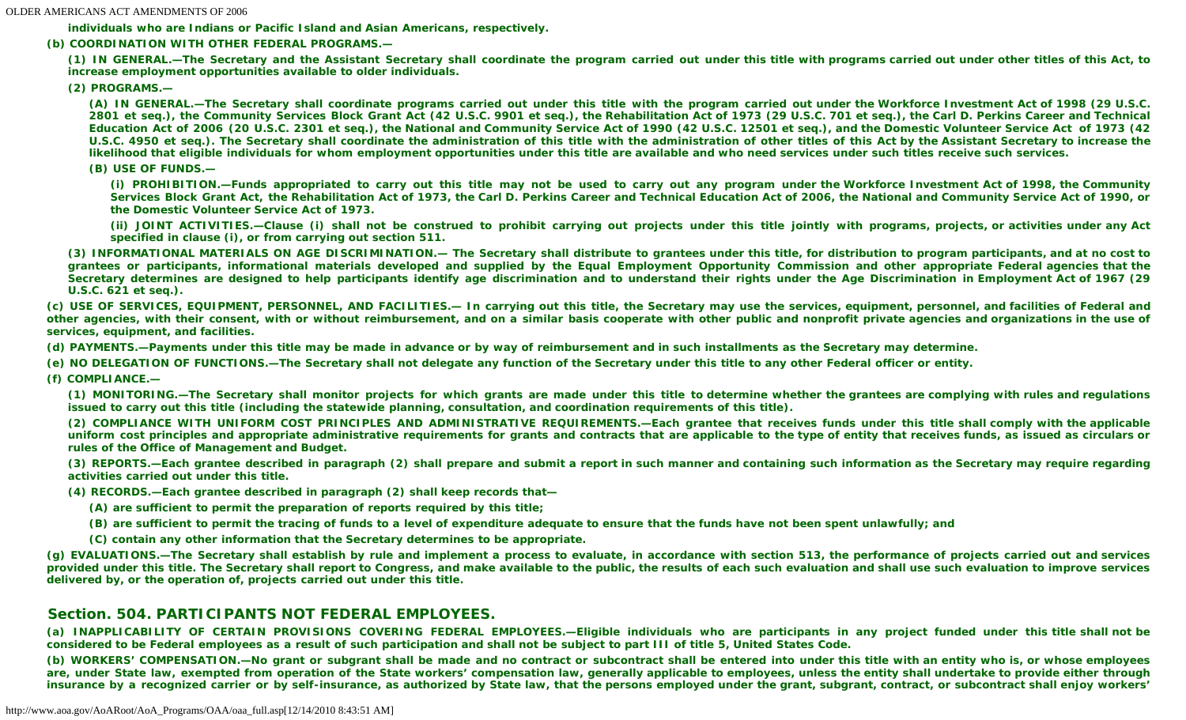**individuals who are Indians or Pacific Island and Asian Americans, respectively.**

### **(b) COORDINATION WITH OTHER FEDERAL PROGRAMS.—**

**(1) IN GENERAL.—The Secretary and the Assistant Secretary shall coordinate the program carried out under this title with programs carried out under other titles of this Act, to increase employment opportunities available to older individuals.**

### **(2) PROGRAMS.—**

**(A) IN GENERAL.—The Secretary shall coordinate programs carried out under this title with the program carried out under the Workforce Investment Act of 1998 (29 U.S.C. 2801 et seq.), the Community Services Block Grant Act (42 U.S.C. 9901 et seq.), the Rehabilitation Act of 1973 (29 U.S.C. 701 et seq.), the Carl D. Perkins Career and Technical Education Act of 2006 (20 U.S.C. 2301 et seq.), the National and Community Service Act of 1990 (42 U.S.C. 12501 et seq.), and the Domestic Volunteer Service Act of 1973 (42 U.S.C. 4950 et seq.). The Secretary shall coordinate the administration of this title with the administration of other titles of this Act by the Assistant Secretary to increase the likelihood that eligible individuals for whom employment opportunities under this title are available and who need services under such titles receive such services.**

#### **(B) USE OF FUNDS.—**

**(i) PROHIBITION.—Funds appropriated to carry out this title may not be used to carry out any program under the Workforce Investment Act of 1998, the Community Services Block Grant Act, the Rehabilitation Act of 1973, the Carl D. Perkins Career and Technical Education Act of 2006, the National and Community Service Act of 1990, or the Domestic Volunteer Service Act of 1973.**

**(ii) JOINT ACTIVITIES.—Clause (i) shall not be construed to prohibit carrying out projects under this title jointly with programs, projects, or activities under any Act specified in clause (i), or from carrying out section 511.**

**(3) INFORMATIONAL MATERIALS ON AGE DISCRIMINATION.— The Secretary shall distribute to grantees under this title, for distribution to program participants, and at no cost to grantees or participants, informational materials developed and supplied by the Equal Employment Opportunity Commission and other appropriate Federal agencies that the Secretary determines are designed to help participants identify age discrimination and to understand their rights under the Age Discrimination in Employment Act of 1967 (29 U.S.C. 621 et seq.).**

**(c) USE OF SERVICES, EQUIPMENT, PERSONNEL, AND FACILITIES.— In carrying out this title, the Secretary may use the services, equipment, personnel, and facilities of Federal and other agencies, with their consent, with or without reimbursement, and on a similar basis cooperate with other public and nonprofit private agencies and organizations in the use of services, equipment, and facilities.**

**(d) PAYMENTS.—Payments under this title may be made in advance or by way of reimbursement and in such installments as the Secretary may determine.**

**(e) NO DELEGATION OF FUNCTIONS.—The Secretary shall not delegate any function of the Secretary under this title to any other Federal officer or entity.**

**(f) COMPLIANCE.—**

**(1) MONITORING.—The Secretary shall monitor projects for which grants are made under this title to determine whether the grantees are complying with rules and regulations issued to carry out this title (including the statewide planning, consultation, and coordination requirements of this title).**

**(2) COMPLIANCE WITH UNIFORM COST PRINCIPLES AND ADMINISTRATIVE REQUIREMENTS.—Each grantee that receives funds under this title shall comply with the applicable uniform cost principles and appropriate administrative requirements for grants and contracts that are applicable to the type of entity that receives funds, as issued as circulars or rules of the Office of Management and Budget.**

**(3) REPORTS.—Each grantee described in paragraph (2) shall prepare and submit a report in such manner and containing such information as the Secretary may require regarding activities carried out under this title.**

**(4) RECORDS.—Each grantee described in paragraph (2) shall keep records that—**

**(A) are sufficient to permit the preparation of reports required by this title;**

**(B) are sufficient to permit the tracing of funds to a level of expenditure adequate to ensure that the funds have not been spent unlawfully; and**

**(C) contain any other information that the Secretary determines to be appropriate.**

**(g) EVALUATIONS.—The Secretary shall establish by rule and implement a process to evaluate, in accordance with section 513, the performance of projects carried out and services provided under this title. The Secretary shall report to Congress, and make available to the public, the results of each such evaluation and shall use such evaluation to improve services delivered by, or the operation of, projects carried out under this title.**

## **Section. 504. PARTICIPANTS NOT FEDERAL EMPLOYEES.**

**(a) INAPPLICABILITY OF CERTAIN PROVISIONS COVERING FEDERAL EMPLOYEES.—Eligible individuals who are participants in any project funded under this title shall not be considered to be Federal employees as a result of such participation and shall not be subject to part III of title 5, United States Code.**

**(b) WORKERS' COMPENSATION.—No grant or subgrant shall be made and no contract or subcontract shall be entered into under this title with an entity who is, or whose employees are, under State law, exempted from operation of the State workers' compensation law, generally applicable to employees, unless the entity shall undertake to provide either through insurance by a recognized carrier or by self-insurance, as authorized by State law, that the persons employed under the grant, subgrant, contract, or subcontract shall enjoy workers'**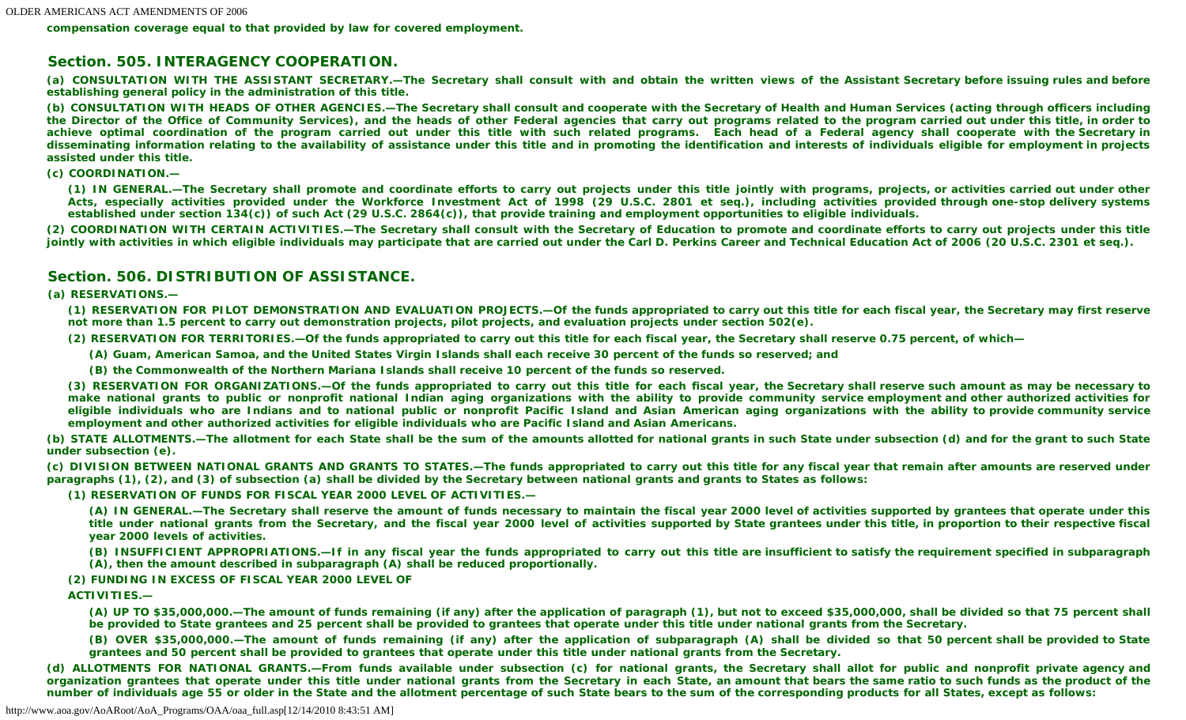**compensation coverage equal to that provided by law for covered employment.**

## **Section. 505. INTERAGENCY COOPERATION.**

**(a) CONSULTATION WITH THE ASSISTANT SECRETARY.—The Secretary shall consult with and obtain the written views of the Assistant Secretary before issuing rules and before establishing general policy in the administration of this title.**

**(b) CONSULTATION WITH HEADS OF OTHER AGENCIES.—The Secretary shall consult and cooperate with the Secretary of Health and Human Services (acting through officers including the Director of the Office of Community Services), and the heads of other Federal agencies that carry out programs related to the program carried out under this title, in order to achieve optimal coordination of the program carried out under this title with such related programs. Each head of a Federal agency shall cooperate with the Secretary in disseminating information relating to the availability of assistance under this title and in promoting the identification and interests of individuals eligible for employment in projects assisted under this title.**

#### **(c) COORDINATION.—**

**(1) IN GENERAL.—The Secretary shall promote and coordinate efforts to carry out projects under this title jointly with programs, projects, or activities carried out under other Acts, especially activities provided under the Workforce Investment Act of 1998 (29 U.S.C. 2801 et seq.), including activities provided through one-stop delivery systems established under section 134(c)) of such Act (29 U.S.C. 2864(c)), that provide training and employment opportunities to eligible individuals.**

**(2) COORDINATION WITH CERTAIN ACTIVITIES.—The Secretary shall consult with the Secretary of Education to promote and coordinate efforts to carry out projects under this title jointly with activities in which eligible individuals may participate that are carried out under the Carl D. Perkins Career and Technical Education Act of 2006 (20 U.S.C. 2301 et seq.).**

## **Section. 506. DISTRIBUTION OF ASSISTANCE.**

**(a) RESERVATIONS.—**

**(1) RESERVATION FOR PILOT DEMONSTRATION AND EVALUATION PROJECTS.—Of the funds appropriated to carry out this title for each fiscal year, the Secretary may first reserve not more than 1.5 percent to carry out demonstration projects, pilot projects, and evaluation projects under section 502(e).**

**(2) RESERVATION FOR TERRITORIES.—Of the funds appropriated to carry out this title for each fiscal year, the Secretary shall reserve 0.75 percent, of which—**

**(A) Guam, American Samoa, and the United States Virgin Islands shall each receive 30 percent of the funds so reserved; and**

**(B) the Commonwealth of the Northern Mariana Islands shall receive 10 percent of the funds so reserved.**

**(3) RESERVATION FOR ORGANIZATIONS.—Of the funds appropriated to carry out this title for each fiscal year, the Secretary shall reserve such amount as may be necessary to make national grants to public or nonprofit national Indian aging organizations with the ability to provide community service employment and other authorized activities for eligible individuals who are Indians and to national public or nonprofit Pacific Island and Asian American aging organizations with the ability to provide community service employment and other authorized activities for eligible individuals who are Pacific Island and Asian Americans.**

**(b) STATE ALLOTMENTS.—The allotment for each State shall be the sum of the amounts allotted for national grants in such State under subsection (d) and for the grant to such State under subsection (e).**

**(c) DIVISION BETWEEN NATIONAL GRANTS AND GRANTS TO STATES.—The funds appropriated to carry out this title for any fiscal year that remain after amounts are reserved under paragraphs (1), (2), and (3) of subsection (a) shall be divided by the Secretary between national grants and grants to States as follows:**

### **(1) RESERVATION OF FUNDS FOR FISCAL YEAR 2000 LEVEL OF ACTIVITIES.—**

**(A) IN GENERAL.—The Secretary shall reserve the amount of funds necessary to maintain the fiscal year 2000 level of activities supported by grantees that operate under this title under national grants from the Secretary, and the fiscal year 2000 level of activities supported by State grantees under this title, in proportion to their respective fiscal year 2000 levels of activities.**

**(B) INSUFFICIENT APPROPRIATIONS.—If in any fiscal year the funds appropriated to carry out this title are insufficient to satisfy the requirement specified in subparagraph (A), then the amount described in subparagraph (A) shall be reduced proportionally.**

### **(2) FUNDING IN EXCESS OF FISCAL YEAR 2000 LEVEL OF**

### **ACTIVITIES.—**

**(A) UP TO \$35,000,000.—The amount of funds remaining (if any) after the application of paragraph (1), but not to exceed \$35,000,000, shall be divided so that 75 percent shall be provided to State grantees and 25 percent shall be provided to grantees that operate under this title under national grants from the Secretary.**

**(B) OVER \$35,000,000.—The amount of funds remaining (if any) after the application of subparagraph (A) shall be divided so that 50 percent shall be provided to State grantees and 50 percent shall be provided to grantees that operate under this title under national grants from the Secretary.**

**(d) ALLOTMENTS FOR NATIONAL GRANTS.—From funds available under subsection (c) for national grants, the Secretary shall allot for public and nonprofit private agency and organization grantees that operate under this title under national grants from the Secretary in each State, an amount that bears the same ratio to such funds as the product of the number of individuals age 55 or older in the State and the allotment percentage of such State bears to the sum of the corresponding products for all States, except as follows:**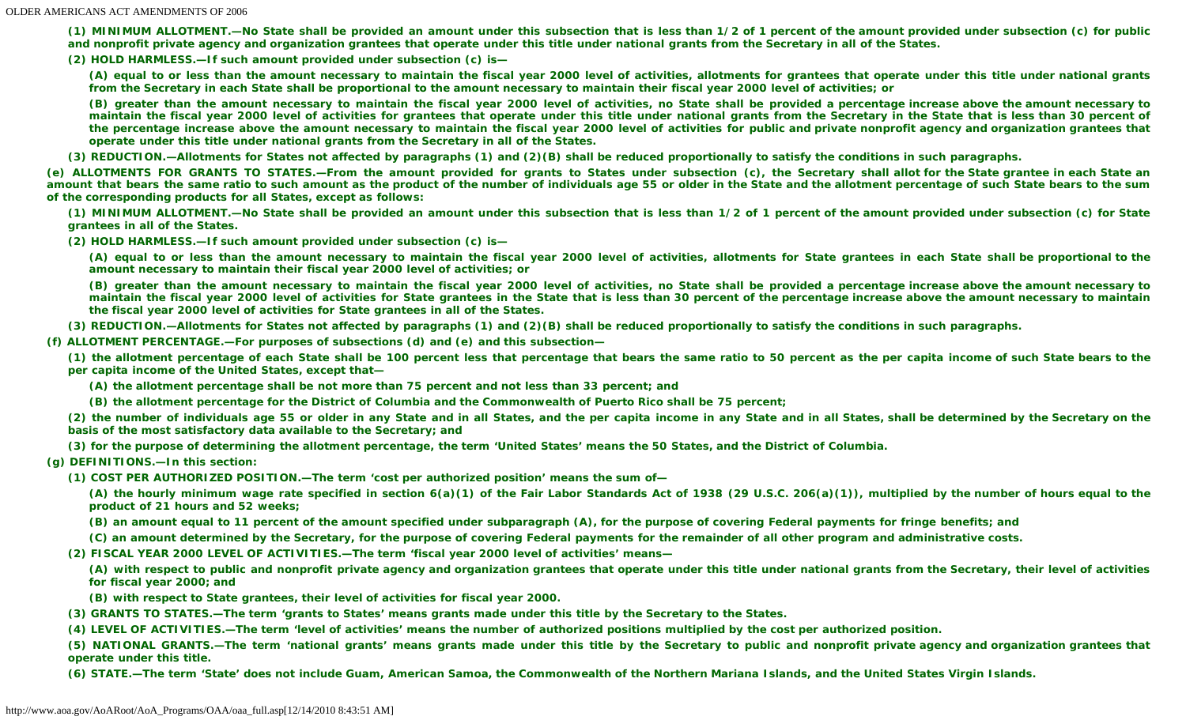**(1) MINIMUM ALLOTMENT.—No State shall be provided an amount under this subsection that is less than 1/2 of 1 percent of the amount provided under subsection (c) for public and nonprofit private agency and organization grantees that operate under this title under national grants from the Secretary in all of the States.**

**(2) HOLD HARMLESS.—If such amount provided under subsection (c) is—**

**(A) equal to or less than the amount necessary to maintain the fiscal year 2000 level of activities, allotments for grantees that operate under this title under national grants from the Secretary in each State shall be proportional to the amount necessary to maintain their fiscal year 2000 level of activities; or**

**(B) greater than the amount necessary to maintain the fiscal year 2000 level of activities, no State shall be provided a percentage increase above the amount necessary to maintain the fiscal year 2000 level of activities for grantees that operate under this title under national grants from the Secretary in the State that is less than 30 percent of the percentage increase above the amount necessary to maintain the fiscal year 2000 level of activities for public and private nonprofit agency and organization grantees that operate under this title under national grants from the Secretary in all of the States.**

**(3) REDUCTION.—Allotments for States not affected by paragraphs (1) and (2)(B) shall be reduced proportionally to satisfy the conditions in such paragraphs.**

**(e) ALLOTMENTS FOR GRANTS TO STATES.—From the amount provided for grants to States under subsection (c), the Secretary shall allot for the State grantee in each State an amount that bears the same ratio to such amount as the product of the number of individuals age 55 or older in the State and the allotment percentage of such State bears to the sum of the corresponding products for all States, except as follows:**

**(1) MINIMUM ALLOTMENT.—No State shall be provided an amount under this subsection that is less than 1/2 of 1 percent of the amount provided under subsection (c) for State grantees in all of the States.**

**(2) HOLD HARMLESS.—If such amount provided under subsection (c) is—**

**(A) equal to or less than the amount necessary to maintain the fiscal year 2000 level of activities, allotments for State grantees in each State shall be proportional to the amount necessary to maintain their fiscal year 2000 level of activities; or**

**(B) greater than the amount necessary to maintain the fiscal year 2000 level of activities, no State shall be provided a percentage increase above the amount necessary to maintain the fiscal year 2000 level of activities for State grantees in the State that is less than 30 percent of the percentage increase above the amount necessary to maintain the fiscal year 2000 level of activities for State grantees in all of the States.**

**(3) REDUCTION.—Allotments for States not affected by paragraphs (1) and (2)(B) shall be reduced proportionally to satisfy the conditions in such paragraphs.**

**(f) ALLOTMENT PERCENTAGE.—For purposes of subsections (d) and (e) and this subsection—**

**(1) the allotment percentage of each State shall be 100 percent less that percentage that bears the same ratio to 50 percent as the per capita income of such State bears to the per capita income of the United States, except that—**

**(A) the allotment percentage shall be not more than 75 percent and not less than 33 percent; and**

**(B) the allotment percentage for the District of Columbia and the Commonwealth of Puerto Rico shall be 75 percent;**

**(2) the number of individuals age 55 or older in any State and in all States, and the per capita income in any State and in all States, shall be determined by the Secretary on the basis of the most satisfactory data available to the Secretary; and**

**(3) for the purpose of determining the allotment percentage, the term 'United States' means the 50 States, and the District of Columbia.**

**(g) DEFINITIONS.—In this section:**

**(1) COST PER AUTHORIZED POSITION.—The term 'cost per authorized position' means the sum of—**

**(A) the hourly minimum wage rate specified in section 6(a)(1) of the Fair Labor Standards Act of 1938 (29 U.S.C. 206(a)(1)), multiplied by the number of hours equal to the product of 21 hours and 52 weeks;**

**(B) an amount equal to 11 percent of the amount specified under subparagraph (A), for the purpose of covering Federal payments for fringe benefits; and**

**(C) an amount determined by the Secretary, for the purpose of covering Federal payments for the remainder of all other program and administrative costs.**

**(2) FISCAL YEAR 2000 LEVEL OF ACTIVITIES.—The term 'fiscal year 2000 level of activities' means—**

**(A) with respect to public and nonprofit private agency and organization grantees that operate under this title under national grants from the Secretary, their level of activities for fiscal year 2000; and**

**(B) with respect to State grantees, their level of activities for fiscal year 2000.**

**(3) GRANTS TO STATES.—The term 'grants to States' means grants made under this title by the Secretary to the States.**

**(4) LEVEL OF ACTIVITIES.—The term 'level of activities' means the number of authorized positions multiplied by the cost per authorized position.**

**(5) NATIONAL GRANTS.—The term 'national grants' means grants made under this title by the Secretary to public and nonprofit private agency and organization grantees that operate under this title.**

**(6) STATE.—The term 'State' does not include Guam, American Samoa, the Commonwealth of the Northern Mariana Islands, and the United States Virgin Islands.**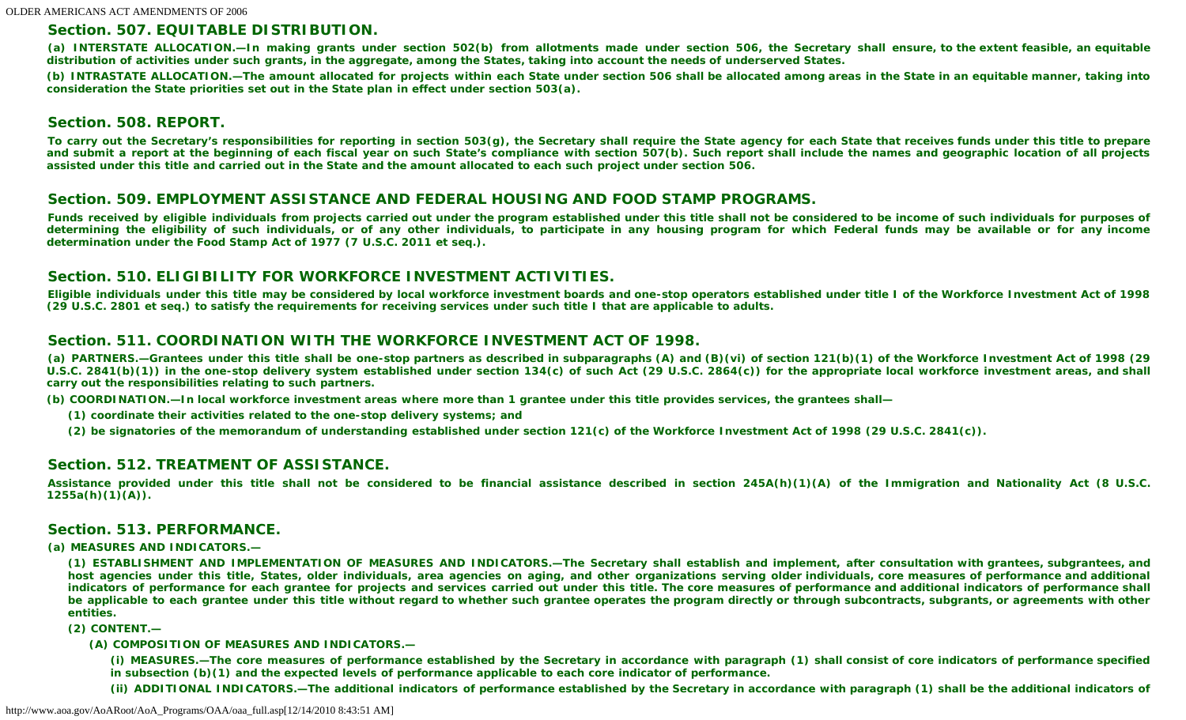## **Section. 507. EQUITABLE DISTRIBUTION.**

**(a) INTERSTATE ALLOCATION.—In making grants under section 502(b) from allotments made under section 506, the Secretary shall ensure, to the extent feasible, an equitable distribution of activities under such grants, in the aggregate, among the States, taking into account the needs of underserved States.**

**(b) INTRASTATE ALLOCATION.—The amount allocated for projects within each State under section 506 shall be allocated among areas in the State in an equitable manner, taking into consideration the State priorities set out in the State plan in effect under section 503(a).**

## **Section. 508. REPORT.**

**To carry out the Secretary's responsibilities for reporting in section 503(g), the Secretary shall require the State agency for each State that receives funds under this title to prepare and submit a report at the beginning of each fiscal year on such State's compliance with section 507(b). Such report shall include the names and geographic location of all projects assisted under this title and carried out in the State and the amount allocated to each such project under section 506.**

## **Section. 509. EMPLOYMENT ASSISTANCE AND FEDERAL HOUSING AND FOOD STAMP PROGRAMS.**

**Funds received by eligible individuals from projects carried out under the program established under this title shall not be considered to be income of such individuals for purposes of determining the eligibility of such individuals, or of any other individuals, to participate in any housing program for which Federal funds may be available or for any income determination under the Food Stamp Act of 1977 (7 U.S.C. 2011 et seq.).**

# **Section. 510. ELIGIBILITY FOR WORKFORCE INVESTMENT ACTIVITIES.**

**Eligible individuals under this title may be considered by local workforce investment boards and one-stop operators established under title I of the Workforce Investment Act of 1998 (29 U.S.C. 2801 et seq.) to satisfy the requirements for receiving services under such title I that are applicable to adults.**

## **Section. 511. COORDINATION WITH THE WORKFORCE INVESTMENT ACT OF 1998.**

**(a) PARTNERS.—Grantees under this title shall be one-stop partners as described in subparagraphs (A) and (B)(vi) of section 121(b)(1) of the Workforce Investment Act of 1998 (29 U.S.C. 2841(b)(1)) in the one-stop delivery system established under section 134(c) of such Act (29 U.S.C. 2864(c)) for the appropriate local workforce investment areas, and shall carry out the responsibilities relating to such partners.**

**(b) COORDINATION.—In local workforce investment areas where more than 1 grantee under this title provides services, the grantees shall—**

**(1) coordinate their activities related to the one-stop delivery systems; and**

**(2) be signatories of the memorandum of understanding established under section 121(c) of the Workforce Investment Act of 1998 (29 U.S.C. 2841(c)).**

## **Section. 512. TREATMENT OF ASSISTANCE.**

**Assistance provided under this title shall not be considered to be financial assistance described in section 245A(h)(1)(A) of the Immigration and Nationality Act (8 U.S.C. 1255a(h)(1)(A)).**

## **Section. 513. PERFORMANCE.**

### **(a) MEASURES AND INDICATORS.—**

**(1) ESTABLISHMENT AND IMPLEMENTATION OF MEASURES AND INDICATORS.—The Secretary shall establish and implement, after consultation with grantees, subgrantees, and** host agencies under this title, States, older individuals, area agencies on aging, and other organizations serving older individuals, core measures of performance and additional **indicators of performance for each grantee for projects and services carried out under this title. The core measures of performance and additional indicators of performance shall be applicable to each grantee under this title without regard to whether such grantee operates the program directly or through subcontracts, subgrants, or agreements with other entities.**

### **(2) CONTENT.—**

### **(A) COMPOSITION OF MEASURES AND INDICATORS.—**

**(i) MEASURES.—The core measures of performance established by the Secretary in accordance with paragraph (1) shall consist of core indicators of performance specified in subsection (b)(1) and the expected levels of performance applicable to each core indicator of performance.**

**(ii) ADDITIONAL INDICATORS.—The additional indicators of performance established by the Secretary in accordance with paragraph (1) shall be the additional indicators of**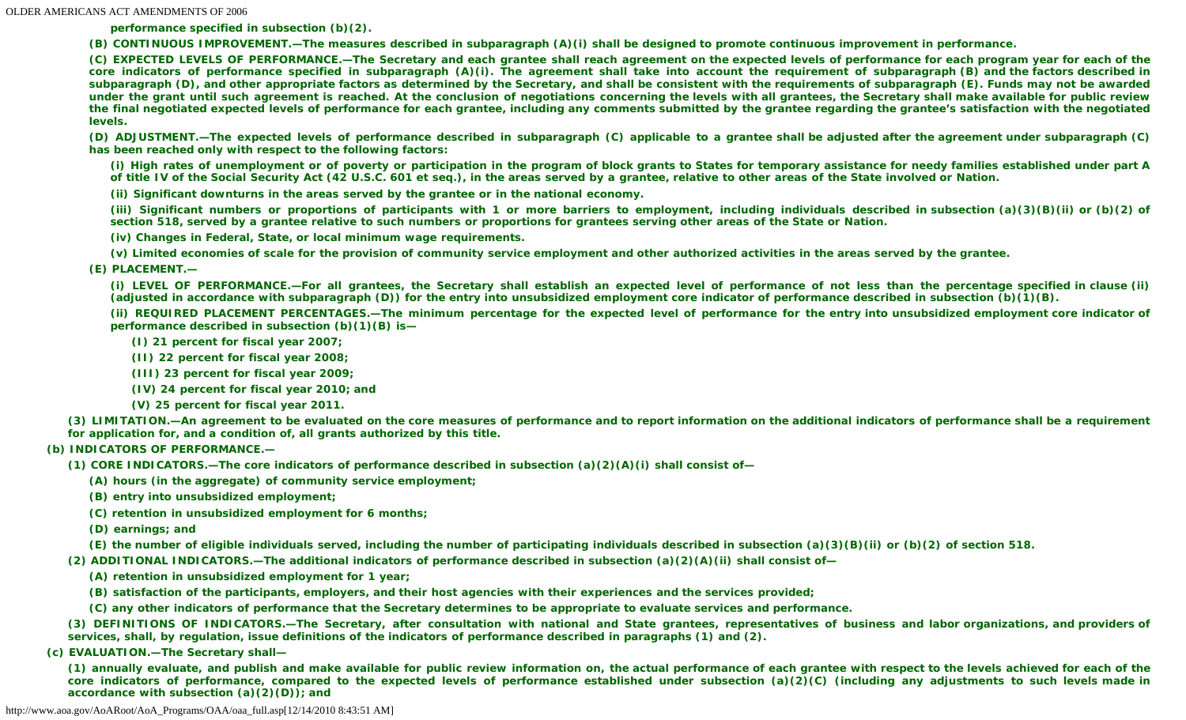**performance specified in subsection (b)(2).**

**(B) CONTINUOUS IMPROVEMENT.—The measures described in subparagraph (A)(i) shall be designed to promote continuous improvement in performance.**

**(C) EXPECTED LEVELS OF PERFORMANCE.—The Secretary and each grantee shall reach agreement on the expected levels of performance for each program year for each of the core indicators of performance specified in subparagraph (A)(i). The agreement shall take into account the requirement of subparagraph (B) and the factors described in subparagraph (D), and other appropriate factors as determined by the Secretary, and shall be consistent with the requirements of subparagraph (E). Funds may not be awarded under the grant until such agreement is reached. At the conclusion of negotiations concerning the levels with all grantees, the Secretary shall make available for public review the final negotiated expected levels of performance for each grantee, including any comments submitted by the grantee regarding the grantee's satisfaction with the negotiated levels.**

**(D) ADJUSTMENT.—The expected levels of performance described in subparagraph (C) applicable to a grantee shall be adjusted after the agreement under subparagraph (C) has been reached only with respect to the following factors:**

**(i) High rates of unemployment or of poverty or participation in the program of block grants to States for temporary assistance for needy families established under part A of title IV of the Social Security Act (42 U.S.C. 601 et seq.), in the areas served by a grantee, relative to other areas of the State involved or Nation.**

**(ii) Significant downturns in the areas served by the grantee or in the national economy.**

**(iii) Significant numbers or proportions of participants with 1 or more barriers to employment, including individuals described in subsection (a)(3)(B)(ii) or (b)(2) of section 518, served by a grantee relative to such numbers or proportions for grantees serving other areas of the State or Nation.**

**(iv) Changes in Federal, State, or local minimum wage requirements.**

**(v) Limited economies of scale for the provision of community service employment and other authorized activities in the areas served by the grantee.**

**(E) PLACEMENT.—**

**(i) LEVEL OF PERFORMANCE.—For all grantees, the Secretary shall establish an expected level of performance of not less than the percentage specified in clause (ii) (adjusted in accordance with subparagraph (D)) for the entry into unsubsidized employment core indicator of performance described in subsection (b)(1)(B).**

**(ii) REQUIRED PLACEMENT PERCENTAGES.—The minimum percentage for the expected level of performance for the entry into unsubsidized employment core indicator of performance described in subsection (b)(1)(B) is—**

- **(I) 21 percent for fiscal year 2007;**
- **(II) 22 percent for fiscal year 2008;**
- **(III) 23 percent for fiscal year 2009;**
- **(IV) 24 percent for fiscal year 2010; and**
- **(V) 25 percent for fiscal year 2011.**

**(3) LIMITATION.—An agreement to be evaluated on the core measures of performance and to report information on the additional indicators of performance shall be a requirement for application for, and a condition of, all grants authorized by this title.**

### **(b) INDICATORS OF PERFORMANCE.—**

**(1) CORE INDICATORS.—The core indicators of performance described in subsection (a)(2)(A)(i) shall consist of—**

**(A) hours (in the aggregate) of community service employment;**

**(B) entry into unsubsidized employment;**

**(C) retention in unsubsidized employment for 6 months;**

**(D) earnings; and**

**(E) the number of eligible individuals served, including the number of participating individuals described in subsection (a)(3)(B)(ii) or (b)(2) of section 518.**

**(2) ADDITIONAL INDICATORS.—The additional indicators of performance described in subsection (a)(2)(A)(ii) shall consist of—**

**(A) retention in unsubsidized employment for 1 year;**

**(B) satisfaction of the participants, employers, and their host agencies with their experiences and the services provided;**

**(C) any other indicators of performance that the Secretary determines to be appropriate to evaluate services and performance.**

**(3) DEFINITIONS OF INDICATORS.—The Secretary, after consultation with national and State grantees, representatives of business and labor organizations, and providers of services, shall, by regulation, issue definitions of the indicators of performance described in paragraphs (1) and (2).**

### **(c) EVALUATION.—The Secretary shall—**

**(1) annually evaluate, and publish and make available for public review information on, the actual performance of each grantee with respect to the levels achieved for each of the core indicators of performance, compared to the expected levels of performance established under subsection (a)(2)(C) (including any adjustments to such levels made in accordance with subsection (a)(2)(D)); and**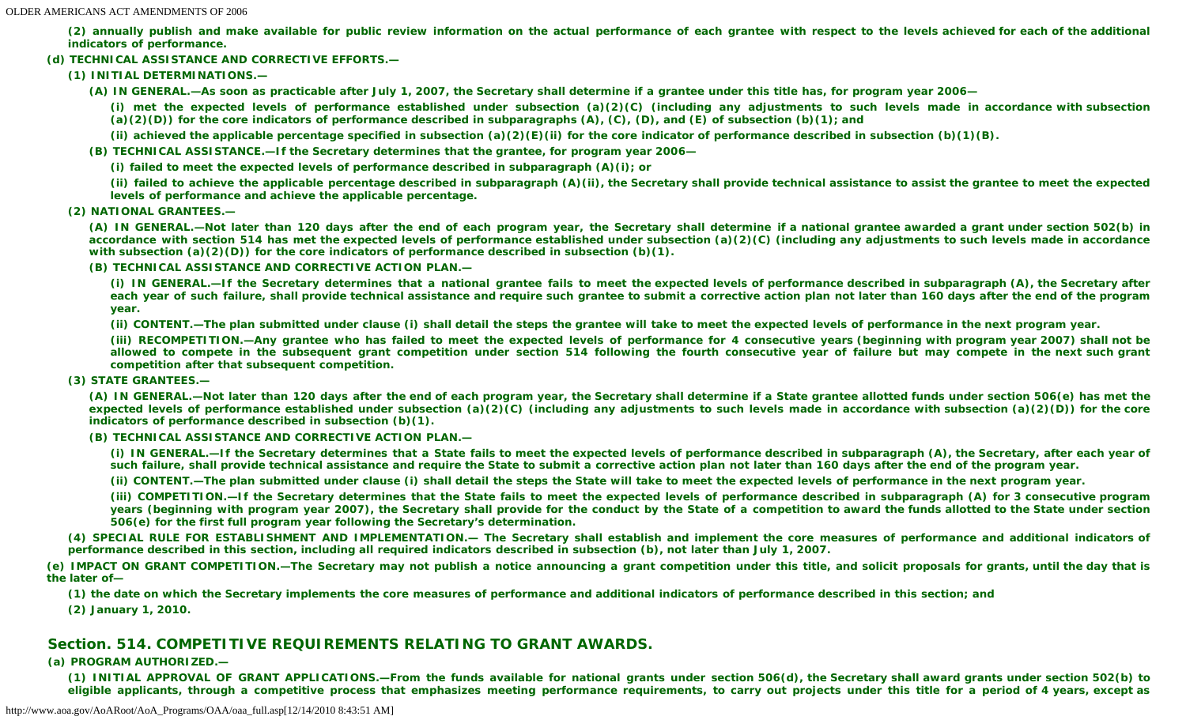**(2) annually publish and make available for public review information on the actual performance of each grantee with respect to the levels achieved for each of the additional indicators of performance.**

#### **(d) TECHNICAL ASSISTANCE AND CORRECTIVE EFFORTS.—**

**(1) INITIAL DETERMINATIONS.—**

**(A) IN GENERAL.—As soon as practicable after July 1, 2007, the Secretary shall determine if a grantee under this title has, for program year 2006—**

**(i) met the expected levels of performance established under subsection (a)(2)(C) (including any adjustments to such levels made in accordance with subsection (a)(2)(D)) for the core indicators of performance described in subparagraphs (A), (C), (D), and (E) of subsection (b)(1); and**

**(ii) achieved the applicable percentage specified in subsection (a)(2)(E)(ii) for the core indicator of performance described in subsection (b)(1)(B).**

**(B) TECHNICAL ASSISTANCE.—If the Secretary determines that the grantee, for program year 2006—**

**(i) failed to meet the expected levels of performance described in subparagraph (A)(i); or**

**(ii) failed to achieve the applicable percentage described in subparagraph (A)(ii), the Secretary shall provide technical assistance to assist the grantee to meet the expected levels of performance and achieve the applicable percentage.**

#### **(2) NATIONAL GRANTEES.—**

**(A) IN GENERAL.—Not later than 120 days after the end of each program year, the Secretary shall determine if a national grantee awarded a grant under section 502(b) in accordance with section 514 has met the expected levels of performance established under subsection (a)(2)(C) (including any adjustments to such levels made in accordance** with subsection (a)(2)(D)) for the core indicators of performance described in subsection (b)(1).

#### **(B) TECHNICAL ASSISTANCE AND CORRECTIVE ACTION PLAN.—**

**(i) IN GENERAL.—If the Secretary determines that a national grantee fails to meet the expected levels of performance described in subparagraph (A), the Secretary after each year of such failure, shall provide technical assistance and require such grantee to submit a corrective action plan not later than 160 days after the end of the program year.**

**(ii) CONTENT.—The plan submitted under clause (i) shall detail the steps the grantee will take to meet the expected levels of performance in the next program year.**

**(iii) RECOMPETITION.—Any grantee who has failed to meet the expected levels of performance for 4 consecutive years (beginning with program year 2007) shall not be allowed to compete in the subsequent grant competition under section 514 following the fourth consecutive year of failure but may compete in the next such grant competition after that subsequent competition.**

#### **(3) STATE GRANTEES.—**

**(A) IN GENERAL.—Not later than 120 days after the end of each program year, the Secretary shall determine if a State grantee allotted funds under section 506(e) has met the expected levels of performance established under subsection (a)(2)(C) (including any adjustments to such levels made in accordance with subsection (a)(2)(D)) for the core indicators of performance described in subsection (b)(1).**

#### **(B) TECHNICAL ASSISTANCE AND CORRECTIVE ACTION PLAN.—**

**(i) IN GENERAL.—If the Secretary determines that a State fails to meet the expected levels of performance described in subparagraph (A), the Secretary, after each year of such failure, shall provide technical assistance and require the State to submit a corrective action plan not later than 160 days after the end of the program year.**

**(ii) CONTENT.—The plan submitted under clause (i) shall detail the steps the State will take to meet the expected levels of performance in the next program year.**

**(iii) COMPETITION.—If the Secretary determines that the State fails to meet the expected levels of performance described in subparagraph (A) for 3 consecutive program years (beginning with program year 2007), the Secretary shall provide for the conduct by the State of a competition to award the funds allotted to the State under section 506(e) for the first full program year following the Secretary's determination.**

**(4) SPECIAL RULE FOR ESTABLISHMENT AND IMPLEMENTATION.— The Secretary shall establish and implement the core measures of performance and additional indicators of performance described in this section, including all required indicators described in subsection (b), not later than July 1, 2007.**

**(e) IMPACT ON GRANT COMPETITION.—The Secretary may not publish a notice announcing a grant competition under this title, and solicit proposals for grants, until the day that is the later of—**

**(1) the date on which the Secretary implements the core measures of performance and additional indicators of performance described in this section; and**

**(2) January 1, 2010.**

#### **Section. 514. COMPETITIVE REQUIREMENTS RELATING TO GRANT AWARDS.**

#### **(a) PROGRAM AUTHORIZED.—**

**(1) INITIAL APPROVAL OF GRANT APPLICATIONS.—From the funds available for national grants under section 506(d), the Secretary shall award grants under section 502(b) to eligible applicants, through a competitive process that emphasizes meeting performance requirements, to carry out projects under this title for a period of 4 years, except as**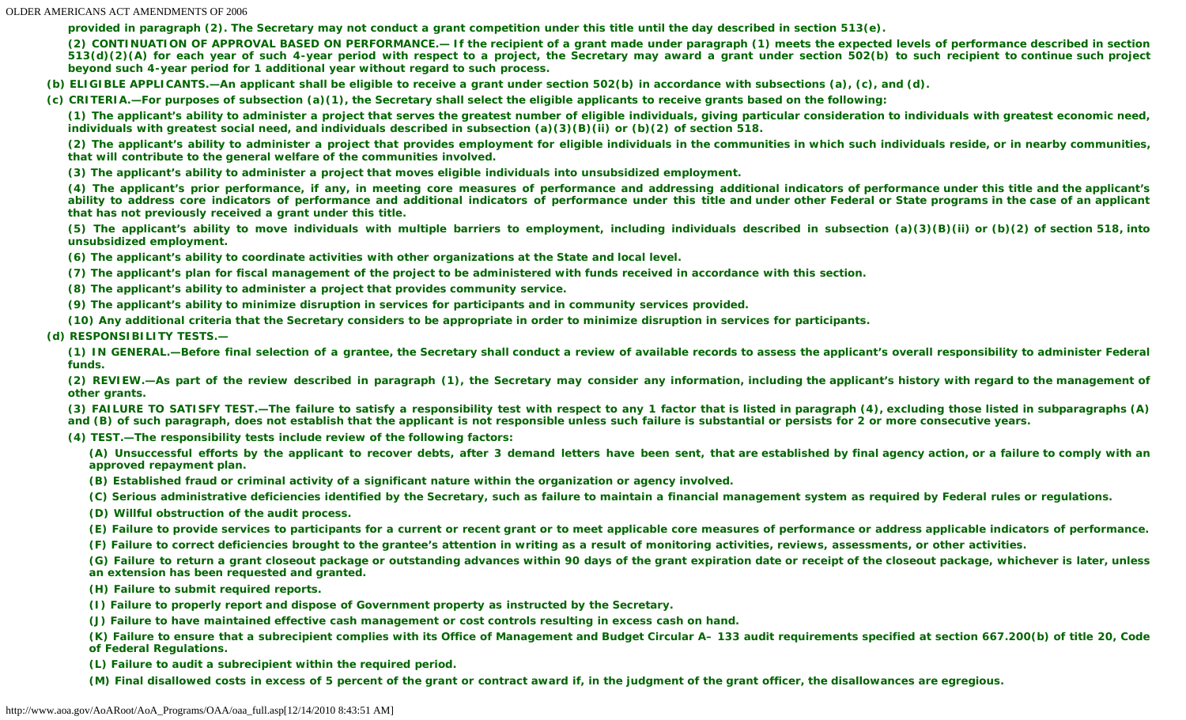**provided in paragraph (2). The Secretary may not conduct a grant competition under this title until the day described in section 513(e).**

**(2) CONTINUATION OF APPROVAL BASED ON PERFORMANCE.— If the recipient of a grant made under paragraph (1) meets the expected levels of performance described in section 513(d)(2)(A) for each year of such 4-year period with respect to a project, the Secretary may award a grant under section 502(b) to such recipient to continue such project beyond such 4-year period for 1 additional year without regard to such process.**

**(b) ELIGIBLE APPLICANTS.—An applicant shall be eligible to receive a grant under section 502(b) in accordance with subsections (a), (c), and (d).**

**(c) CRITERIA.—For purposes of subsection (a)(1), the Secretary shall select the eligible applicants to receive grants based on the following:**

**(1) The applicant's ability to administer a project that serves the greatest number of eligible individuals, giving particular consideration to individuals with greatest economic need, individuals with greatest social need, and individuals described in subsection (a)(3)(B)(ii) or (b)(2) of section 518.**

**(2) The applicant's ability to administer a project that provides employment for eligible individuals in the communities in which such individuals reside, or in nearby communities, that will contribute to the general welfare of the communities involved.**

**(3) The applicant's ability to administer a project that moves eligible individuals into unsubsidized employment.**

**(4) The applicant's prior performance, if any, in meeting core measures of performance and addressing additional indicators of performance under this title and the applicant's ability to address core indicators of performance and additional indicators of performance under this title and under other Federal or State programs in the case of an applicant that has not previously received a grant under this title.**

**(5) The applicant's ability to move individuals with multiple barriers to employment, including individuals described in subsection (a)(3)(B)(ii) or (b)(2) of section 518, into unsubsidized employment.**

**(6) The applicant's ability to coordinate activities with other organizations at the State and local level.**

**(7) The applicant's plan for fiscal management of the project to be administered with funds received in accordance with this section.**

- **(8) The applicant's ability to administer a project that provides community service.**
- **(9) The applicant's ability to minimize disruption in services for participants and in community services provided.**
- **(10) Any additional criteria that the Secretary considers to be appropriate in order to minimize disruption in services for participants.**

#### **(d) RESPONSIBILITY TESTS.—**

**(1) IN GENERAL.—Before final selection of a grantee, the Secretary shall conduct a review of available records to assess the applicant's overall responsibility to administer Federal funds.**

**(2) REVIEW.—As part of the review described in paragraph (1), the Secretary may consider any information, including the applicant's history with regard to the management of other grants.**

**(3) FAILURE TO SATISFY TEST.—The failure to satisfy a responsibility test with respect to any 1 factor that is listed in paragraph (4), excluding those listed in subparagraphs (A) and (B) of such paragraph, does not establish that the applicant is not responsible unless such failure is substantial or persists for 2 or more consecutive years.**

**(4) TEST.—The responsibility tests include review of the following factors:**

**(A) Unsuccessful efforts by the applicant to recover debts, after 3 demand letters have been sent, that are established by final agency action, or a failure to comply with an approved repayment plan.**

**(B) Established fraud or criminal activity of a significant nature within the organization or agency involved.**

**(C) Serious administrative deficiencies identified by the Secretary, such as failure to maintain a financial management system as required by Federal rules or regulations.**

**(D) Willful obstruction of the audit process.**

**(E) Failure to provide services to participants for a current or recent grant or to meet applicable core measures of performance or address applicable indicators of performance.**

**(F) Failure to correct deficiencies brought to the grantee's attention in writing as a result of monitoring activities, reviews, assessments, or other activities.**

**(G) Failure to return a grant closeout package or outstanding advances within 90 days of the grant expiration date or receipt of the closeout package, whichever is later, unless an extension has been requested and granted.**

**(H) Failure to submit required reports.**

**(I) Failure to properly report and dispose of Government property as instructed by the Secretary.**

**(J) Failure to have maintained effective cash management or cost controls resulting in excess cash on hand.**

**(K) Failure to ensure that a subrecipient complies with its Office of Management and Budget Circular A– 133 audit requirements specified at section 667.200(b) of title 20, Code of Federal Regulations.**

**(L) Failure to audit a subrecipient within the required period.**

**(M) Final disallowed costs in excess of 5 percent of the grant or contract award if, in the judgment of the grant officer, the disallowances are egregious.**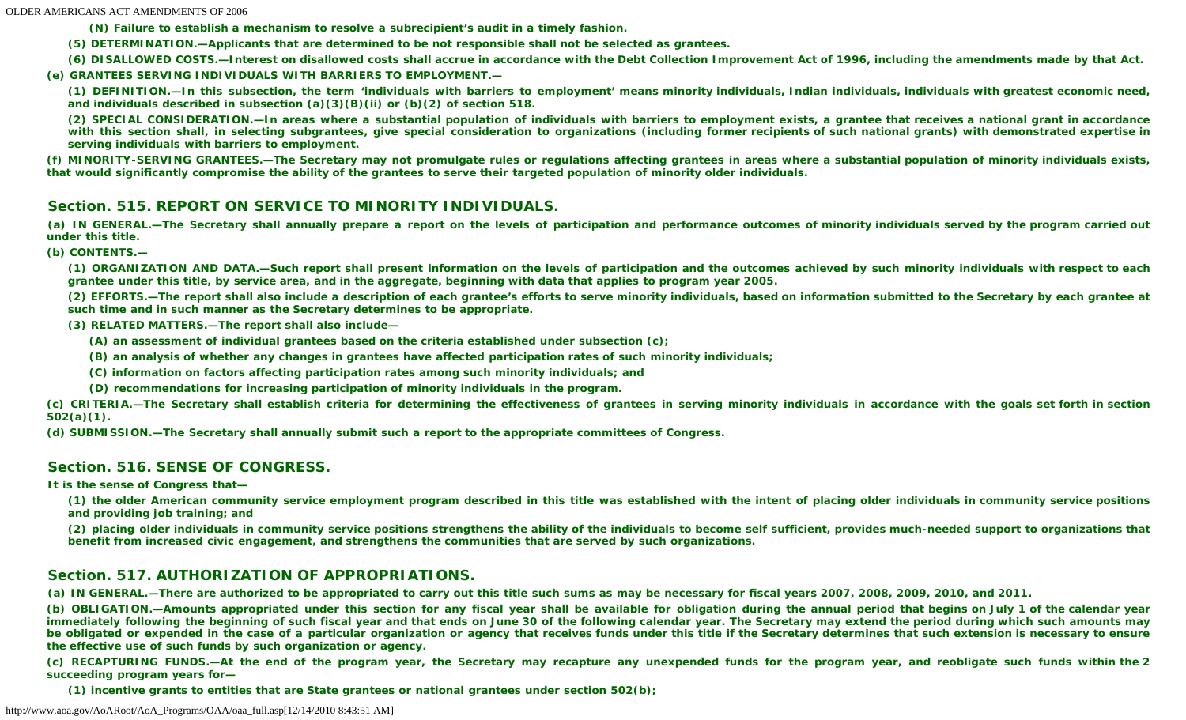**(N) Failure to establish a mechanism to resolve a subrecipient's audit in a timely fashion.**

**(5) DETERMINATION.—Applicants that are determined to be not responsible shall not be selected as grantees.**

**(6) DISALLOWED COSTS.—Interest on disallowed costs shall accrue in accordance with the Debt Collection Improvement Act of 1996, including the amendments made by that Act.**

#### **(e) GRANTEES SERVING INDIVIDUALS WITH BARRIERS TO EMPLOYMENT.—**

**(1) DEFINITION.—In this subsection, the term 'individuals with barriers to employment' means minority individuals, Indian individuals, individuals with greatest economic need, and individuals described in subsection (a)(3)(B)(ii) or (b)(2) of section 518.**

**(2) SPECIAL CONSIDERATION.—In areas where a substantial population of individuals with barriers to employment exists, a grantee that receives a national grant in accordance** with this section shall, in selecting subgrantees, give special consideration to organizations (including former recipients of such national grants) with demonstrated expertise in **serving individuals with barriers to employment.**

**(f) MINORITY-SERVING GRANTEES.—The Secretary may not promulgate rules or regulations affecting grantees in areas where a substantial population of minority individuals exists, that would significantly compromise the ability of the grantees to serve their targeted population of minority older individuals.**

## **Section. 515. REPORT ON SERVICE TO MINORITY INDIVIDUALS.**

**(a) IN GENERAL.—The Secretary shall annually prepare a report on the levels of participation and performance outcomes of minority individuals served by the program carried out under this title.**

**(b) CONTENTS.—**

**(1) ORGANIZATION AND DATA.—Such report shall present information on the levels of participation and the outcomes achieved by such minority individuals with respect to each grantee under this title, by service area, and in the aggregate, beginning with data that applies to program year 2005.**

**(2) EFFORTS.—The report shall also include a description of each grantee's efforts to serve minority individuals, based on information submitted to the Secretary by each grantee at such time and in such manner as the Secretary determines to be appropriate.**

**(3) RELATED MATTERS.—The report shall also include—**

**(A) an assessment of individual grantees based on the criteria established under subsection (c);**

**(B) an analysis of whether any changes in grantees have affected participation rates of such minority individuals;**

**(C) information on factors affecting participation rates among such minority individuals; and**

**(D) recommendations for increasing participation of minority individuals in the program.**

**(c) CRITERIA.—The Secretary shall establish criteria for determining the effectiveness of grantees in serving minority individuals in accordance with the goals set forth in section 502(a)(1).**

**(d) SUBMISSION.—The Secretary shall annually submit such a report to the appropriate committees of Congress.**

## **Section. 516. SENSE OF CONGRESS.**

**It is the sense of Congress that—**

**(1) the older American community service employment program described in this title was established with the intent of placing older individuals in community service positions and providing job training; and**

**(2) placing older individuals in community service positions strengthens the ability of the individuals to become self sufficient, provides much-needed support to organizations that benefit from increased civic engagement, and strengthens the communities that are served by such organizations.**

# **Section. 517. AUTHORIZATION OF APPROPRIATIONS.**

**(a) IN GENERAL.—There are authorized to be appropriated to carry out this title such sums as may be necessary for fiscal years 2007, 2008, 2009, 2010, and 2011.**

**(b) OBLIGATION.—Amounts appropriated under this section for any fiscal year shall be available for obligation during the annual period that begins on July 1 of the calendar year immediately following the beginning of such fiscal year and that ends on June 30 of the following calendar year. The Secretary may extend the period during which such amounts may be obligated or expended in the case of a particular organization or agency that receives funds under this title if the Secretary determines that such extension is necessary to ensure the effective use of such funds by such organization or agency.**

**(c) RECAPTURING FUNDS.—At the end of the program year, the Secretary may recapture any unexpended funds for the program year, and reobligate such funds within the 2 succeeding program years for—**

**(1) incentive grants to entities that are State grantees or national grantees under section 502(b);**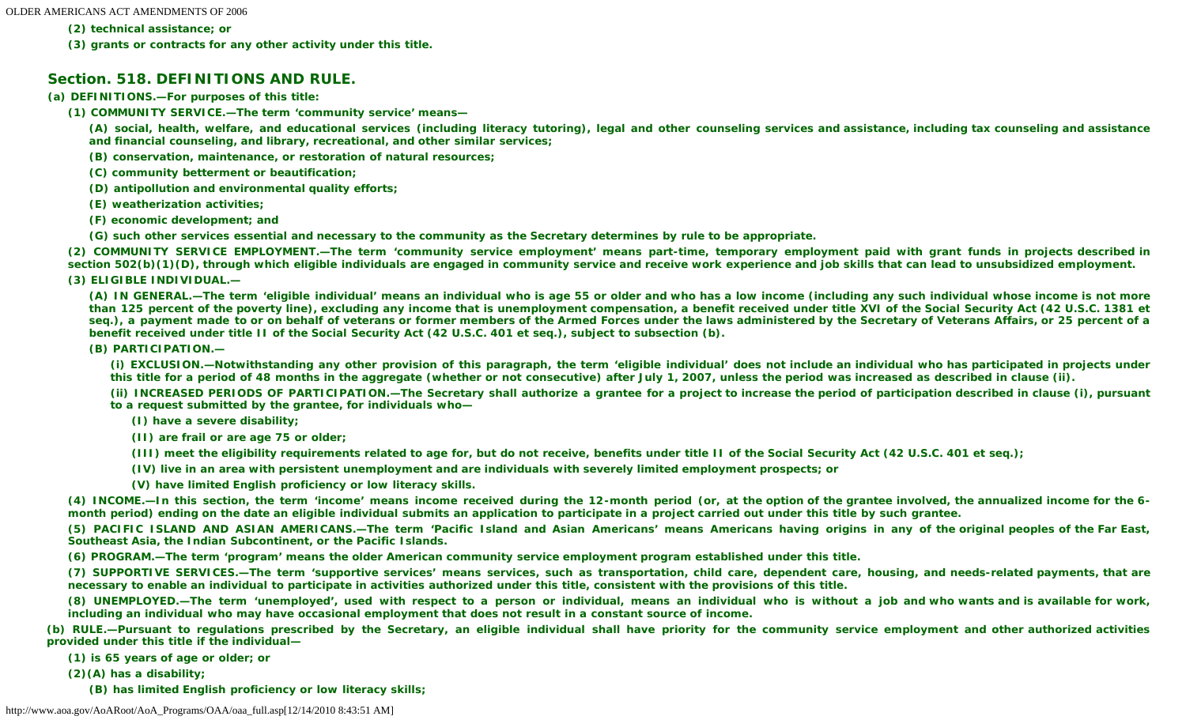**(2) technical assistance; or**

**(3) grants or contracts for any other activity under this title.**

# **Section. 518. DEFINITIONS AND RULE.**

**(a) DEFINITIONS.—For purposes of this title:**

**(1) COMMUNITY SERVICE.—The term 'community service' means—**

**(A) social, health, welfare, and educational services (including literacy tutoring), legal and other counseling services and assistance, including tax counseling and assistance and financial counseling, and library, recreational, and other similar services;**

**(B) conservation, maintenance, or restoration of natural resources;**

**(C) community betterment or beautification;**

**(D) antipollution and environmental quality efforts;**

**(E) weatherization activities;**

**(F) economic development; and**

**(G) such other services essential and necessary to the community as the Secretary determines by rule to be appropriate.**

**(2) COMMUNITY SERVICE EMPLOYMENT.—The term 'community service employment' means part-time, temporary employment paid with grant funds in projects described in** section 502(b)(1)(D), through which eligible individuals are engaged in community service and receive work experience and job skills that can lead to unsubsidized employment.

**(3) ELIGIBLE INDIVIDUAL.—**

**(A) IN GENERAL.—The term 'eligible individual' means an individual who is age 55 or older and who has a low income (including any such individual whose income is not more than 125 percent of the poverty line), excluding any income that is unemployment compensation, a benefit received under title XVI of the Social Security Act (42 U.S.C. 1381 et seq.), a payment made to or on behalf of veterans or former members of the Armed Forces under the laws administered by the Secretary of Veterans Affairs, or 25 percent of a benefit received under title II of the Social Security Act (42 U.S.C. 401 et seq.), subject to subsection (b).**

**(B) PARTICIPATION.—**

**(i) EXCLUSION.—Notwithstanding any other provision of this paragraph, the term 'eligible individual' does not include an individual who has participated in projects under this title for a period of 48 months in the aggregate (whether or not consecutive) after July 1, 2007, unless the period was increased as described in clause (ii).**

**(ii) INCREASED PERIODS OF PARTICIPATION.—The Secretary shall authorize a grantee for a project to increase the period of participation described in clause (i), pursuant to a request submitted by the grantee, for individuals who—**

**(I) have a severe disability;**

**(II) are frail or are age 75 or older;**

**(III) meet the eligibility requirements related to age for, but do not receive, benefits under title II of the Social Security Act (42 U.S.C. 401 et seq.);**

**(IV) live in an area with persistent unemployment and are individuals with severely limited employment prospects; or**

**(V) have limited English proficiency or low literacy skills.**

**(4) INCOME.—In this section, the term 'income' means income received during the 12-month period (or, at the option of the grantee involved, the annualized income for the 6 month period) ending on the date an eligible individual submits an application to participate in a project carried out under this title by such grantee.**

**(5) PACIFIC ISLAND AND ASIAN AMERICANS.—The term 'Pacific Island and Asian Americans' means Americans having origins in any of the original peoples of the Far East, Southeast Asia, the Indian Subcontinent, or the Pacific Islands.**

**(6) PROGRAM.—The term 'program' means the older American community service employment program established under this title.**

**(7) SUPPORTIVE SERVICES.—The term 'supportive services' means services, such as transportation, child care, dependent care, housing, and needs-related payments, that are necessary to enable an individual to participate in activities authorized under this title, consistent with the provisions of this title.**

**(8) UNEMPLOYED.—The term 'unemployed', used with respect to a person or individual, means an individual who is without a job and who wants and is available for work, including an individual who may have occasional employment that does not result in a constant source of income.**

**(b) RULE.—Pursuant to regulations prescribed by the Secretary, an eligible individual shall have priority for the community service employment and other authorized activities provided under this title if the individual—**

**(1) is 65 years of age or older; or**

**(2)(A) has a disability;**

**(B) has limited English proficiency or low literacy skills;**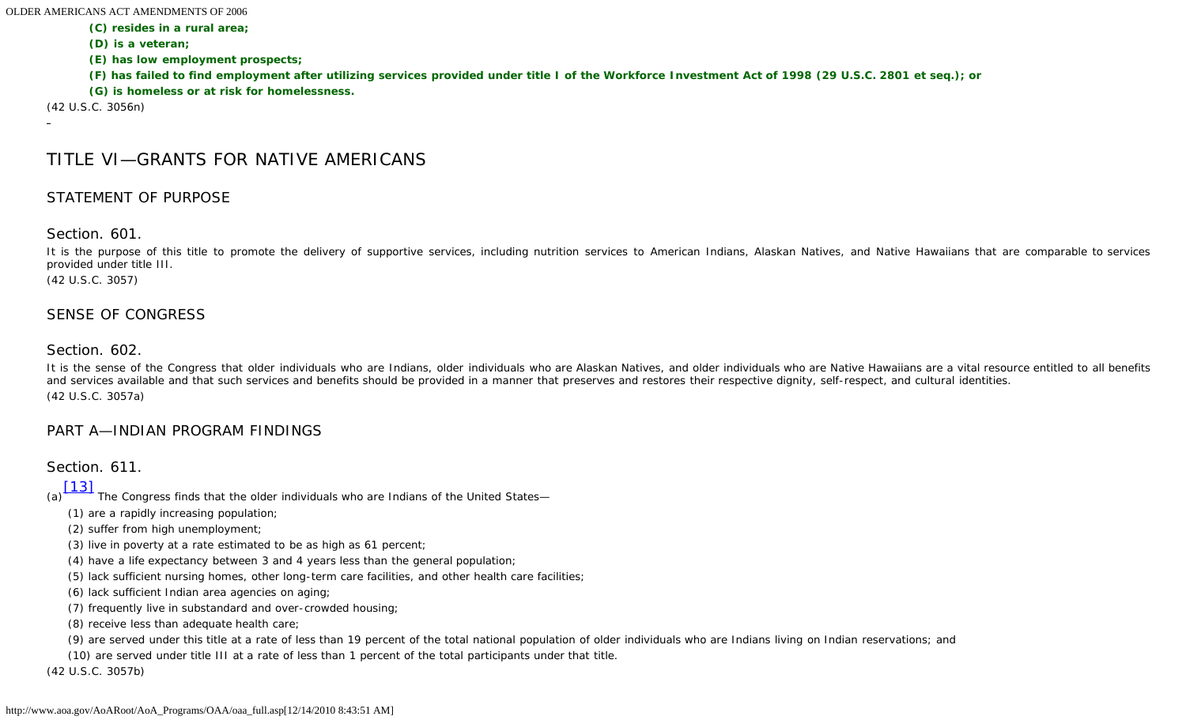**(C) resides in a rural area;**

**(D) is a veteran;**

**(E) has low employment prospects;**

**(F) has failed to find employment after utilizing services provided under title I of the Workforce Investment Act of 1998 (29 U.S.C. 2801 et seq.); or**

**(G) is homeless or at risk for homelessness.**

(42 U.S.C. 3056n)

# TITLE VI—GRANTS FOR NATIVE AMERICANS

*STATEMENT OF PURPOSE*

Section. 601.

It is the purpose of this title to promote the delivery of supportive services, including nutrition services to American Indians, Alaskan Natives, and Native Hawaiians that are comparable to services provided under title III.

(42 U.S.C. 3057)

# *SENSE OF CONGRESS*

## Section. 602.

It is the sense of the Congress that older individuals who are Indians, older individuals who are Alaskan Natives, and older individuals who are Native Hawaiians are a vital resource entitled to all benefits and services available and that such services and benefits should be provided in a manner that preserves and restores their respective dignity, self-respect, and cultural identities. (42 U.S.C. 3057a)

# PART A—INDIAN PROGRAM FINDINGS

Section. 611.

<span id="page-76-0"></span>(a) [\[13\]](#page-93-0) The Congress finds that the older individuals who are Indians of the United States—

(1) are a rapidly increasing population;

(2) suffer from high unemployment;

- (3) live in poverty at a rate estimated to be as high as 61 percent;
- (4) have a life expectancy between 3 and 4 years less than the general population;
- (5) lack sufficient nursing homes, other long-term care facilities, and other health care facilities;
- (6) lack sufficient Indian area agencies on aging;
- (7) frequently live in substandard and over-crowded housing;
- (8) receive less than adequate health care;
- (9) are served under this title at a rate of less than 19 percent of the total national population of older individuals who are Indians living on Indian reservations; and
- (10) are served under title III at a rate of less than 1 percent of the total participants under that title.

(42 U.S.C. 3057b)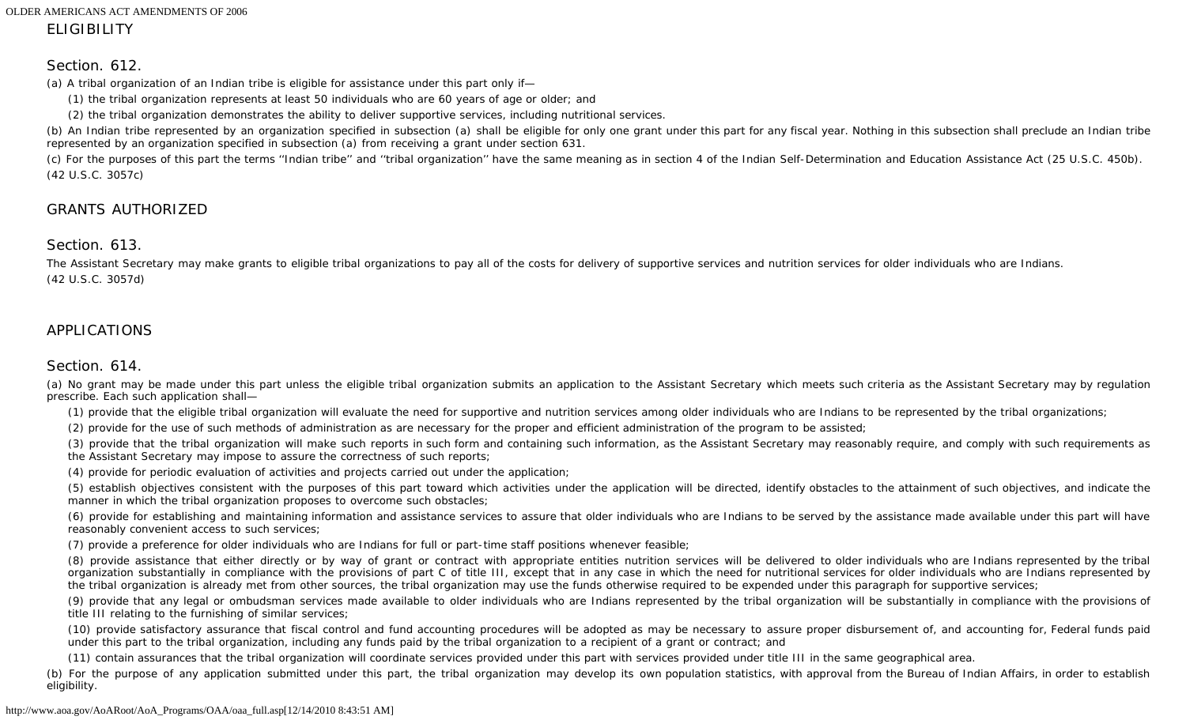#### *ELIGIBILITY*

#### Section. 612.

(a) A tribal organization of an Indian tribe is eligible for assistance under this part only if—

(1) the tribal organization represents at least 50 individuals who are 60 years of age or older; and

(2) the tribal organization demonstrates the ability to deliver supportive services, including nutritional services.

(b) An Indian tribe represented by an organization specified in subsection (a) shall be eligible for only one grant under this part for any fiscal year. Nothing in this subsection shall preclude an Indian tribe represented by an organization specified in subsection (a) from receiving a grant under section 631.

(c) For the purposes of this part the terms ''Indian tribe'' and ''tribal organization'' have the same meaning as in section 4 of the Indian Self-Determination and Education Assistance Act (25 U.S.C. 450b). (42 U.S.C. 3057c)

## *GRANTS AUTHORIZED*

#### Section. 613.

The Assistant Secretary may make grants to eligible tribal organizations to pay all of the costs for delivery of supportive services and nutrition services for older individuals who are Indians. (42 U.S.C. 3057d)

## *APPLICATIONS*

#### Section. 614.

(a) No grant may be made under this part unless the eligible tribal organization submits an application to the Assistant Secretary which meets such criteria as the Assistant Secretary may by regulation prescribe. Each such application shall—

(1) provide that the eligible tribal organization will evaluate the need for supportive and nutrition services among older individuals who are Indians to be represented by the tribal organizations;

(2) provide for the use of such methods of administration as are necessary for the proper and efficient administration of the program to be assisted;

(3) provide that the tribal organization will make such reports in such form and containing such information, as the Assistant Secretary may reasonably require, and comply with such requirements as the Assistant Secretary may impose to assure the correctness of such reports;

(4) provide for periodic evaluation of activities and projects carried out under the application;

(5) establish objectives consistent with the purposes of this part toward which activities under the application will be directed, identify obstacles to the attainment of such objectives, and indicate the manner in which the tribal organization proposes to overcome such obstacles;

(6) provide for establishing and maintaining information and assistance services to assure that older individuals who are Indians to be served by the assistance made available under this part will have reasonably convenient access to such services;

(7) provide a preference for older individuals who are Indians for full or part-time staff positions whenever feasible;

(8) provide assistance that either directly or by way of grant or contract with appropriate entities nutrition services will be delivered to older individuals who are Indians represented by the tribal organization substantially in compliance with the provisions of part C of title III, except that in any case in which the need for nutritional services for older individuals who are Indians represented by the tribal organization is already met from other sources, the tribal organization may use the funds otherwise required to be expended under this paragraph for supportive services;

(9) provide that any legal or ombudsman services made available to older individuals who are Indians represented by the tribal organization will be substantially in compliance with the provisions of title III relating to the furnishing of similar services;

(10) provide satisfactory assurance that fiscal control and fund accounting procedures will be adopted as may be necessary to assure proper disbursement of, and accounting for, Federal funds paid under this part to the tribal organization, including any funds paid by the tribal organization to a recipient of a grant or contract; and

(11) contain assurances that the tribal organization will coordinate services provided under this part with services provided under title III in the same geographical area.

(b) For the purpose of any application submitted under this part, the tribal organization may develop its own population statistics, with approval from the Bureau of Indian Affairs, in order to establish eligibility.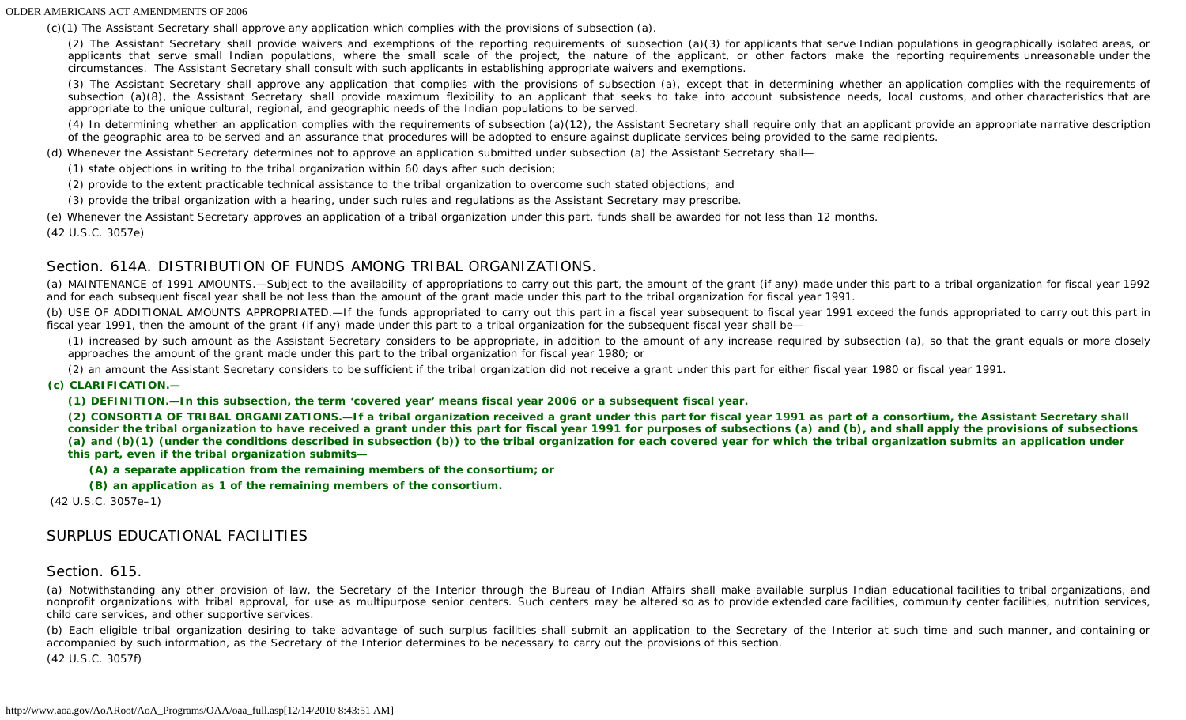(c)(1) The Assistant Secretary shall approve any application which complies with the provisions of subsection (a).

(2) The Assistant Secretary shall provide waivers and exemptions of the reporting requirements of subsection (a)(3) for applicants that serve Indian populations in geographically isolated areas, or applicants that serve small Indian populations, where the small scale of the project, the nature of the applicant, or other factors make the reporting requirements unreasonable under the circumstances. The Assistant Secretary shall consult with such applicants in establishing appropriate waivers and exemptions.

(3) The Assistant Secretary shall approve any application that complies with the provisions of subsection (a), except that in determining whether an application complies with the requirements of subsection (a)(8), the Assistant Secretary shall provide maximum flexibility to an applicant that seeks to take into account subsistence needs, local customs, and other characteristics that are appropriate to the unique cultural, regional, and geographic needs of the Indian populations to be served.

(4) In determining whether an application complies with the requirements of subsection (a)(12), the Assistant Secretary shall require only that an applicant provide an appropriate narrative description of the geographic area to be served and an assurance that procedures will be adopted to ensure against duplicate services being provided to the same recipients.

(d) Whenever the Assistant Secretary determines not to approve an application submitted under subsection (a) the Assistant Secretary shall—

(1) state objections in writing to the tribal organization within 60 days after such decision;

(2) provide to the extent practicable technical assistance to the tribal organization to overcome such stated objections; and

(3) provide the tribal organization with a hearing, under such rules and regulations as the Assistant Secretary may prescribe.

(e) Whenever the Assistant Secretary approves an application of a tribal organization under this part, funds shall be awarded for not less than 12 months.

(42 U.S.C. 3057e)

# Section. 614A. DISTRIBUTION OF FUNDS AMONG TRIBAL ORGANIZATIONS.

(a) MAINTENANCE of 1991 AMOUNTS.—Subject to the availability of appropriations to carry out this part, the amount of the grant (if any) made under this part to a tribal organization for fiscal year 1992 and for each subsequent fiscal year shall be not less than the amount of the grant made under this part to the tribal organization for fiscal year 1991.

(b) USE OF ADDITIONAL AMOUNTS APPROPRIATED.—If the funds appropriated to carry out this part in a fiscal year subsequent to fiscal year 1991 exceed the funds appropriated to carry out this part in fiscal year 1991, then the amount of the grant (if any) made under this part to a tribal organization for the subsequent fiscal year shall be—

(1) increased by such amount as the Assistant Secretary considers to be appropriate, in addition to the amount of any increase required by subsection (a), so that the grant equals or more closely approaches the amount of the grant made under this part to the tribal organization for fiscal year 1980; or

(2) an amount the Assistant Secretary considers to be sufficient if the tribal organization did not receive a grant under this part for either fiscal year 1980 or fiscal year 1991.

#### **(c) CLARIFICATION.—**

**(1) DEFINITION.—In this subsection, the term 'covered year' means fiscal year 2006 or a subsequent fiscal year.**

**(2) CONSORTIA OF TRIBAL ORGANIZATIONS.—If a tribal organization received a grant under this part for fiscal year 1991 as part of a consortium, the Assistant Secretary shall consider the tribal organization to have received a grant under this part for fiscal year 1991 for purposes of subsections (a) and (b), and shall apply the provisions of subsections (a) and (b)(1) (under the conditions described in subsection (b)) to the tribal organization for each covered year for which the tribal organization submits an application under this part, even if the tribal organization submits—**

**(A) a separate application from the remaining members of the consortium; or**

**(B) an application as 1 of the remaining members of the consortium.**

(42 U.S.C. 3057e–1)

## *SURPLUS EDUCATIONAL FACILITIES*

## Section. 615.

(a) Notwithstanding any other provision of law, the Secretary of the Interior through the Bureau of Indian Affairs shall make available surplus Indian educational facilities to tribal organizations, and nonprofit organizations with tribal approval, for use as multipurpose senior centers. Such centers may be altered so as to provide extended care facilities, community center facilities, nutrition services, child care services, and other supportive services.

(b) Each eligible tribal organization desiring to take advantage of such surplus facilities shall submit an application to the Secretary of the Interior at such time and such manner, and containing or accompanied by such information, as the Secretary of the Interior determines to be necessary to carry out the provisions of this section.

(42 U.S.C. 3057f)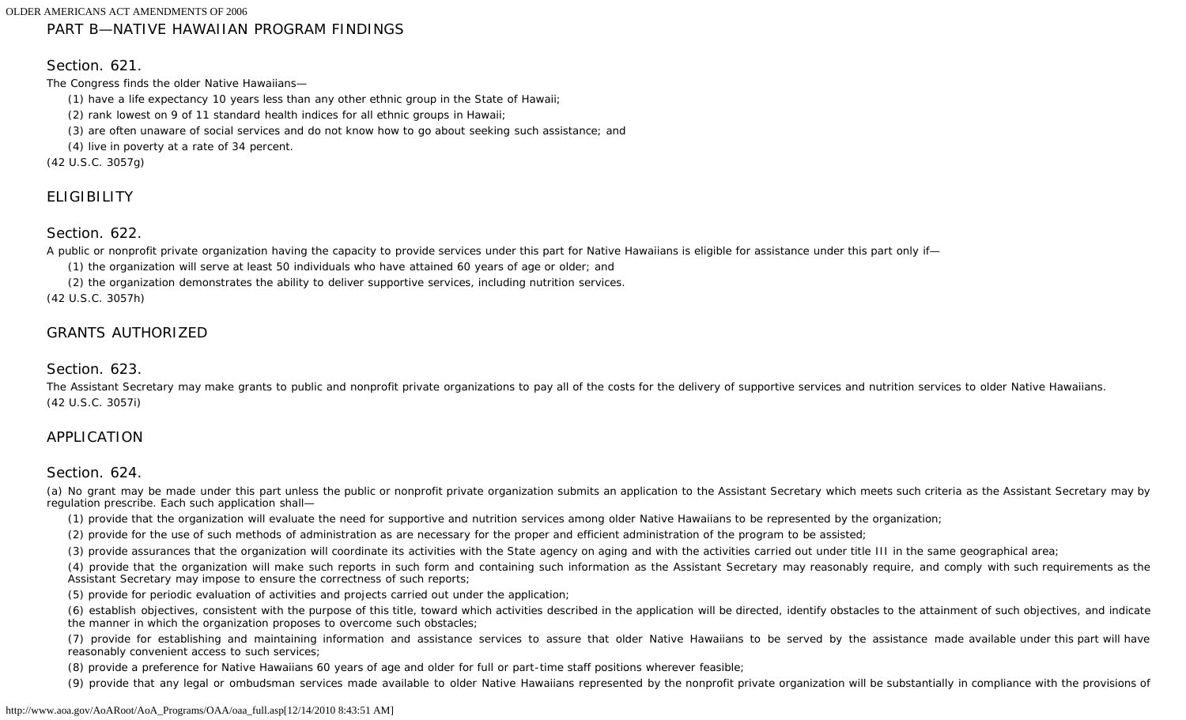## PART B—NATIVE HAWAIIAN PROGRAM FINDINGS

Section. 621.

The Congress finds the older Native Hawaiians—

(1) have a life expectancy 10 years less than any other ethnic group in the State of Hawaii;

(2) rank lowest on 9 of 11 standard health indices for all ethnic groups in Hawaii;

(3) are often unaware of social services and do not know how to go about seeking such assistance; and

(4) live in poverty at a rate of 34 percent.

(42 U.S.C. 3057g)

# *ELIGIBILITY*

Section. 622.

A public or nonprofit private organization having the capacity to provide services under this part for Native Hawaiians is eligible for assistance under this part only if—

(1) the organization will serve at least 50 individuals who have attained 60 years of age or older; and

(2) the organization demonstrates the ability to deliver supportive services, including nutrition services.

(42 U.S.C. 3057h)

# *GRANTS AUTHORIZED*

Section. 623.

The Assistant Secretary may make grants to public and nonprofit private organizations to pay all of the costs for the delivery of supportive services and nutrition services to older Native Hawaiians. (42 U.S.C. 3057i)

# *APPLICATION*

# Section. 624.

(a) No grant may be made under this part unless the public or nonprofit private organization submits an application to the Assistant Secretary which meets such criteria as the Assistant Secretary may by regulation prescribe. Each such application shall—

(1) provide that the organization will evaluate the need for supportive and nutrition services among older Native Hawaiians to be represented by the organization;

(2) provide for the use of such methods of administration as are necessary for the proper and efficient administration of the program to be assisted;

(3) provide assurances that the organization will coordinate its activities with the State agency on aging and with the activities carried out under title III in the same geographical area;

(4) provide that the organization will make such reports in such form and containing such information as the Assistant Secretary may reasonably require, and comply with such requirements as the Assistant Secretary may impose to ensure the correctness of such reports;

(5) provide for periodic evaluation of activities and projects carried out under the application;

(6) establish objectives, consistent with the purpose of this title, toward which activities described in the application will be directed, identify obstacles to the attainment of such objectives, and indicate the manner in which the organization proposes to overcome such obstacles;

(7) provide for establishing and maintaining information and assistance services to assure that older Native Hawaiians to be served by the assistance made available under this part will have reasonably convenient access to such services;

(8) provide a preference for Native Hawaiians 60 years of age and older for full or part-time staff positions wherever feasible;

(9) provide that any legal or ombudsman services made available to older Native Hawaiians represented by the nonprofit private organization will be substantially in compliance with the provisions of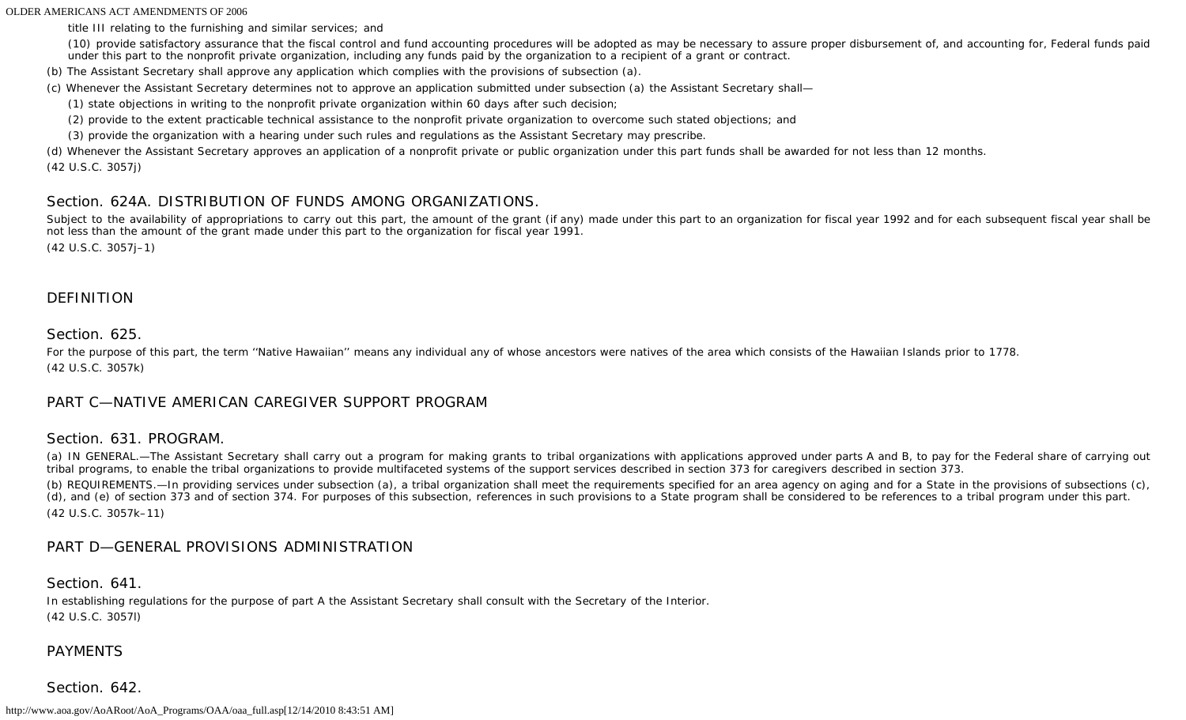title III relating to the furnishing and similar services; and

(10) provide satisfactory assurance that the fiscal control and fund accounting procedures will be adopted as may be necessary to assure proper disbursement of, and accounting for, Federal funds paid under this part to the nonprofit private organization, including any funds paid by the organization to a recipient of a grant or contract.

(b) The Assistant Secretary shall approve any application which complies with the provisions of subsection (a).

(c) Whenever the Assistant Secretary determines not to approve an application submitted under subsection (a) the Assistant Secretary shall—

(1) state objections in writing to the nonprofit private organization within 60 days after such decision;

(2) provide to the extent practicable technical assistance to the nonprofit private organization to overcome such stated objections; and

(3) provide the organization with a hearing under such rules and regulations as the Assistant Secretary may prescribe.

(d) Whenever the Assistant Secretary approves an application of a nonprofit private or public organization under this part funds shall be awarded for not less than 12 months. (42 U.S.C. 3057j)

# Section. 624A. DISTRIBUTION OF FUNDS AMONG ORGANIZATIONS.

Subject to the availability of appropriations to carry out this part, the amount of the grant (if any) made under this part to an organization for fiscal year 1992 and for each subsequent fiscal year shall be not less than the amount of the grant made under this part to the organization for fiscal year 1991.

(42 U.S.C. 3057j–1)

## *DEFINITION*

## Section. 625.

For the purpose of this part, the term ''Native Hawaiian'' means any individual any of whose ancestors were natives of the area which consists of the Hawaiian Islands prior to 1778. (42 U.S.C. 3057k)

## PART C—NATIVE AMERICAN CAREGIVER SUPPORT PROGRAM

## Section. 631. PROGRAM.

(a) IN GENERAL.—The Assistant Secretary shall carry out a program for making grants to tribal organizations with applications approved under parts A and B, to pay for the Federal share of carrying out tribal programs, to enable the tribal organizations to provide multifaceted systems of the support services described in section 373 for caregivers described in section 373.

(b) REQUIREMENTS.—In providing services under subsection (a), a tribal organization shall meet the requirements specified for an area agency on aging and for a State in the provisions of subsections (c), (d), and (e) of section 373 and of section 374. For purposes of this subsection, references in such provisions to a State program shall be considered to be references to a tribal program under this part. (42 U.S.C. 3057k–11)

# PART D—GENERAL PROVISIONS ADMINISTRATION

Section. 641.

In establishing regulations for the purpose of part A the Assistant Secretary shall consult with the Secretary of the Interior. (42 U.S.C. 3057l)

## *PAYMENTS*

Section. 642.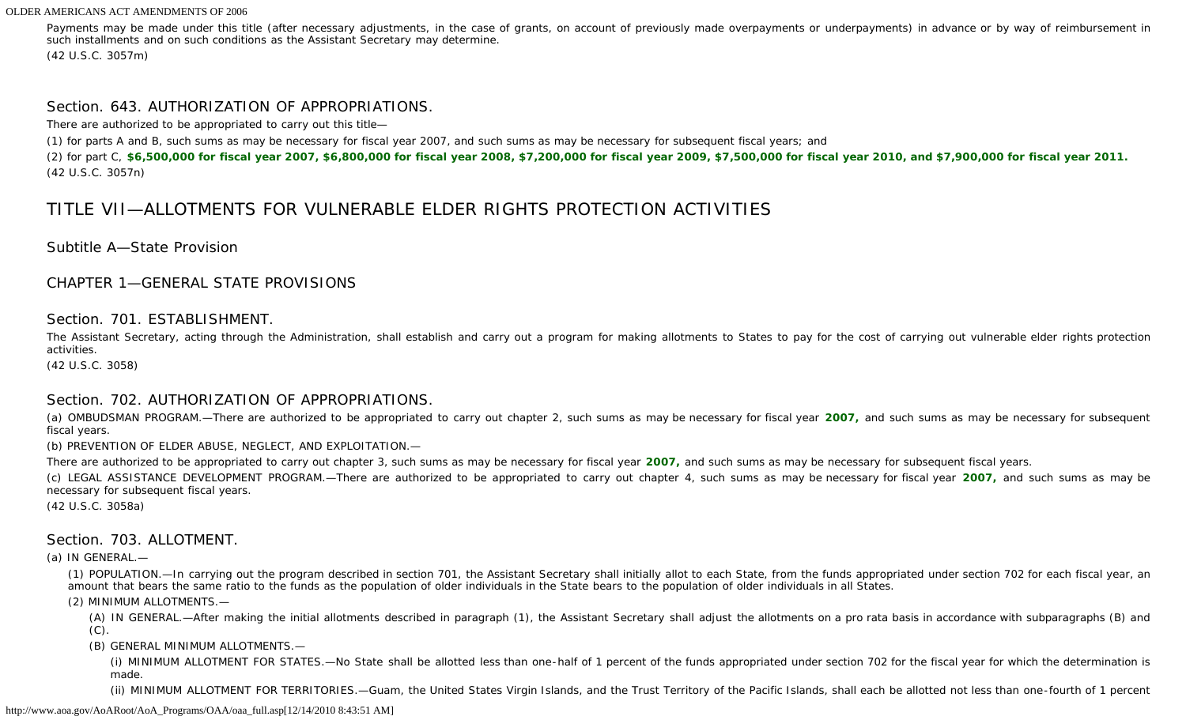Payments may be made under this title (after necessary adjustments, in the case of grants, on account of previously made overpayments or underpayments) in advance or by way of reimbursement in such installments and on such conditions as the Assistant Secretary may determine.

(42 U.S.C. 3057m)

## Section. 643. AUTHORIZATION OF APPROPRIATIONS.

There are authorized to be appropriated to carry out this title—

(1) for parts A and B, such sums as may be necessary for fiscal year 2007, and such sums as may be necessary for subsequent fiscal years; and

(2) for part C, **\$6,500,000 for fiscal year 2007, \$6,800,000 for fiscal year 2008, \$7,200,000 for fiscal year 2009, \$7,500,000 for fiscal year 2010, and \$7,900,000 for fiscal year 2011.** (42 U.S.C. 3057n)

# TITLE VII—ALLOTMENTS FOR VULNERABLE ELDER RIGHTS PROTECTION ACTIVITIES

Subtitle A—State Provision

CHAPTER 1—GENERAL STATE PROVISIONS

## Section. 701. ESTABLISHMENT.

The Assistant Secretary, acting through the Administration, shall establish and carry out a program for making allotments to States to pay for the cost of carrying out vulnerable elder rights protection activities.

(42 U.S.C. 3058)

## Section. 702. AUTHORIZATION OF APPROPRIATIONS.

(a) OMBUDSMAN PROGRAM.—There are authorized to be appropriated to carry out chapter 2, such sums as may be necessary for fiscal year **2007,** and such sums as may be necessary for subsequent fiscal years.

(b) PREVENTION OF ELDER ABUSE, NEGLECT, AND EXPLOITATION.—

There are authorized to be appropriated to carry out chapter 3, such sums as may be necessary for fiscal year **2007,** and such sums as may be necessary for subsequent fiscal years.

(c) LEGAL ASSISTANCE DEVELOPMENT PROGRAM.—There are authorized to be appropriated to carry out chapter 4, such sums as may be necessary for fiscal year **2007,** and such sums as may be necessary for subsequent fiscal years.

(42 U.S.C. 3058a)

## Section. 703. ALLOTMENT.

(a) IN GENERAL.—

(1) POPULATION.—In carrying out the program described in section 701, the Assistant Secretary shall initially allot to each State, from the funds appropriated under section 702 for each fiscal year, an amount that bears the same ratio to the funds as the population of older individuals in the State bears to the population of older individuals in all States.

(2) MINIMUM ALLOTMENTS.—

(A) IN GENERAL.—After making the initial allotments described in paragraph (1), the Assistant Secretary shall adjust the allotments on a pro rata basis in accordance with subparagraphs (B) and  $(C).$ 

(B) GENERAL MINIMUM ALLOTMENTS.—

(i) MINIMUM ALLOTMENT FOR STATES.—No State shall be allotted less than one-half of 1 percent of the funds appropriated under section 702 for the fiscal year for which the determination is made.

(ii) MINIMUM ALLOTMENT FOR TERRITORIES.—Guam, the United States Virgin Islands, and the Trust Territory of the Pacific Islands, shall each be allotted not less than one-fourth of 1 percent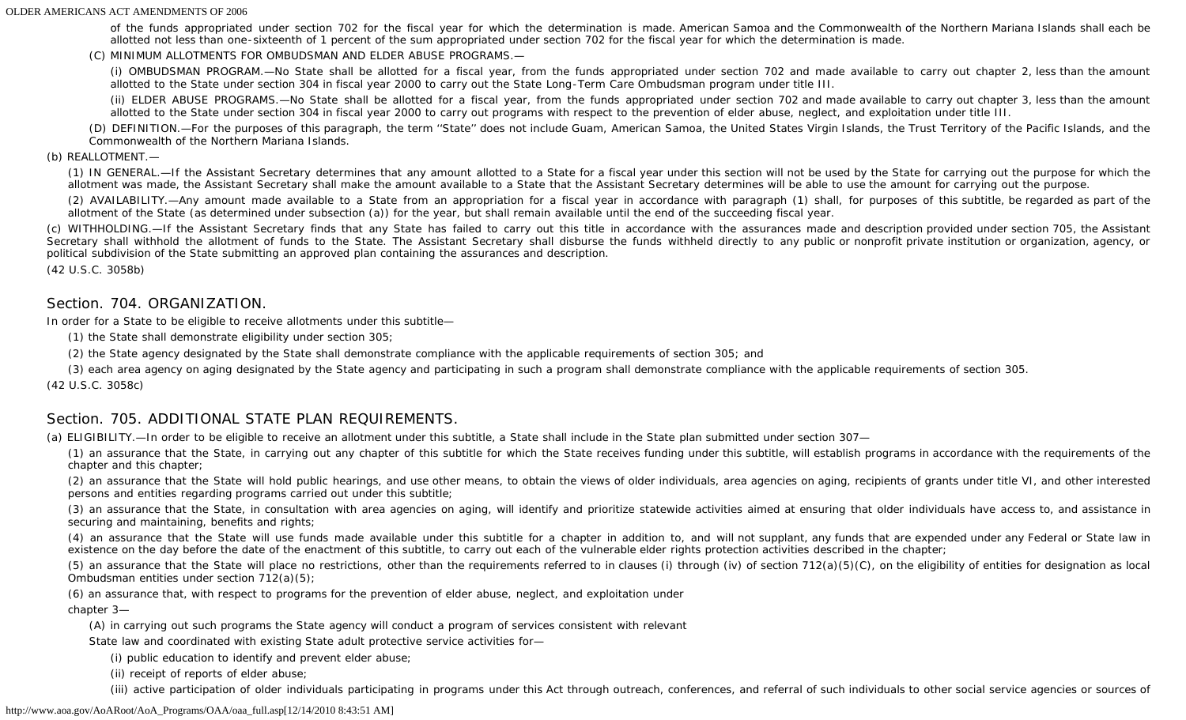of the funds appropriated under section 702 for the fiscal year for which the determination is made. American Samoa and the Commonwealth of the Northern Mariana Islands shall each be allotted not less than one-sixteenth of 1 percent of the sum appropriated under section 702 for the fiscal year for which the determination is made.

#### (C) MINIMUM ALLOTMENTS FOR OMBUDSMAN AND ELDER ABUSE PROGRAMS.—

(i) OMBUDSMAN PROGRAM.—No State shall be allotted for a fiscal year, from the funds appropriated under section 702 and made available to carry out chapter 2, less than the amount allotted to the State under section 304 in fiscal year 2000 to carry out the State Long-Term Care Ombudsman program under title III.

(ii) ELDER ABUSE PROGRAMS.—No State shall be allotted for a fiscal year, from the funds appropriated under section 702 and made available to carry out chapter 3, less than the amount allotted to the State under section 304 in fiscal year 2000 to carry out programs with respect to the prevention of elder abuse, neglect, and exploitation under title III.

(D) DEFINITION.—For the purposes of this paragraph, the term ''State'' does not include Guam, American Samoa, the United States Virgin Islands, the Trust Territory of the Pacific Islands, and the Commonwealth of the Northern Mariana Islands.

#### (b) REALLOTMENT.—

(1) IN GENERAL.—If the Assistant Secretary determines that any amount allotted to a State for a fiscal year under this section will not be used by the State for carrying out the purpose for which the allotment was made, the Assistant Secretary shall make the amount available to a State that the Assistant Secretary determines will be able to use the amount for carrying out the purpose.

(2) AVAILABILITY.—Any amount made available to a State from an appropriation for a fiscal year in accordance with paragraph (1) shall, for purposes of this subtitle, be regarded as part of the allotment of the State (as determined under subsection (a)) for the year, but shall remain available until the end of the succeeding fiscal year.

(c) WITHHOLDING.—If the Assistant Secretary finds that any State has failed to carry out this title in accordance with the assurances made and description provided under section 705, the Assistant Secretary shall withhold the allotment of funds to the State. The Assistant Secretary shall disburse the funds withheld directly to any public or nonprofit private institution or organization, agency, or political subdivision of the State submitting an approved plan containing the assurances and description.

(42 U.S.C. 3058b)

#### Section. 704. ORGANIZATION.

In order for a State to be eligible to receive allotments under this subtitle—

(1) the State shall demonstrate eligibility under section 305;

(2) the State agency designated by the State shall demonstrate compliance with the applicable requirements of section 305; and

(3) each area agency on aging designated by the State agency and participating in such a program shall demonstrate compliance with the applicable requirements of section 305.

(42 U.S.C. 3058c)

## Section. 705. ADDITIONAL STATE PLAN REQUIREMENTS.

(a) ELIGIBILITY.—In order to be eligible to receive an allotment under this subtitle, a State shall include in the State plan submitted under section 307—

(1) an assurance that the State, in carrying out any chapter of this subtitle for which the State receives funding under this subtitle, will establish programs in accordance with the requirements of the chapter and this chapter;

(2) an assurance that the State will hold public hearings, and use other means, to obtain the views of older individuals, area agencies on aging, recipients of grants under title VI, and other interested persons and entities regarding programs carried out under this subtitle;

(3) an assurance that the State, in consultation with area agencies on aging, will identify and prioritize statewide activities aimed at ensuring that older individuals have access to, and assistance in securing and maintaining, benefits and rights;

(4) an assurance that the State will use funds made available under this subtitle for a chapter in addition to, and will not supplant, any funds that are expended under any Federal or State law in existence on the day before the date of the enactment of this subtitle, to carry out each of the vulnerable elder rights protection activities described in the chapter;

(5) an assurance that the State will place no restrictions, other than the requirements referred to in clauses (i) through (iv) of section 712(a)(5)(C), on the eligibility of entities for designation as local Ombudsman entities under section 712(a)(5);

(6) an assurance that, with respect to programs for the prevention of elder abuse, neglect, and exploitation under

chapter 3—

(A) in carrying out such programs the State agency will conduct a program of services consistent with relevant

State law and coordinated with existing State adult protective service activities for—

(i) public education to identify and prevent elder abuse;

(ii) receipt of reports of elder abuse;

(iii) active participation of older individuals participating in programs under this Act through outreach, conferences, and referral of such individuals to other social service agencies or sources of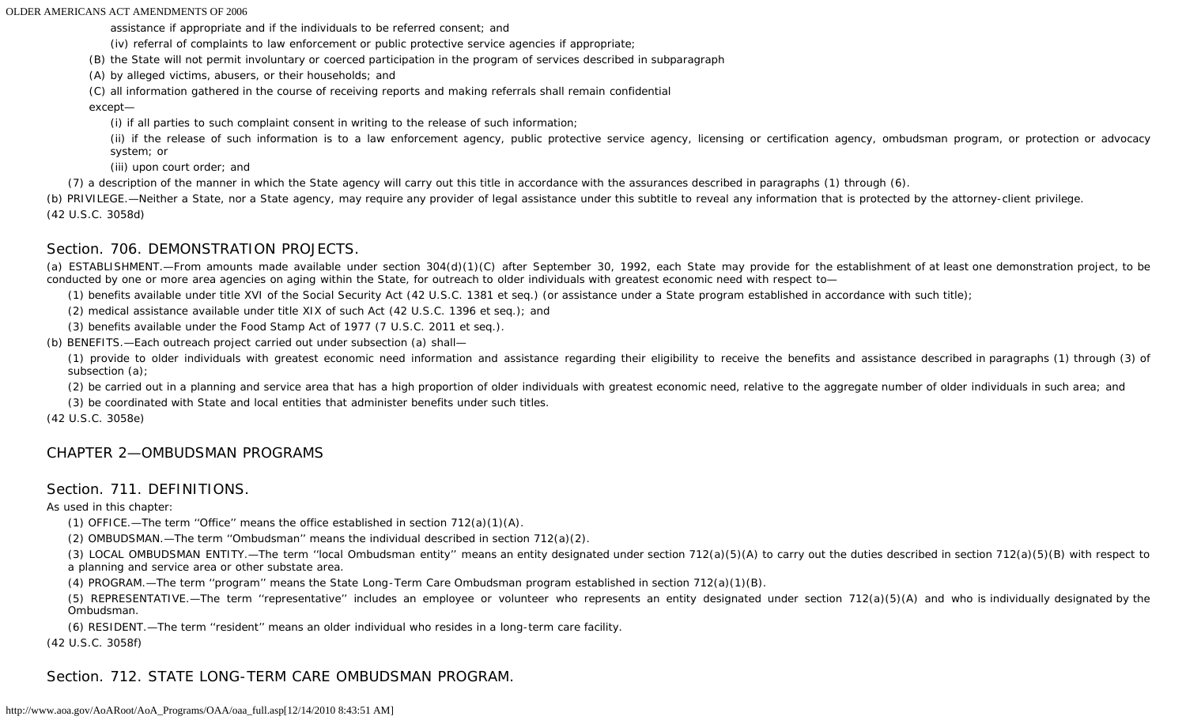assistance if appropriate and if the individuals to be referred consent; and

(iv) referral of complaints to law enforcement or public protective service agencies if appropriate;

(B) the State will not permit involuntary or coerced participation in the program of services described in subparagraph

(A) by alleged victims, abusers, or their households; and

(C) all information gathered in the course of receiving reports and making referrals shall remain confidential

except—

(i) if all parties to such complaint consent in writing to the release of such information;

(ii) if the release of such information is to a law enforcement agency, public protective service agency, licensing or certification agency, ombudsman program, or protection or advocacy system; or

(iii) upon court order; and

(7) a description of the manner in which the State agency will carry out this title in accordance with the assurances described in paragraphs (1) through (6).

(b) PRIVILEGE.—Neither a State, nor a State agency, may require any provider of legal assistance under this subtitle to reveal any information that is protected by the attorney-client privilege. (42 U.S.C. 3058d)

# Section. 706. DEMONSTRATION PROJECTS.

(a) ESTABLISHMENT.—From amounts made available under section 304(d)(1)(C) after September 30, 1992, each State may provide for the establishment of at least one demonstration project, to be conducted by one or more area agencies on aging within the State, for outreach to older individuals with greatest economic need with respect to—

(1) benefits available under title XVI of the Social Security Act (42 U.S.C. 1381 et seq.) (or assistance under a State program established in accordance with such title);

(2) medical assistance available under title XIX of such Act (42 U.S.C. 1396 et seq.); and

(3) benefits available under the Food Stamp Act of 1977 (7 U.S.C. 2011 et seq.).

(b) BENEFITS.—Each outreach project carried out under subsection (a) shall—

(1) provide to older individuals with greatest economic need information and assistance regarding their eligibility to receive the benefits and assistance described in paragraphs (1) through (3) of subsection (a);

(2) be carried out in a planning and service area that has a high proportion of older individuals with greatest economic need, relative to the aggregate number of older individuals in such area; and

(3) be coordinated with State and local entities that administer benefits under such titles.

(42 U.S.C. 3058e)

# CHAPTER 2—OMBUDSMAN PROGRAMS

## Section. 711. DEFINITIONS.

As used in this chapter:

(1) OFFICE.—The term "Office" means the office established in section  $712(a)(1)(A)$ .

(2) OMBUDSMAN.—The term ''Ombudsman'' means the individual described in section 712(a)(2).

(3) LOCAL OMBUDSMAN ENTITY.—The term ''local Ombudsman entity'' means an entity designated under section 712(a)(5)(A) to carry out the duties described in section 712(a)(5)(B) with respect to a planning and service area or other substate area.

(4) PROGRAM.—The term ''program'' means the State Long-Term Care Ombudsman program established in section 712(a)(1)(B).

(5) REPRESENTATIVE.—The term ''representative'' includes an employee or volunteer who represents an entity designated under section 712(a)(5)(A) and who is individually designated by the Ombudsman.

(6) RESIDENT.—The term ''resident'' means an older individual who resides in a long-term care facility.

(42 U.S.C. 3058f)

Section. 712. STATE LONG-TERM CARE OMBUDSMAN PROGRAM.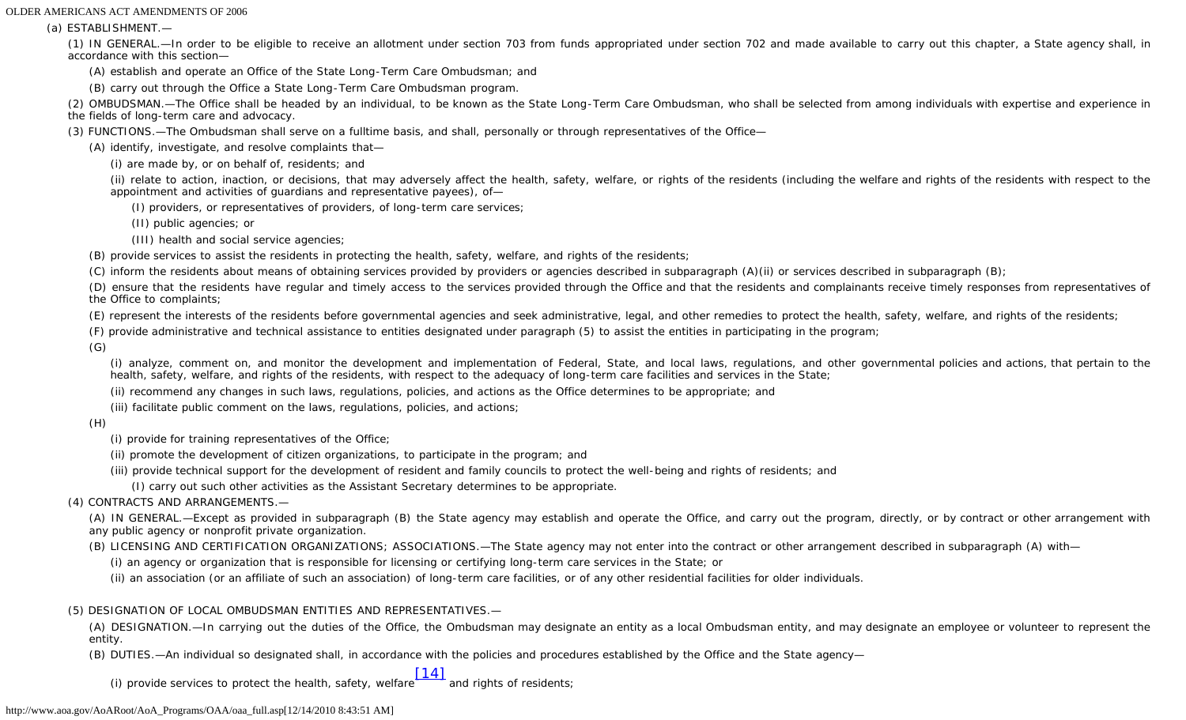(a) ESTABLISHMENT.—

(1) IN GENERAL.—In order to be eligible to receive an allotment under section 703 from funds appropriated under section 702 and made available to carry out this chapter, a State agency shall, in accordance with this section—

(A) establish and operate an Office of the State Long-Term Care Ombudsman; and

(B) carry out through the Office a State Long-Term Care Ombudsman program.

(2) OMBUDSMAN.—The Office shall be headed by an individual, to be known as the State Long-Term Care Ombudsman, who shall be selected from among individuals with expertise and experience in the fields of long-term care and advocacy.

(3) FUNCTIONS.—The Ombudsman shall serve on a fulltime basis, and shall, personally or through representatives of the Office—

(A) identify, investigate, and resolve complaints that—

(i) are made by, or on behalf of, residents; and

(ii) relate to action, inaction, or decisions, that may adversely affect the health, safety, welfare, or rights of the residents (including the welfare and rights of the residents with respect to the appointment and activities of guardians and representative payees), of—

(I) providers, or representatives of providers, of long-term care services;

(II) public agencies; or

(III) health and social service agencies;

(B) provide services to assist the residents in protecting the health, safety, welfare, and rights of the residents;

(C) inform the residents about means of obtaining services provided by providers or agencies described in subparagraph (A)(ii) or services described in subparagraph (B);

(D) ensure that the residents have regular and timely access to the services provided through the Office and that the residents and complainants receive timely responses from representatives of the Office to complaints;

(E) represent the interests of the residents before governmental agencies and seek administrative, legal, and other remedies to protect the health, safety, welfare, and rights of the residents;

(F) provide administrative and technical assistance to entities designated under paragraph (5) to assist the entities in participating in the program;

(G)

(i) analyze, comment on, and monitor the development and implementation of Federal, State, and local laws, regulations, and other governmental policies and actions, that pertain to the health, safety, welfare, and rights of the residents, with respect to the adequacy of long-term care facilities and services in the State;

(ii) recommend any changes in such laws, regulations, policies, and actions as the Office determines to be appropriate; and

(iii) facilitate public comment on the laws, regulations, policies, and actions;

(H)

(i) provide for training representatives of the Office;

(ii) promote the development of citizen organizations, to participate in the program; and

(iii) provide technical support for the development of resident and family councils to protect the well-being and rights of residents; and

(I) carry out such other activities as the Assistant Secretary determines to be appropriate.

(4) CONTRACTS AND ARRANGEMENTS.—

(A) IN GENERAL.—Except as provided in subparagraph (B) the State agency may establish and operate the Office, and carry out the program, directly, or by contract or other arrangement with any public agency or nonprofit private organization.

(B) LICENSING AND CERTIFICATION ORGANIZATIONS; ASSOCIATIONS.—The State agency may not enter into the contract or other arrangement described in subparagraph (A) with—

(i) an agency or organization that is responsible for licensing or certifying long-term care services in the State; or

(ii) an association (or an affiliate of such an association) of long-term care facilities, or of any other residential facilities for older individuals.

#### (5) DESIGNATION OF LOCAL OMBUDSMAN ENTITIES AND REPRESENTATIVES.—

(A) DESIGNATION.—In carrying out the duties of the Office, the Ombudsman may designate an entity as a local Ombudsman entity, and may designate an employee or volunteer to represent the entity.

<span id="page-84-0"></span>(B) DUTIES.—An individual so designated shall, in accordance with the policies and procedures established by the Office and the State agency—

(i) provide services to protect the health, safety, welfare  $\frac{[14]}{[14]}$  and rights of residents;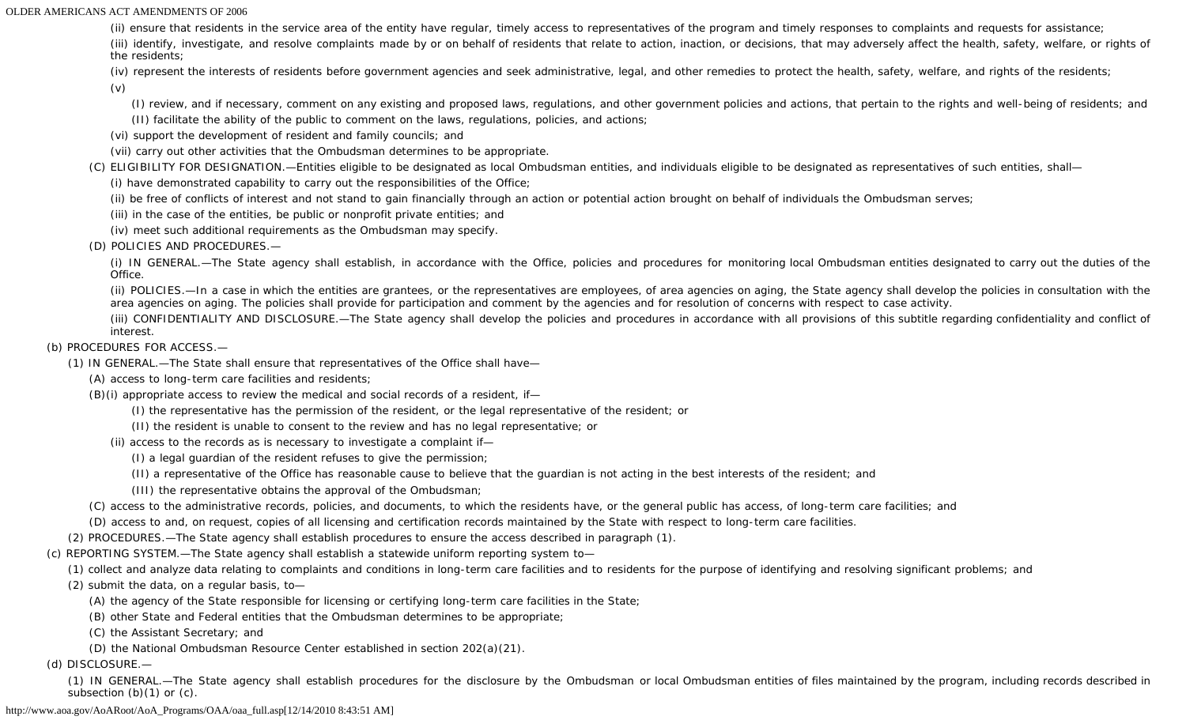(ii) ensure that residents in the service area of the entity have regular, timely access to representatives of the program and timely responses to complaints and requests for assistance;

(iii) identify, investigate, and resolve complaints made by or on behalf of residents that relate to action, inaction, or decisions, that may adversely affect the health, safety, welfare, or rights of the residents;

(iv) represent the interests of residents before government agencies and seek administrative, legal, and other remedies to protect the health, safety, welfare, and rights of the residents;

(v)

(I) review, and if necessary, comment on any existing and proposed laws, regulations, and other government policies and actions, that pertain to the rights and well-being of residents; and (II) facilitate the ability of the public to comment on the laws, regulations, policies, and actions;

(vi) support the development of resident and family councils; and

(vii) carry out other activities that the Ombudsman determines to be appropriate.

(C) ELIGIBILITY FOR DESIGNATION.—Entities eligible to be designated as local Ombudsman entities, and individuals eligible to be designated as representatives of such entities, shall—

(i) have demonstrated capability to carry out the responsibilities of the Office;

(ii) be free of conflicts of interest and not stand to gain financially through an action or potential action brought on behalf of individuals the Ombudsman serves;

(iii) in the case of the entities, be public or nonprofit private entities; and

(iv) meet such additional requirements as the Ombudsman may specify.

(D) POLICIES AND PROCEDURES.—

(i) IN GENERAL.—The State agency shall establish, in accordance with the Office, policies and procedures for monitoring local Ombudsman entities designated to carry out the duties of the Office.

(ii) POLICIES.—In a case in which the entities are grantees, or the representatives are employees, of area agencies on aging, the State agency shall develop the policies in consultation with the area agencies on aging. The policies shall provide for participation and comment by the agencies and for resolution of concerns with respect to case activity.

(iii) CONFIDENTIALITY AND DISCLOSURE.—The State agency shall develop the policies and procedures in accordance with all provisions of this subtitle regarding confidentiality and conflict of interest.

#### (b) PROCEDURES FOR ACCESS.—

(1) IN GENERAL.—The State shall ensure that representatives of the Office shall have—

(A) access to long-term care facilities and residents;

(B)(i) appropriate access to review the medical and social records of a resident, if—

(I) the representative has the permission of the resident, or the legal representative of the resident; or

(II) the resident is unable to consent to the review and has no legal representative; or

(ii) access to the records as is necessary to investigate a complaint if—

(I) a legal guardian of the resident refuses to give the permission;

(II) a representative of the Office has reasonable cause to believe that the guardian is not acting in the best interests of the resident; and

(III) the representative obtains the approval of the Ombudsman;

(C) access to the administrative records, policies, and documents, to which the residents have, or the general public has access, of long-term care facilities; and

(D) access to and, on request, copies of all licensing and certification records maintained by the State with respect to long-term care facilities.

(2) PROCEDURES.—The State agency shall establish procedures to ensure the access described in paragraph (1).

(c) REPORTING SYSTEM.—The State agency shall establish a statewide uniform reporting system to—

(1) collect and analyze data relating to complaints and conditions in long-term care facilities and to residents for the purpose of identifying and resolving significant problems; and

(2) submit the data, on a regular basis, to—

(A) the agency of the State responsible for licensing or certifying long-term care facilities in the State;

(B) other State and Federal entities that the Ombudsman determines to be appropriate;

(C) the Assistant Secretary; and

(D) the National Ombudsman Resource Center established in section 202(a)(21).

(d) DISCLOSURE.—

(1) IN GENERAL.—The State agency shall establish procedures for the disclosure by the Ombudsman or local Ombudsman entities of files maintained by the program, including records described in subsection  $(b)(1)$  or  $(c)$ .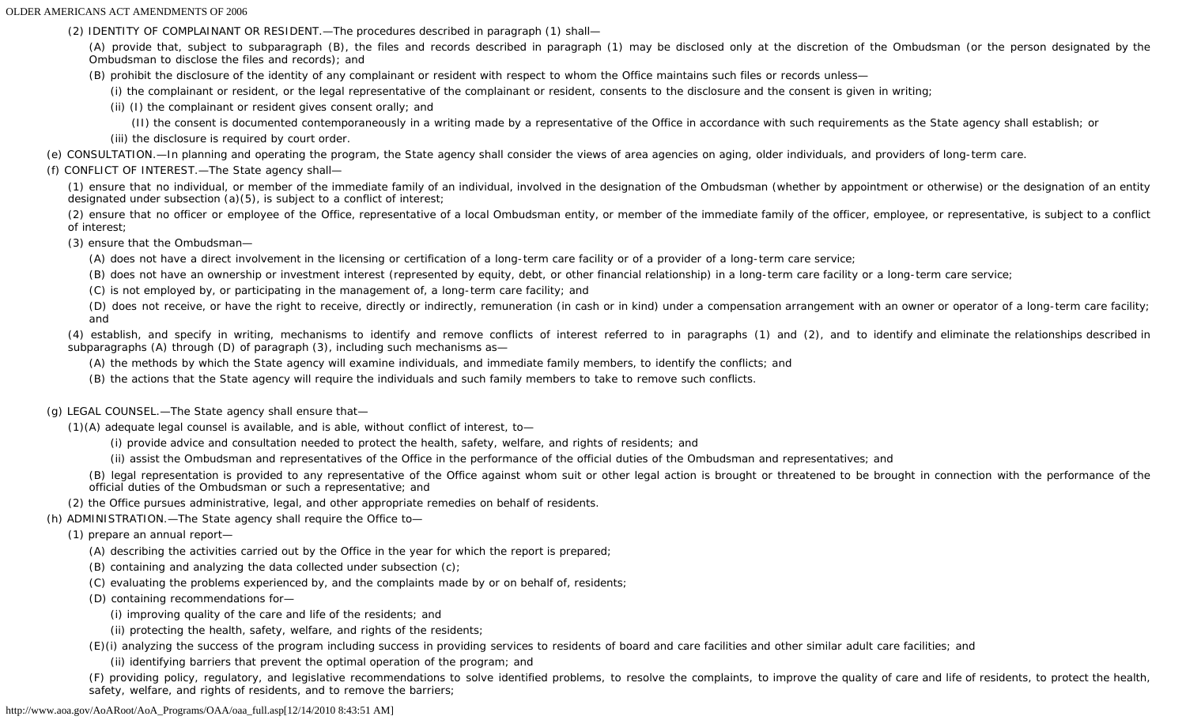(2) IDENTITY OF COMPLAINANT OR RESIDENT.—The procedures described in paragraph (1) shall—

(A) provide that, subject to subparagraph (B), the files and records described in paragraph (1) may be disclosed only at the discretion of the Ombudsman (or the person designated by the Ombudsman to disclose the files and records); and

(B) prohibit the disclosure of the identity of any complainant or resident with respect to whom the Office maintains such files or records unless—

(i) the complainant or resident, or the legal representative of the complainant or resident, consents to the disclosure and the consent is given in writing;

(ii) (I) the complainant or resident gives consent orally; and

(II) the consent is documented contemporaneously in a writing made by a representative of the Office in accordance with such requirements as the State agency shall establish; or

(iii) the disclosure is required by court order.

(e) CONSULTATION.—In planning and operating the program, the State agency shall consider the views of area agencies on aging, older individuals, and providers of long-term care.

#### (f) CONFLICT OF INTEREST.—The State agency shall—

(1) ensure that no individual, or member of the immediate family of an individual, involved in the designation of the Ombudsman (whether by appointment or otherwise) or the designation of an entity designated under subsection (a)(5), is subject to a conflict of interest;

(2) ensure that no officer or employee of the Office, representative of a local Ombudsman entity, or member of the immediate family of the officer, employee, or representative, is subject to a conflict of interest;

(3) ensure that the Ombudsman—

(A) does not have a direct involvement in the licensing or certification of a long-term care facility or of a provider of a long-term care service;

(B) does not have an ownership or investment interest (represented by equity, debt, or other financial relationship) in a long-term care facility or a long-term care service;

(C) is not employed by, or participating in the management of, a long-term care facility; and

(D) does not receive, or have the right to receive, directly or indirectly, remuneration (in cash or in kind) under a compensation arrangement with an owner or operator of a long-term care facility; and

(4) establish, and specify in writing, mechanisms to identify and remove conflicts of interest referred to in paragraphs (1) and (2), and to identify and eliminate the relationships described in subparagraphs (A) through (D) of paragraph (3), including such mechanisms as—

(A) the methods by which the State agency will examine individuals, and immediate family members, to identify the conflicts; and

(B) the actions that the State agency will require the individuals and such family members to take to remove such conflicts.

(g) LEGAL COUNSEL.—The State agency shall ensure that—

(1)(A) adequate legal counsel is available, and is able, without conflict of interest, to—

(i) provide advice and consultation needed to protect the health, safety, welfare, and rights of residents; and

(ii) assist the Ombudsman and representatives of the Office in the performance of the official duties of the Ombudsman and representatives; and

(B) legal representation is provided to any representative of the Office against whom suit or other legal action is brought or threatened to be brought in connection with the performance of the official duties of the Ombudsman or such a representative; and

(2) the Office pursues administrative, legal, and other appropriate remedies on behalf of residents.

(h) ADMINISTRATION.—The State agency shall require the Office to—

(1) prepare an annual report—

(A) describing the activities carried out by the Office in the year for which the report is prepared;

- (B) containing and analyzing the data collected under subsection  $(c)$ ;
- (C) evaluating the problems experienced by, and the complaints made by or on behalf of, residents;

(D) containing recommendations for—

(i) improving quality of the care and life of the residents; and

(ii) protecting the health, safety, welfare, and rights of the residents;

(E)(i) analyzing the success of the program including success in providing services to residents of board and care facilities and other similar adult care facilities; and

(ii) identifying barriers that prevent the optimal operation of the program; and

(F) providing policy, regulatory, and legislative recommendations to solve identified problems, to resolve the complaints, to improve the quality of care and life of residents, to protect the health, safety, welfare, and rights of residents, and to remove the barriers;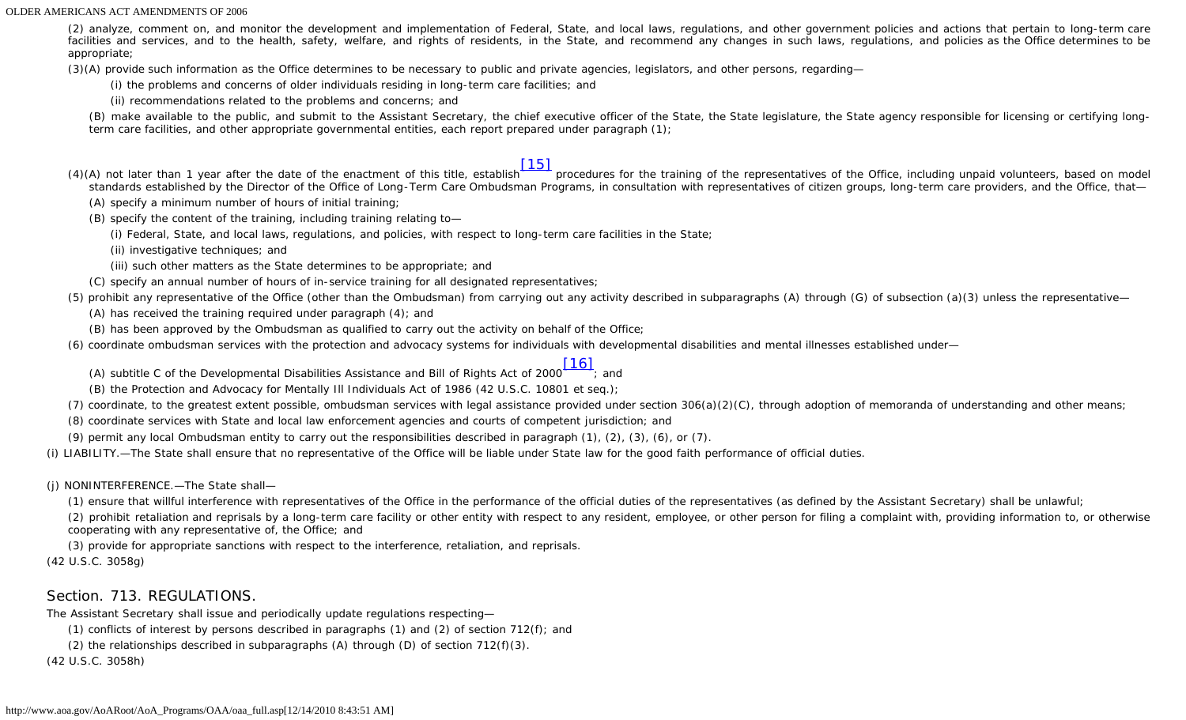(2) analyze, comment on, and monitor the development and implementation of Federal, State, and local laws, regulations, and other government policies and actions that pertain to long-term care facilities and services, and to the health, safety, welfare, and rights of residents, in the State, and recommend any changes in such laws, regulations, and policies as the Office determines to be appropriate;

(3)(A) provide such information as the Office determines to be necessary to public and private agencies, legislators, and other persons, regarding—

(i) the problems and concerns of older individuals residing in long-term care facilities; and

(ii) recommendations related to the problems and concerns; and

(B) make available to the public, and submit to the Assistant Secretary, the chief executive officer of the State, the State legislature, the State agency responsible for licensing or certifying longterm care facilities, and other appropriate governmental entities, each report prepared under paragraph (1);

# <span id="page-87-0"></span>(4)(A) not later than 1 year after the date of the enactment of this title, establish procedures for the training of the representatives of the Office, including unpaid volunteers, based on model standards established by the Director of the Office of Long-Term Care Ombudsman Programs, in consultation with representatives of citizen groups, long-term care providers, and the Office, that—

(A) specify a minimum number of hours of initial training;

(B) specify the content of the training, including training relating to—

(i) Federal, State, and local laws, regulations, and policies, with respect to long-term care facilities in the State;

(ii) investigative techniques; and

(iii) such other matters as the State determines to be appropriate; and

(C) specify an annual number of hours of in-service training for all designated representatives;

(5) prohibit any representative of the Office (other than the Ombudsman) from carrying out any activity described in subparagraphs (A) through (G) of subsection (a)(3) unless the representative—

(A) has received the training required under paragraph (4); and

(B) has been approved by the Ombudsman as qualified to carry out the activity on behalf of the Office;

<span id="page-87-1"></span>(6) coordinate ombudsman services with the protection and advocacy systems for individuals with developmental disabilities and mental illnesses established under—

(A) subtitle C of the Developmental Disabilities Assistance and Bill of Rights Act of 2000  $\frac{1161}{3}$ ;

(B) the Protection and Advocacy for Mentally Ill Individuals Act of 1986 (42 U.S.C. 10801 et seq.);

(7) coordinate, to the greatest extent possible, ombudsman services with legal assistance provided under section 306(a)(2)(C), through adoption of memoranda of understanding and other means;

(8) coordinate services with State and local law enforcement agencies and courts of competent jurisdiction; and

(9) permit any local Ombudsman entity to carry out the responsibilities described in paragraph  $(1)$ ,  $(2)$ ,  $(3)$ ,  $(6)$ , or  $(7)$ .

(i) LIABILITY.—The State shall ensure that no representative of the Office will be liable under State law for the good faith performance of official duties.

(j) NONINTERFERENCE.—The State shall—

(1) ensure that willful interference with representatives of the Office in the performance of the official duties of the representatives (as defined by the Assistant Secretary) shall be unlawful;

(2) prohibit retaliation and reprisals by a long-term care facility or other entity with respect to any resident, employee, or other person for filing a complaint with, providing information to, or otherwise cooperating with any representative of, the Office; and

(3) provide for appropriate sanctions with respect to the interference, retaliation, and reprisals.

(42 U.S.C. 3058g)

## Section. 713. REGULATIONS.

The Assistant Secretary shall issue and periodically update regulations respecting—

(1) conflicts of interest by persons described in paragraphs (1) and (2) of section 712(f); and

(2) the relationships described in subparagraphs (A) through (D) of section  $712(f)(3)$ .

(42 U.S.C. 3058h)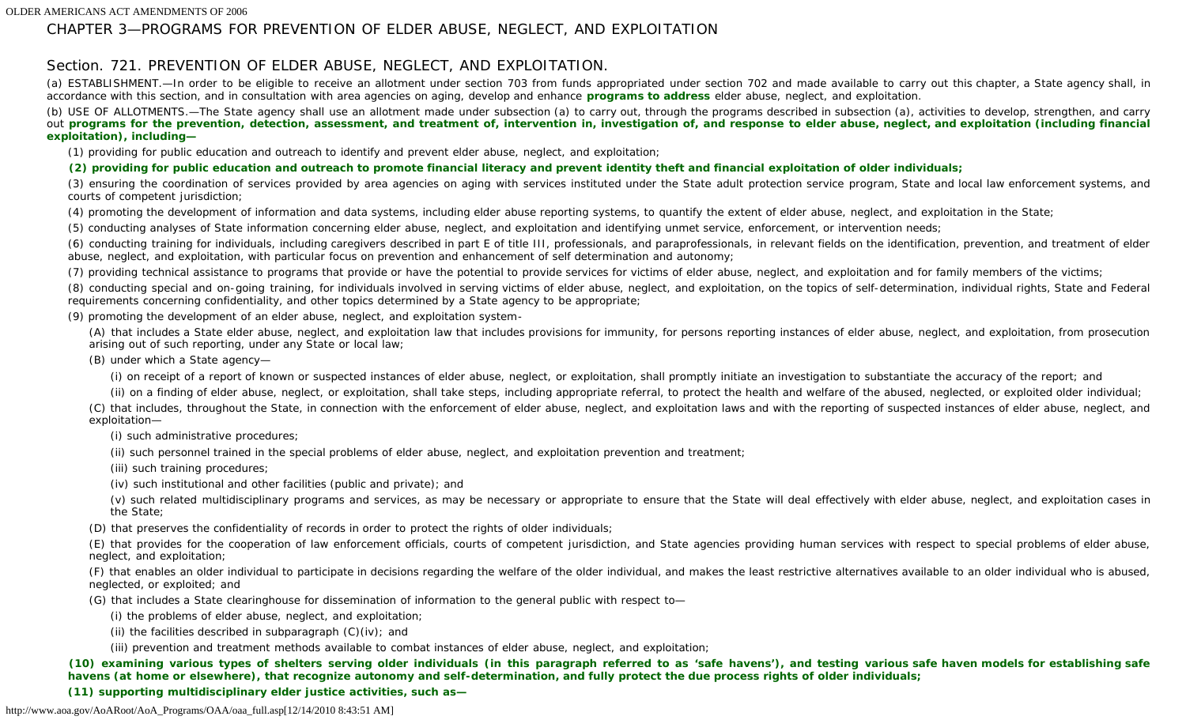## CHAPTER 3—PROGRAMS FOR PREVENTION OF ELDER ABUSE, NEGLECT, AND EXPLOITATION

## Section. 721. PREVENTION OF ELDER ABUSE, NEGLECT, AND EXPLOITATION.

(a) ESTABLISHMENT.—In order to be eligible to receive an allotment under section 703 from funds appropriated under section 702 and made available to carry out this chapter, a State agency shall, in accordance with this section, and in consultation with area agencies on aging, develop and enhance **programs to address** elder abuse, neglect, and exploitation.

(b) USE OF ALLOTMENTS.—The State agency shall use an allotment made under subsection (a) to carry out, through the programs described in subsection (a), activities to develop, strengthen, and carry out **programs for the prevention, detection, assessment, and treatment of, intervention in, investigation of, and response to elder abuse, neglect, and exploitation (including financial exploitation), including—**

(1) providing for public education and outreach to identify and prevent elder abuse, neglect, and exploitation;

**(2) providing for public education and outreach to promote financial literacy and prevent identity theft and financial exploitation of older individuals;**

(3) ensuring the coordination of services provided by area agencies on aging with services instituted under the State adult protection service program, State and local law enforcement systems, and courts of competent jurisdiction;

(4) promoting the development of information and data systems, including elder abuse reporting systems, to quantify the extent of elder abuse, neglect, and exploitation in the State;

(5) conducting analyses of State information concerning elder abuse, neglect, and exploitation and identifying unmet service, enforcement, or intervention needs;

(6) conducting training for individuals, including caregivers described in part E of title III, professionals, and paraprofessionals, in relevant fields on the identification, prevention, and treatment of elder abuse, neglect, and exploitation, with particular focus on prevention and enhancement of self determination and autonomy;

(7) providing technical assistance to programs that provide or have the potential to provide services for victims of elder abuse, neglect, and exploitation and for family members of the victims;

(8) conducting special and on-going training, for individuals involved in serving victims of elder abuse, neglect, and exploitation, on the topics of self-determination, individual rights, State and Federal requirements concerning confidentiality, and other topics determined by a State agency to be appropriate;

(9) promoting the development of an elder abuse, neglect, and exploitation system-

(A) that includes a State elder abuse, neglect, and exploitation law that includes provisions for immunity, for persons reporting instances of elder abuse, neglect, and exploitation, from prosecution arising out of such reporting, under any State or local law;

(B) under which a State agency—

(i) on receipt of a report of known or suspected instances of elder abuse, neglect, or exploitation, shall promptly initiate an investigation to substantiate the accuracy of the report; and

(ii) on a finding of elder abuse, neglect, or exploitation, shall take steps, including appropriate referral, to protect the health and welfare of the abused, neglected, or exploited older individual; (C) that includes, throughout the State, in connection with the enforcement of elder abuse, neglect, and exploitation laws and with the reporting of suspected instances of elder abuse, neglect, and exploitation—

(i) such administrative procedures;

(ii) such personnel trained in the special problems of elder abuse, neglect, and exploitation prevention and treatment;

(iii) such training procedures;

(iv) such institutional and other facilities (public and private); and

(v) such related multidisciplinary programs and services, as may be necessary or appropriate to ensure that the State will deal effectively with elder abuse, neglect, and exploitation cases in the State;

(D) that preserves the confidentiality of records in order to protect the rights of older individuals;

(E) that provides for the cooperation of law enforcement officials, courts of competent jurisdiction, and State agencies providing human services with respect to special problems of elder abuse, neglect, and exploitation;

(F) that enables an older individual to participate in decisions regarding the welfare of the older individual, and makes the least restrictive alternatives available to an older individual who is abused, neglected, or exploited; and

(G) that includes a State clearinghouse for dissemination of information to the general public with respect to—

(i) the problems of elder abuse, neglect, and exploitation;

(ii) the facilities described in subparagraph  $(C)(iv)$ ; and

(iii) prevention and treatment methods available to combat instances of elder abuse, neglect, and exploitation;

**(10) examining various types of shelters serving older individuals (in this paragraph referred to as 'safe havens'), and testing various safe haven models for establishing safe havens (at home or elsewhere), that recognize autonomy and self-determination, and fully protect the due process rights of older individuals;**

**(11) supporting multidisciplinary elder justice activities, such as—**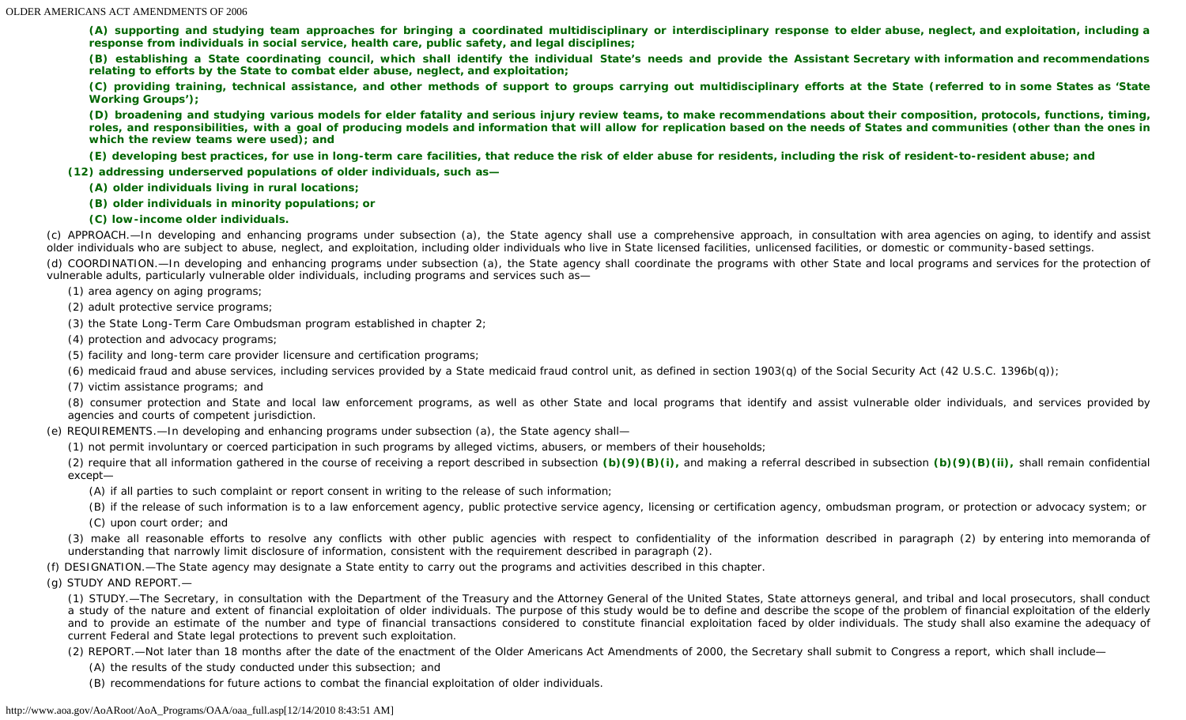**(A) supporting and studying team approaches for bringing a coordinated multidisciplinary or interdisciplinary response to elder abuse, neglect, and exploitation, including a response from individuals in social service, health care, public safety, and legal disciplines;**

**(B) establishing a State coordinating council, which shall identify the individual State's needs and provide the Assistant Secretary with information and recommendations relating to efforts by the State to combat elder abuse, neglect, and exploitation;**

**(C) providing training, technical assistance, and other methods of support to groups carrying out multidisciplinary efforts at the State (referred to in some States as 'State Working Groups');**

**(D) broadening and studying various models for elder fatality and serious injury review teams, to make recommendations about their composition, protocols, functions, timing, roles, and responsibilities, with a goal of producing models and information that will allow for replication based on the needs of States and communities (other than the ones in which the review teams were used); and**

**(E) developing best practices, for use in long-term care facilities, that reduce the risk of elder abuse for residents, including the risk of resident-to-resident abuse; and**

#### **(12) addressing underserved populations of older individuals, such as—**

**(A) older individuals living in rural locations;**

**(B) older individuals in minority populations; or**

#### **(C) low-income older individuals.**

(c) APPROACH.—In developing and enhancing programs under subsection (a), the State agency shall use a comprehensive approach, in consultation with area agencies on aging, to identify and assist older individuals who are subject to abuse, neglect, and exploitation, including older individuals who live in State licensed facilities, unlicensed facilities, or domestic or community-based settings.

(d) COORDINATION.—In developing and enhancing programs under subsection (a), the State agency shall coordinate the programs with other State and local programs and services for the protection of vulnerable adults, particularly vulnerable older individuals, including programs and services such as—

(1) area agency on aging programs;

(2) adult protective service programs;

(3) the State Long-Term Care Ombudsman program established in chapter 2;

(4) protection and advocacy programs;

(5) facility and long-term care provider licensure and certification programs;

(6) medicaid fraud and abuse services, including services provided by a State medicaid fraud control unit, as defined in section 1903(q) of the Social Security Act (42 U.S.C. 1396b(q));

(7) victim assistance programs; and

(8) consumer protection and State and local law enforcement programs, as well as other State and local programs that identify and assist vulnerable older individuals, and services provided by agencies and courts of competent jurisdiction.

(e) REQUIREMENTS.—In developing and enhancing programs under subsection (a), the State agency shall—

(1) not permit involuntary or coerced participation in such programs by alleged victims, abusers, or members of their households;

(2) require that all information gathered in the course of receiving a report described in subsection **(b)(9)(B)(i),** and making a referral described in subsection **(b)(9)(B)(ii),** shall remain confidential except—

(A) if all parties to such complaint or report consent in writing to the release of such information;

(B) if the release of such information is to a law enforcement agency, public protective service agency, licensing or certification agency, ombudsman program, or protection or advocacy system; or

(C) upon court order; and

(3) make all reasonable efforts to resolve any conflicts with other public agencies with respect to confidentiality of the information described in paragraph (2) by entering into memoranda of understanding that narrowly limit disclosure of information, consistent with the requirement described in paragraph (2).

(f) DESIGNATION.—The State agency may designate a State entity to carry out the programs and activities described in this chapter.

(g) STUDY AND REPORT.—

(1) STUDY.—The Secretary, in consultation with the Department of the Treasury and the Attorney General of the United States, State attorneys general, and tribal and local prosecutors, shall conduct a study of the nature and extent of financial exploitation of older individuals. The purpose of this study would be to define and describe the scope of the problem of financial exploitation of the elderly and to provide an estimate of the number and type of financial transactions considered to constitute financial exploitation faced by older individuals. The study shall also examine the adequacy of current Federal and State legal protections to prevent such exploitation.

(2) REPORT.—Not later than 18 months after the date of the enactment of the Older Americans Act Amendments of 2000, the Secretary shall submit to Congress a report, which shall include—

(A) the results of the study conducted under this subsection; and

(B) recommendations for future actions to combat the financial exploitation of older individuals.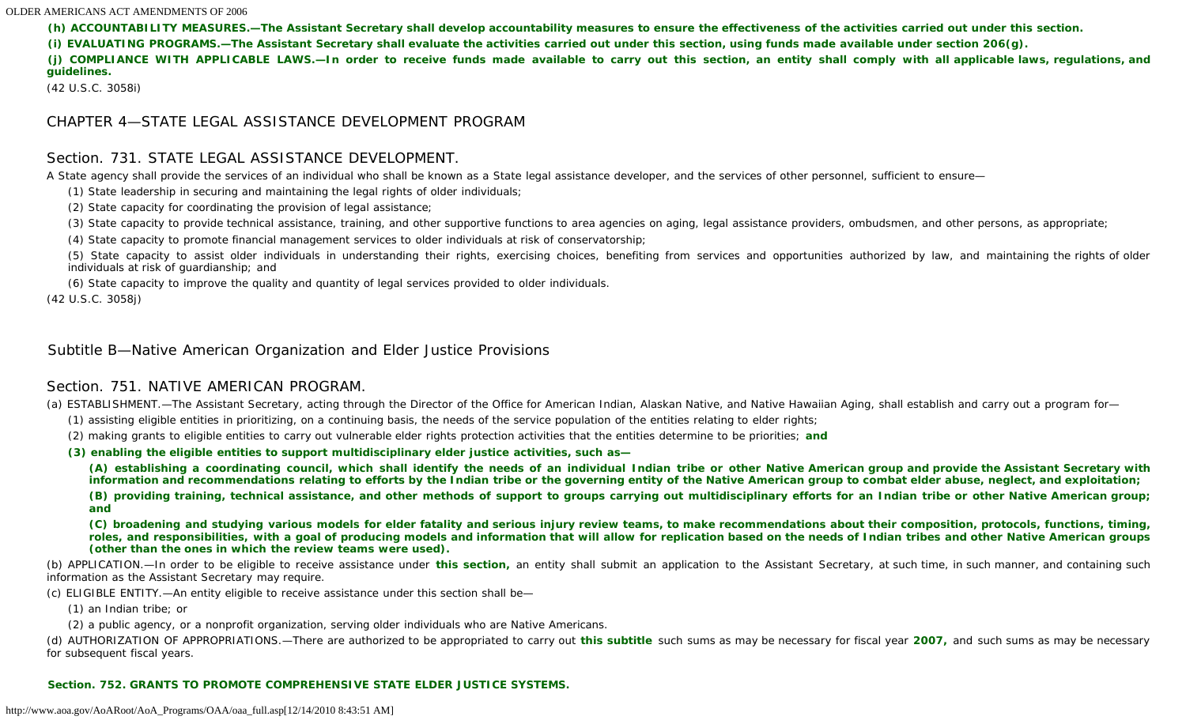**(h) ACCOUNTABILITY MEASURES.—The Assistant Secretary shall develop accountability measures to ensure the effectiveness of the activities carried out under this section.**

**(i) EVALUATING PROGRAMS.—The Assistant Secretary shall evaluate the activities carried out under this section, using funds made available under section 206(g).**

**(j) COMPLIANCE WITH APPLICABLE LAWS.—In order to receive funds made available to carry out this section, an entity shall comply with all applicable laws, regulations, and guidelines.**

(42 U.S.C. 3058i)

## CHAPTER 4—STATE LEGAL ASSISTANCE DEVELOPMENT PROGRAM

## Section. 731. STATE LEGAL ASSISTANCE DEVELOPMENT.

A State agency shall provide the services of an individual who shall be known as a State legal assistance developer, and the services of other personnel, sufficient to ensure-

(1) State leadership in securing and maintaining the legal rights of older individuals;

(2) State capacity for coordinating the provision of legal assistance;

(3) State capacity to provide technical assistance, training, and other supportive functions to area agencies on aging, legal assistance providers, ombudsmen, and other persons, as appropriate;

(4) State capacity to promote financial management services to older individuals at risk of conservatorship;

(5) State capacity to assist older individuals in understanding their rights, exercising choices, benefiting from services and opportunities authorized by law, and maintaining the rights of older individuals at risk of guardianship; and

(6) State capacity to improve the quality and quantity of legal services provided to older individuals.

(42 U.S.C. 3058j)

Subtitle B—Native American Organization and Elder Justice Provisions

## Section. 751. NATIVE AMERICAN PROGRAM.

(a) ESTABLISHMENT.—The Assistant Secretary, acting through the Director of the Office for American Indian, Alaskan Native, and Native Hawaiian Aging, shall establish and carry out a program for—

(1) assisting eligible entities in prioritizing, on a continuing basis, the needs of the service population of the entities relating to elder rights;

(2) making grants to eligible entities to carry out vulnerable elder rights protection activities that the entities determine to be priorities; **and**

**(3) enabling the eligible entities to support multidisciplinary elder justice activities, such as—**

**(A) establishing a coordinating council, which shall identify the needs of an individual Indian tribe or other Native American group and provide the Assistant Secretary with information and recommendations relating to efforts by the Indian tribe or the governing entity of the Native American group to combat elder abuse, neglect, and exploitation; (B) providing training, technical assistance, and other methods of support to groups carrying out multidisciplinary efforts for an Indian tribe or other Native American group; and**

**(C) broadening and studying various models for elder fatality and serious injury review teams, to make recommendations about their composition, protocols, functions, timing, roles, and responsibilities, with a goal of producing models and information that will allow for replication based on the needs of Indian tribes and other Native American groups (other than the ones in which the review teams were used).**

(b) APPLICATION.—In order to be eligible to receive assistance under **this section,** an entity shall submit an application to the Assistant Secretary, at such time, in such manner, and containing such information as the Assistant Secretary may require.

(c) ELIGIBLE ENTITY.—An entity eligible to receive assistance under this section shall be—

(1) an Indian tribe; or

(2) a public agency, or a nonprofit organization, serving older individuals who are Native Americans.

(d) AUTHORIZATION OF APPROPRIATIONS.—There are authorized to be appropriated to carry out **this subtitle** such sums as may be necessary for fiscal year **2007,** and such sums as may be necessary for subsequent fiscal years.

#### **Section. 752. GRANTS TO PROMOTE COMPREHENSIVE STATE ELDER JUSTICE SYSTEMS.**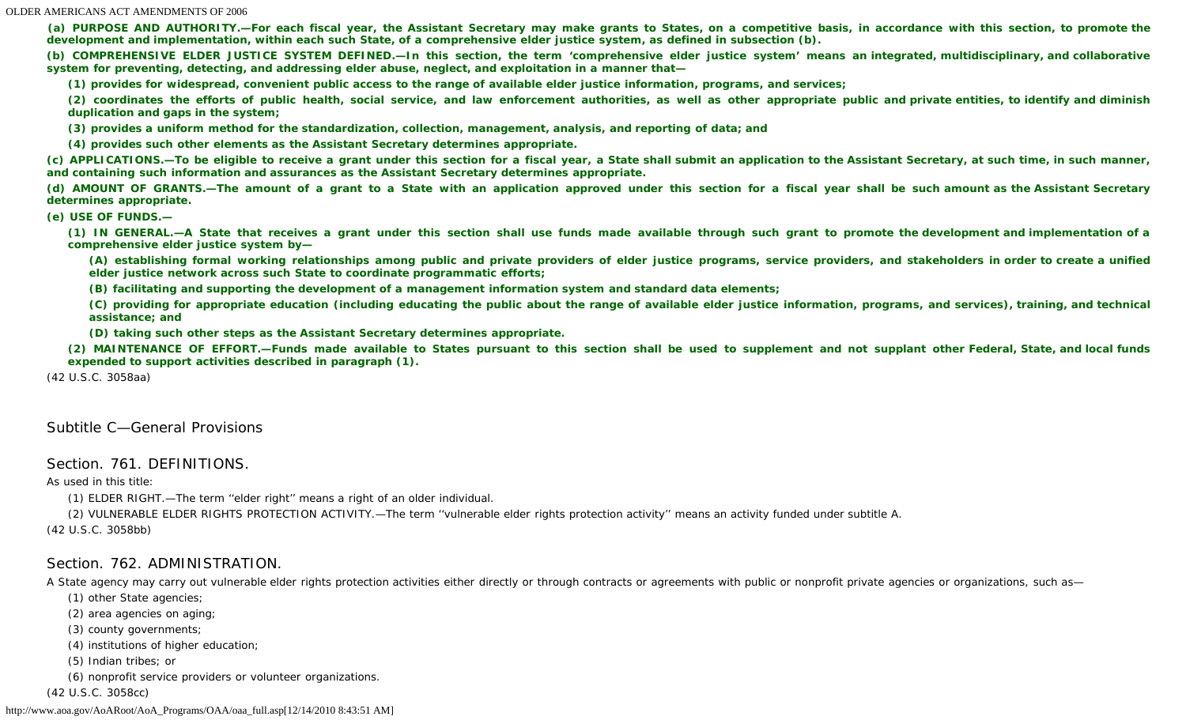**(a) PURPOSE AND AUTHORITY.—For each fiscal year, the Assistant Secretary may make grants to States, on a competitive basis, in accordance with this section, to promote the development and implementation, within each such State, of a comprehensive elder justice system, as defined in subsection (b).**

**(b) COMPREHENSIVE ELDER JUSTICE SYSTEM DEFINED.—In this section, the term 'comprehensive elder justice system' means an integrated, multidisciplinary, and collaborative system for preventing, detecting, and addressing elder abuse, neglect, and exploitation in a manner that—**

**(1) provides for widespread, convenient public access to the range of available elder justice information, programs, and services;**

**(2) coordinates the efforts of public health, social service, and law enforcement authorities, as well as other appropriate public and private entities, to identify and diminish duplication and gaps in the system;**

**(3) provides a uniform method for the standardization, collection, management, analysis, and reporting of data; and**

**(4) provides such other elements as the Assistant Secretary determines appropriate.**

**(c) APPLICATIONS.—To be eligible to receive a grant under this section for a fiscal year, a State shall submit an application to the Assistant Secretary, at such time, in such manner, and containing such information and assurances as the Assistant Secretary determines appropriate.**

**(d) AMOUNT OF GRANTS.—The amount of a grant to a State with an application approved under this section for a fiscal year shall be such amount as the Assistant Secretary determines appropriate.**

**(e) USE OF FUNDS.—**

**(1) IN GENERAL.—A State that receives a grant under this section shall use funds made available through such grant to promote the development and implementation of a comprehensive elder justice system by—**

**(A) establishing formal working relationships among public and private providers of elder justice programs, service providers, and stakeholders in order to create a unified elder justice network across such State to coordinate programmatic efforts;**

**(B) facilitating and supporting the development of a management information system and standard data elements;**

**(C) providing for appropriate education (including educating the public about the range of available elder justice information, programs, and services), training, and technical assistance; and**

**(D) taking such other steps as the Assistant Secretary determines appropriate.**

**(2) MAINTENANCE OF EFFORT.—Funds made available to States pursuant to this section shall be used to supplement and not supplant other Federal, State, and local funds expended to support activities described in paragraph (1).**

(42 U.S.C. 3058aa)

Subtitle C—General Provisions

Section. 761. DEFINITIONS.

As used in this title:

(1) ELDER RIGHT.—The term ''elder right'' means a right of an older individual.

(2) VULNERABLE ELDER RIGHTS PROTECTION ACTIVITY.—The term ''vulnerable elder rights protection activity'' means an activity funded under subtitle A.

(42 U.S.C. 3058bb)

#### Section. 762. ADMINISTRATION.

A State agency may carry out vulnerable elder rights protection activities either directly or through contracts or agreements with public or nonprofit private agencies or organizations, such as—

(1) other State agencies;

(2) area agencies on aging;

(3) county governments;

(4) institutions of higher education;

(5) Indian tribes; or

(6) nonprofit service providers or volunteer organizations.

(42 U.S.C. 3058cc)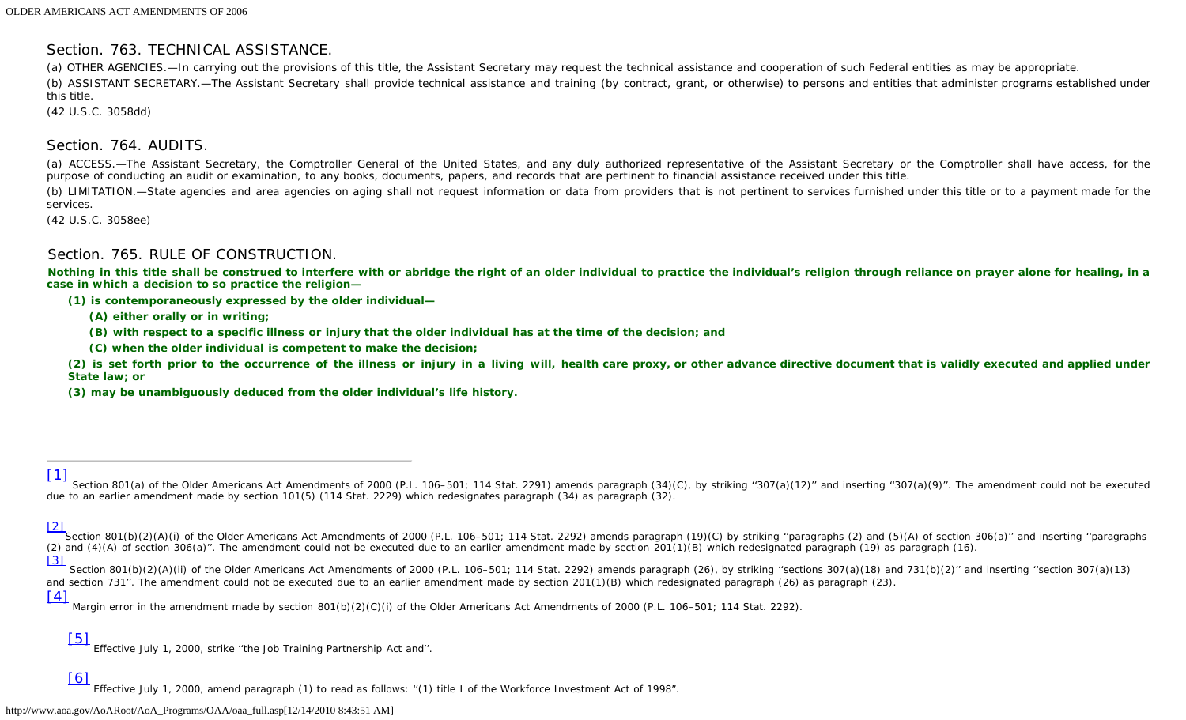## Section. 763. TECHNICAL ASSISTANCE.

(a) OTHER AGENCIES.—In carrying out the provisions of this title, the Assistant Secretary may request the technical assistance and cooperation of such Federal entities as may be appropriate. (b) ASSISTANT SECRETARY.—The Assistant Secretary shall provide technical assistance and training (by contract, grant, or otherwise) to persons and entities that administer programs established under this title.

(42 U.S.C. 3058dd)

## Section. 764. AUDITS.

(a) ACCESS.—The Assistant Secretary, the Comptroller General of the United States, and any duly authorized representative of the Assistant Secretary or the Comptroller shall have access, for the purpose of conducting an audit or examination, to any books, documents, papers, and records that are pertinent to financial assistance received under this title.

(b) LIMITATION.—State agencies and area agencies on aging shall not request information or data from providers that is not pertinent to services furnished under this title or to a payment made for the services.

(42 U.S.C. 3058ee)

## Section. 765. RULE OF CONSTRUCTION.

Nothing in this title shall be construed to interfere with or abridge the right of an older individual to practice the individual's religion through reliance on prayer alone for healing, in a **case in which a decision to so practice the religion—**

**(1) is contemporaneously expressed by the older individual—**

**(A) either orally or in writing;**

- **(B) with respect to a specific illness or injury that the older individual has at the time of the decision; and**
- **(C) when the older individual is competent to make the decision;**
- **(2) is set forth prior to the occurrence of the illness or injury in a living will, health care proxy, or other advance directive document that is validly executed and applied under State law; or**

**(3) may be unambiguously deduced from the older individual's life history.**

- [2]<br>Section 801(b)(2)(A)(i) of the Older Americans Act Amendments of 2000 (P.L. 106–501; 114 Stat. 2292) amends paragraph (19)(C) by striking "paragraphs (2) and (5)(A) of section 306(a)" and inserting "paragraphs (2) and (4)(A) of section 306(a)''. The amendment could not be executed due to an earlier amendment made by section 201(1)(B) which redesignated paragraph (19) as paragraph (16).
- [\[3\]](#page-13-1) Section 801(b)(2)(A)(ii) of the Older Americans Act Amendments of 2000 (P.L. 106–501; 114 Stat. 2292) amends paragraph (26), by striking "sections 307(a)(18) and 731(b)(2)" and inserting "section 307(a)(13) and section 731''. The amendment could not be executed due to an earlier amendment made by section 201(1)(B) which redesignated paragraph (26) as paragraph (23).
- 

[\[5\]](#page-17-0)<br>Effective July 1, 2000, strike "the Job Training Partnership Act and".

[<sup>\[1\]</sup>](#page-8-0) Section 801(a) of the Older Americans Act Amendments of 2000 (P.L. 106–501; 114 Stat. 2291) amends paragraph (34)(C), by striking "307(a)(12)" and inserting "307(a)(9)". The amendment could not be executed due to an earlier amendment made by section 101(5) (114 Stat. 2229) which redesignates paragraph (34) as paragraph (32).

 $\boxed{4}$  Margin error in the amendment made by section 801(b)(2)(C)(i) of the Older Americans Act Amendments of 2000 (P.L. 106–501; 114 Stat. 2292).

[<sup>\[6\]</sup>](#page-17-1) Effective July 1, 2000, amend paragraph (1) to read as follows: ''(1) title I of the Workforce Investment Act of 1998".